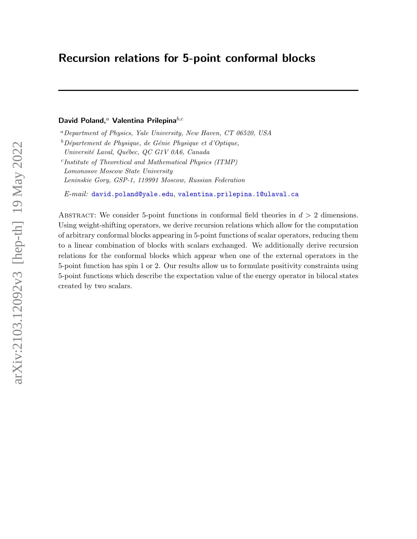# Recursion relations for 5-point conformal blocks

## David Poland,<sup>a</sup> Valentina Prilepina $^{b,c}$

 ${}^a$ Department of Physics, Yale University, New Haven, CT 06520, USA

 $b$ Département de Physique, de Génie Physique et d'Optique,

c Institute of Theoretical and Mathematical Physics (ITMP)

Leninskie Gory, GSP-1, 119991 Moscow, Russian Federation

 $E\text{-}mail:$  [david.poland@yale.edu](mailto:david.poland@yale.edu), [valentina.prilepina.1@ulaval.ca](mailto:valentina.prilepina.1@ulaval.ca)

ABSTRACT: We consider 5-point functions in conformal field theories in  $d > 2$  dimensions. Using weight-shifting operators, we derive recursion relations which allow for the computation of arbitrary conformal blocks appearing in 5-point functions of scalar operators, reducing them to a linear combination of blocks with scalars exchanged. We additionally derive recursion relations for the conformal blocks which appear when one of the external operators in the 5-point function has spin 1 or 2. Our results allow us to formulate positivity constraints using 5-point functions which describe the expectation value of the energy operator in bilocal states created by two scalars.

Université Laval, Québec, QC G1V 0A6, Canada

Lomonosov Moscow State University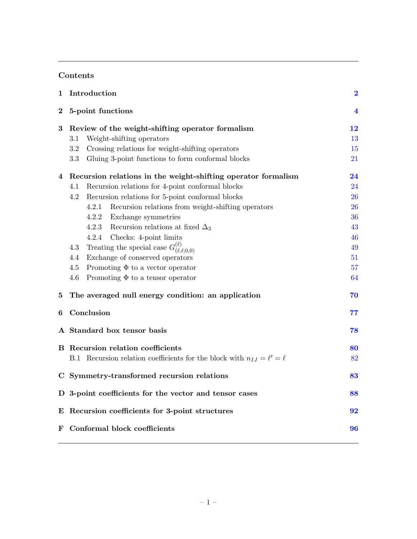## Contents

| 1        | Introduction                                                                      | $\bf{2}$       |
|----------|-----------------------------------------------------------------------------------|----------------|
| $\bf{2}$ | 5-point functions                                                                 | $\overline{4}$ |
| $\bf{3}$ | Review of the weight-shifting operator formalism                                  | 12             |
|          | Weight-shifting operators<br>3.1                                                  | 13             |
|          | Crossing relations for weight-shifting operators<br>3.2                           | 15             |
|          | 3.3<br>Gluing 3-point functions to form conformal blocks                          | 21             |
| 4        | Recursion relations in the weight-shifting operator formalism                     | 24             |
|          | Recursion relations for 4-point conformal blocks<br>4.1                           | 24             |
|          | Recursion relations for 5-point conformal blocks<br>4.2                           | 26             |
|          | 4.2.1<br>Recursion relations from weight-shifting operators                       | 26             |
|          | 4.2.2<br>Exchange symmetries                                                      | 36             |
|          | 4.2.3<br>Recursion relations at fixed $\Delta_3$                                  | 43             |
|          | 4.2.4<br>Checks: 4-point limits                                                   | 46             |
|          | Treating the special case $G_{(\ell,\ell;0,0)}^{(\ell)}$<br>4.3                   | 49             |
|          | Exchange of conserved operators<br>4.4                                            | 51             |
|          | 4.5<br>Promoting $\Phi$ to a vector operator                                      | 57             |
|          | 4.6<br>Promoting $\Phi$ to a tensor operator                                      | 64             |
| 5        | The averaged null energy condition: an application                                | 70             |
| 6        | Conclusion                                                                        | 77             |
|          | A Standard box tensor basis                                                       | 78             |
|          | <b>B</b> Recursion relation coefficients                                          | 80             |
|          | Recursion relation coefficients for the block with $n_{IJ} = \ell' = \ell$<br>B.1 | 82             |
|          | C Symmetry-transformed recursion relations                                        | 83             |
|          | D 3-point coefficients for the vector and tensor cases                            | 88             |
|          | E Recursion coefficients for 3-point structures                                   | 92             |
|          | F Conformal block coefficients                                                    | 96             |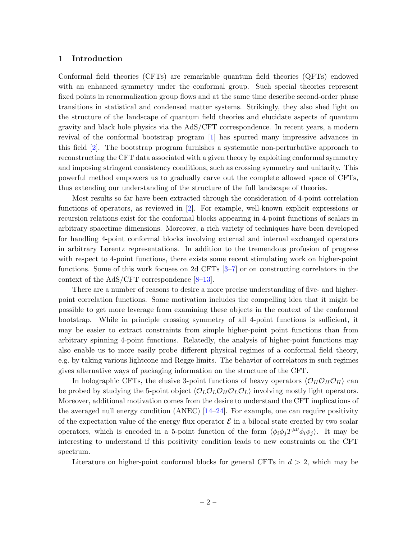#### <span id="page-2-0"></span>1 Introduction

Conformal field theories (CFTs) are remarkable quantum field theories (QFTs) endowed with an enhanced symmetry under the conformal group. Such special theories represent fixed points in renormalization group flows and at the same time describe second-order phase transitions in statistical and condensed matter systems. Strikingly, they also shed light on the structure of the landscape of quantum field theories and elucidate aspects of quantum gravity and black hole physics via the AdS/CFT correspondence. In recent years, a modern revival of the conformal bootstrap program [\[1\]](#page-101-0) has spurred many impressive advances in this field [\[2\]](#page-101-1). The bootstrap program furnishes a systematic non-perturbative approach to reconstructing the CFT data associated with a given theory by exploiting conformal symmetry and imposing stringent consistency conditions, such as crossing symmetry and unitarity. This powerful method empowers us to gradually carve out the complete allowed space of CFTs, thus extending our understanding of the structure of the full landscape of theories.

Most results so far have been extracted through the consideration of 4-point correlation functions of operators, as reviewed in [\[2\]](#page-101-1). For example, well-known explicit expressions or recursion relations exist for the conformal blocks appearing in 4-point functions of scalars in arbitrary spacetime dimensions. Moreover, a rich variety of techniques have been developed for handling 4-point conformal blocks involving external and internal exchanged operators in arbitrary Lorentz representations. In addition to the tremendous profusion of progress with respect to 4-point functions, there exists some recent stimulating work on higher-point functions. Some of this work focuses on 2d CFTs [\[3–](#page-101-2)[7\]](#page-101-3) or on constructing correlators in the context of the AdS/CFT correspondence [\[8–](#page-101-4)[13\]](#page-101-5).

There are a number of reasons to desire a more precise understanding of five- and higherpoint correlation functions. Some motivation includes the compelling idea that it might be possible to get more leverage from examining these objects in the context of the conformal bootstrap. While in principle crossing symmetry of all 4-point functions is sufficient, it may be easier to extract constraints from simple higher-point point functions than from arbitrary spinning 4-point functions. Relatedly, the analysis of higher-point functions may also enable us to more easily probe different physical regimes of a conformal field theory, e.g. by taking various lightcone and Regge limits. The behavior of correlators in such regimes gives alternative ways of packaging information on the structure of the CFT.

In holographic CFTs, the elusive 3-point functions of heavy operators  $\langle \mathcal{O}_H \mathcal{O}_H \mathcal{O}_H \rangle$  can be probed by studying the 5-point object  $\langle O_L O_L O_H O_L O_L \rangle$  involving mostly light operators. Moreover, additional motivation comes from the desire to understand the CFT implications of the averaged null energy condition  $(ANEC)$  [\[14–](#page-102-0)[24\]](#page-102-1). For example, one can require positivity of the expectation value of the energy flux operator  $\mathcal E$  in a bilocal state created by two scalar operators, which is encoded in a 5-point function of the form  $\langle \phi_i \phi_j T^{\mu\nu} \phi_i \phi_j \rangle$ . It may be interesting to understand if this positivity condition leads to new constraints on the CFT spectrum.

Literature on higher-point conformal blocks for general CFTs in  $d > 2$ , which may be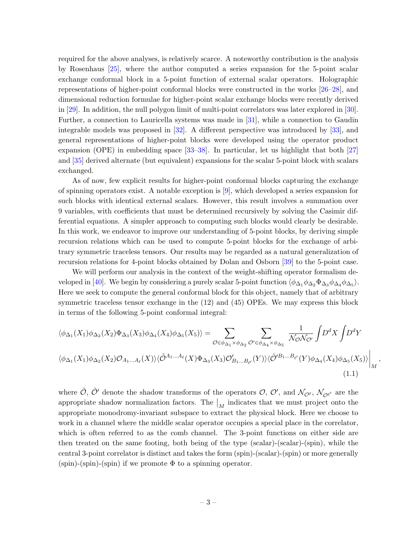required for the above analyses, is relatively scarce. A noteworthy contribution is the analysis by Rosenhaus [\[25\]](#page-102-2), where the author computed a series expansion for the 5-point scalar exchange conformal block in a 5-point function of external scalar operators. Holographic representations of higher-point conformal blocks were constructed in the works [\[26–](#page-102-3)[28\]](#page-102-4), and dimensional reduction formulae for higher-point scalar exchange blocks were recently derived in [\[29\]](#page-102-5). In addition, the null polygon limit of multi-point correlators was later explored in [\[30\]](#page-102-6). Further, a connection to Lauricella systems was made in [\[31\]](#page-102-7), while a connection to Gaudin integrable models was proposed in [\[32\]](#page-102-8). A different perspective was introduced by [\[33\]](#page-102-9), and general representations of higher-point blocks were developed using the operator product expansion (OPE) in embedding space [\[33–](#page-102-9)[38\]](#page-103-0). In particular, let us highlight that both [\[27\]](#page-102-10) and [\[35\]](#page-103-1) derived alternate (but equivalent) expansions for the scalar 5-point block with scalars exchanged.

As of now, few explicit results for higher-point conformal blocks capturing the exchange of spinning operators exist. A notable exception is [\[9\]](#page-101-6), which developed a series expansion for such blocks with identical external scalars. However, this result involves a summation over 9 variables, with coefficients that must be determined recursively by solving the Casimir differential equations. A simpler approach to computing such blocks would clearly be desirable. In this work, we endeavor to improve our understanding of 5-point blocks, by deriving simple recursion relations which can be used to compute 5-point blocks for the exchange of arbitrary symmetric traceless tensors. Our results may be regarded as a natural generalization of recursion relations for 4-point blocks obtained by Dolan and Osborn [\[39\]](#page-103-2) to the 5-point case.

We will perform our analysis in the context of the weight-shifting operator formalism de-veloped in [\[40\]](#page-103-3). We begin by considering a purely scalar 5-point function  $\langle \phi_{\Delta_1} \phi_{\Delta_2} \Phi_{\Delta_3} \phi_{\Delta_4} \phi_{\Delta_5} \rangle$ . Here we seek to compute the general conformal block for this object, namely that of arbitrary symmetric traceless tensor exchange in the (12) and (45) OPEs. We may express this block in terms of the following 5-point conformal integral:

$$
\langle \phi_{\Delta_1}(X_1)\phi_{\Delta_2}(X_2)\Phi_{\Delta_3}(X_3)\phi_{\Delta_4}(X_4)\phi_{\Delta_5}(X_5)\rangle = \sum_{\mathcal{O}\in\phi_{\Delta_1}\times\phi_{\Delta_2}}\sum_{\mathcal{O}'\in\phi_{\Delta_4}\times\phi_{\Delta_5}}\frac{1}{\mathcal{N}_{\mathcal{O}}\mathcal{N}_{\mathcal{O}'}}\int D^dX \int D^dY
$$
  

$$
\langle \phi_{\Delta_1}(X_1)\phi_{\Delta_2}(X_2)\mathcal{O}_{A_1\ldots A_\ell}(X)\rangle \langle \tilde{\mathcal{O}}^{A_1\ldots A_\ell}(X)\Phi_{\Delta_3}(X_3)\mathcal{O}'_{B_1\ldots B_{\ell'}}(Y)\rangle \langle \tilde{\mathcal{O}}'^{B_1\ldots B_{\ell'}}(Y)\phi_{\Delta_4}(X_4)\phi_{\Delta_5}(X_5)\rangle \Big|_{M},
$$
\n(1.1)

where  $\tilde{O}$ ,  $\tilde{O}'$  denote the shadow transforms of the operators  $O, O',$  and  $\mathcal{N}_{O'}$ ,  $\mathcal{N}_{O'}$  are the appropriate shadow normalization factors. The  $\big|_M$  indicates that we must project onto the appropriate monodromy-invariant subspace to extract the physical block. Here we choose to work in a channel where the middle scalar operator occupies a special place in the correlator, which is often referred to as the comb channel. The 3-point functions on either side are then treated on the same footing, both being of the type (scalar)-(scalar)-(spin), while the central 3-point correlator is distinct and takes the form (spin)-(scalar)-(spin) or more generally  $(spin)-(spin)-(spin)$  if we promote  $\Phi$  to a spinning operator.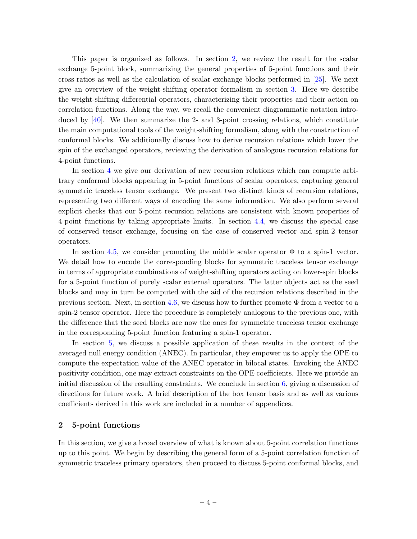This paper is organized as follows. In section [2,](#page-4-0) we review the result for the scalar exchange 5-point block, summarizing the general properties of 5-point functions and their cross-ratios as well as the calculation of scalar-exchange blocks performed in [\[25\]](#page-102-2). We next give an overview of the weight-shifting operator formalism in section [3.](#page-12-0) Here we describe the weight-shifting differential operators, characterizing their properties and their action on correlation functions. Along the way, we recall the convenient diagrammatic notation introduced by [\[40\]](#page-103-3). We then summarize the 2- and 3-point crossing relations, which constitute the main computational tools of the weight-shifting formalism, along with the construction of conformal blocks. We additionally discuss how to derive recursion relations which lower the spin of the exchanged operators, reviewing the derivation of analogous recursion relations for 4-point functions.

In section [4](#page-24-0) we give our derivation of new recursion relations which can compute arbitrary conformal blocks appearing in 5-point functions of scalar operators, capturing general symmetric traceless tensor exchange. We present two distinct kinds of recursion relations, representing two different ways of encoding the same information. We also perform several explicit checks that our 5-point recursion relations are consistent with known properties of 4-point functions by taking appropriate limits. In section [4.4,](#page-51-0) we discuss the special case of conserved tensor exchange, focusing on the case of conserved vector and spin-2 tensor operators.

In section [4.5,](#page-57-0) we consider promoting the middle scalar operator  $\Phi$  to a spin-1 vector. We detail how to encode the corresponding blocks for symmetric traceless tensor exchange in terms of appropriate combinations of weight-shifting operators acting on lower-spin blocks for a 5-point function of purely scalar external operators. The latter objects act as the seed blocks and may in turn be computed with the aid of the recursion relations described in the previous section. Next, in section [4.6,](#page-64-0) we discuss how to further promote  $\Phi$  from a vector to a spin-2 tensor operator. Here the procedure is completely analogous to the previous one, with the difference that the seed blocks are now the ones for symmetric traceless tensor exchange in the corresponding 5-point function featuring a spin-1 operator.

In section [5,](#page-70-0) we discuss a possible application of these results in the context of the averaged null energy condition (ANEC). In particular, they empower us to apply the OPE to compute the expectation value of the ANEC operator in bilocal states. Invoking the ANEC positivity condition, one may extract constraints on the OPE coefficients. Here we provide an initial discussion of the resulting constraints. We conclude in section [6,](#page-77-0) giving a discussion of directions for future work. A brief description of the box tensor basis and as well as various coefficients derived in this work are included in a number of appendices.

#### <span id="page-4-0"></span>2 5-point functions

In this section, we give a broad overview of what is known about 5-point correlation functions up to this point. We begin by describing the general form of a 5-point correlation function of symmetric traceless primary operators, then proceed to discuss 5-point conformal blocks, and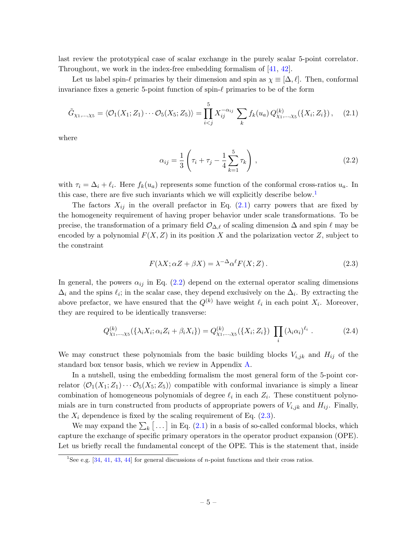last review the prototypical case of scalar exchange in the purely scalar 5-point correlator. Throughout, we work in the index-free embedding formalism of [\[41,](#page-103-4) [42\]](#page-103-5).

Let us label spin- $\ell$  primaries by their dimension and spin as  $\chi \equiv [\Delta, \ell]$ . Then, conformal invariance fixes a generic 5-point function of spin- $\ell$  primaries to be of the form

$$
\tilde{G}_{\chi_1,\dots,\chi_5} = \langle \mathcal{O}_1(X_1; Z_1) \cdots \mathcal{O}_5(X_5; Z_5) \rangle = \prod_{i < j}^{5} X_{ij}^{-\alpha_{ij}} \sum_k f_k(u_a) \, Q_{\chi_1,\dots,\chi_5}^{(k)}(\{X_i; Z_i\}) \,, \tag{2.1}
$$

where

<span id="page-5-2"></span><span id="page-5-1"></span>
$$
\alpha_{ij} = \frac{1}{3} \left( \tau_i + \tau_j - \frac{1}{4} \sum_{k=1}^{5} \tau_k \right), \qquad (2.2)
$$

with  $\tau_i = \Delta_i + \ell_i$ . Here  $f_k(u_a)$  represents some function of the conformal cross-ratios  $u_a$ . In this case, there are five such invariants which we will explicitly describe below.<sup>[1](#page-5-0)</sup>

The factors  $X_{ij}$  in the overall prefactor in Eq. [\(2.1\)](#page-5-1) carry powers that are fixed by the homogeneity requirement of having proper behavior under scale transformations. To be precise, the transformation of a primary field  $\mathcal{O}_{\Delta,\ell}$  of scaling dimension  $\Delta$  and spin  $\ell$  may be encoded by a polynomial  $F(X, Z)$  in its position X and the polarization vector Z, subject to the constraint

<span id="page-5-3"></span>
$$
F(\lambda X; \alpha Z + \beta X) = \lambda^{-\Delta} \alpha^{\ell} F(X; Z).
$$
\n(2.3)

In general, the powers  $\alpha_{ij}$  in Eq. [\(2.2\)](#page-5-2) depend on the external operator scaling dimensions  $\Delta_i$  and the spins  $\ell_i$ ; in the scalar case, they depend exclusively on the  $\Delta_i$ . By extracting the above prefactor, we have ensured that the  $Q^{(k)}$  have weight  $\ell_i$  in each point  $X_i$ . Moreover, they are required to be identically transverse:

$$
Q_{\chi_1,\dots,\chi_5}^{(k)}(\{\lambda_i X_i;\alpha_i Z_i+\beta_i X_i\})=Q_{\chi_1,\dots,\chi_5}^{(k)}(\{X_i;Z_i\})\prod_i(\lambda_i\alpha_i)^{\ell_i}.
$$
 (2.4)

We may construct these polynomials from the basic building blocks  $V_{i,jk}$  and  $H_{ij}$  of the standard box tensor basis, which we review in Appendix [A.](#page-78-0)

In a nutshell, using the embedding formalism the most general form of the 5-point correlator  $\langle \mathcal{O}_1(X_1;Z_1)\cdots \mathcal{O}_5(X_5;Z_5)\rangle$  compatible with conformal invariance is simply a linear combination of homogeneous polynomials of degree  $\ell_i$  in each  $Z_i$ . These constituent polynomials are in turn constructed from products of appropriate powers of  $V_{i,jk}$  and  $H_{ij}$ . Finally, the  $X_i$  dependence is fixed by the scaling requirement of Eq.  $(2.3)$ .

We may expand the  $\sum_{k}$  [...] in Eq. [\(2.1\)](#page-5-1) in a basis of so-called conformal blocks, which capture the exchange of specific primary operators in the operator product expansion (OPE). Let us briefly recall the fundamental concept of the OPE. This is the statement that, inside

<span id="page-5-0"></span><sup>&</sup>lt;sup>1</sup>See e.g. [\[34,](#page-103-6) [41,](#page-103-4) [43,](#page-103-7) [44\]](#page-103-8) for general discussions of *n*-point functions and their cross ratios.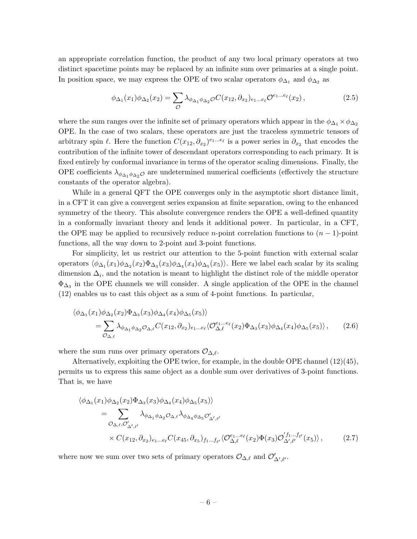an appropriate correlation function, the product of any two local primary operators at two distinct spacetime points may be replaced by an infinite sum over primaries at a single point. In position space, we may express the OPE of two scalar operators  $\phi_{\Delta_1}$  and  $\phi_{\Delta_2}$  as

$$
\phi_{\Delta_1}(x_1)\phi_{\Delta_2}(x_2) = \sum_{\mathcal{O}} \lambda_{\phi_{\Delta_1}\phi_{\Delta_2}\mathcal{O}} C(x_{12}, \partial_{x_2})_{e_1\ldots e_\ell} \mathcal{O}^{e_1\ldots e_\ell}(x_2),\tag{2.5}
$$

where the sum ranges over the infinite set of primary operators which appear in the  $\phi_{\Delta_1} \times \phi_{\Delta_2}$ OPE. In the case of two scalars, these operators are just the traceless symmetric tensors of arbitrary spin  $\ell$ . Here the function  $C(x_{12}, \partial_{x_2})^{e_1...e_{\ell}}$  is a power series in  $\partial_{x_2}$  that encodes the contribution of the infinite tower of descendant operators corresponding to each primary. It is fixed entirely by conformal invariance in terms of the operator scaling dimensions. Finally, the OPE coefficients  $\lambda_{\phi_{\Delta_1}, \phi_{\Delta_2}, \mathcal{O}}$  are undetermined numerical coefficients (effectively the structure constants of the operator algebra).

While in a general QFT the OPE converges only in the asymptotic short distance limit, in a CFT it can give a convergent series expansion at finite separation, owing to the enhanced symmetry of the theory. This absolute convergence renders the OPE a well-defined quantity in a conformally invariant theory and lends it additional power. In particular, in a CFT, the OPE may be applied to recursively reduce *n*-point correlation functions to  $(n - 1)$ -point functions, all the way down to 2-point and 3-point functions.

For simplicity, let us restrict our attention to the 5-point function with external scalar operators  $\langle \phi_{\Delta_1}(x_1)\phi_{\Delta_2}(x_2)\Phi_{\Delta_3}(x_3)\phi_{\Delta_4}(x_4)\phi_{\Delta_5}(x_5)\rangle$ . Here we label each scalar by its scaling dimension  $\Delta_i$ , and the notation is meant to highlight the distinct role of the middle operator  $\Phi_{\Delta_3}$  in the OPE channels we will consider. A single application of the OPE in the channel (12) enables us to cast this object as a sum of 4-point functions. In particular,

$$
\langle \phi_{\Delta_1}(x_1)\phi_{\Delta_2}(x_2)\Phi_{\Delta_3}(x_3)\phi_{\Delta_4}(x_4)\phi_{\Delta_5}(x_5)\rangle
$$
  
= 
$$
\sum_{\mathcal{O}_{\Delta,\ell}} \lambda_{\phi_{\Delta_1}\phi_{\Delta_2}\mathcal{O}_{\Delta,\ell}} C(x_{12}, \partial_{x_2})_{e_1\ldots e_\ell} \langle \mathcal{O}_{\Delta,\ell}^{e_1\ldots e_\ell}(x_2)\Phi_{\Delta_3}(x_3)\phi_{\Delta_4}(x_4)\phi_{\Delta_5}(x_5)\rangle, \qquad (2.6)
$$

where the sum runs over primary operators  $\mathcal{O}_{\Delta,\ell}$ .

Alternatively, exploiting the OPE twice, for example, in the double OPE channel  $(12)(45)$ , permits us to express this same object as a double sum over derivatives of 3-point functions. That is, we have

<span id="page-6-0"></span>
$$
\langle \phi_{\Delta_1}(x_1) \phi_{\Delta_2}(x_2) \Phi_{\Delta_3}(x_3) \phi_{\Delta_4}(x_4) \phi_{\Delta_5}(x_5) \rangle
$$
  
= 
$$
\sum_{\mathcal{O}_{\Delta,\ell}, \mathcal{O}'_{\Delta',\ell'}} \lambda_{\phi_{\Delta_1} \phi_{\Delta_2} \mathcal{O}_{\Delta,\ell}} \lambda_{\phi_{\Delta_4} \phi_{\Delta_5} \mathcal{O}'_{\Delta',\ell'}} \times C(x_{12}, \partial_{x_2})_{e_1 \dots e_{\ell}} C(x_{45}, \partial_{x_5})_{f_1 \dots f_{\ell'}} \langle \mathcal{O}_{\Delta,\ell}^{e_1 \dots e_{\ell}}(x_2) \Phi(x_3) \mathcal{O}'_{\Delta',\ell'}^{f_1 \dots f_{\ell'}}(x_5) \rangle , \qquad (2.7)
$$

where now we sum over two sets of primary operators  $\mathcal{O}_{\Delta,\ell}$  and  $\mathcal{O}'_{\Delta',\ell'}$ .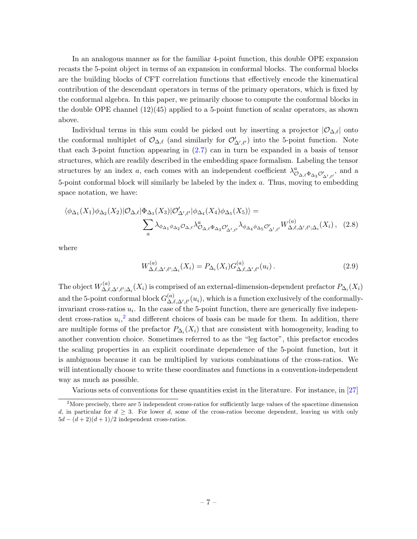In an analogous manner as for the familiar 4-point function, this double OPE expansion recasts the 5-point object in terms of an expansion in conformal blocks. The conformal blocks are the building blocks of CFT correlation functions that effectively encode the kinematical contribution of the descendant operators in terms of the primary operators, which is fixed by the conformal algebra. In this paper, we primarily choose to compute the conformal blocks in the double OPE channel  $(12)(45)$  applied to a 5-point function of scalar operators, as shown above.

Individual terms in this sum could be picked out by inserting a projector  $|O_{\Delta,\ell}|$  onto the conformal multiplet of  $\mathcal{O}_{\Delta,\ell}$  (and similarly for  $\mathcal{O}'_{\Delta',\ell'}$ ) into the 5-point function. Note that each 3-point function appearing in [\(2.7\)](#page-6-0) can in turn be expanded in a basis of tensor structures, which are readily described in the embedding space formalism. Labeling the tensor structures by an index a, each comes with an independent coefficient  $\lambda_{\mathcal{O}_{\Delta,\ell}\Phi_{\Delta_3}\mathcal{O}'_{\Delta',\ell'}}^a$ , and a 5-point conformal block will similarly be labeled by the index a. Thus, moving to embedding space notation, we have:

$$
\langle \phi_{\Delta_1}(X_1)\phi_{\Delta_2}(X_2)|\mathcal{O}_{\Delta,\ell}|\Phi_{\Delta_3}(X_3)|\mathcal{O}_{\Delta',\ell'}'|\phi_{\Delta_4}(X_4)\phi_{\Delta_5}(X_5)\rangle = \sum_a \lambda_{\phi_{\Delta_1}\phi_{\Delta_2}\mathcal{O}_{\Delta,\ell}} \lambda_{\phi_{\Delta_1}\phi_{\Delta_2}\mathcal{O}_{\Delta',\ell'}}'\lambda_{\phi_{\Delta_4}\phi_{\Delta_5}\mathcal{O}_{\Delta',\ell'}'}W^{(a)}_{\Delta,\ell,\Delta',\ell';\Delta_i}(X_i), \quad (2.8)
$$

where

$$
W^{(a)}_{\Delta,\ell,\Delta',\ell';\Delta_i}(X_i) = P_{\Delta_i}(X_i) G^{(a)}_{\Delta,\ell,\Delta',\ell'}(u_i) \,. \tag{2.9}
$$

The object  $W_{\Lambda \ \ell}^{(a)}$  $\Delta,\ell,\Delta',\ell';\Delta_i}(X_i)$  is comprised of an external-dimension-dependent prefactor  $P_{\Delta_i}(X_i)$ and the 5-point conformal block  $G_{\Lambda}^{(a)}$  $\mathcal{L}^{(u)}_{\Lambda,\ell,\Delta',\ell'}(u_i)$ , which is a function exclusively of the conformallyinvariant cross-ratios  $u_i$ . In the case of the 5-point function, there are generically five independent cross-ratios  $u_i$ <sup>[2](#page-7-0)</sup> and different choices of basis can be made for them. In addition, there are multiple forms of the prefactor  $P_{\Delta_i}(X_i)$  that are consistent with homogeneity, leading to another convention choice. Sometimes referred to as the "leg factor", this prefactor encodes the scaling properties in an explicit coordinate dependence of the 5-point function, but it is ambiguous because it can be multiplied by various combinations of the cross-ratios. We will intentionally choose to write these coordinates and functions in a convention-independent way as much as possible.

Various sets of conventions for these quantities exist in the literature. For instance, in [\[27\]](#page-102-10)

<span id="page-7-0"></span><sup>&</sup>lt;sup>2</sup>More precisely, there are 5 independent cross-ratios for sufficiently large values of the spacetime dimension d, in particular for  $d \geq 3$ . For lower d, some of the cross-ratios become dependent, leaving us with only  $5d - (d+2)(d+1)/2$  independent cross-ratios.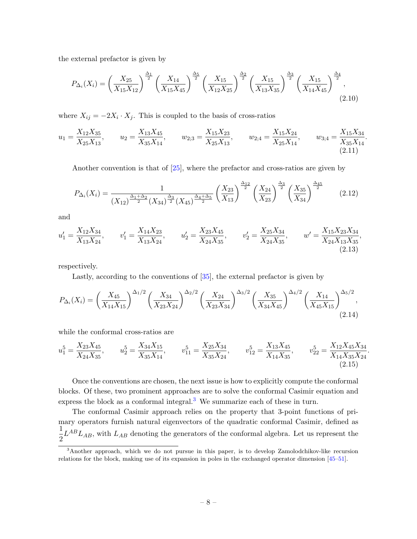the external prefactor is given by

<span id="page-8-1"></span>
$$
P_{\Delta_i}(X_i) = \left(\frac{X_{25}}{X_{15}X_{12}}\right)^{\frac{\Delta_1}{2}} \left(\frac{X_{14}}{X_{15}X_{45}}\right)^{\frac{\Delta_5}{2}} \left(\frac{X_{15}}{X_{12}X_{25}}\right)^{\frac{\Delta_2}{2}} \left(\frac{X_{15}}{X_{13}X_{35}}\right)^{\frac{\Delta_3}{2}} \left(\frac{X_{15}}{X_{14}X_{45}}\right)^{\frac{\Delta_4}{2}},\tag{2.10}
$$

where  $X_{ij} = -2X_i \cdot X_j$ . This is coupled to the basis of cross-ratios

$$
u_1 = \frac{X_{12}X_{35}}{X_{25}X_{13}}, \qquad u_2 = \frac{X_{13}X_{45}}{X_{35}X_{14}}, \qquad w_{2;3} = \frac{X_{15}X_{23}}{X_{25}X_{13}}, \qquad w_{2;4} = \frac{X_{15}X_{24}}{X_{25}X_{14}}, \qquad w_{3;4} = \frac{X_{15}X_{34}}{X_{35}X_{14}}.
$$
\n
$$
(2.11)
$$

<span id="page-8-2"></span>Another convention is that of [\[25\]](#page-102-2), where the prefactor and cross-ratios are given by

<span id="page-8-3"></span>
$$
P_{\Delta_i}(X_i) = \frac{1}{(X_{12})^{\frac{\Delta_1 + \Delta_2}{2}} (X_{34})^{\frac{\Delta_3}{2}} (X_{45})^{\frac{\Delta_4 + \Delta_5}{2}} \left(\frac{X_{23}}{X_{13}}\right)^{\frac{\Delta_1}{2}} \left(\frac{X_{24}}{X_{23}}\right)^{\frac{\Delta_3}{2}} \left(\frac{X_{35}}{X_{34}}\right)^{\frac{\Delta_4 5}{2}} \tag{2.12}
$$

and

$$
u_1' = \frac{X_{12}X_{34}}{X_{13}X_{24}}, \qquad v_1' = \frac{X_{14}X_{23}}{X_{13}X_{24}}, \qquad u_2' = \frac{X_{23}X_{45}}{X_{24}X_{35}}, \qquad v_2' = \frac{X_{25}X_{34}}{X_{24}X_{35}}, \qquad w' = \frac{X_{15}X_{23}X_{34}}{X_{24}X_{13}X_{35}},
$$
\n(2.13)

respectively.

<span id="page-8-6"></span><span id="page-8-5"></span><span id="page-8-4"></span>Lastly, according to the conventions of [\[35\]](#page-103-1), the external prefactor is given by

$$
P_{\Delta_i}(X_i) = \left(\frac{X_{45}}{X_{14}X_{15}}\right)^{\Delta_1/2} \left(\frac{X_{34}}{X_{23}X_{24}}\right)^{\Delta_2/2} \left(\frac{X_{24}}{X_{23}X_{34}}\right)^{\Delta_3/2} \left(\frac{X_{35}}{X_{34}X_{45}}\right)^{\Delta_4/2} \left(\frac{X_{14}}{X_{45}X_{15}}\right)^{\Delta_5/2},\tag{2.14}
$$

while the conformal cross-ratios are

$$
u_1^5 = \frac{X_{23}X_{45}}{X_{24}X_{35}}, \qquad u_2^5 = \frac{X_{34}X_{15}}{X_{35}X_{14}}, \qquad v_{11}^5 = \frac{X_{25}X_{34}}{X_{35}X_{24}}, \qquad v_{12}^5 = \frac{X_{13}X_{45}}{X_{14}X_{35}}, \qquad v_{22}^5 = \frac{X_{12}X_{45}X_{34}}{X_{14}X_{35}X_{24}}.
$$
\n
$$
(2.15)
$$

Once the conventions are chosen, the next issue is how to explicitly compute the conformal blocks. Of these, two prominent approaches are to solve the conformal Casimir equation and express the block as a conformal integral.<sup>[3](#page-8-0)</sup> We summarize each of these in turn.

The conformal Casimir approach relies on the property that 3-point functions of primary operators furnish natural eigenvectors of the quadratic conformal Casimir, defined as 1  $\frac{1}{2}L^{AB}L_{AB}$ , with  $L_{AB}$  denoting the generators of the conformal algebra. Let us represent the

<span id="page-8-0"></span><sup>3</sup>Another approach, which we do not pursue in this paper, is to develop Zamolodchikov-like recursion relations for the block, making use of its expansion in poles in the exchanged operator dimension [\[45–](#page-103-9)[51\]](#page-103-10).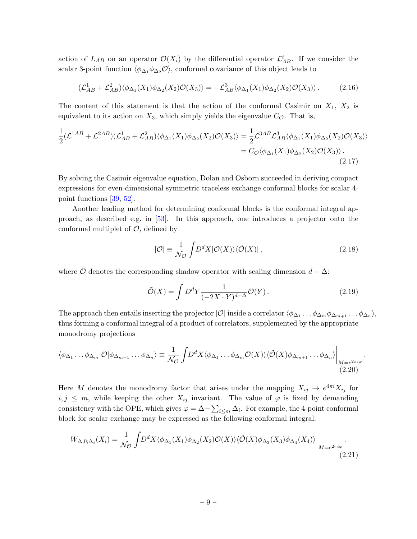action of  $L_{AB}$  on an operator  $\mathcal{O}(X_i)$  by the differential operator  $\mathcal{L}_{AB}^i$ . If we consider the scalar 3-point function  $\langle \phi_{\Delta_1} \phi_{\Delta_2} \mathcal{O} \rangle$ , conformal covariance of this object leads to

$$
(\mathcal{L}_{AB}^1 + \mathcal{L}_{AB}^2) \langle \phi_{\Delta_1}(X_1) \phi_{\Delta_2}(X_2) \mathcal{O}(X_3) \rangle = -\mathcal{L}_{AB}^3 \langle \phi_{\Delta_1}(X_1) \phi_{\Delta_2}(X_2) \mathcal{O}(X_3) \rangle. \tag{2.16}
$$

The content of this statement is that the action of the conformal Casimir on  $X_1$ ,  $X_2$  is equivalent to its action on  $X_3$ , which simply yields the eigenvalue  $C_{\mathcal{O}}$ . That is,

$$
\frac{1}{2}(\mathcal{L}^{1AB} + \mathcal{L}^{2AB})(\mathcal{L}_{AB}^1 + \mathcal{L}_{AB}^2)\langle\phi_{\Delta_1}(X_1)\phi_{\Delta_2}(X_2)\mathcal{O}(X_3)\rangle = \frac{1}{2}\mathcal{L}^{3AB}\mathcal{L}_{AB}^3\langle\phi_{\Delta_1}(X_1)\phi_{\Delta_2}(X_2)\mathcal{O}(X_3)\rangle
$$
  
=  $C_{\mathcal{O}}\langle\phi_{\Delta_1}(X_1)\phi_{\Delta_2}(X_2)\mathcal{O}(X_3)\rangle$ . (2.17)

By solving the Casimir eigenvalue equation, Dolan and Osborn succeeded in deriving compact expressions for even-dimensional symmetric traceless exchange conformal blocks for scalar 4 point functions [\[39,](#page-103-2) [52\]](#page-103-11).

Another leading method for determining conformal blocks is the conformal integral approach, as described e.g. in [\[53\]](#page-103-12). In this approach, one introduces a projector onto the conformal multiplet of  $\mathcal{O}$ , defined by

$$
|\mathcal{O}| \equiv \frac{1}{\mathcal{N}_{\mathcal{O}}} \int D^d X |\mathcal{O}(X)\rangle \langle \tilde{\mathcal{O}}(X)| \,, \tag{2.18}
$$

where  $\tilde{\mathcal{O}}$  denotes the corresponding shadow operator with scaling dimension  $d - \Delta$ :

$$
\tilde{\mathcal{O}}(X) = \int D^d Y \frac{1}{(-2X \cdot Y)^{d-\Delta}} \mathcal{O}(Y). \tag{2.19}
$$

The approach then entails inserting the projector  $|O|$  inside a correlator  $\langle \phi_{\Delta_1} \dots \phi_{\Delta_m} \phi_{\Delta_{m+1}} \dots \phi_{\Delta_n} \rangle$ , thus forming a conformal integral of a product of correlators, supplemented by the appropriate monodromy projections

$$
\langle \phi_{\Delta_1} \dots \phi_{\Delta_m} | \mathcal{O} | \phi_{\Delta_{m+1}} \dots \phi_{\Delta_n} \rangle \equiv \frac{1}{\mathcal{N}_{\mathcal{O}}} \int D^d X \langle \phi_{\Delta_1} \dots \phi_{\Delta_m} \mathcal{O}(X) \rangle \langle \tilde{\mathcal{O}}(X) \phi_{\Delta_{m+1}} \dots \phi_{\Delta_n} \rangle \Big|_{\substack{M = e^{2\pi i \varphi} \\ (2.20)}
$$

Here M denotes the monodromy factor that arises under the mapping  $X_{ij} \to e^{4\pi i} X_{ij}$  for  $i, j \leq m$ , while keeping the other  $X_{ij}$  invariant. The value of  $\varphi$  is fixed by demanding consistency with the OPE, which gives  $\varphi = \Delta - \sum_{i \le m} \Delta_i$ . For example, the 4-point conformal block for scalar exchange may be expressed as the following conformal integral:

$$
W_{\Delta,0;\Delta_i}(X_i) = \frac{1}{\mathcal{N}_{\mathcal{O}}} \int D^d X \langle \phi_{\Delta_1}(X_1) \phi_{\Delta_2}(X_2) \mathcal{O}(X) \rangle \langle \tilde{\mathcal{O}}(X) \phi_{\Delta_3}(X_3) \phi_{\Delta_4}(X_4) \rangle \Big|_{M = e^{2\pi i \varphi}}.
$$
\n(2.21)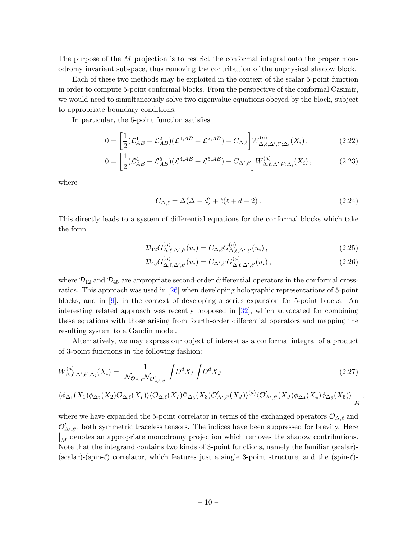The purpose of the M projection is to restrict the conformal integral onto the proper monodromy invariant subspace, thus removing the contribution of the unphysical shadow block.

Each of these two methods may be exploited in the context of the scalar 5-point function in order to compute 5-point conformal blocks. From the perspective of the conformal Casimir, we would need to simultaneously solve two eigenvalue equations obeyed by the block, subject to appropriate boundary conditions.

In particular, the 5-point function satisfies

$$
0 = \left[\frac{1}{2}(\mathcal{L}_{AB}^{1} + \mathcal{L}_{AB}^{2})(\mathcal{L}^{1,AB} + \mathcal{L}^{2,AB}) - C_{\Delta,\ell}\right]W_{\Delta,\ell,\Delta',\ell';\Delta_i}^{(a)}(X_i),\tag{2.22}
$$

$$
0 = \left[\frac{1}{2}(\mathcal{L}_{AB}^4 + \mathcal{L}_{AB}^5)(\mathcal{L}^{4,AB} + \mathcal{L}^{5,AB}) - C_{\Delta',\ell'}\right]W_{\Delta,\ell,\Delta',\ell';\Delta_i}^{(a)}(X_i)\,,\tag{2.23}
$$

where

$$
C_{\Delta,\ell} = \Delta(\Delta - d) + \ell(\ell + d - 2). \tag{2.24}
$$

This directly leads to a system of differential equations for the conformal blocks which take the form

$$
\mathcal{D}_{12} G_{\Delta,\ell,\Delta',\ell'}^{(a)}(u_i) = C_{\Delta,\ell} G_{\Delta,\ell,\Delta',\ell'}^{(a)}(u_i) ,\qquad (2.25)
$$

$$
\mathcal{D}_{45} G^{(a)}_{\Delta,\ell,\Delta',\ell'}(u_i) = C_{\Delta',\ell'} G^{(a)}_{\Delta,\ell,\Delta',\ell'}(u_i) ,\qquad (2.26)
$$

where  $\mathcal{D}_{12}$  and  $\mathcal{D}_{45}$  are appropriate second-order differential operators in the conformal crossratios. This approach was used in [\[26\]](#page-102-3) when developing holographic representations of 5-point blocks, and in [\[9\]](#page-101-6), in the context of developing a series expansion for 5-point blocks. An interesting related approach was recently proposed in [\[32\]](#page-102-8), which advocated for combining these equations with those arising from fourth-order differential operators and mapping the resulting system to a Gaudin model.

Alternatively, we may express our object of interest as a conformal integral of a product of 3-point functions in the following fashion:

$$
W_{\Delta,\ell,\Delta',\ell';\Delta_i}^{(a)}(X_i) = \frac{1}{\mathcal{N}_{\mathcal{O}_{\Delta,\ell}}\mathcal{N}_{\mathcal{O}'_{\Delta',\ell'}}} \int D^d X_I \int D^d X_J \tag{2.27}
$$

$$
\langle \phi_{\Delta_1}(X_1)\phi_{\Delta_2}(X_2)\mathcal{O}_{\Delta,\ell}(X_I)\rangle \langle \tilde{\mathcal{O}}_{\Delta,\ell}(X_I)\Phi_{\Delta_3}(X_3)\mathcal{O}'_{\Delta',\ell'}(X_J)\rangle^{(a)} \langle \tilde{\mathcal{O}}'_{\Delta',\ell'}(X_J)\phi_{\Delta_4}(X_4)\phi_{\Delta_5}(X_5)\rangle \bigg|_M,
$$

where we have expanded the 5-point correlator in terms of the exchanged operators  $\mathcal{O}_{\Delta,\ell}$  and  $\mathcal{O}'_{\Delta',\ell'}$ , both symmetric traceless tensors. The indices have been suppressed for brevity. Here  $\vert_M$  denotes an appropriate monodromy projection which removes the shadow contributions. Note that the integrand contains two kinds of 3-point functions, namely the familiar (scalar)- (scalar)-(spin- $\ell$ ) correlator, which features just a single 3-point structure, and the (spin- $\ell$ )-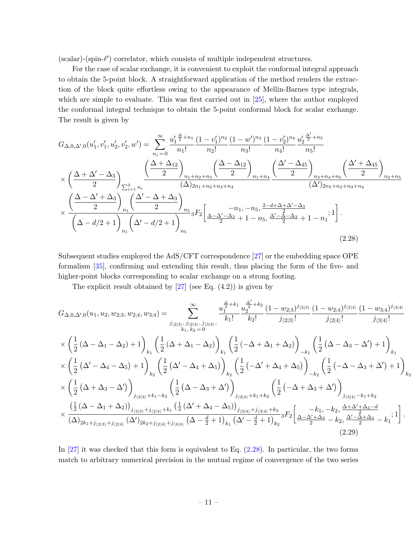$(scalar)$ - $(spin-\ell')$  correlator, which consists of multiple independent structures.

For the case of scalar exchange, it is convenient to exploit the conformal integral approach to obtain the 5-point block. A straightforward application of the method renders the extraction of the block quite effortless owing to the appearance of Mellin-Barnes type integrals, which are simple to evaluate. This was first carried out in [\[25\]](#page-102-2), where the author employed the conformal integral technique to obtain the 5-point conformal block for scalar exchange. The result is given by

$$
G_{\Delta,0,\Delta',0}(u'_1, v'_1, u'_2, v'_2, w') = \sum_{n_i=0}^{\infty} \frac{u'_1^{\frac{\Delta}{2}+n_1}}{n_1!} \frac{(1-v'_1)^{n_2}}{n_2!} \frac{(1-w')^{n_3}}{n_3!} \frac{(1-v'_2)^{n_4}}{n_4!} \frac{u'_2^{\frac{\Delta'}{2}+n_5}}{n_5!} \times \left(\frac{\Delta+\Delta'-\Delta_3}{2}\right)_{\sum_{i=1}^5 n_i} \frac{\left(\frac{\Delta+\Delta_{12}}{2}\right)_{n_1+n_2+n_3}}{(\Delta)_{2n_1+n_2+n_3+n_4}} \frac{\left(\frac{\Delta-\Delta_{12}}{2}\right)_{n_1+n_4}}{(\Delta')_{2n_5+n_2+n_3+n_4}} \frac{\left(\frac{\Delta'+\Delta_{45}}{2}\right)_{n_3+n_4+n_5}}{(\Delta')_{2n_5+n_2+n_3+n_4}} \frac{\left(\frac{\Delta'+\Delta_{45}}{2}\right)_{n_2+n_5}}{(\Delta'-d/2+1)} \times \frac{\left(\frac{\Delta-\Delta'+\Delta_3}{2}\right)_{n_1}\left(\frac{\Delta'-\Delta+\Delta_3}{2}\right)_{n_5}}{(\Delta-d/2+1)} {}_{{}_{n_5}} {}_3F_2 \left[\frac{-n_1, -n_5, \frac{2-d+\Delta+\Delta'-\Delta_3}{2}}{2} + 1 - n_5, \frac{\Delta'-\Delta-\Delta_3}{2} + 1 - n_1}; 1\right].
$$
\n(2.28)

Subsequent studies employed the AdS/CFT correspondence [\[27\]](#page-102-10) or the embedding space OPE formalism [\[35\]](#page-103-1), confirming and extending this result, thus placing the form of the five- and higher-point blocks corresponding to scalar exchange on a strong footing.

<span id="page-11-0"></span>The explicit result obtained by  $[27]$  (see Eq.  $(4.2)$ ) is given by

$$
G_{\Delta,0,\Delta',0}(u_1, u_2, w_{2;3}, w_{2;4}, w_{3;4}) = \sum_{j_{(2|3)}, \ j_{(2|4)}, \ j_{(2|4)}, \ j_{(2|4)}, \ j_{(2|5)}} \frac{u_1^{\frac{\Delta}{2}+k_1} u_2^{\frac{\Delta'}{2}+k_2} (1-w_{2;3})^{j_{(2|3)}} (1-w_{2;4})^{j_{(2|4)}} (1-w_{3;4})^{j_{(3|4)}}}{j_{(2|4)}!}
$$
  
\n
$$
\times \left(\frac{1}{2}(\Delta - \Delta_1 - \Delta_2) + 1\right)_{k_1} \left(\frac{1}{2}(\Delta + \Delta_1 - \Delta_2)\right)_{k_1} \left(\frac{1}{2}(-\Delta + \Delta_1 + \Delta_2)\right)_{-k_1} \left(\frac{1}{2}(\Delta - \Delta_3 - \Delta') + 1\right)_{k_1}
$$
  
\n
$$
\times \left(\frac{1}{2}(\Delta' - \Delta_4 - \Delta_5) + 1\right)_{k_2} \left(\frac{1}{2}(\Delta' - \Delta_4 + \Delta_5)\right)_{k_2} \left(\frac{1}{2}(-\Delta' + \Delta_4 + \Delta_5)\right)_{-k_2} \left(\frac{1}{2}(-\Delta - \Delta_3 + \Delta') + 1\right)_{k_2}
$$
  
\n
$$
\times \left(\frac{1}{2}(\Delta + \Delta_3 - \Delta')\right)_{j_{(2|3)} + k_1 - k_2} \left(\frac{1}{2}(\Delta - \Delta_3 + \Delta')\right)_{j_{(2|4)} + k_1 + k_2} \left(\frac{1}{2}(-\Delta + \Delta_3 + \Delta')\right)_{j_{(3|4)} - k_1 + k_2}
$$
  
\n
$$
\times \frac{\left(\frac{1}{2}(\Delta - \Delta_1 + \Delta_2)\right)_{j_{(2|3)} + j_{(2|4)} + k_1} \left(\frac{1}{2}(\Delta' + \Delta_4 - \Delta_5)\right)_{j_{(2|4)} + j_{(3|4)} + k_2}}{(\Delta)_{2k_1 + j_{(2|3)} + j_{(2|4)}} \left(\Delta' \right)_{2k_2 + j_{(2|4)} + j_{(3|4)}} \left(\Delta - \frac{d}{2} + 1\right
$$

In [\[27\]](#page-102-10) it was checked that this form is equivalent to Eq. [\(2.28\)](#page-11-0). In particular, the two forms match to arbitrary numerical precision in the mutual regime of convergence of the two series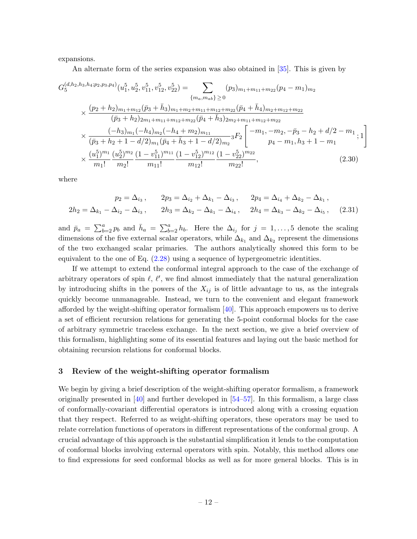expansions.

An alternate form of the series expansion was also obtained in [\[35\]](#page-103-1). This is given by

$$
G_{5}^{(d,h_{2},h_{3},h_{4};p_{2},p_{3},p_{4})}(u_{1}^{5},u_{2}^{5},v_{11}^{5},v_{12}^{5},v_{22}^{5}) = \sum_{\{m_{a},m_{ab}\}\geq 0} (p_{3})_{m_{1}+m_{11}+m_{22}}(p_{4}-m_{1})_{m_{2}}
$$
  
\$\times \frac{(p\_{2}+h\_{2})\_{m\_{1}+m\_{12}}(\bar{p}\_{3}+\bar{h}\_{3})\_{m\_{1}+m\_{2}+m\_{11}+m\_{12}+m\_{22}}(\bar{p}\_{4}+\bar{h}\_{4})\_{m\_{2}+m\_{12}+m\_{22}}\n  
\$\times \frac{(-h\_{3})\_{m\_{1}}(-h\_{4})\_{m\_{2}}(-h\_{4}+m\_{2})\_{m\_{11}}\n  
\$\times \frac{(-h\_{3})\_{m\_{1}}(-h\_{4})\_{m\_{2}}(-h\_{4}+m\_{2})\_{m\_{11}}}{(\bar{p}\_{3}+h\_{2}+1-d/2)\_{m\_{1}}(\bar{p}\_{4}+\bar{h}\_{3}+1-d/2)\_{m\_{2}}} {}\_{3}F\_{2}\n\begin{bmatrix} -m\_{1},-m\_{2},-\bar{p}\_{3}-h\_{2}+d/2-m\_{1} \\ n\_{4}-m\_{1},n\_{3}+1-m\_{1} \end{bmatrix}\n  
\$\times \frac{(u\_{1}^{5})^{m\_{1}}}{m\_{1}!} \frac{(u\_{2}^{5})^{m\_{2}}}{m\_{2}!} \frac{(1-v\_{11}^{5})^{m\_{11}}}{m\_{11}!} \frac{(1-v\_{12}^{5})^{m\_{12}}}{m\_{12}!} \frac{(1-v\_{22}^{5})^{m\_{22}}}{m\_{22}!}, \qquad (2.30)

where

$$
p_2 = \Delta_{i_3}, \qquad 2p_3 = \Delta_{i_2} + \Delta_{k_1} - \Delta_{i_3}, \qquad 2p_4 = \Delta_{i_4} + \Delta_{k_2} - \Delta_{k_1},
$$
  

$$
2h_2 = \Delta_{k_1} - \Delta_{i_2} - \Delta_{i_3}, \qquad 2h_3 = \Delta_{k_2} - \Delta_{k_1} - \Delta_{i_4}, \qquad 2h_4 = \Delta_{k_3} - \Delta_{k_2} - \Delta_{i_5}, \qquad (2.31)
$$

and  $\bar{p}_a = \sum_{b=2}^a p_b$  and  $\bar{h}_a = \sum_{b=2}^a h_b$ . Here the  $\Delta_{i_j}$  for  $j = 1, \ldots, 5$  denote the scaling dimensions of the five external scalar operators, while  $\Delta_{k_1}$  and  $\Delta_{k_2}$  represent the dimensions of the two exchanged scalar primaries. The authors analytically showed this form to be equivalent to the one of Eq. [\(2.28\)](#page-11-0) using a sequence of hypergeometric identities.

If we attempt to extend the conformal integral approach to the case of the exchange of arbitrary operators of spin  $\ell, \ell',$  we find almost immediately that the natural generalization by introducing shifts in the powers of the  $X_{ij}$  is of little advantage to us, as the integrals quickly become unmanageable. Instead, we turn to the convenient and elegant framework afforded by the weight-shifting operator formalism  $[40]$ . This approach empowers us to derive a set of efficient recursion relations for generating the 5-point conformal blocks for the case of arbitrary symmetric traceless exchange. In the next section, we give a brief overview of this formalism, highlighting some of its essential features and laying out the basic method for obtaining recursion relations for conformal blocks.

#### <span id="page-12-0"></span>3 Review of the weight-shifting operator formalism

We begin by giving a brief description of the weight-shifting operator formalism, a framework originally presented in  $\left[40\right]$  and further developed in  $\left[54-57\right]$ . In this formalism, a large class of conformally-covariant differential operators is introduced along with a crossing equation that they respect. Referred to as weight-shifting operators, these operators may be used to relate correlation functions of operators in different representations of the conformal group. A crucial advantage of this approach is the substantial simplification it lends to the computation of conformal blocks involving external operators with spin. Notably, this method allows one to find expressions for seed conformal blocks as well as for more general blocks. This is in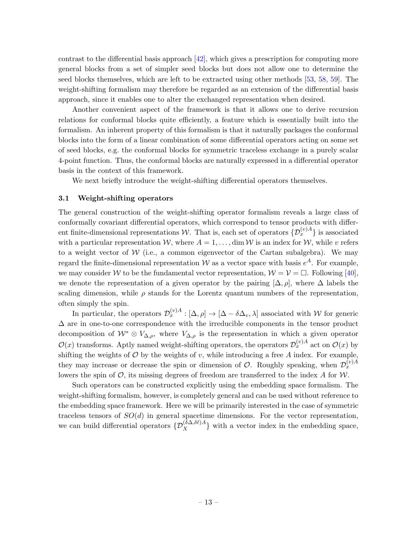contrast to the differential basis approach [\[42\]](#page-103-5), which gives a prescription for computing more general blocks from a set of simpler seed blocks but does not allow one to determine the seed blocks themselves, which are left to be extracted using other methods [\[53,](#page-103-12) [58,](#page-104-2) [59\]](#page-104-3). The weight-shifting formalism may therefore be regarded as an extension of the differential basis approach, since it enables one to alter the exchanged representation when desired.

Another convenient aspect of the framework is that it allows one to derive recursion relations for conformal blocks quite efficiently, a feature which is essentially built into the formalism. An inherent property of this formalism is that it naturally packages the conformal blocks into the form of a linear combination of some differential operators acting on some set of seed blocks, e.g. the conformal blocks for symmetric traceless exchange in a purely scalar 4-point function. Thus, the conformal blocks are naturally expressed in a differential operator basis in the context of this framework.

We next briefly introduce the weight-shifting differential operators themselves.

#### <span id="page-13-0"></span>3.1 Weight-shifting operators

The general construction of the weight-shifting operator formalism reveals a large class of conformally covariant differential operators, which correspond to tensor products with different finite-dimensional representations W. That is, each set of operators  $\{\mathcal{D}_x^{(v)A}\}$  is associated with a particular representation W, where  $A = 1, \ldots, \dim W$  is an index for W, while v refers to a weight vector of  $W$  (i.e., a common eigenvector of the Cartan subalgebra). We may regard the finite-dimensional representation W as a vector space with basis  $e^{A}$ . For example, we may consider W to be the fundamental vector representation,  $W = V = \Box$ . Following [\[40\]](#page-103-3), we denote the representation of a given operator by the pairing  $[\Delta, \rho]$ , where  $\Delta$  labels the scaling dimension, while  $\rho$  stands for the Lorentz quantum numbers of the representation, often simply the spin.

In particular, the operators  $\mathcal{D}_x^{(v)A} : [\Delta, \rho] \to [\Delta - \delta \Delta_v, \lambda]$  associated with W for generic  $\Delta$  are in one-to-one correspondence with the irreducible components in the tensor product decomposition of  $W^* \otimes V_{\Delta,\rho}$ , where  $V_{\Delta,\rho}$  is the representation in which a given operator  $\mathcal{O}(x)$  transforms. Aptly named weight-shifting operators, the operators  $\mathcal{D}_x^{(v)A}$  act on  $\mathcal{O}(x)$  by shifting the weights of  $\mathcal O$  by the weights of v, while introducing a free A index. For example, they may increase or decrease the spin or dimension of  $\mathcal{O}$ . Roughly speaking, when  $\mathcal{D}_x^{(v)}{}^A$ lowers the spin of  $\mathcal{O}$ , its missing degrees of freedom are transferred to the index A for  $\mathcal{W}$ .

Such operators can be constructed explicitly using the embedding space formalism. The weight-shifting formalism, however, is completely general and can be used without reference to the embedding space framework. Here we will be primarily interested in the case of symmetric traceless tensors of  $SO(d)$  in general spacetime dimensions. For the vector representation, we can build differential operators  $\{D_X^{(\delta\Delta,\delta\ell)A}\}\$  with a vector index in the embedding space,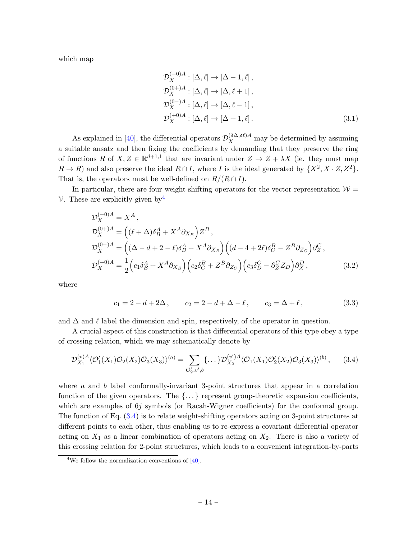which map

$$
\mathcal{D}_X^{(-0)A} : [\Delta, \ell] \to [\Delta - 1, \ell],
$$
  
\n
$$
\mathcal{D}_X^{(0+)A} : [\Delta, \ell] \to [\Delta, \ell + 1],
$$
  
\n
$$
\mathcal{D}_X^{(0)-A} : [\Delta, \ell] \to [\Delta, \ell - 1],
$$
  
\n
$$
\mathcal{D}_X^{(+0)A} : [\Delta, \ell] \to [\Delta + 1, \ell].
$$
\n(3.1)

As explained in [\[40\]](#page-103-3), the differential operators  $\mathcal{D}_X^{(\delta \Delta, \delta \ell)A}$  may be determined by assuming a suitable ansatz and then fixing the coefficients by demanding that they preserve the ring of functions R of  $X, Z \in \mathbb{R}^{d+1,1}$  that are invariant under  $Z \to Z + \lambda X$  (ie. they must map  $R \to R$ ) and also preserve the ideal  $R \cap I$ , where I is the ideal generated by  $\{X^2, X \cdot Z, Z^2\}$ . That is, the operators must be well-defined on  $R/(R \cap I)$ .

In particular, there are four weight-shifting operators for the vector representation  $\mathcal{W} =$ V. These are explicitly given by  $\frac{4}{3}$  $\frac{4}{3}$  $\frac{4}{3}$ 

$$
\mathcal{D}_X^{(-0)A} = X^A,
$$
\n
$$
\mathcal{D}_X^{(0+)A} = ((\ell + \Delta)\delta_B^A + X^A \partial_{X_B}) Z^B,
$$
\n
$$
\mathcal{D}_X^{(0-)A} = ((\Delta - d + 2 - \ell)\delta_B^A + X^A \partial_{X_B}) ((d - 4 + 2\ell)\delta_C^B - Z^B \partial_{Z_C}) \partial_Z^C,
$$
\n
$$
\mathcal{D}_X^{(+0)A} = \frac{1}{2} (c_1 \delta_B^A + X^A \partial_{X_B}) (c_2 \delta_C^B + Z^B \partial_{Z_C}) (c_3 \delta_D^C - \partial_Z^C Z_D) \partial_X^D,
$$
\n(3.2)

where

<span id="page-14-2"></span><span id="page-14-1"></span>
$$
c_1 = 2 - d + 2\Delta
$$
,  $c_2 = 2 - d + \Delta - \ell$ ,  $c_3 = \Delta + \ell$ , (3.3)

and  $\Delta$  and  $\ell$  label the dimension and spin, respectively, of the operator in question.

A crucial aspect of this construction is that differential operators of this type obey a type of crossing relation, which we may schematically denote by

$$
\mathcal{D}_{X_1}^{(v)A} \langle \mathcal{O}'_1(X_1) \mathcal{O}_2(X_2) \mathcal{O}_3(X_3) \rangle^{(a)} = \sum_{\mathcal{O}'_2, v', b} \{ \dots \} \mathcal{D}_{X_2}^{(v')A} \langle \mathcal{O}_1(X_1) \mathcal{O}'_2(X_2) \mathcal{O}_3(X_3) \rangle^{(b)}, \tag{3.4}
$$

where  $\alpha$  and  $\beta$  label conformally-invariant 3-point structures that appear in a correlation function of the given operators. The  $\{\ldots\}$  represent group-theoretic expansion coefficients, which are examples of 6*j* symbols (or Racah-Wigner coefficients) for the conformal group. The function of Eq. [\(3.4\)](#page-14-1) is to relate weight-shifting operators acting on 3-point structures at different points to each other, thus enabling us to re-express a covariant differential operator acting on  $X_1$  as a linear combination of operators acting on  $X_2$ . There is also a variety of this crossing relation for 2-point structures, which leads to a convenient integration-by-parts

<span id="page-14-0"></span><sup>&</sup>lt;sup>4</sup>We follow the normalization conventions of  $[40]$ .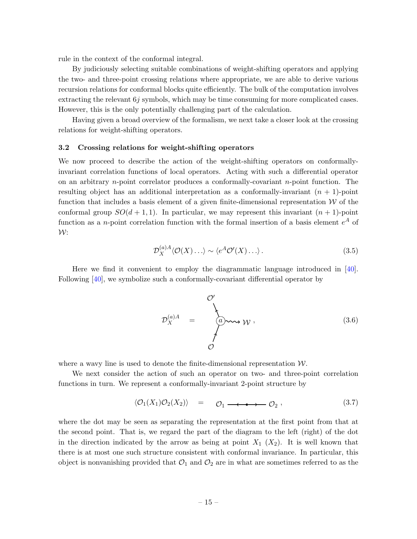rule in the context of the conformal integral.

By judiciously selecting suitable combinations of weight-shifting operators and applying the two- and three-point crossing relations where appropriate, we are able to derive various recursion relations for conformal blocks quite efficiently. The bulk of the computation involves extracting the relevant  $6j$  symbols, which may be time consuming for more complicated cases. However, this is the only potentially challenging part of the calculation.

Having given a broad overview of the formalism, we next take a closer look at the crossing relations for weight-shifting operators.

#### <span id="page-15-0"></span>3.2 Crossing relations for weight-shifting operators

We now proceed to describe the action of the weight-shifting operators on conformallyinvariant correlation functions of local operators. Acting with such a differential operator on an arbitrary *n*-point correlator produces a conformally-covariant *n*-point function. The resulting object has an additional interpretation as a conformally-invariant  $(n + 1)$ -point function that includes a basis element of a given finite-dimensional representation  $W$  of the conformal group  $SO(d+1,1)$ . In particular, we may represent this invariant  $(n+1)$ -point function as a *n*-point correlation function with the formal insertion of a basis element  $e^A$  of  $W:$ 

$$
\mathcal{D}_X^{(a)A} \langle \mathcal{O}(X) \dots \rangle \sim \langle e^A \mathcal{O}'(X) \dots \rangle. \tag{3.5}
$$

Here we find it convenient to employ the diagrammatic language introduced in [\[40\]](#page-103-3). Following [\[40\]](#page-103-3), we symbolize such a conformally-covariant differential operator by

$$
\mathcal{D}_{X}^{(a)A} = \begin{cases}\n\mathcal{O}' \\
\downarrow \\
\downarrow \\
\mathcal{O}\n\end{cases}
$$
\n(3.6)

where a wavy line is used to denote the finite-dimensional representation  $W$ .

We next consider the action of such an operator on two- and three-point correlation functions in turn. We represent a conformally-invariant 2-point structure by

$$
\langle \mathcal{O}_1(X_1)\mathcal{O}_2(X_2)\rangle = \mathcal{O}_1 \longrightarrow \mathcal{O}_2 , \qquad (3.7)
$$

where the dot may be seen as separating the representation at the first point from that at the second point. That is, we regard the part of the diagram to the left (right) of the dot in the direction indicated by the arrow as being at point  $X_1$   $(X_2)$ . It is well known that there is at most one such structure consistent with conformal invariance. In particular, this object is nonvanishing provided that  $\mathcal{O}_1$  and  $\mathcal{O}_2$  are in what are sometimes referred to as the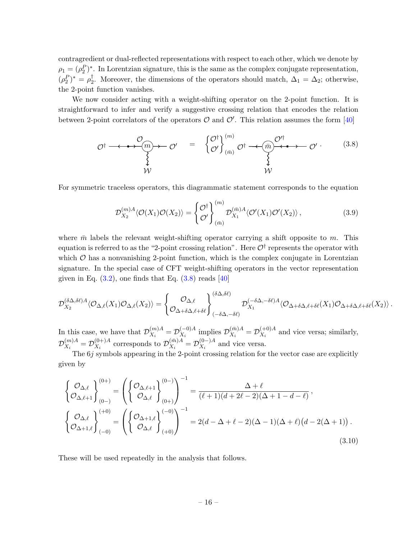contragredient or dual-reflected representations with respect to each other, which we denote by  $\rho_1 = (\rho_2^P)^*$ . In Lorentzian signature, this is the same as the complex conjugate representation,  $(\rho_2^P)^* = \rho_2^{\dagger}$  $\frac{1}{2}$ . Moreover, the dimensions of the operators should match,  $\Delta_1 = \Delta_2$ ; otherwise, the 2-point function vanishes.

We now consider acting with a weight-shifting operator on the 2-point function. It is straightforward to infer and verify a suggestive crossing relation that encodes the relation between 2-point correlators of the operators  $\mathcal O$  and  $\mathcal O'$ . This relation assumes the form [\[40\]](#page-103-3)

$$
\mathcal{O}^{\dagger} \longrightarrow \mathcal{O}^{\prime} \longrightarrow \mathcal{O}^{\prime} = \begin{cases} \mathcal{O}^{\dagger} \\ \mathcal{O}^{\prime} \end{cases} \begin{matrix} \langle m \rangle \\ \langle m \rangle \end{matrix} \mathcal{O}^{\dagger} \longrightarrow \mathcal{O}^{\prime} \longrightarrow \mathcal{O}^{\prime} \longrightarrow \mathcal{O}^{\prime} \longrightarrow \mathcal{O}^{\prime} \longrightarrow \mathcal{O}^{\prime} \longrightarrow \mathcal{O}^{\prime} \longrightarrow \mathcal{O}^{\prime} \longrightarrow \mathcal{O}^{\prime} \longrightarrow \mathcal{O}^{\prime} \longrightarrow \mathcal{O}^{\prime} \longrightarrow \mathcal{O}^{\prime} \longrightarrow \mathcal{O}^{\prime} \longrightarrow \mathcal{O}^{\prime} \longrightarrow \mathcal{O}^{\prime} \longrightarrow \mathcal{O}^{\prime} \longrightarrow \mathcal{O}^{\prime} \longrightarrow \mathcal{O}^{\prime} \longrightarrow \mathcal{O}^{\prime} \longrightarrow \mathcal{O}^{\prime} \longrightarrow \mathcal{O}^{\prime} \longrightarrow \mathcal{O}^{\prime} \longrightarrow \mathcal{O}^{\prime} \longrightarrow \mathcal{O}^{\prime} \longrightarrow \mathcal{O}^{\prime} \longrightarrow \mathcal{O}^{\prime} \longrightarrow \mathcal{O}^{\prime} \longrightarrow \mathcal{O}^{\prime} \longrightarrow \mathcal{O}^{\prime} \longrightarrow \mathcal{O}^{\prime} \longrightarrow \mathcal{O}^{\prime} \longrightarrow \mathcal{O}^{\prime} \longrightarrow \mathcal{O}^{\prime} \longrightarrow \mathcal{O}^{\prime} \longrightarrow \mathcal{O}^{\prime} \longrightarrow \mathcal{O}^{\prime} \longrightarrow \mathcal{O}^{\prime} \longrightarrow \mathcal{O}^{\prime} \longrightarrow \mathcal{O}^{\prime} \longrightarrow \mathcal{O}^{\prime} \longrightarrow \mathcal{O}^{\prime} \longrightarrow \mathcal{O}^{\prime} \longrightarrow \mathcal{O}^{\prime} \longrightarrow \mathcal{O}^{\prime} \longrightarrow \mathcal{O}^{\prime} \longrightarrow \mathcal{O}^{\prime} \longrightarrow \mathcal{O}^{\prime} \longrightarrow \mathcal{O}^{\prime} \longrightarrow \mathcal{O}^{\prime} \longrightarrow \mathcal{O}^{\prime} \longrightarrow \mathcal{O}^{\prime} \longrightarrow \mathcal{O}^{\prime} \longrightarrow \mathcal{O}^{\prime} \longrightarrow \mathcal{O}^{\prime} \longrightarrow \mathcal{O}^{\prime} \longrightarrow \mathcal{O}^{\prime}
$$

For symmetric traceless operators, this diagrammatic statement corresponds to the equation

<span id="page-16-0"></span>
$$
\mathcal{D}_{X_2}^{(m)A} \langle \mathcal{O}(X_1) \mathcal{O}(X_2) \rangle = \begin{Bmatrix} \mathcal{O}^{\dagger} \\ \mathcal{O}' \end{Bmatrix}_{(\bar{m})}^{(m)} \mathcal{D}_{X_1}^{(\bar{m})A} \langle \mathcal{O}'(X_1) \mathcal{O}'(X_2) \rangle, \tag{3.9}
$$

where  $\bar{m}$  labels the relevant weight-shifting operator carrying a shift opposite to  $m$ . This equation is referred to as the "2-point crossing relation". Here  $\mathcal{O}^\dagger$  represents the operator with which  $\mathcal O$  has a nonvanishing 2-point function, which is the complex conjugate in Lorentzian signature. In the special case of CFT weight-shifting operators in the vector representation given in Eq.  $(3.2)$ , one finds that Eq.  $(3.8)$  reads [\[40\]](#page-103-3)

$$
\mathcal{D}^{(\delta\Delta,\delta\ell)A}_{X_2} \langle \mathcal{O}_{\Delta,\ell}(X_1)\mathcal{O}_{\Delta,\ell}(X_2)\rangle=\left\{\mathcal{O}_{\Delta,\ell}\atop \mathcal{O}_{\Delta+\delta\Delta,\ell+\delta\ell}\right\}_{(-\delta\Delta,-\delta\ell)}^{(\delta\Delta,\delta\ell)} \mathcal{D}^{(-\delta\Delta,-\delta\ell)A}_{X_1} \langle \mathcal{O}_{\Delta+\delta\Delta,\ell+\delta\ell}(X_1)\mathcal{O}_{\Delta+\delta\Delta,\ell+\delta\ell}(X_2)\rangle\,.
$$

In this case, we have that  $\mathcal{D}_{X}^{(m)A}$  $\chi_i^{(m)A} = {\cal D}_{X_i}^{(-0)A}$  $\chi_i^{(-0)A}$  implies  $\mathcal{D}_{X_i}^{(\bar{m})A}$  $\chi_i^{(\bar{m})A} = \mathcal{D}_{X_i}^{(+0)A}$  $X_i^{(+0)A}$  and vice versa; similarly,  ${\cal D}_{X}^{(m)A}$  $\chi_i^{(m)A} = \mathcal{D}_{X_i}^{(0+)A}$  $\chi_{X_i}^{(0+)A}$  corresponds to  $\mathcal{D}_{X_i}^{(\bar{m})A}$  $\chi_i^{(\bar{m})A} = \mathcal{D}_{X_i}^{(0-)A}$  $\chi_i^{(0-)A}$  and vice versa.

The  $6j$  symbols appearing in the 2-point crossing relation for the vector case are explicitly given by

<span id="page-16-1"></span>
$$
\begin{aligned}\n\left\{\frac{\mathcal{O}_{\Delta,\ell}}{\mathcal{O}_{\Delta,\ell+1}}\right\}_{(0-)}^{(0+)} &= \left(\left\{\frac{\mathcal{O}_{\Delta,\ell+1}}{\mathcal{O}_{\Delta,\ell}}\right\}_{(0+)}^{(0-)}\right)^{-1} = \frac{\Delta+\ell}{(\ell+1)(d+2\ell-2)(\Delta+1-d-\ell)},\\
\left\{\frac{\mathcal{O}_{\Delta,\ell}}{\mathcal{O}_{\Delta+1,\ell}}\right\}_{(-0)}^{(+0)} &= \left(\left\{\frac{\mathcal{O}_{\Delta+1,\ell}}{\mathcal{O}_{\Delta,\ell}}\right\}_{(+0)}^{(-0)}\right)^{-1} = 2(d-\Delta+\ell-2)(\Delta-1)(\Delta+\ell)(d-2(\Delta+1)).\n\end{aligned} \tag{3.10}
$$

These will be used repeatedly in the analysis that follows.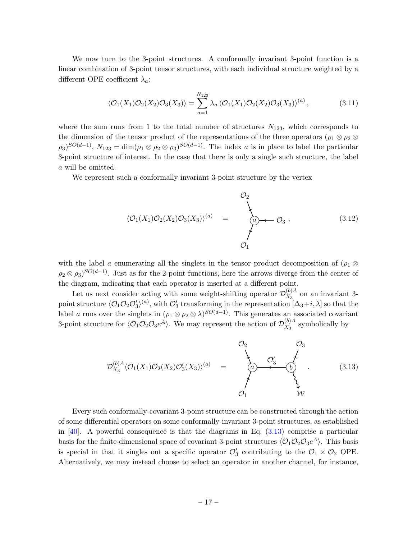We now turn to the 3-point structures. A conformally invariant 3-point function is a linear combination of 3-point tensor structures, with each individual structure weighted by a different OPE coefficient  $\lambda_a$ :

$$
\langle \mathcal{O}_1(X_1)\mathcal{O}_2(X_2)\mathcal{O}_3(X_3)\rangle = \sum_{a=1}^{N_{123}} \lambda_a \langle \mathcal{O}_1(X_1)\mathcal{O}_2(X_2)\mathcal{O}_3(X_3)\rangle^{(a)},\tag{3.11}
$$

where the sum runs from 1 to the total number of structures  $N_{123}$ , which corresponds to the dimension of the tensor product of the representations of the three operators ( $\rho_1 \otimes \rho_2 \otimes$  $(\rho_3)^{SO(d-1)}$ ,  $N_{123} = \dim(\rho_1 \otimes \rho_2 \otimes \rho_3)^{SO(d-1)}$ . The index a is in place to label the particular 3-point structure of interest. In the case that there is only a single such structure, the label a will be omitted.

We represent such a conformally invariant 3-point structure by the vertex

$$
\langle \mathcal{O}_1(X_1)\mathcal{O}_2(X_2)\mathcal{O}_3(X_3)\rangle^{(a)} = \begin{cases} \circlearrowleft_2 \\ \circlearrowleft_3 \to \circlearrowleft_3 \end{cases}, \qquad (3.12)
$$

with the label a enumerating all the singlets in the tensor product decomposition of  $(\rho_1 \otimes$  $\rho_2 \otimes \rho_3$ )<sup>SO(d-1)</sup>. Just as for the 2-point functions, here the arrows diverge from the center of the diagram, indicating that each operator is inserted at a different point.

Let us next consider acting with some weight-shifting operator  $\mathcal{D}_{X_2}^{(b)A}$  $\frac{N^{(0)}_A}{X_3}$  on an invariant 3point structure  $\langle \mathcal{O}_1 \mathcal{O}_2 \mathcal{O}'_3 \rangle^{(a)}$ , with  $\mathcal{O}'_3$  transforming in the representation  $[\Delta_3+i, \lambda]$  so that the label a runs over the singlets in  $(\rho_1 \otimes \rho_2 \otimes \lambda)^{SO(d-1)}$ . This generates an associated covariant 3-point structure for  $\langle \mathcal{O}_1 \mathcal{O}_2 \mathcal{O}_3 e^A \rangle$ . We may represent the action of  $\mathcal{D}_{X_3}^{(b)A}$  $\frac{N^{(0)A}}{X_3}$  symbolically by

<span id="page-17-0"></span>
$$
\mathcal{D}_{X_3}^{(b)A} \langle \mathcal{O}_1(X_1) \mathcal{O}_2(X_2) \mathcal{O}'_3(X_3) \rangle^{(a)} = \begin{cases} \mathcal{O}_2 & \mathcal{O}_3 \\ \mathcal{O}_3' & \mathcal{O}_3' \\ \mathcal{O}_1 & \mathcal{W} \end{cases}
$$
(3.13)

Every such conformally-covariant 3-point structure can be constructed through the action of some differential operators on some conformally-invariant 3-point structures, as established in  $[40]$ . A powerful consequence is that the diagrams in Eq.  $(3.13)$  comprise a particular basis for the finite-dimensional space of covariant 3-point structures  $\langle \mathcal{O}_1 \mathcal{O}_2 \mathcal{O}_3 e^A \rangle$ . This basis is special in that it singles out a specific operator  $\mathcal{O}'_3$  contributing to the  $\mathcal{O}_1 \times \mathcal{O}_2$  OPE. Alternatively, we may instead choose to select an operator in another channel, for instance,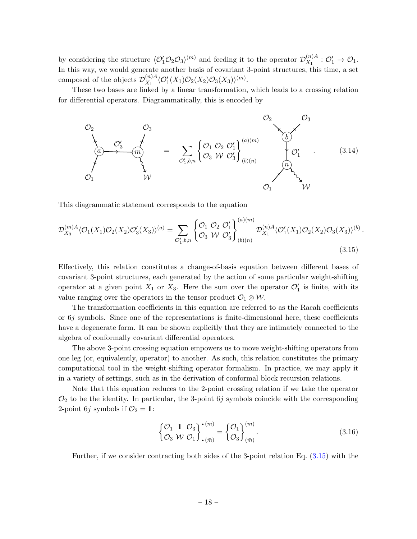by considering the structure  $\langle \mathcal{O}_1' \mathcal{O}_2 \mathcal{O}_3 \rangle^{(m)}$  and feeding it to the operator  $\mathcal{D}_{X_1}^{(n)A}$  $\mathcal{O}_1^{(n)A}$  :  $\mathcal{O}'_1 \rightarrow \mathcal{O}_1.$ In this way, we would generate another basis of covariant 3-point structures, this time, a set composed of the objects  $\mathcal{D}_{X_1}^{(n)A}$  $\langle \mathcal{O}_1^\prime(X_1)\mathcal{O}_2(X_2)\mathcal{O}_3(X_3)\rangle^{(m)}.$ 

These two bases are linked by a linear transformation, which leads to a crossing relation for differential operators. Diagrammatically, this is encoded by



This diagrammatic statement corresponds to the equation

$$
\mathcal{D}_{X_3}^{(m)A} \langle \mathcal{O}_1(X_1) \mathcal{O}_2(X_2) \mathcal{O}'_3(X_3) \rangle^{(a)} = \sum_{\mathcal{O}'_1, b, n} \left\{ \begin{matrix} \mathcal{O}_1 & \mathcal{O}_2 & \mathcal{O}'_1 \\ \mathcal{O}_3 & \mathcal{W} & \mathcal{O}'_3 \end{matrix} \right\}_{(b)(n)}^{(a)(m)} \mathcal{D}_{X_1}^{(n)A} \langle \mathcal{O}'_1(X_1) \mathcal{O}_2(X_2) \mathcal{O}_3(X_3) \rangle^{(b)}.
$$
\n(3.15)

Effectively, this relation constitutes a change-of-basis equation between different bases of covariant 3-point structures, each generated by the action of some particular weight-shifting operator at a given point  $X_1$  or  $X_3$ . Here the sum over the operator  $\mathcal{O}'_1$  is finite, with its value ranging over the operators in the tensor product  $\mathcal{O}_1 \otimes \mathcal{W}$ .

The transformation coefficients in this equation are referred to as the Racah coefficients or  $6j$  symbols. Since one of the representations is finite-dimensional here, these coefficients have a degenerate form. It can be shown explicitly that they are intimately connected to the algebra of conformally covariant differential operators.

The above 3-point crossing equation empowers us to move weight-shifting operators from one leg (or, equivalently, operator) to another. As such, this relation constitutes the primary computational tool in the weight-shifting operator formalism. In practice, we may apply it in a variety of settings, such as in the derivation of conformal block recursion relations.

Note that this equation reduces to the 2-point crossing relation if we take the operator  $\mathcal{O}_2$  to be the identity. In particular, the 3-point 6j symbols coincide with the corresponding 2-point 6*j* symbols if  $\mathcal{O}_2 = 1$ :

<span id="page-18-0"></span>
$$
\begin{Bmatrix} \mathcal{O}_1 & 1 & \mathcal{O}_3 \\ \mathcal{O}_3 & \mathcal{W} & \mathcal{O}_1 \end{Bmatrix}_{\bullet (\bar{m})}^{\bullet (m)} = \begin{Bmatrix} \mathcal{O}_1 \\ \mathcal{O}_3 \end{Bmatrix}_{(\bar{m})}^{\bullet (m)}.\tag{3.16}
$$

Further, if we consider contracting both sides of the 3-point relation Eq. [\(3.15\)](#page-18-0) with the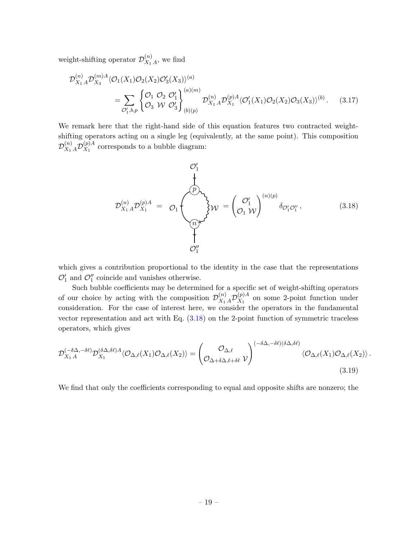weight-shifting operator  $\mathcal{D}_{X_1}^{(n)}$  $\mathcal{X}_1^{(n)}$ <sub>A</sub>, we find

$$
\mathcal{D}_{X_1 A}^{(n)} \mathcal{D}_{X_3}^{(m)A} \langle \mathcal{O}_1(X_1) \mathcal{O}_2(X_2) \mathcal{O}'_3(X_3) \rangle^{(a)} = \sum_{\mathcal{O}'_1, b, p} \begin{cases} \mathcal{O}_1 \ \mathcal{O}_2 \ \mathcal{O}'_1 \\ \mathcal{O}_3 \ \mathcal{W} \ \mathcal{O}'_3 \end{cases} \bigg|_{(b)(p)}^{(a)(m)} \mathcal{D}_{X_1 A}^{(n)} \mathcal{D}_{X_1}^{(p)A} \langle \mathcal{O}'_1(X_1) \mathcal{O}_2(X_2) \mathcal{O}_3(X_3) \rangle^{(b)}.
$$
 (3.17)

We remark here that the right-hand side of this equation features two contracted weightshifting operators acting on a single leg (equivalently, at the same point). This composition  $\mathcal{D}_{X_1\,A}^{(n)}\mathcal{D}_{X_1}^{(p)A}$  $X_1^{(p)A}$  corresponds to a bubble diagram:

<span id="page-19-0"></span>
$$
\mathcal{D}_{X_1 A}^{(n)} \mathcal{D}_{X_1}^{(p)A} = \mathcal{O}_1 \left( \bigotimes_{\substack{p \text{odd} \\ \text{odd} \\ \text{odd} \\ \text{odd} \\ \text{odd} \\ \text{odd} \\ \text{odd} \end{cases} W = \left( \bigotimes_{\substack{q \text{odd} \\ \text{odd} \\ \text{odd} \\ \text{odd} \\ \text{odd} \end{cases} \text{ with } \delta_{\mathcal{O}_1' \mathcal{O}_1''},
$$
\n(3.18)

which gives a contribution proportional to the identity in the case that the representations  $\mathcal{O}'_1$  and  $\mathcal{O}''_1$  coincide and vanishes otherwise.

Such bubble coefficients may be determined for a specific set of weight-shifting operators of our choice by acting with the composition  $\mathcal{D}_{X_1}^{(n)} A \mathcal{D}_{X_1}^{(p)A}$  $X_1^{(p)A}$  on some 2-point function under consideration. For the case of interest here, we consider the operators in the fundamental vector representation and act with Eq. [\(3.18\)](#page-19-0) on the 2-point function of symmetric traceless operators, which gives

$$
\mathcal{D}_{X_1 A}^{(-\delta \Delta, -\delta \ell)} \mathcal{D}_{X_1}^{(\delta \Delta, \delta \ell) A} \langle \mathcal{O}_{\Delta, \ell}(X_1) \mathcal{O}_{\Delta, \ell}(X_2) \rangle = \begin{pmatrix} \mathcal{O}_{\Delta, \ell} \\ \mathcal{O}_{\Delta + \delta \Delta, \ell + \delta \ell} \end{pmatrix}^{(-\delta \Delta, -\delta \ell)(\delta \Delta, \delta \ell)} \langle \mathcal{O}_{\Delta, \ell}(X_1) \mathcal{O}_{\Delta, \ell}(X_2) \rangle .
$$
\n(3.19)

We find that only the coefficients corresponding to equal and opposite shifts are nonzero; the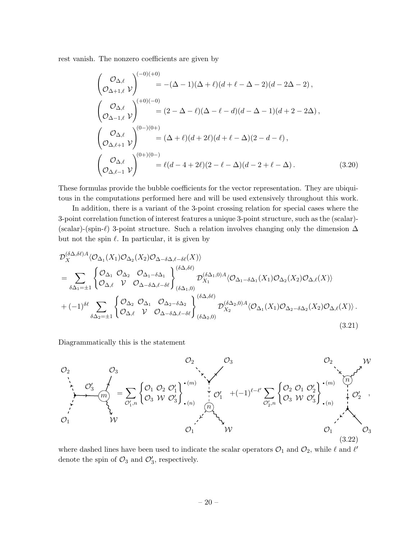rest vanish. The nonzero coefficients are given by

<span id="page-20-0"></span>
$$
\begin{aligned}\n\left(\begin{array}{c}\n\mathcal{O}_{\Delta,\ell} \\
\mathcal{O}_{\Delta+1,\ell}\n\end{array}\right)^{(-0)(+0)} &= -(\Delta-1)(\Delta+\ell)(d+\ell-\Delta-2)(d-2\Delta-2)\,,\\
\left(\begin{array}{c}\n\mathcal{O}_{\Delta,\ell} \\
\mathcal{O}_{\Delta-1,\ell}\n\end{array}\right)^{(+0)(-0)} &= (2-\Delta-\ell)(\Delta-\ell-d)(d-\Delta-1)(d+2-2\Delta)\,,\\
\left(\begin{array}{c}\n\mathcal{O}_{\Delta,\ell} \\
\mathcal{O}_{\Delta,\ell+1}\n\end{array}\right)^{(0-)(0+)} &= (\Delta+\ell)(d+2\ell)(d+\ell-\Delta)(2-d-\ell)\,,\\
\left(\begin{array}{c}\n\mathcal{O}_{\Delta,\ell} \\
\mathcal{O}_{\Delta,\ell-1}\n\end{array}\right)^{(0+)(0-)} &= \ell(d-4+2\ell)(2-\ell-\Delta)(d-2+\ell-\Delta)\,.\n\end{aligned} \tag{3.20}
$$

These formulas provide the bubble coefficients for the vector representation. They are ubiquitous in the computations performed here and will be used extensively throughout this work.

In addition, there is a variant of the 3-point crossing relation for special cases where the 3-point correlation function of interest features a unique 3-point structure, such as the (scalar)- (scalar)-(spin- $\ell$ ) 3-point structure. Such a relation involves changing only the dimension  $\Delta$ but not the spin  $\ell$ . In particular, it is given by

$$
\mathcal{D}_{X}^{(\delta\Delta,\delta\ell)}{}^{A}\langle\mathcal{O}_{\Delta_{1}}(X_{1})\mathcal{O}_{\Delta_{2}}(X_{2})\mathcal{O}_{\Delta-\delta\Delta,\ell-\delta\ell}(X)\rangle
$$
\n
$$
=\sum_{\delta\Delta_{1}=\pm 1}\begin{cases}\n\mathcal{O}_{\Delta_{1}}&\mathcal{O}_{\Delta_{2}}&\mathcal{O}_{\Delta_{1}-\delta\Delta_{1}}\\
\mathcal{O}_{\Delta,\ell}&\mathcal{V}&\mathcal{O}_{\Delta-\delta\Delta,\ell-\delta\ell}\end{cases}\n\begin{cases}\n\delta\Delta,\delta\ell\\
\delta\Delta_{1,0}\n\end{cases}\n\mathcal{D}_{X_{1}}^{(\delta\Delta_{1},0)A}\langle\mathcal{O}_{\Delta_{1}-\delta\Delta_{1}}(X_{1})\mathcal{O}_{\Delta_{2}}(X_{2})\mathcal{O}_{\Delta,\ell}(X)\rangle
$$
\n
$$
+(-1)^{\delta\ell}\sum_{\delta\Delta_{2}=\pm 1}\begin{cases}\n\mathcal{O}_{\Delta_{2}}&\mathcal{O}_{\Delta_{1}}&\mathcal{O}_{\Delta_{2}-\delta\Delta_{2}}\\
\mathcal{O}_{\Delta,\ell}&\mathcal{V}&\mathcal{O}_{\Delta-\delta\Delta,\ell-\delta\ell}\end{cases}\n\begin{cases}\n\delta\Delta,\delta\ell\\
\delta\Delta_{2,0}\n\end{cases}\n\mathcal{D}_{X_{2}}^{(\delta\Delta_{2},0)A}\langle\mathcal{O}_{\Delta_{1}}(X_{1})\mathcal{O}_{\Delta_{2}-\delta\Delta_{2}}(X_{2})\mathcal{O}_{\Delta,\ell}(X)\rangle.
$$
\n(3.21)

Diagrammatically this is the statement



where dashed lines have been used to indicate the scalar operators  $\mathcal{O}_1$  and  $\mathcal{O}_2$ , while  $\ell$  and  $\ell'$ denote the spin of  $\mathcal{O}_3$  and  $\mathcal{O}'_3$ , respectively.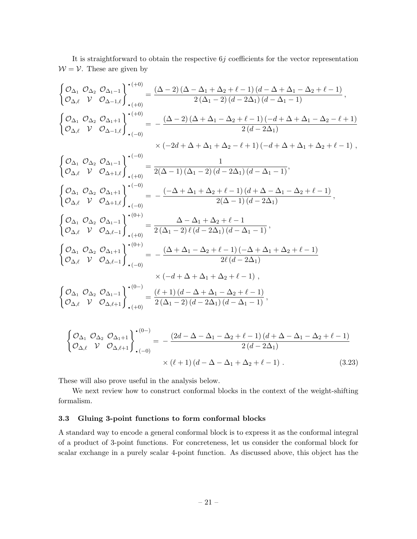It is straightforward to obtain the respective  $6j$  coefficients for the vector representation  $W = V$ . These are given by

$$
\begin{aligned}\n&\begin{cases}\n\mathcal{O}_{\Delta_1} \ \mathcal{O}_{\Delta_2} \ \mathcal{O}_{\Delta_1-1} \\
\mathcal{O}_{\Delta,\ell} \ \mathcal{V} \ \mathcal{O}_{\Delta-1,\ell}\n\end{cases}\n\cdot\n\begin{aligned}\n&\begin{aligned}\n&\cdot^{(+0)} \\
&\cdot\\
&\cdot\\
&\cdot\\
\end{aligned}\n\end{aligned} = \frac{(\Delta-2)\left(\Delta-\Delta_1+\Delta_2+\ell-1\right)\left(d-\Delta+\Delta_1-\Delta_2+\ell-1\right)}{2\left(\Delta_1-2\right)\left(d-2\Delta_1\right)\left(d-\Delta_1-1\right)}\n\end{aligned},\\
&\begin{cases}\n\mathcal{O}_{\Delta_1} \ \mathcal{O}_{\Delta_2} \ \mathcal{O}_{\Delta_1+1} \\
\mathcal{O}_{\Delta,\ell} \ \mathcal{V} \ \mathcal{O}_{\Delta-1,\ell}\n\end{cases}\n\cdot\n\begin{aligned}\n&\begin{aligned}\n&\cdot^{(+0)} \\
&\cdot&\cdot\\
&\cdot\\
&\cdot\\
&\cdot\end{aligned}\n\end{aligned} = -\frac{(\Delta-2)\left(\Delta+\Delta_1-\Delta_2+\ell-1\right)\left(-d+\Delta+\Delta_1-\Delta_2-\ell+1\right)}{2\left(d-2\Delta_1\right)}\n\end{aligned}
$$

( O∆<sup>1</sup> O∆<sup>2</sup> O∆1−<sup>1</sup> <sup>O</sup>∆,` V O∆+1,`)· (−0) · (+0) = 1 2(∆ <sup>−</sup> 1) (∆<sup>1</sup> <sup>−</sup> 2) (<sup>d</sup> <sup>−</sup> 2∆1) (<sup>d</sup> <sup>−</sup> <sup>∆</sup><sup>1</sup> <sup>−</sup> 1), ( O∆<sup>1</sup> O∆<sup>2</sup> O∆1+1 <sup>O</sup>∆,` V O∆+1,`)· (−0) · (−0) = − (−∆ + ∆<sup>1</sup> + ∆<sup>2</sup> + ` − 1) (d + ∆ − ∆<sup>1</sup> − ∆<sup>2</sup> + ` − 1) 2(∆ − 1) (d − 2∆1) , ( O∆<sup>1</sup> O∆<sup>2</sup> O∆1−<sup>1</sup> O∆,` V O∆,`−<sup>1</sup> )· (0+) · (+0) = ∆ − ∆<sup>1</sup> + ∆<sup>2</sup> + ` − 1 2 (∆<sup>1</sup> <sup>−</sup> 2) ` (<sup>d</sup> <sup>−</sup> 2∆1) (<sup>d</sup> <sup>−</sup> <sup>∆</sup><sup>1</sup> <sup>−</sup> 1) , ( O∆<sup>1</sup> O∆<sup>2</sup> O∆1+1 O∆,` V O∆,`−<sup>1</sup> )· (0+) · (−0) = − (∆ + ∆<sup>1</sup> − ∆<sup>2</sup> + ` − 1) (−∆ + ∆<sup>1</sup> + ∆<sup>2</sup> + ` − 1) 2` (d − 2∆1) × (−d + ∆ + ∆<sup>1</sup> + ∆<sup>2</sup> + ` − 1) , ( O∆<sup>1</sup> O∆<sup>2</sup> O∆1−<sup>1</sup> <sup>O</sup>∆,` V O∆,`+1)· (0−) · (+0) = (` + 1) (d − ∆ + ∆<sup>1</sup> − ∆<sup>2</sup> + ` − 1) 2 (∆<sup>1</sup> <sup>−</sup> 2) (<sup>d</sup> <sup>−</sup> 2∆1) (<sup>d</sup> <sup>−</sup> <sup>∆</sup><sup>1</sup> <sup>−</sup> 1) , ( O∆<sup>1</sup> O∆<sup>2</sup> O∆1+1 <sup>O</sup>∆,` V O∆,`+1)· (0−) · (−0) = − (2d − ∆ − ∆<sup>1</sup> − ∆<sup>2</sup> + ` − 1) (d + ∆ − ∆<sup>1</sup> − ∆<sup>2</sup> + ` − 1) 2 (d − 2∆1)

$$
\times (\ell+1) (d - \Delta - \Delta_1 + \Delta_2 + \ell - 1) . \tag{3.23}
$$

These will also prove useful in the analysis below.

We next review how to construct conformal blocks in the context of the weight-shifting formalism.

#### <span id="page-21-0"></span>3.3 Gluing 3-point functions to form conformal blocks

A standard way to encode a general conformal block is to express it as the conformal integral of a product of 3-point functions. For concreteness, let us consider the conformal block for scalar exchange in a purely scalar 4-point function. As discussed above, this object has the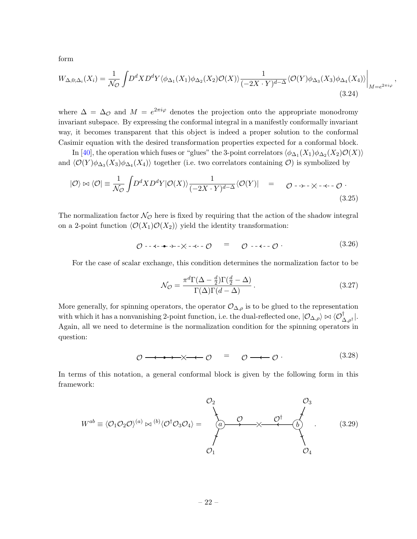form

$$
W_{\Delta,0;\Delta_i}(X_i) = \frac{1}{\mathcal{N}_{\mathcal{O}}} \int D^d X D^d Y \langle \phi_{\Delta_1}(X_1) \phi_{\Delta_2}(X_2) \mathcal{O}(X) \rangle \frac{1}{(-2X \cdot Y)^{d-\Delta}} \langle \mathcal{O}(Y) \phi_{\Delta_3}(X_3) \phi_{\Delta_4}(X_4) \rangle \Big|_{M=e^{2\pi i \varphi}},
$$
\n(3.24)

where  $\Delta = \Delta_{\mathcal{O}}$  and  $M = e^{2\pi i \varphi}$  denotes the projection onto the appropriate monodromy invariant subspace. By expressing the conformal integral in a manifestly conformally invariant way, it becomes transparent that this object is indeed a proper solution to the conformal Casimir equation with the desired transformation properties expected for a conformal block.

In [\[40\]](#page-103-3), the operation which fuses or "glues" the 3-point correlators  $\langle \phi_{\Delta_1}(X_1)\phi_{\Delta_2}(X_2)\mathcal{O}(X)\rangle$ and  $\langle \mathcal{O}(Y) \phi_{\Delta_3}(X_3) \phi_{\Delta_4}(X_4) \rangle$  together (i.e. two correlators containing  $\mathcal{O}$ ) is symbolized by

$$
|\mathcal{O}\rangle \bowtie \langle \mathcal{O}| \equiv \frac{1}{\mathcal{N}\mathcal{O}} \int D^d X D^d Y | \mathcal{O}(X) \rangle \frac{1}{(-2X \cdot Y)^{d-\Delta}} \langle \mathcal{O}(Y)| = \mathcal{O} \longrightarrow \cdots \longrightarrow \cdots \longrightarrow \cdots \tag{3.25}
$$

The normalization factor  $\mathcal{N}_{\mathcal{O}}$  here is fixed by requiring that the action of the shadow integral on a 2-point function  $\langle \mathcal{O}(X_1)\mathcal{O}(X_2)\rangle$  yield the identity transformation:

$$
\mathcal{O} \dashrightarrow \cdots \dashrightarrow \cdots \times \dashrightarrow \cdots \mathcal{O} \qquad \equiv \qquad \mathcal{O} \dashrightarrow \cdots \mathcal{O} \tag{3.26}
$$

For the case of scalar exchange, this condition determines the normalization factor to be

<span id="page-22-0"></span>
$$
\mathcal{N}_{\mathcal{O}} = \frac{\pi^d \Gamma(\Delta - \frac{d}{2}) \Gamma(\frac{d}{2} - \Delta)}{\Gamma(\Delta) \Gamma(d - \Delta)}.
$$
\n(3.27)

More generally, for spinning operators, the operator  $\mathcal{O}_{\Delta,\rho}$  is to be glued to the representation with which it has a nonvanishing 2-point function, i.e. the dual-reflected one,  $|O_{\Delta,\rho}\rangle \bowtie \langle O_{\Delta,\rho^{\dagger}}^{\dagger}|$ . Again, all we need to determine is the normalization condition for the spinning operators in question:

$$
\mathcal{O} \longrightarrow \longrightarrow \longrightarrow \longrightarrow \mathcal{O} \quad = \quad \mathcal{O} \longrightarrow \mathcal{O} \tag{3.28}
$$

In terms of this notation, a general conformal block is given by the following form in this framework:

$$
W^{ab} \equiv \langle \mathcal{O}_1 \mathcal{O}_2 \mathcal{O} \rangle^{(a)} \bowtie^{(b)} \langle \mathcal{O}^{\dagger} \mathcal{O}_3 \mathcal{O}_4 \rangle = \begin{pmatrix} \mathcal{O}_2 & \mathcal{O}_3 \\ \mathcal{O}_2 & \mathcal{O}_4 & \mathcal{O}_4 \end{pmatrix} . \tag{3.29}
$$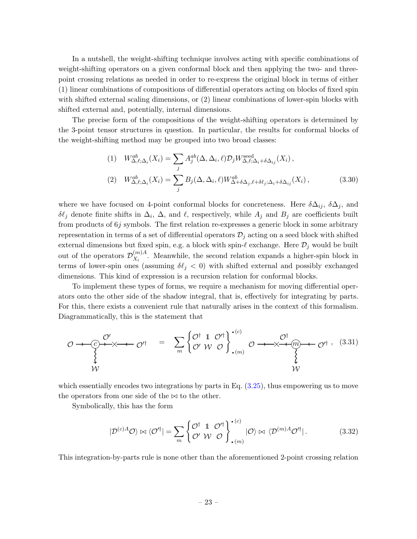In a nutshell, the weight-shifting technique involves acting with specific combinations of weight-shifting operators on a given conformal block and then applying the two- and threepoint crossing relations as needed in order to re-express the original block in terms of either (1) linear combinations of compositions of differential operators acting on blocks of fixed spin with shifted external scaling dimensions, or  $(2)$  linear combinations of lower-spin blocks with shifted external and, potentially, internal dimensions.

The precise form of the compositions of the weight-shifting operators is determined by the 3-point tensor structures in question. In particular, the results for conformal blocks of the weight-shifting method may be grouped into two broad classes:

(1) 
$$
W_{\Delta,\ell;\Delta_i}^{ab}(X_i) = \sum_j A_j^{ab}(\Delta,\Delta_i,\ell) \mathcal{D}_j W_{\Delta,\ell;\Delta_i+\delta\Delta_{ij}}^{\text{seed}}(X_i),
$$
  
(2) 
$$
W_{\Delta,\ell;\Delta_i}^{ab}(X_i) = \sum_j B_j(\Delta,\Delta_i,\ell) W_{\Delta+\delta\Delta_j,\ell+\delta\ell_j;\Delta_i+\delta\Delta_{ij}}^{ab}(X_i),
$$
(3.30)

where we have focused on 4-point conformal blocks for concreteness. Here  $\delta \Delta_{ij}$ ,  $\delta \Delta_j$ , and δ $\ell_j$  denote finite shifts in  $\Delta_i$ ,  $\Delta$ , and  $\ell$ , respectively, while  $A_j$  and  $B_j$  are coefficients built from products of 6j symbols. The first relation re-expresses a generic block in some arbitrary representation in terms of a set of differential operators  $\mathcal{D}_i$  acting on a seed block with shifted external dimensions but fixed spin, e.g. a block with spin- $\ell$  exchange. Here  $\mathcal{D}_j$  would be built out of the operators  $\mathcal{D}_{X_i}^{(m)A}$  $X_i^{(m)}$ . Meanwhile, the second relation expands a higher-spin block in terms of lower-spin ones (assuming  $\delta\ell_j < 0$ ) with shifted external and possibly exchanged dimensions. This kind of expression is a recursion relation for conformal blocks.

To implement these types of forms, we require a mechanism for moving differential operators onto the other side of the shadow integral, that is, effectively for integrating by parts. For this, there exists a convenient rule that naturally arises in the context of this formalism. Diagrammatically, this is the statement that

$$
\mathcal{O} \longrightarrow \underset{\begin{array}{c}\n\circ \\
\downarrow \\
\downarrow \\
\downarrow \\
\downarrow\n\end{array}}{\mathcal{O}'}
$$
\n
$$
= \sum_{m} \left\{ \underset{\mathcal{O}'}{\mathcal{O}^{\dagger}} \mathbb{1} \ \underset{\mathcal{O}'}{\mathcal{O}^{\dagger}} \right\} \cdot \underset{\mathcal{O}}{\cdot \text{co}} \longrightarrow \underset{\begin{array}{c}\n\circ \\
\downarrow \\
\downarrow \\
\downarrow \\
\downarrow \\
\downarrow\n\end{array}}{\mathcal{O}^{\dagger}} \longrightarrow \underset{\begin{array}{c}\n\circ \\
\downarrow \\
\downarrow \\
\downarrow \\
\downarrow\n\end{array}}{\mathcal{O}^{\dagger}} \longrightarrow \underset{\begin{array}{c}\n\circ \\
\circ \\
\downarrow \\
\downarrow \\
\downarrow\n\end{array}}{\mathcal{O}^{\dagger}} \longrightarrow \underset{\begin{array}{c}\n\circ \\
\circ \\
\downarrow \\
\downarrow \\
\downarrow\n\end{array}}{\mathcal{O}^{\dagger}} \longrightarrow \underset{\begin{array}{c}\n\circ \\
\circ \\
\downarrow \\
\downarrow \\
\downarrow\n\end{array}}{\mathcal{O}^{\dagger}} \longrightarrow \underset{\begin{array}{c}\n\circ \\
\circ \\
\downarrow \\
\downarrow \\
\downarrow\n\end{array}}{\mathcal{O}^{\dagger}} \longrightarrow \underset{\begin{array}{c}\n\circ \\
\circ \\
\downarrow \\
\downarrow \\
\downarrow\n\end{array}}{\mathcal{O}^{\dagger}} \longrightarrow \underset{\begin{array}{c}\n\circ \\
\circ \\
\downarrow \\
\downarrow \\
\downarrow\n\end{array}}{\mathcal{O}^{\dagger}} \longrightarrow \underset{\begin{array}{c}\n\circ \\
\circ \\
\downarrow \\
\downarrow \\
\downarrow\n\end{array}}{\mathcal{O}^{\dagger}} \longrightarrow \underset{\begin{array}{c}\n\circ \\
\circ \\
\downarrow \\
\downarrow \\
\downarrow\n\end{array}}{\mathcal{O}^{\dagger}} \longrightarrow \underset{\begin{array}{c}\n\circ \\
\circ \\
\downarrow \\
\downarrow \\
\downarrow\n\end{array}}{\mathcal{O}^{\dagger}} \longrightarrow \underset{\begin{array}{c}\n\circ \\
\circ \\
\downarrow \\
\downarrow \\
\downarrow\n\end{array}}{\mathcal{O}^{\dagger}} \longrightarrow \underset{\begin{array}{c}\n\circ \\
\circ \\
\downarrow \\
\downarrow \\
\downarrow\n\end{array}}{\mathcal{O}^{\dagger}} \longrightarrow \
$$

which essentially encodes two integrations by parts in Eq.  $(3.25)$ , thus empowering us to move the operators from one side of the  $\bowtie$  to the other.

Symbolically, this has the form

<span id="page-23-0"></span>
$$
|\mathcal{D}^{(c)A}\mathcal{O}\rangle \bowtie \langle \mathcal{O}'^{\dagger}| = \sum_{m} \left\{ \begin{matrix} \mathcal{O}^{\dagger} & \mathbb{1} & \mathcal{O}'^{\dagger} \\ \mathcal{O}' & \mathcal{W} & \mathcal{O} \end{matrix} \right\} \cdot (m)}^{(c)} |\mathcal{O}\rangle \bowtie \langle \mathcal{D}^{(m)A}\mathcal{O}'^{\dagger}|.
$$
 (3.32)

This integration-by-parts rule is none other than the aforementioned 2-point crossing relation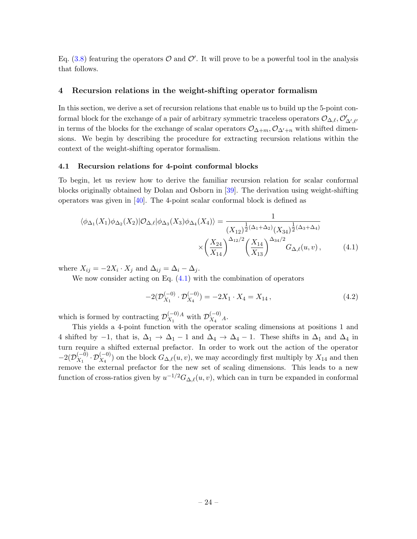Eq. [\(3.8\)](#page-16-0) featuring the operators  $\mathcal O$  and  $\mathcal O'$ . It will prove to be a powerful tool in the analysis that follows.

### <span id="page-24-0"></span>4 Recursion relations in the weight-shifting operator formalism

In this section, we derive a set of recursion relations that enable us to build up the 5-point conformal block for the exchange of a pair of arbitrary symmetric traceless operators  $\mathcal{O}_{\Delta,\ell}, \mathcal{O}'_{\Delta',\ell'}$ in terms of the blocks for the exchange of scalar operators  $\mathcal{O}_{\Delta+m}, \mathcal{O}_{\Delta'+n}$  with shifted dimensions. We begin by describing the procedure for extracting recursion relations within the context of the weight-shifting operator formalism.

#### <span id="page-24-1"></span>4.1 Recursion relations for 4-point conformal blocks

To begin, let us review how to derive the familiar recursion relation for scalar conformal blocks originally obtained by Dolan and Osborn in [\[39\]](#page-103-2). The derivation using weight-shifting operators was given in  $[40]$ . The 4-point scalar conformal block is defined as

$$
\langle \phi_{\Delta_1}(X_1)\phi_{\Delta_2}(X_2)|\mathcal{O}_{\Delta,\ell}|\phi_{\Delta_3}(X_3)\phi_{\Delta_4}(X_4)\rangle = \frac{1}{(X_{12})^{\frac{1}{2}(\Delta_1+\Delta_2)}(X_{34})^{\frac{1}{2}(\Delta_3+\Delta_4)}}
$$

$$
\times \left(\frac{X_{24}}{X_{14}}\right)^{\Delta_{12}/2} \left(\frac{X_{14}}{X_{13}}\right)^{\Delta_{34}/2} G_{\Delta,\ell}(u,v), \tag{4.1}
$$

where  $X_{ij} = -2X_i \cdot X_j$  and  $\Delta_{ij} = \Delta_i - \Delta_j$ .

We now consider acting on Eq.  $(4.1)$  with the combination of operators

<span id="page-24-2"></span>
$$
-2(\mathcal{D}_{X_1}^{(-0)} \cdot \mathcal{D}_{X_4}^{(-0)}) = -2X_1 \cdot X_4 = X_{14}, \qquad (4.2)
$$

which is formed by contracting  $\mathcal{D}_{X_1}^{(-0)}$  $X_1^{(-0)}$  with  $\mathcal{D}_{X_4}^{(-0)}$  *A*.

This yields a 4-point function with the operator scaling dimensions at positions 1 and 4 shifted by  $-1$ , that is,  $\Delta_1 \rightarrow \Delta_1 - 1$  and  $\Delta_4 \rightarrow \Delta_4 - 1$ . These shifts in  $\Delta_1$  and  $\Delta_4$  in turn require a shifted external prefactor. In order to work out the action of the operator  $-2(\mathcal{D}_{X_1}^{(-0)})$  $\chi_1^{(-0)} \cdot \mathcal{D}_{X_4}^{(-0)}$  on the block  $G_{\Delta,\ell}(u, v)$ , we may accordingly first multiply by  $X_{14}$  and then remove the external prefactor for the new set of scaling dimensions. This leads to a new function of cross-ratios given by  $u^{-1/2}G_{\Delta,\ell}(u, v)$ , which can in turn be expanded in conformal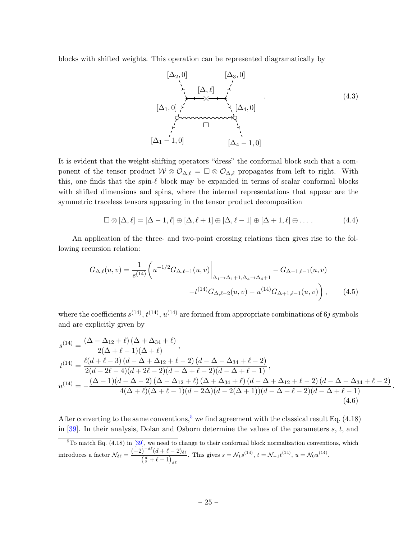blocks with shifted weights. This operation can be represented diagramatically by

$$
[\Delta_2, 0] \qquad [\Delta_3, 0]
$$
\n
$$
\uparrow \qquad [\Delta, \ell] \qquad \uparrow
$$
\n
$$
[\Delta_1, 0] \qquad \qquad [\Delta_2, 0]
$$
\n
$$
\qquad \qquad [\Delta_1, 0]
$$
\n
$$
\qquad \qquad [\Delta_2, 0]
$$
\n
$$
\qquad \qquad [\Delta_3, 0]
$$
\n
$$
\qquad \qquad [\Delta_4 - 1, 0]
$$
\n
$$
[\Delta_4 - 1, 0]
$$
\n
$$
(4.3)
$$

It is evident that the weight-shifting operators "dress" the conformal block such that a component of the tensor product  $W \otimes \mathcal{O}_{\Delta,\ell} = \square \otimes \mathcal{O}_{\Delta,\ell}$  propagates from left to right. With this, one finds that the spin- $\ell$  block may be expanded in terms of scalar conformal blocks with shifted dimensions and spins, where the internal representations that appear are the symmetric traceless tensors appearing in the tensor product decomposition

<span id="page-25-1"></span>
$$
\Box \otimes [\Delta, \ell] = [\Delta - 1, \ell] \oplus [\Delta, \ell + 1] \oplus [\Delta, \ell - 1] \oplus [\Delta + 1, \ell] \oplus \ldots \tag{4.4}
$$

An application of the three- and two-point crossing relations then gives rise to the following recursion relation:

$$
G_{\Delta,\ell}(u,v) = \frac{1}{s^{(14)}} \left( u^{-1/2} G_{\Delta,\ell-1}(u,v) \Big|_{\Delta_1 \to \Delta_1 + 1, \Delta_4 \to \Delta_4 + 1} - G_{\Delta-1,\ell-1}(u,v) - t^{(14)} G_{\Delta,\ell-2}(u,v) - u^{(14)} G_{\Delta+1,\ell-1}(u,v) \right), \tag{4.5}
$$

where the coefficients  $s^{(14)}$ ,  $t^{(14)}$ ,  $u^{(14)}$  are formed from appropriate combinations of 6j symbols and are explicitly given by

$$
s^{(14)} = \frac{(\Delta - \Delta_{12} + \ell) (\Delta + \Delta_{34} + \ell)}{2(\Delta + \ell - 1)(\Delta + \ell)},
$$
  
\n
$$
t^{(14)} = \frac{\ell(d + \ell - 3) (d - \Delta + \Delta_{12} + \ell - 2) (d - \Delta - \Delta_{34} + \ell - 2)}{2(d + 2\ell - 4)(d + 2\ell - 2)(d - \Delta + \ell - 2)(d - \Delta + \ell - 1)},
$$
  
\n
$$
u^{(14)} = -\frac{(\Delta - 1)(d - \Delta - 2) (\Delta - \Delta_{12} + \ell) (\Delta + \Delta_{34} + \ell) (d - \Delta + \Delta_{12} + \ell - 2) (d - \Delta - \Delta_{34} + \ell - 2)}{4(\Delta + \ell)(\Delta + \ell - 1)(d - 2\Delta)(d - 2(\Delta + 1))(d - \Delta + \ell - 2)(d - \Delta + \ell - 1)}.
$$
  
\n(4.6)

After converting to the same conventions,  $5 \text{ we find agreement with the classical result Eq. (4.18)}$  $5 \text{ we find agreement with the classical result Eq. (4.18)}$ in  $[39]$ . In their analysis, Dolan and Osborn determine the values of the parameters s, t, and

<span id="page-25-0"></span> ${}^{5}$ To match Eq. (4.18) in [\[39\]](#page-103-2), we need to change to their conformal block normalization conventions, which introduces a factor  $\mathcal{N}_{\delta\ell} = \frac{(-2)^{-\delta\ell}(d+\ell-2)\delta\ell}{(d+\ell-1)}$  $\left(\frac{d}{2} + \ell - 1\right)_{\delta\ell}$ . This gives  $s = \mathcal{N}_1 s^{(14)}$ ,  $t = \mathcal{N}_{-1} t^{(14)}$ ,  $u = \mathcal{N}_0 u^{(14)}$ .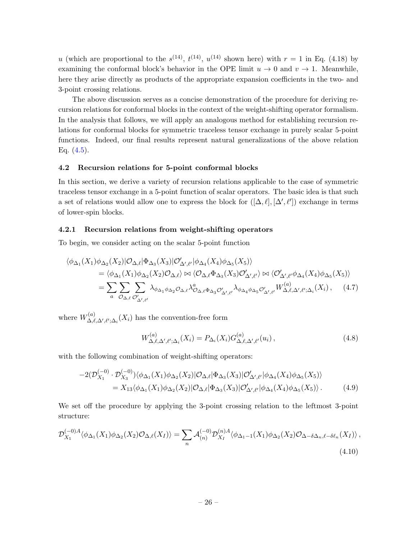u (which are proportional to the  $s^{(14)}$ ,  $t^{(14)}$ ,  $u^{(14)}$  shown here) with  $r = 1$  in Eq. (4.18) by examining the conformal block's behavior in the OPE limit  $u \to 0$  and  $v \to 1$ . Meanwhile, here they arise directly as products of the appropriate expansion coefficients in the two- and 3-point crossing relations.

The above discussion serves as a concise demonstration of the procedure for deriving recursion relations for conformal blocks in the context of the weight-shifting operator formalism. In the analysis that follows, we will apply an analogous method for establishing recursion relations for conformal blocks for symmetric traceless tensor exchange in purely scalar 5-point functions. Indeed, our final results represent natural generalizations of the above relation Eq.  $(4.5)$ .

#### <span id="page-26-0"></span>4.2 Recursion relations for 5-point conformal blocks

In this section, we derive a variety of recursion relations applicable to the case of symmetric traceless tensor exchange in a 5-point function of scalar operators. The basic idea is that such a set of relations would allow one to express the block for  $([\Delta, \ell], [\Delta', \ell'])$  exchange in terms of lower-spin blocks.

#### <span id="page-26-1"></span>4.2.1 Recursion relations from weight-shifting operators

To begin, we consider acting on the scalar 5-point function

$$
\langle \phi_{\Delta_1}(X_1)\phi_{\Delta_2}(X_2)|\mathcal{O}_{\Delta,\ell}|\Phi_{\Delta_3}(X_3)|\mathcal{O}'_{\Delta',\ell'}|\phi_{\Delta_4}(X_4)\phi_{\Delta_5}(X_5)\rangle \n= \langle \phi_{\Delta_1}(X_1)\phi_{\Delta_2}(X_2)\mathcal{O}_{\Delta,\ell}\rangle \bowtie \langle \mathcal{O}_{\Delta,\ell}\Phi_{\Delta_3}(X_3)\mathcal{O}'_{\Delta',\ell'}\rangle \bowtie \langle \mathcal{O}'_{\Delta',\ell'}\phi_{\Delta_4}(X_4)\phi_{\Delta_5}(X_5)\rangle \n= \sum_a \sum_{\mathcal{O}_{\Delta,\ell}} \sum_{\mathcal{O}'_{\Delta',\ell'}} \lambda_{\phi_{\Delta_1}\phi_{\Delta_2}\mathcal{O}_{\Delta,\ell}} \lambda_{\mathcal{O}_{\Delta,\ell}\Phi_{\Delta_3}\mathcal{O}'_{\Delta',\ell'}} \lambda_{\phi_{\Delta_4}\phi_{\Delta_5}\mathcal{O}'_{\Delta',\ell'}} W_{\Delta,\ell,\Delta',\ell';\Delta_i}^{(a)}(X_i), \quad (4.7)
$$

where  $W^{(a)}_{\Lambda \ \ell}$  $\Delta,\ell,\Delta',\ell';\Delta_i(X_i)$  has the convention-free form

<span id="page-26-2"></span>
$$
W_{\Delta,\ell,\Delta',\ell';\Delta_i}^{(a)}(X_i) = P_{\Delta_i}(X_i) G_{\Delta,\ell,\Delta',\ell'}^{(a)}(u_i) ,
$$
\n(4.8)

with the following combination of weight-shifting operators:

$$
-2(\mathcal{D}_{X_1}^{(-0)} \cdot \mathcal{D}_{X_3}^{(-0)})\langle \phi_{\Delta_1}(X_1)\phi_{\Delta_2}(X_2)|\mathcal{O}_{\Delta,\ell}|\Phi_{\Delta_3}(X_3)|\mathcal{O}_{\Delta',\ell'}'|\phi_{\Delta_4}(X_4)\phi_{\Delta_5}(X_5)\rangle
$$
  
=  $X_{13}\langle \phi_{\Delta_1}(X_1)\phi_{\Delta_2}(X_2)|\mathcal{O}_{\Delta,\ell}|\Phi_{\Delta_3}(X_3)|\mathcal{O}_{\Delta',\ell'}'|\phi_{\Delta_4}(X_4)\phi_{\Delta_5}(X_5)\rangle.$  (4.9)

We set off the procedure by applying the 3-point crossing relation to the leftmost 3-point structure:

$$
\mathcal{D}_{X_1}^{(-0)A} \langle \phi_{\Delta_1}(X_1) \phi_{\Delta_2}(X_2) \mathcal{O}_{\Delta,\ell}(X_I) \rangle = \sum_n \mathcal{A}_{(n)}^{(-0)} \mathcal{D}_{X_I}^{(n)A} \langle \phi_{\Delta_1-1}(X_1) \phi_{\Delta_2}(X_2) \mathcal{O}_{\Delta-\delta\Delta_n,\ell-\delta\ell_n}(X_I) \rangle ,
$$
\n(4.10)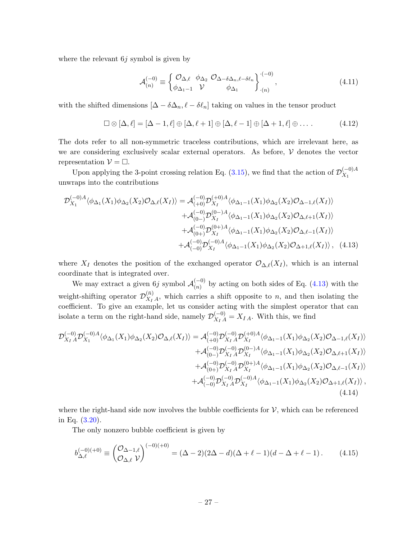where the relevant  $6j$  symbol is given by

<span id="page-27-0"></span>
$$
\mathcal{A}_{(n)}^{(-0)} \equiv \begin{cases} \mathcal{O}_{\Delta,\ell} & \phi_{\Delta_2} \ \mathcal{O}_{\Delta-\delta\Delta_n,\ell-\delta\ell_n} \\ \phi_{\Delta_1-1} & \mathcal{V} \end{cases} \begin{cases} \mathcal{O}_{\Delta_n,\ell} & \text{if } (4.11) \\ \phi_{\Delta_1} & \phi_{\Delta_1} \end{cases}
$$

with the shifted dimensions  $[\Delta - \delta \Delta_n, \ell - \delta \ell_n]$  taking on values in the tensor product

$$
\Box \otimes [\Delta, \ell] = [\Delta - 1, \ell] \oplus [\Delta, \ell + 1] \oplus [\Delta, \ell - 1] \oplus [\Delta + 1, \ell] \oplus \dots
$$
 (4.12)

The dots refer to all non-symmetric traceless contributions, which are irrelevant here, as we are considering exclusively scalar external operators. As before,  $\mathcal V$  denotes the vector representation  $\mathcal{V} = \Box$ .

Upon applying the 3-point crossing relation Eq. [\(3.15\)](#page-18-0), we find that the action of  $\mathcal{D}_{X_1}^{(-0)A}$  $X_1$ unwraps into the contributions

$$
\mathcal{D}_{X_1}^{(-0)A} \langle \phi_{\Delta_1}(X_1) \phi_{\Delta_2}(X_2) \mathcal{O}_{\Delta,\ell}(X_I) \rangle = \mathcal{A}_{(+0)}^{(-0)} \mathcal{D}_{X_I}^{(+0)A} \langle \phi_{\Delta_1-1}(X_1) \phi_{\Delta_2}(X_2) \mathcal{O}_{\Delta-1,\ell}(X_I) \rangle \n+ \mathcal{A}_{(0-)}^{(-0)} \mathcal{D}_{X_I}^{(0)-A} \langle \phi_{\Delta_1-1}(X_1) \phi_{\Delta_2}(X_2) \mathcal{O}_{\Delta,\ell+1}(X_I) \rangle \n+ \mathcal{A}_{(0+)}^{(-0)} \mathcal{D}_{X_I}^{(0+)A} \langle \phi_{\Delta_1-1}(X_1) \phi_{\Delta_2}(X_2) \mathcal{O}_{\Delta,\ell-1}(X_I) \rangle \n+ \mathcal{A}_{(-0)}^{(-0)A} \mathcal{D}_{X_I}^{(-0)A} \langle \phi_{\Delta_1-1}(X_1) \phi_{\Delta_2}(X_2) \mathcal{O}_{\Delta+1,\ell}(X_I) \rangle, \quad (4.13)
$$

where  $X_I$  denotes the position of the exchanged operator  $\mathcal{O}_{\Delta,\ell}(X_I)$ , which is an internal coordinate that is integrated over.

We may extract a given 6j symbol  $\mathcal{A}_{(n)}^{(-0)}$  $\binom{(-0)}{(n)}$  by acting on both sides of Eq. [\(4.13\)](#page-27-0) with the weight-shifting operator  $\mathcal{D}_{X_{I}}^{(\bar{n})}$  $X_{I}^{(n)}$ , which carries a shift opposite to *n*, and then isolating the coefficient. To give an example, let us consider acting with the simplest operator that can isolate a term on the right-hand side, namely  $\mathcal{D}_{X_I A}^{(-0)} = X_{I A}$ . With this, we find

$$
\mathcal{D}_{X_I A}^{(-0)} \mathcal{D}_{X_I}^{(-0)A} \langle \phi_{\Delta_1}(X_1) \phi_{\Delta_2}(X_2) \mathcal{O}_{\Delta,\ell}(X_I) \rangle = \mathcal{A}_{(+0)}^{(-0)} \mathcal{D}_{X_I A}^{(-0)} \mathcal{D}_{X_I}^{(+0)A} \langle \phi_{\Delta_1 - 1}(X_1) \phi_{\Delta_2}(X_2) \mathcal{O}_{\Delta - 1,\ell}(X_I) \rangle \n+ \mathcal{A}_{(0-)}^{(-0)} \mathcal{D}_{X_I A}^{(-0)} \mathcal{D}_{X_I}^{(0-)} \langle \phi_{\Delta_1 - 1}(X_1) \phi_{\Delta_2}(X_2) \mathcal{O}_{\Delta,\ell+1}(X_I) \rangle \n+ \mathcal{A}_{(0+)}^{(-0)} \mathcal{D}_{X_I A}^{(-0)} \mathcal{D}_{X_I}^{(0+)A} \langle \phi_{\Delta_1 - 1}(X_1) \phi_{\Delta_2}(X_2) \mathcal{O}_{\Delta,\ell-1}(X_I) \rangle \n+ \mathcal{A}_{(-0)}^{(-0)} \mathcal{D}_{X_I A}^{(-0)} \mathcal{D}_{X_I}^{(-0)A} \langle \phi_{\Delta_1 - 1}(X_1) \phi_{\Delta_2}(X_2) \mathcal{O}_{\Delta + 1,\ell}(X_I) \rangle ,
$$
\n(4.14)

where the right-hand side now involves the bubble coefficients for  $\mathcal{V}$ , which can be referenced in Eq. [\(3.20\)](#page-20-0).

The only nonzero bubble coefficient is given by

$$
b_{\Delta,\ell}^{(-0)(+0)} \equiv \begin{pmatrix} \mathcal{O}_{\Delta-1,\ell} \\ \mathcal{O}_{\Delta,\ell} \end{pmatrix}^{(-0)(+0)} = (\Delta - 2)(2\Delta - d)(\Delta + \ell - 1)(d - \Delta + \ell - 1). \tag{4.15}
$$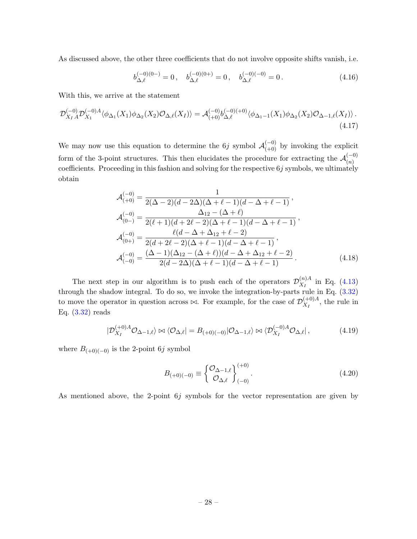As discussed above, the other three coefficients that do not involve opposite shifts vanish, i.e.

$$
b_{\Delta,\ell}^{(-0)(0-)} = 0\,, \quad b_{\Delta,\ell}^{(-0)(0+)} = 0\,, \quad b_{\Delta,\ell}^{(-0)(-0)} = 0\,.
$$
 (4.16)

With this, we arrive at the statement

$$
\mathcal{D}_{X_I A}^{(-0)} \mathcal{D}_{X_1}^{(-0)A} \langle \phi_{\Delta_1}(X_1) \phi_{\Delta_2}(X_2) \mathcal{O}_{\Delta,\ell}(X_I) \rangle = \mathcal{A}_{(+0)}^{(-0)} b_{\Delta,\ell}^{(-0)(+0)} \langle \phi_{\Delta_1 - 1}(X_1) \phi_{\Delta_2}(X_2) \mathcal{O}_{\Delta - 1,\ell}(X_I) \rangle. \tag{4.17}
$$

We may now use this equation to determine the 6*j* symbol  $\mathcal{A}_{(+0)}^{(-0)}$  by invoking the explicit form of the 3-point structures. This then elucidates the procedure for extracting the  $\mathcal{A}_{(n)}^{(-0)}$  $(n)$ coefficients. Proceeding in this fashion and solving for the respective  $6j$  symbols, we ultimately obtain

$$
\mathcal{A}_{(+0)}^{(-0)} = \frac{1}{2(\Delta - 2)(d - 2\Delta)(\Delta + \ell - 1)(d - \Delta + \ell - 1)},
$$
\n
$$
\mathcal{A}_{(0-)}^{(-0)} = \frac{\Delta_{12} - (\Delta + \ell)}{2(\ell + 1)(d + 2\ell - 2)(\Delta + \ell - 1)(d - \Delta + \ell - 1)},
$$
\n
$$
\mathcal{A}_{(0+)}^{(-0)} = \frac{\ell(d - \Delta + \Delta_{12} + \ell - 2)}{2(d + 2\ell - 2)(\Delta + \ell - 1)(d - \Delta + \ell - 1)},
$$
\n
$$
\mathcal{A}_{(-0)}^{(-0)} = \frac{(\Delta - 1)(\Delta_{12} - (\Delta + \ell))(d - \Delta + \Delta_{12} + \ell - 2)}{2(d - 2\Delta)(\Delta + \ell - 1)(d - \Delta + \ell - 1)}.
$$
\n(4.18)

The next step in our algorithm is to push each of the operators  $\mathcal{D}_{X_{\tau}}^{(n)A}$  $\chi_I^{(n)A}$  in Eq. [\(4.13\)](#page-27-0) through the shadow integral. To do so, we invoke the integration-by-parts rule in Eq.  $(3.32)$ to move the operator in question across  $\bowtie$ . For example, for the case of  $\mathcal{D}_{X}^{(+0)A}$  $\chi_I^{(\pm 0)A}$ , the rule in Eq. [\(3.32\)](#page-23-0) reads

$$
|\mathcal{D}_{X_I}^{(+0)A}\mathcal{O}_{\Delta-1,\ell}\rangle \bowtie \langle \mathcal{O}_{\Delta,\ell}| = B_{(+0)(-0)}|\mathcal{O}_{\Delta-1,\ell}\rangle \bowtie \langle \mathcal{D}_{X_I}^{(-0)A}\mathcal{O}_{\Delta,\ell}|,\tag{4.19}
$$

where  $B_{(+0)(-0)}$  is the 2-point 6j symbol

$$
B_{(+0)(-0)} \equiv \begin{Bmatrix} \mathcal{O}_{\Delta-1,\ell} \\ \mathcal{O}_{\Delta,\ell} \end{Bmatrix}_{(-0)}^{(+0)}.
$$
\n(4.20)

As mentioned above, the 2-point 6j symbols for the vector representation are given by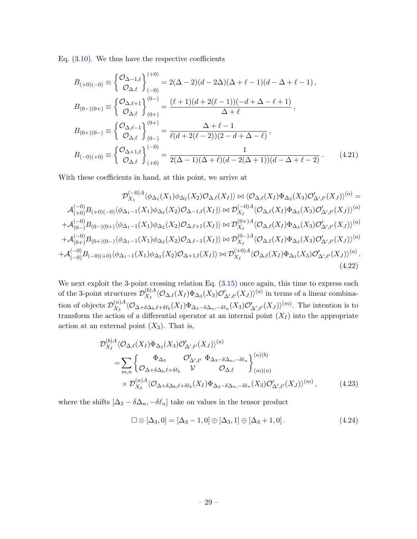Eq.  $(3.10)$ . We thus have the respective coefficients

$$
B_{(+0)(-0)} \equiv \begin{cases} \mathcal{O}_{\Delta-1,\ell} \\ \mathcal{O}_{\Delta,\ell} \end{cases}^{(+0)}_{(-0)} = 2(\Delta - 2)(d - 2\Delta)(\Delta + \ell - 1)(d - \Delta + \ell - 1),
$$
  
\n
$$
B_{(0-)(0+)} \equiv \begin{cases} \mathcal{O}_{\Delta,\ell+1} \\ \mathcal{O}_{\Delta,\ell} \end{cases}^{(0-)}_{(0+)} = \frac{(\ell+1)(d + 2(\ell-1))(-d + \Delta - \ell + 1)}{\Delta + \ell},
$$
  
\n
$$
B_{(0+)(0-)} \equiv \begin{cases} \mathcal{O}_{\Delta,\ell-1} \\ \mathcal{O}_{\Delta,\ell} \end{cases}^{(0+)}_{(0-)} = \frac{\Delta + \ell - 1}{\ell(d + 2(\ell - 2))(2 - d + \Delta - \ell)},
$$
  
\n
$$
B_{(-0)(+0)} \equiv \begin{cases} \mathcal{O}_{\Delta+1,\ell} \\ \mathcal{O}_{\Delta,\ell} \end{cases}^{(-0)}_{(+0)} = \frac{1}{2(\Delta - 1)(\Delta + \ell)(d - 2(\Delta + 1))(d - \Delta + \ell - 2)}.
$$
(4.21)

With these coefficients in hand, at this point, we arrive at

$$
\mathcal{D}_{X_1}^{(-0)A} \langle \phi_{\Delta_1}(X_1) \phi_{\Delta_2}(X_2) \mathcal{O}_{\Delta,\ell}(X_I) \rangle \bowtie \langle \mathcal{O}_{\Delta,\ell}(X_I) \Phi_{\Delta_3}(X_3) \mathcal{O}'_{\Delta',\ell'}(X_J) \rangle^{(a)} =
$$
\n
$$
\mathcal{A}_{(+0)}^{(-0)} B_{(+0)(-0)} \langle \phi_{\Delta_1-1}(X_1) \phi_{\Delta_2}(X_2) \mathcal{O}_{\Delta-1,\ell}(X_I) \rangle \bowtie \mathcal{D}_{X_I}^{(-0)A} \langle \mathcal{O}_{\Delta,\ell}(X_I) \Phi_{\Delta_3}(X_3) \mathcal{O}'_{\Delta',\ell'}(X_J) \rangle^{(a)}
$$
\n
$$
+ \mathcal{A}_{(0-)}^{(-0)} B_{(0-)(0+)} \langle \phi_{\Delta_1-1}(X_1) \phi_{\Delta_2}(X_2) \mathcal{O}_{\Delta,\ell+1}(X_I) \rangle \bowtie \mathcal{D}_{X_I}^{(0+)A} \langle \mathcal{O}_{\Delta,\ell}(X_I) \Phi_{\Delta_3}(X_3) \mathcal{O}'_{\Delta',\ell'}(X_J) \rangle^{(a)}
$$
\n
$$
+ \mathcal{A}_{(0+)}^{(-0)} B_{(0+)(0-)} \langle \phi_{\Delta_1-1}(X_1) \phi_{\Delta_2}(X_2) \mathcal{O}_{\Delta,\ell-1}(X_I) \rangle \bowtie \mathcal{D}_{X_I}^{(0-)} A \langle \mathcal{O}_{\Delta,\ell}(X_I) \Phi_{\Delta_3}(X_3) \mathcal{O}'_{\Delta',\ell'}(X_J) \rangle^{(a)}
$$
\n
$$
+ \mathcal{A}_{(-0)}^{(-0)} B_{(-0)(+0)} \langle \phi_{\Delta_1-1}(X_1) \phi_{\Delta_2}(X_2) \mathcal{O}_{\Delta+1,\ell}(X_I) \rangle \bowtie \mathcal{D}_{X_I}^{(+0)A} \langle \mathcal{O}_{\Delta,\ell}(X_I) \Phi_{\Delta_3}(X_3) \mathcal{O}'_{\Delta',\ell'}(X_J) \rangle^{(a)}
$$
\n
$$
(4.22)
$$

We next exploit the 3-point crossing relation Eq.  $(3.15)$  once again, this time to express each of the 3-point structures  $\mathcal{D}_{X}^{(b)A}$  $\frac{\partial^{(b)}_A}{\partial X_I}(\mathcal{O}_{\Delta,\ell}(X_I)\Phi_{\Delta_3}(X_3)\mathcal{O}'_{\Delta',\ell'}(X_J))^{(a)}$  in terms of a linear combination of objects  $\mathcal{D}_{X_2}^{(n)A}$  $X_3^{(n)A}\langle \mathcal{O}_{\Delta+\delta\Delta_b,\ell+\delta\ell_b}(X_I)\Phi_{\Delta_3-\delta\Delta_n,-\delta\ell_n}(X_3)\mathcal{O}'_{\Delta',\ell'}(X_J)\rangle^{(m)}$ . The intention is to transform the action of a differential operator at an internal point  $(X_I)$  into the appropriate action at an external point  $(X_3)$ . That is,

$$
\mathcal{D}_{X_I}^{(b)A} \langle \mathcal{O}_{\Delta,\ell}(X_I) \Phi_{\Delta_3}(X_3) \mathcal{O}'_{\Delta',\ell'}(X_J) \rangle^{(a)} \n= \sum_{m,n} \left\{ \begin{matrix} \Phi_{\Delta_3} & \mathcal{O}'_{\Delta',\ell'} \ \Phi_{\Delta_3-\delta\Delta_n,-\delta\ell_n} \end{matrix} \right\}^{(a)(b)}_{(m)(n)} \n\times \mathcal{D}_{X_3}^{(n)A} \langle \mathcal{O}_{\Delta+\delta\Delta_b,\ell+\delta\ell_b}(X_I) \Phi_{\Delta_3-\delta\Delta_n,-\delta\ell_n}(X_3) \mathcal{O}'_{\Delta',\ell'}(X_J) \rangle^{(m)},
$$
\n(4.23)

where the shifts  $[\Delta_3 - \delta \Delta_n, -\delta \ell_n]$  take on values in the tensor product

$$
\Box \otimes [\Delta_3, 0] = [\Delta_3 - 1, 0] \oplus [\Delta_3, 1] \oplus [\Delta_3 + 1, 0]. \tag{4.24}
$$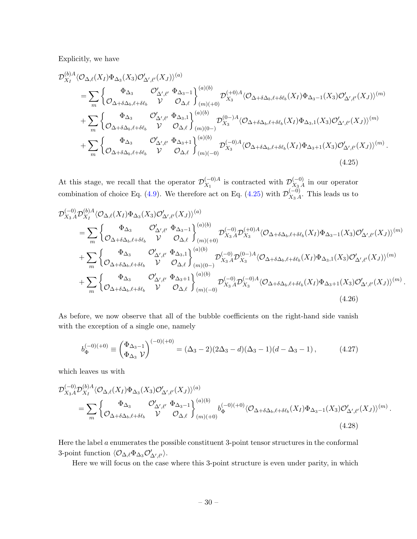Explicitly, we have

$$
\mathcal{D}_{X_{I}}^{(b)A} \langle \mathcal{O}_{\Delta,\ell}(X_{I}) \Phi_{\Delta_{3}}(X_{3}) \mathcal{O}_{\Delta',\ell'}'(X_{J}) \rangle^{(a)} \n= \sum_{m} \left\{ \frac{\Phi_{\Delta_{3}}}{\mathcal{O}_{\Delta+\delta\Delta_{b},\ell+\delta\ell_{b}}} \frac{\mathcal{O}_{\Delta',\ell'}'}{\mathcal{V}} \frac{\Phi_{\Delta_{3}-1}}{\mathcal{O}_{\Delta,\ell}} \right\}_{(m)(+0)}^{(a)(b)} \mathcal{D}_{X_{3}}^{(+0)A} \langle \mathcal{O}_{\Delta+\delta\Delta_{b},\ell+\delta\ell_{b}}(X_{I}) \Phi_{\Delta_{3}-1}(X_{3}) \mathcal{O}_{\Delta',\ell'}'(X_{J}) \rangle^{(m)} \n+ \sum_{m} \left\{ \frac{\Phi_{\Delta_{3}}}{\mathcal{O}_{\Delta+\delta\Delta_{b},\ell+\delta\ell_{b}}} \frac{\mathcal{O}_{\Delta',\ell'}'}{\mathcal{V}} \frac{\Phi_{\Delta_{3},1}}{\mathcal{O}_{\Delta,\ell}} \right\}_{(m)(0-)}^{(a)(b)} \mathcal{D}_{X_{3}}^{(0)-)A} \langle \mathcal{O}_{\Delta+\delta\Delta_{b},\ell+\delta\ell_{b}}(X_{I}) \Phi_{\Delta_{3},1}(X_{3}) \mathcal{O}_{\Delta',\ell'}'(X_{J}) \rangle^{(m)} \n+ \sum_{m} \left\{ \frac{\Phi_{\Delta_{3}}}{\mathcal{O}_{\Delta+\delta\Delta_{b},\ell+\delta\ell_{b}}} \frac{\mathcal{O}_{\Delta',\ell'}'}{\mathcal{V}} \frac{\Phi_{\Delta_{3}+1}}{\mathcal{O}_{\Delta,\ell}} \right\}_{(m)(-0)}^{(a)(b)} \mathcal{D}_{X_{3}}^{(-0)A} \langle \mathcal{O}_{\Delta+\delta\Delta_{b},\ell+\delta\ell_{b}}(X_{I}) \Phi_{\Delta_{3}+1}(X_{3}) \mathcal{O}_{\Delta',\ell'}'(X_{J}) \rangle^{(m)}.
$$
\n(4.25)

<span id="page-30-0"></span>At this stage, we recall that the operator  $\mathcal{D}_{X}^{(-0)}{}^{A}$  $\chi_{X_1}^{(-0)A}$  is contracted with  $\mathcal{D}_{X_3}^{(-0)}$  $\chi_{3A}^{(-0)}$  in our operator combination of choice Eq. [\(4.9\)](#page-26-2). We therefore act on Eq. [\(4.25\)](#page-30-0) with  $\mathcal{D}_{X_2}^{(-0)}$  $\chi_{3A}^{(-0)}$ . This leads us to

$$
\mathcal{D}_{X_3 A}^{(-0)} \mathcal{D}_{X_I}^{(b)A} \langle \mathcal{O}_{\Delta,\ell}(X_I) \Phi_{\Delta_3}(X_3) \mathcal{O}_{\Delta',\ell'}'(X_J) \rangle^{(a)} \n= \sum_m \left\{ \mathcal{O}_{\Delta+\delta\Delta_b,\ell+\delta\ell_b} \right\}^{\Phi_{\Delta_3}} \mathcal{O}_{\Delta,\ell}^{\prime} \left\{ \mathcal{O}_{\Delta,\ell}^{(-0)} \mathcal{D}_{X_3 A}^{(-0)} \mathcal{D}_{X_3}^{(+0)A} \langle \mathcal{O}_{\Delta+\delta\Delta_b,\ell+\delta\ell_b}(X_I) \Phi_{\Delta_3-1}(X_3) \mathcal{O}_{\Delta',\ell'}^{\prime}(X_J) \rangle^{(m)} \right. \n+ \sum_m \left\{ \mathcal{O}_{\Delta+\delta\Delta_b,\ell+\delta\ell_b} \right\}^{\Phi_{\Delta_3}} \mathcal{O}_{\Delta,\ell}^{\prime} \left\{ \mathcal{O}_{\Delta,\ell}^{(-0)} \mathcal{D}_{X_3 A}^{(-0)(b)} \mathcal{D}_{X_3 A}^{(-0)} \mathcal{D}_{X_3}^{(0)-)A} \langle \mathcal{O}_{\Delta+\delta\Delta_b,\ell+\delta\ell_b}(X_I) \Phi_{\Delta_3,1}(X_3) \mathcal{O}_{\Delta',\ell'}^{\prime}(X_J) \rangle^{(m)} \right. \n+ \sum_m \left\{ \mathcal{O}_{\Delta+\delta\Delta_b,\ell+\delta\ell_b} \right\}^{\Phi_{\Delta_3}} \mathcal{O}_{\Delta',\ell'}^{\prime} \left\{ \mathcal{O}_{\Delta,\ell} \right\}^{(a)(b)}_{(m)(0-)} \mathcal{D}_{X_3 A}^{(-0)} \mathcal{D}_{X_3}^{(-0)A} \langle \mathcal{O}_{\Delta+\delta\Delta_b,\ell+\delta\ell_b}(X_I) \Phi_{\Delta_3+1}(X_3) \mathcal{O}_{\Delta',\ell'}^{\prime}(X_J) \rangle^{(m)} \cdot (4.26)
$$

As before, we now observe that all of the bubble coefficients on the right-hand side vanish with the exception of a single one, namely

<span id="page-30-1"></span>
$$
b_{\Phi}^{(-0)(+0)} \equiv \begin{pmatrix} \Phi_{\Delta_3 - 1} \\ \Phi_{\Delta_3} \end{pmatrix}^{(-0)(+0)} = (\Delta_3 - 2)(2\Delta_3 - d)(\Delta_3 - 1)(d - \Delta_3 - 1), \tag{4.27}
$$

which leaves us with

$$
\mathcal{D}_{X_3A}^{(-0)}\mathcal{D}_{X_I}^{(b)A}\langle\mathcal{O}_{\Delta,\ell}(X_I)\Phi_{\Delta_3}(X_3)\mathcal{O}_{\Delta',\ell'}'(X_J)\rangle^{(a)} = \sum_m \begin{cases} \Phi_{\Delta_3} & \mathcal{O}_{\Delta',\ell'}'\Phi_{\Delta_3-1} \\ \mathcal{O}_{\Delta+\delta\Delta_b,\ell+\delta\ell_b} & \mathcal{V} \end{cases} \begin{pmatrix} b^{(-0)(+0)} \\ b^{(-0)(+0)} \langle \mathcal{O}_{\Delta+\delta\Delta_b,\ell+\delta\ell_b}(X_I)\Phi_{\Delta_3-1}(X_3)\mathcal{O}_{\Delta',\ell'}'(X_J)\rangle^{(m)} \end{pmatrix}.
$$
\n(4.28)

Here the label  $a$  enumerates the possible constituent 3-point tensor structures in the conformal 3-point function  $\langle \mathcal{O}_{\Delta,\ell} \Phi_{\Delta_3} \mathcal{O}'_{\Delta',\ell'} \rangle$ .

Here we will focus on the case where this 3-point structure is even under parity, in which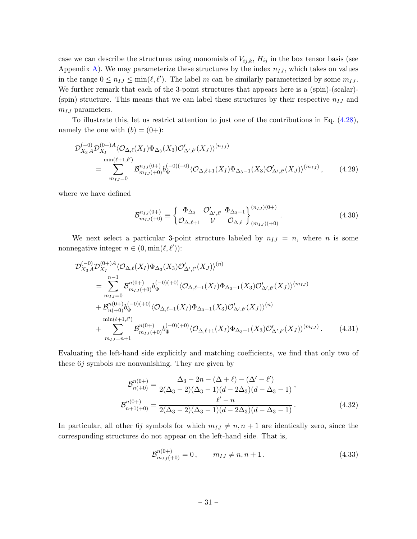case we can describe the structures using monomials of  $V_{ij,k}$ ,  $H_{ij}$  in the box tensor basis (see Appendix [A\)](#page-78-0). We may parameterize these structures by the index  $n_{IJ}$ , which takes on values in the range  $0 \leq n_{IJ} \leq \min(\ell, \ell')$ . The label m can be similarly parameterized by some  $m_{IJ}$ . We further remark that each of the 3-point structures that appears here is a (spin)-(scalar)-(spin) structure. This means that we can label these structures by their respective  $n_{IJ}$  and  $m_{IJ}$  parameters.

To illustrate this, let us restrict attention to just one of the contributions in Eq. [\(4.28\)](#page-30-1), namely the one with  $(b) = (0+)$ :

$$
\mathcal{D}_{X_3}^{(-0)} \mathcal{D}_{X_I}^{(0+)A} \langle \mathcal{O}_{\Delta,\ell}(X_I) \Phi_{\Delta_3}(X_3) \mathcal{O}_{\Delta',\ell'}'(X_J) \rangle^{(n_{IJ})} \n= \sum_{m_{IJ}=0}^{\min(\ell+1,\ell')} \mathcal{B}_{m_{IJ}^{-1}(0)}^{n_{IJ}(0+)} b_{\Phi}^{(-0)(+0)} \langle \mathcal{O}_{\Delta,\ell+1}(X_I) \Phi_{\Delta_3-1}(X_3) \mathcal{O}_{\Delta',\ell'}'(X_J) \rangle^{(m_{IJ})}, \qquad (4.29)
$$

where we have defined

$$
\mathcal{B}_{m_{IJ}(+0)}^{n_{IJ}(0+)} \equiv \begin{cases} \Phi_{\Delta_3} & \mathcal{O}'_{\Delta',\ell'} \ \Phi_{\Delta_3-1} \\ \mathcal{O}_{\Delta,\ell+1} & \mathcal{V} \end{cases} \xrightarrow[\mathcal{O}_{\Delta,\ell}]{(n_{IJ})(0+)}. \tag{4.30}
$$

We next select a particular 3-point structure labeled by  $n_{IJ} = n$ , where *n* is some nonnegative integer  $n \in (0, \min(\ell, \ell'))$ :

$$
\mathcal{D}_{X_3 A}^{(-0)} \mathcal{D}_{X_I}^{(0+)A} \langle \mathcal{O}_{\Delta,\ell}(X_I) \Phi_{\Delta_3}(X_3) \mathcal{O}_{\Delta',\ell'}'(X_J) \rangle^{(n)} \n= \sum_{m_I J=0}^{n-1} \mathcal{B}_{m_I J(+)0}^{n(0+)} b_{\Phi}^{(-0)(+0)} \langle \mathcal{O}_{\Delta,\ell+1}(X_I) \Phi_{\Delta_3-1}(X_3) \mathcal{O}_{\Delta',\ell'}'(X_J) \rangle^{(m_I J)} \n+ \mathcal{B}_{n(+0)}^{n(0+)} b_{\Phi}^{(-0)(+0)} \langle \mathcal{O}_{\Delta,\ell+1}(X_I) \Phi_{\Delta_3-1}(X_3) \mathcal{O}_{\Delta',\ell'}'(X_J) \rangle^{(n)} \n+ \sum_{m_I J=n+1}^{m(n+1,\ell')} \mathcal{B}_{m_I J(+)0}^{n(0+)} b_{\Phi}^{(-0)(+0)} \langle \mathcal{O}_{\Delta,\ell+1}(X_I) \Phi_{\Delta_3-1}(X_3) \mathcal{O}_{\Delta',\ell'}'(X_J) \rangle^{(m_I J)}.
$$
\n(4.31)

Evaluating the left-hand side explicitly and matching coefficients, we find that only two of these 6j symbols are nonvanishing. They are given by

$$
\mathcal{B}_{n(+)}^{n(0+)} = \frac{\Delta_3 - 2n - (\Delta + \ell) - (\Delta' - \ell')}{2(\Delta_3 - 2)(\Delta_3 - 1)(d - 2\Delta_3)(d - \Delta_3 - 1)},
$$
  
\n
$$
\mathcal{B}_{n+1(+)}^{n(0+)} = \frac{\ell' - n}{2(\Delta_3 - 2)(\Delta_3 - 1)(d - 2\Delta_3)(d - \Delta_3 - 1)}.
$$
\n(4.32)

In particular, all other 6*j* symbols for which  $m_{IJ} \neq n, n + 1$  are identically zero, since the corresponding structures do not appear on the left-hand side. That is,

<span id="page-31-0"></span>
$$
\mathcal{B}_{m_{IJ}(+0)}^{n(0+)} = 0, \qquad m_{IJ} \neq n, n+1.
$$
 (4.33)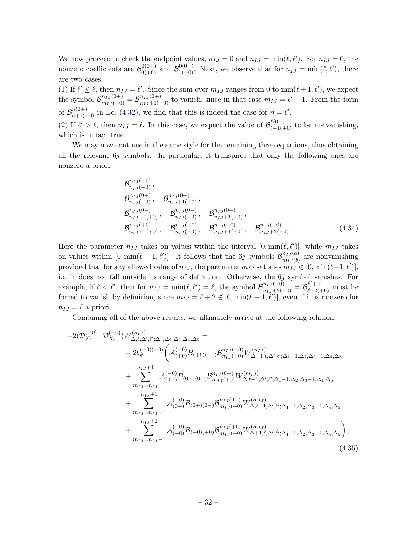We now proceed to check the endpoint values,  $n_{IJ} = 0$  and  $n_{IJ} = \min(\ell, \ell')$ . For  $n_{IJ} = 0$ , the nonzero coefficients are  $\mathcal{B}_{0(+)}^{0(0+)}$  and  $\mathcal{B}_{1(+0)}^{0(0+)}$ . Next, we observe that for  $n_{IJ} = \min(\ell, \ell')$ , there are two cases:

(1) If  $\ell' \leq \ell$ , then  $n_{IJ} = \ell'$ . Since the sum over  $m_{IJ}$  ranges from 0 to  $\min(\ell + 1, \ell')$ , we expect the symbol  $\mathcal{B}_{m_{IJ}^{-1}(+0)}^{n_{IJ}(0+)} = \mathcal{B}_{n_{IJ}+1(+0)}^{n_{IJ}(0+)}$  to vanish, since in that case  $m_{IJ} = \ell' + 1$ . From the form of  $\mathcal{B}_{n+1(+0)}^{n(0+)}$  in Eq. [\(4.32\)](#page-31-0), we find that this is indeed the case for  $n=\ell'$ . (2) If  $\ell' > \ell$ , then  $n_{IJ} = \ell$ . In this case, we expect the value of  $\mathcal{B}_{\ell+1(+0)}^{\ell(0+)}$  to be nonvanishing,

which is in fact true.

We may now continue in the same style for the remaining three equations, thus obtaining all the relevant  $6j$  symbols. In particular, it transpires that only the following ones are nonzero a priori:

$$
\mathcal{B}_{n_{IJ}(+0)}^{n_{IJ}(0)},
$$
\n
$$
\mathcal{B}_{n_{IJ}(+0)}^{n_{IJ}(0+)},
$$
\n
$$
\mathcal{B}_{n_{IJ}(+0)}^{n_{IJ}(0+)},
$$
\n
$$
\mathcal{B}_{n_{IJ}-1(+0)}^{n_{IJ}(0-)},
$$
\n
$$
\mathcal{B}_{n_{IJ}(+0)}^{n_{IJ}(0-)},
$$
\n
$$
\mathcal{B}_{n_{IJ}(+0)}^{n_{IJ}(+0)},
$$
\n
$$
\mathcal{B}_{n_{IJ}+1(+0)}^{n_{IJ}(+0)},
$$
\n
$$
\mathcal{B}_{n_{IJ}+1(+0)}^{n_{IJ}(+0)},
$$
\n
$$
\mathcal{B}_{n_{IJ}+1(+0)}^{n_{IJ}(+0)},
$$
\n
$$
\mathcal{B}_{n_{IJ}+2(+0)}^{n_{IJ}(+0)}.
$$
\n(4.34)

Here the parameter  $n_{IJ}$  takes on values within the interval  $[0, \min(\ell, \ell')]$ , while  $m_{IJ}$  takes on values within  $[0, \min(\ell + 1, \ell')]$ . It follows that the 6j symbols  $\mathcal{B}_{m_{IJ}(k)}^{n_{IJ}(a)}$  $\binom{n_{IJ}(a)}{m_{IJ}(b)}$  are nonvanishing provided that for any allowed value of  $n_{IJ}$ , the parameter  $m_{IJ}$  satisfies  $m_{IJ} \in [0, \min(\ell+1, \ell')]$ , i.e. it does not fall outside its range of definition. Otherwise, the 6j symbol vanishes. For example, if  $\ell < \ell'$ , then for  $n_{IJ} = \min(\ell, \ell') = \ell$ , the symbol  $\mathcal{B}_{n_{IJ}+2(+0)}^{n_{IJ}(+0)} = \mathcal{B}_{\ell+2(+0)}^{\ell(+0)}$  must be forced to vanish by definition, since  $m_{IJ} = \ell + 2 \notin [0, \min(\ell + 1, \ell')]$ , even if it is nonzero for  $n_{IJ} = \ell$  a priori.

Combining all of the above results, we ultimately arrive at the following relation:

<span id="page-32-0"></span>
$$
-2(\mathcal{D}_{X_{1}}^{(-0)} \cdot \mathcal{D}_{X_{3}}^{(-0)})W_{\Delta,\ell,\Delta',\ell';\Delta_{1},\Delta_{2},\Delta_{3},\Delta_{4},\Delta_{5}}^{(n_{IJ})} =
$$
\n
$$
-2b_{\Phi}^{(-0)(+0)}\left(\mathcal{A}_{(+0)}^{(-0)}B_{(+0)(-0)}\mathcal{B}_{n_{IJ}(+0)}^{n_{IJ}(-0)}W_{\Delta-1,\ell,\Delta',\ell';\Delta_{1}-1,\Delta_{2},\Delta_{3}-1,\Delta_{4},\Delta_{5}}^{(n_{IJ}+1)}\right) + \sum_{\substack{n_{IJ}=n_{IJ} \\ n_{IJ}=n_{IJ}}}^{n_{IJ}+1} \mathcal{A}_{(0-)}^{(-0)}B_{(0-)(0+)}\mathcal{B}_{m_{IJ}(+0)}^{n_{IJ}(0+)}W_{\Delta,\ell+1,\Delta',\ell';\Delta_{1}-1,\Delta_{2},\Delta_{3}-1,\Delta_{4},\Delta_{5}}^{(n_{IJ}+1)} + \sum_{\substack{n_{IJ}=n_{IJ}-1}^{n_{IJ}+1} }^{n_{IJ}+1} \mathcal{A}_{(0+)}^{(-0)}B_{(0+)(0-)}\mathcal{B}_{m_{IJ}(+0)}^{n_{IJ}(0-)}W_{\Delta,\ell-1,\Delta',\ell';\Delta_{1}-1,\Delta_{2},\Delta_{3}-1,\Delta_{4},\Delta_{5}}^{(n_{IJ}+2)} + \sum_{\substack{n_{IJ}=n_{IJ}-1}^{n_{IJ}+2} }^{n_{IJ}+2} \mathcal{A}_{(-0)}^{(-0)}B_{(-0)(+0)}\mathcal{B}_{m_{IJ}(+0)}^{n_{IJ}(+0)}W_{\Delta+1,\ell,\Delta',\ell';\Delta_{1}-1,\Delta_{2},\Delta_{3}-1,\Delta_{4},\Delta_{5}}^{(n_{IJ})},
$$
\n(4.35)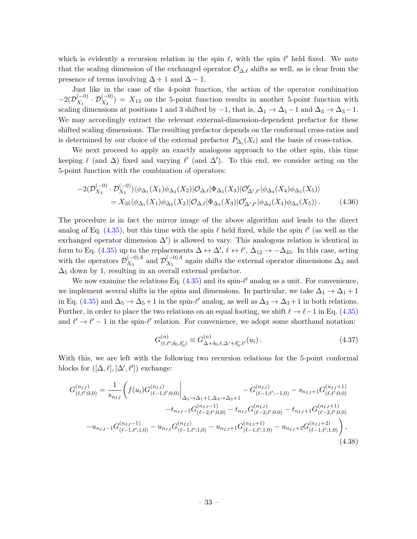which is evidently a recursion relation in the spin  $\ell$ , with the spin  $\ell'$  held fixed. We note that the scaling dimension of the exchanged operator  $\mathcal{O}_{\Delta,\ell}$  shifts as well, as is clear from the presence of terms involving  $\Delta + 1$  and  $\Delta - 1$ .

Just like in the case of the 4-point function, the action of the operator combination  $-2(\mathcal{D}_{X_1}^{(-0)})$  $(X_1^{(-0)} \cdot \mathcal{D}_{X_3}^{(-0)}) = X_{13}$  on the 5-point function results in another 5-point function with scaling dimensions at positions 1 and 3 shifted by  $-1$ , that is,  $\Delta_1 \to \Delta_1 - 1$  and  $\Delta_3 \to \Delta_3 - 1$ . We may accordingly extract the relevant external-dimension-dependent prefactor for these shifted scaling dimensions. The resulting prefactor depends on the conformal cross-ratios and is determined by our choice of the external prefactor  $P_{\Delta_i}(X_i)$  and the basis of cross-ratios.

We next proceed to apply an exactly analogous approach to the other spin, this time keeping  $\ell$  (and  $\Delta$ ) fixed and varying  $\ell'$  (and  $\Delta'$ ). To this end, we consider acting on the 5-point function with the combination of operators:

$$
-2(\mathcal{D}_{X_3}^{(-0)} \cdot \mathcal{D}_{X_5}^{(-0)})\langle \phi_{\Delta_1}(X_1)\phi_{\Delta_2}(X_2)|\mathcal{O}_{\Delta,\ell}|\Phi_{\Delta_3}(X_3)|\mathcal{O}_{\Delta',\ell'}'|\phi_{\Delta_4}(X_4)\phi_{\Delta_5}(X_5)\rangle
$$
  
=  $X_{35}\langle \phi_{\Delta_1}(X_1)\phi_{\Delta_2}(X_2)|\mathcal{O}_{\Delta,\ell}|\Phi_{\Delta_3}(X_3)|\mathcal{O}_{\Delta',\ell'}'|\phi_{\Delta_4}(X_4)\phi_{\Delta_5}(X_5)\rangle.$  (4.36)

The procedure is in fact the mirror image of the above algorithm and leads to the direct analog of Eq.  $(4.35)$ , but this time with the spin  $\ell$  held fixed, while the spin  $\ell'$  (as well as the exchanged operator dimension  $\Delta'$ ) is allowed to vary. This analogous relation is identical in form to Eq. [\(4.35\)](#page-32-0) up to the replacements  $\Delta \leftrightarrow \Delta', \ell \leftrightarrow \ell', \Delta_{12} \to -\Delta_{45}$ . In this case, acting with the operators  $\mathcal{D}_{X_2}^{(-0)A}$  $\chi_3^{(-0)A}$  and  $\mathcal{D}_{X_5}^{(-0)A}$  $\chi_5^{(-0)A}$  again shifts the external operator dimensions  $\Delta_3$  and  $\Delta_5$  down by 1, resulting in an overall external prefactor.

We now examine the relations Eq.  $(4.35)$  and its spin- $\ell'$  analog as a unit. For convenience, we implement several shifts in the spins and dimensions. In particular, we take  $\Delta_1 \rightarrow \Delta_1 + 1$ in Eq. [\(4.35\)](#page-32-0) and  $\Delta_5 \to \Delta_5 + 1$  in the spin- $\ell'$  analog, as well as  $\Delta_3 \to \Delta_3 + 1$  in both relations. Further, in order to place the two relations on an equal footing, we shift  $\ell \to \ell-1$  in Eq. [\(4.35\)](#page-32-0) and  $\ell' \to \ell' - 1$  in the spin- $\ell'$  relation. For convenience, we adopt some shorthand notation:

<span id="page-33-0"></span>
$$
G^{(n)}_{(\ell,\ell';\delta_0,\delta'_0)} \equiv G^{(n)}_{\Delta+\delta_0,\ell,\Delta'+\delta'_0,\ell'}(u_i) \,. \tag{4.37}
$$

With this, we are left with the following two recursion relations for the 5-point conformal blocks for  $([\Delta, \ell], [\Delta', \ell'])$  exchange:

$$
G_{(\ell,\ell',0,0)}^{(n_{IJ})} = \frac{1}{s_{n_{IJ}}} \Biggl( f(u_i) G_{(\ell-1,\ell';0,0)}^{(n_{IJ})} \Biggr|_{\Delta_1 \to \Delta_1 + 1, \Delta_3 \to \Delta_3 + 1} - G_{(\ell-1,\ell';-1,0)}^{(n_{IJ})} - s_{n_{IJ}+1} G_{(\ell,\ell';0,0)}^{(n_{IJ}+1)} - t_{n_{IJ}-1} G_{(\ell-2,\ell';0,0)}^{(n_{IJ}-1)} - t_{n_{IJ}} G_{(\ell-2,\ell';0,0)}^{(n_{IJ})} - t_{n_{IJ}+1} G_{(\ell-2,\ell';0,0)}^{(n_{IJ}+1)} - u_{n_{IJ}-1} G_{(\ell-1,\ell';1,0)}^{(n_{IJ}-1)} - u_{n_{IJ}} G_{(\ell-1,\ell';1,0)}^{(n_{IJ})} - u_{n_{IJ}+1} G_{(\ell-1,\ell';1,0)}^{(n_{IJ}+1)} - u_{n_{IJ}+2} G_{(\ell-1,\ell';1,0)}^{(n_{IJ}+2)} \Biggr),
$$
\n(4.38)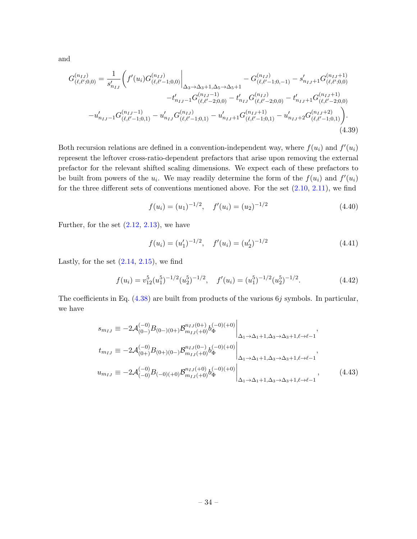and

$$
G_{(\ell,\ell';0,0)}^{(n_{IJ})} = \frac{1}{s'_{n_{IJ}}} \Biggl( f'(u_i) G_{(\ell,\ell'-1;0,0)}^{(n_{IJ})} \Biggr|_{\Delta_3 \to \Delta_3 + 1, \Delta_5 \to \Delta_5 + 1} - G_{(\ell,\ell'-1;0,-1)}^{(n_{IJ})} - s'_{n_{IJ}+1} G_{(\ell,\ell';0,0)}^{(n_{IJ}+1)} - t'_{n_{IJ}-1} G_{(\ell,\ell'-2;0,0)}^{(n_{IJ}-1)} - t'_{n_{IJ}} G_{(\ell,\ell'-2;0,0)}^{(n_{IJ})} - t'_{n_{IJ}+1} G_{(\ell,\ell'-2;0,0)}^{(n_{IJ}+1)} - u'_{n_{IJ}-1} G_{(\ell,\ell'-1;0,1)}^{(n_{IJ}-1)} - u'_{n_{IJ}} G_{(\ell,\ell'-1;0,1)}^{(n_{IJ}-1)} - u'_{n_{IJ}+1} G_{(\ell,\ell'-1;0,1)}^{(n_{IJ}+1)} - u'_{n_{IJ}+2} G_{(\ell,\ell'-1;0,1)}^{(n_{IJ}+2)} \Biggr).
$$
\n(4.39)

Both recursion relations are defined in a convention-independent way, where  $f(u_i)$  and  $f'(u_i)$ represent the leftover cross-ratio-dependent prefactors that arise upon removing the external prefactor for the relevant shifted scaling dimensions. We expect each of these prefactors to be built from powers of the  $u_i$ . We may readily determine the form of the  $f(u_i)$  and  $f'(u_i)$ for the three different sets of conventions mentioned above. For the set  $(2.10, 2.11)$  $(2.10, 2.11)$ , we find

<span id="page-34-0"></span>
$$
f(u_i) = (u_1)^{-1/2}, \quad f'(u_i) = (u_2)^{-1/2}
$$
\n(4.40)

Further, for the set  $(2.12, 2.13)$  $(2.12, 2.13)$ , we have

<span id="page-34-1"></span>
$$
f(u_i) = (u'_1)^{-1/2}, \quad f'(u_i) = (u'_2)^{-1/2}
$$
\n(4.41)

Lastly, for the set  $(2.14, 2.15)$  $(2.14, 2.15)$ , we find

$$
f(u_i) = v_{12}^5 (u_1^5)^{-1/2} (u_2^5)^{-1/2}, \quad f'(u_i) = (u_1^5)^{-1/2} (u_2^5)^{-1/2}.
$$
 (4.42)

The coefficients in Eq.  $(4.38)$  are built from products of the various 6j symbols. In particular, we have

$$
s_{m_{IJ}} \equiv -2\mathcal{A}_{(0-)}^{(-0)} B_{(0-)(0+)} \mathcal{B}_{m_{IJ}(+0)}^{n_{IJ}(0+)} b_{\Phi}^{(-0)(+0)} \Big|_{\Delta_1 \to \Delta_1 + 1, \Delta_3 \to \Delta_3 + 1, \ell \to \ell-1},
$$
  
\n
$$
t_{m_{IJ}} \equiv -2\mathcal{A}_{(0+)}^{(-0)} B_{(0+)(0-)} \mathcal{B}_{m_{IJ}(+0)}^{n_{IJ}(0-)} b_{\Phi}^{(-0)(+0)} \Big|_{\Delta_1 \to \Delta_1 + 1, \Delta_3 \to \Delta_3 + 1, \ell \to \ell-1},
$$
  
\n
$$
u_{m_{IJ}} \equiv -2\mathcal{A}_{(-0)}^{(-0)} B_{(-0)(+0)} \mathcal{B}_{m_{IJ}(+0)}^{n_{IJ}(+0)} b_{\Phi}^{(-0)(+0)} \Big|_{\Delta_1 \to \Delta_1 + 1, \Delta_3 \to \Delta_3 + 1, \ell \to \ell-1},
$$
\n(4.43)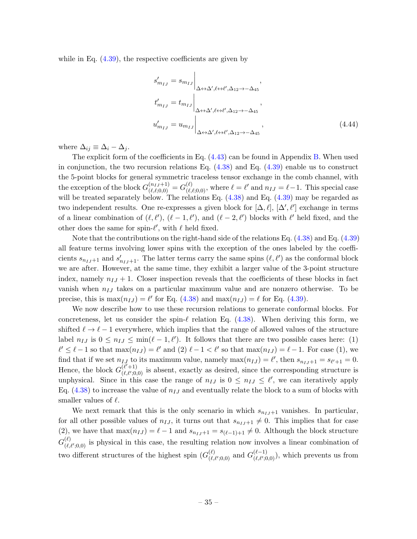while in Eq.  $(4.39)$ , the respective coefficients are given by

$$
s'_{m_{IJ}} = s_{m_{IJ}} \Big|_{\Delta \leftrightarrow \Delta', \ell \leftrightarrow \ell', \Delta_{12} \to -\Delta_{45}},
$$
  
\n
$$
t'_{m_{IJ}} = t_{m_{IJ}} \Big|_{\Delta \leftrightarrow \Delta', \ell \leftrightarrow \ell', \Delta_{12} \to -\Delta_{45}},
$$
  
\n
$$
u'_{m_{IJ}} = u_{m_{IJ}} \Big|_{\Delta \leftrightarrow \Delta', \ell \leftrightarrow \ell', \Delta_{12} \to -\Delta_{45}},
$$
\n(4.44)

where  $\Delta_{ij} \equiv \Delta_i - \Delta_j$ .

The explicit form of the coefficients in Eq. [\(4.43\)](#page-34-1) can be found in Appendix [B.](#page-80-0) When used in conjunction, the two recursion relations Eq.  $(4.38)$  and Eq.  $(4.39)$  enable us to construct the 5-point blocks for general symmetric traceless tensor exchange in the comb channel, with the exception of the block  $G^{(n_{IJ}+1)}_{(\ell,\ell;0,0)} = G^{(\ell)}_{(\ell,\ell;0,0)}$ , where  $\ell = \ell'$  and  $n_{IJ} = \ell - 1$ . This special case will be treated separately below. The relations Eq.  $(4.38)$  and Eq.  $(4.39)$  may be regarded as two independent results. One re-expresses a given block for  $[\Delta, \ell], [\Delta', \ell']$  exchange in terms of a linear combination of  $(\ell, \ell'), (\ell - 1, \ell'),$  and  $(\ell - 2, \ell')$  blocks with  $\ell'$  held fixed, and the other does the same for spin- $\ell'$ , with  $\ell$  held fixed.

Note that the contributions on the right-hand side of the relations Eq. [\(4.38\)](#page-33-0) and Eq. [\(4.39\)](#page-34-0) all feature terms involving lower spins with the exception of the ones labeled by the coefficients  $s_{n_{IJ}+1}$  and  $s'_{n_{IJ}+1}$ . The latter terms carry the same spins  $(\ell, \ell')$  as the conformal block we are after. However, at the same time, they exhibit a larger value of the 3-point structure index, namely  $n_{IJ} + 1$ . Closer inspection reveals that the coefficients of these blocks in fact vanish when  $n_{IJ}$  takes on a particular maximum value and are nonzero otherwise. To be precise, this is  $\max(n_{IJ}) = \ell'$  for Eq. [\(4.38\)](#page-33-0) and  $\max(n_{IJ}) = \ell$  for Eq. [\(4.39\)](#page-34-0).

We now describe how to use these recursion relations to generate conformal blocks. For concreteness, let us consider the spin- $\ell$  relation Eq. [\(4.38\)](#page-33-0). When deriving this form, we shifted  $\ell \to \ell - 1$  everywhere, which implies that the range of allowed values of the structure label  $n_{IJ}$  is  $0 \leq n_{IJ} \leq \min(\ell - 1, \ell')$ . It follows that there are two possible cases here: (1)  $\ell' \leq \ell - 1$  so that  $\max(n_{IJ}) = \ell'$  and (2)  $\ell - 1 < \ell'$  so that  $\max(n_{IJ}) = \ell - 1$ . For case (1), we find that if we set  $n_{IJ}$  to its maximum value, namely  $\max(n_{IJ}) = \ell'$ , then  $s_{n_{IJ}+1} = s_{\ell'+1} = 0$ . Hence, the block  $G_{(\ell,\ell',0)}^{(\ell'+1)}$  $(\ell, \ell+1)$  is absent, exactly as desired, since the corresponding structure is unphysical. Since in this case the range of  $n_{IJ}$  is  $0 \leq n_{IJ} \leq \ell'$ , we can iteratively apply Eq.  $(4.38)$  to increase the value of  $n_{IJ}$  and eventually relate the block to a sum of blocks with smaller values of  $\ell$ .

We next remark that this is the only scenario in which  $s_{n_I}$ +1 vanishes. In particular, for all other possible values of  $n_{IJ}$ , it turns out that  $s_{n_{IJ}+1} \neq 0$ . This implies that for case (2), we have that  $\max(n_{IJ}) = \ell - 1$  and  $s_{n_{IJ}+1} = s_{(\ell-1)+1} \neq 0$ . Although the block structure  $G^{(\ell)}_{\ell\ell}$  $(\ell,\ell',0,0)$  is physical in this case, the resulting relation now involves a linear combination of two different structures of the highest spin  $(G_{\ell}^{(\ell)})$  $\overset{(\ell)}{\underset{(\ell,\ell';0,0)}{\scriptstyle(0)}}$  and  $G_{(\ell,\ell';0)}^{(\ell-1)}$  $(\ell^{(-1)}_{(\ell,\ell';0,0)}),$  which prevents us from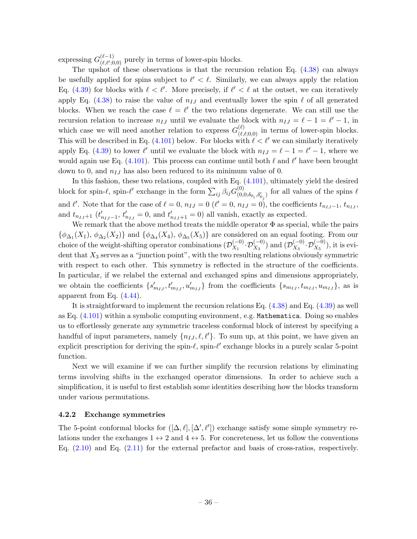expressing  $G_{(\ell,\ell')}^{(\ell-1)}$  $\binom{(\ell-1)}{(\ell,\ell';0,0)}$  purely in terms of lower-spin blocks.

The upshot of these observations is that the recursion relation Eq.  $(4.38)$  can always be usefully applied for spins subject to  $\ell' < \ell$ . Similarly, we can always apply the relation Eq. [\(4.39\)](#page-34-0) for blocks with  $\ell < \ell'$ . More precisely, if  $\ell' < \ell$  at the outset, we can iteratively apply Eq. [\(4.38\)](#page-33-0) to raise the value of  $n_{IJ}$  and eventually lower the spin  $\ell$  of all generated blocks. When we reach the case  $\ell = \ell'$  the two relations degenerate. We can still use the recursion relation to increase  $n_{IJ}$  until we evaluate the block with  $n_{IJ} = \ell - 1 = \ell' - 1$ , in which case we will need another relation to express  $G_{(\ell,\ell;0,0)}^{(\ell)}$  in terms of lower-spin blocks. This will be described in Eq. [\(4.101\)](#page-51-0) below. For blocks with  $\ell < \ell'$  we can similarly iteratively apply Eq. [\(4.39\)](#page-34-0) to lower  $\ell'$  until we evaluate the block with  $n_{IJ} = \ell - 1 = \ell' - 1$ , where we would again use Eq. [\(4.101\)](#page-51-0). This process can continue until both  $\ell$  and  $\ell'$  have been brought down to 0, and  $n_{IJ}$  has also been reduced to its minimum value of 0.

In this fashion, these two relations, coupled with Eq. [\(4.101\)](#page-51-0), ultimately yield the desired block for spin- $\ell$ , spin- $\ell'$  exchange in the form  $\sum_{ij} \beta_{ij} G_{(0)}^{(0)}$  $(0,0,0,\delta_{0_i},\delta'_{0_j})$  for all values of the spins  $\ell$ and  $\ell'$ . Note that for the case of  $\ell = 0$ ,  $n_{IJ} = 0$  ( $\ell' = 0$ ,  $n_{IJ} = 0$ ), the coefficients  $t_{n_{IJ}-1}$ ,  $t_{n_{IJ}}$ , and  $t_{n_{IJ}+1}$  ( $t'_{n_{IJ}-1}$ ,  $t'_{n_{IJ}} = 0$ , and  $t'_{n_{IJ}+1} = 0$ ) all vanish, exactly as expected.

We remark that the above method treats the middle operator  $\Phi$  as special, while the pairs  $\{\phi_{\Delta_1}(X_1), \phi_{\Delta_2}(X_2)\}\$ and  $\{\phi_{\Delta_4}(X_4), \phi_{\Delta_5}(X_5)\}\$ are considered on an equal footing. From our choice of the weight-shifting operator combinations  $(\mathcal{D}_{X_1}^{(-0)})$  $\mathcal{D}_{X_1}^{(-0)}.\mathcal{D}_{X_3}^{(-0)})$  and  $(\mathcal{D}_{X_3}^{(-0)})$  $X_3^{(-0)}\cdot {\cal D}^{(-0)}_{X_5}),$  it is evident that  $X_3$  serves as a "junction point", with the two resulting relations obviously symmetric with respect to each other. This symmetry is reflected in the structure of the coefficients. In particular, if we relabel the external and exchanged spins and dimensions appropriately, we obtain the coefficients  $\{s'_{m_{IJ}}, t'_{m_{IJ}}, u'_{m_{IJ}}\}$  from the coefficients  $\{s_{m_{IJ}}, t_{m_{IJ}}, u_{m_{IJ}}\}$ , as is apparent from Eq. [\(4.44\)](#page-35-0).

It is straightforward to implement the recursion relations Eq. [\(4.38\)](#page-33-0) and Eq. [\(4.39\)](#page-34-0) as well as Eq. [\(4.101\)](#page-51-0) within a symbolic computing environment, e.g. Mathematica. Doing so enables us to effortlessly generate any symmetric traceless conformal block of interest by specifying a handful of input parameters, namely  $\{n_{IJ}, \ell, \ell'\}$ . To sum up, at this point, we have given an explicit prescription for deriving the spin- $\ell$ , spin- $\ell'$  exchange blocks in a purely scalar 5-point function.

Next we will examine if we can further simplify the recursion relations by eliminating terms involving shifts in the exchanged operator dimensions. In order to achieve such a simplification, it is useful to first establish some identities describing how the blocks transform under various permutations.

# 4.2.2 Exchange symmetries

The 5-point conformal blocks for  $([\Delta, \ell], [\Delta', \ell'])$  exchange satisfy some simple symmetry relations under the exchanges  $1 \leftrightarrow 2$  and  $4 \leftrightarrow 5$ . For concreteness, let us follow the conventions Eq. [\(2.10\)](#page-8-0) and Eq. [\(2.11\)](#page-8-1) for the external prefactor and basis of cross-ratios, respectively.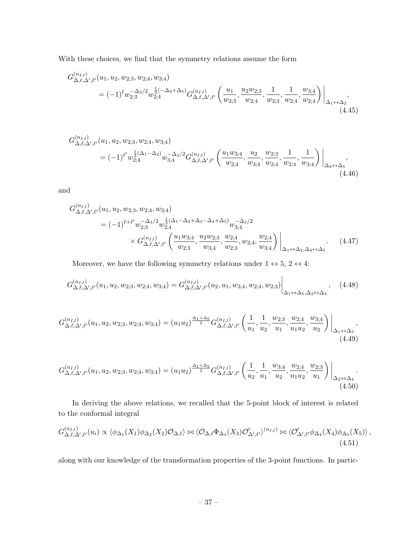With these choices, we find that the symmetry relations assume the form

$$
G_{\Delta,\ell,\Delta',\ell'}^{(n_{IJ})}(u_1, u_2, w_{2,3}, w_{2,4}, w_{3,4})
$$
  
=  $(-1)^{\ell} w_{2,3}^{-\Delta_3/2} w_{2,4}^{\frac{1}{2}(-\Delta_4+\Delta_5)} G_{\Delta,\ell,\Delta',\ell'}^{(n_{IJ})} \left(\frac{u_1}{w_{2,3}}, \frac{u_2 w_{2,3}}{w_{2,4}}, \frac{1}{w_{2,3}}, \frac{u_3}{w_{2,4}}, \frac{w_{3,4}}{w_{2,4}}\right)\Big|_{\Delta_1 \leftrightarrow \Delta_2},$   
(4.45)

$$
G_{\Delta,\ell,\Delta',\ell'}^{(n_{IJ})}(u_1, u_2, w_{2;3}, w_{2;4}, w_{3;4})
$$
  
=  $(-1)^{\ell'} w_{2;4}^{\frac{1}{2}(\Delta_1 - \Delta_2)} w_{3;4}^{-\Delta_3/2} G_{\Delta,\ell,\Delta',\ell'}^{(n_{IJ})}\left(\frac{u_1 w_{3;4}}{w_{2;4}}, \frac{u_2}{w_{3;4}}, \frac{w_{2;3}}{w_{2;4}}, \frac{1}{w_{2;4}}, \frac{1}{w_{3;4}}\right)\Big|_{\Delta_4 \leftrightarrow \Delta_5}$   
(4.46)

and

$$
G_{\Delta,\ell,\Delta',\ell'}^{(n_{IJ})}(u_1, u_2, w_{2,3}, w_{2,4}, w_{3,4})
$$
  
=  $(-1)^{\ell+\ell'} w_{2,3}^{-\Delta_3/2} w_{2,4}^{\frac{1}{2}(\Delta_1-\Delta_2+\Delta_3-\Delta_4+\Delta_5)} w_{3,4}^{-\Delta_3/2}$   
 $\times G_{\Delta,\ell,\Delta',\ell'}^{(n_{IJ})}\left(\frac{u_1w_{3,4}}{w_{2,3}}, \frac{u_2w_{2,3}}{w_{3,4}}, \frac{w_{2,4}}{w_{2,3}}, w_{2,4}, \frac{w_{2,4}}{w_{3,4}}\right)\Big|_{\Delta_1 \leftrightarrow \Delta_2, \Delta_4 \leftrightarrow \Delta_5}$  (4.47)

Moreover, we have the following symmetry relations under  $1 \leftrightarrow 5$ ,  $2 \leftrightarrow 4$ :

$$
G_{\Delta,\ell,\Delta',\ell'}^{(n_{IJ})}(u_1,u_2,w_{2;3},w_{2;4},w_{3;4}) = G_{\Delta,\ell,\Delta',\ell'}^{(n_{IJ})}(u_2,u_1,w_{3;4},w_{2;4},w_{2;3})\Big|_{\Delta_1 \leftrightarrow \Delta_5, \Delta_2 \leftrightarrow \Delta_4}, \quad (4.48)
$$

<span id="page-37-3"></span><span id="page-37-2"></span><span id="page-37-1"></span><span id="page-37-0"></span>l.

$$
G_{\Delta,\ell,\Delta',\ell'}^{(n_{IJ})}(u_1,u_2,w_{2;3},w_{2;4},w_{3;4}) = (u_1u_2)^{\frac{\Delta_1+\Delta_5}{2}} G_{\Delta,\ell,\Delta',\ell'}^{(n_{IJ})}\left(\frac{1}{u_1},\frac{1}{u_2},\frac{w_{2;3}}{u_1},\frac{w_{2;4}}{u_{1}u_2},\frac{w_{3;4}}{u_2}\right)\Big|_{\Delta_1\leftrightarrow\Delta_5},\tag{4.49}
$$

$$
G_{\Delta,\ell,\Delta',\ell'}^{(n_{IJ})}(u_1,u_2,w_{2;3},w_{2;4},w_{3;4}) = (u_1u_2)^{\frac{\Delta_1+\Delta_5}{2}} G_{\Delta,\ell,\Delta',\ell'}^{(n_{IJ})} \left(\frac{1}{u_2},\frac{1}{u_1},\frac{w_{3;4}}{u_2},\frac{w_{2;4}}{u_1u_2},\frac{w_{2;3}}{u_1}\right) \Big|_{\Delta_2 \leftrightarrow \Delta_4}.
$$
\n(4.50)

In deriving the above relations, we recalled that the 5-point block of interest is related to the conformal integral

$$
G_{\Delta,\ell,\Delta',\ell'}^{(n_{IJ})} (u_i) \propto \langle \phi_{\Delta_1}(X_1)\phi_{\Delta_2}(X_2)\mathcal{O}_{\Delta,\ell} \rangle \bowtie \langle \mathcal{O}_{\Delta,\ell}\Phi_{\Delta_3}(X_3)\mathcal{O}_{\Delta',\ell'}' \rangle^{(n_{IJ})} \bowtie \langle \mathcal{O}_{\Delta',\ell'}' \phi_{\Delta_4}(X_4)\phi_{\Delta_5}(X_5) \rangle ,
$$
\n(4.51)

along with our knowledge of the transformation properties of the 3-point functions. In partic-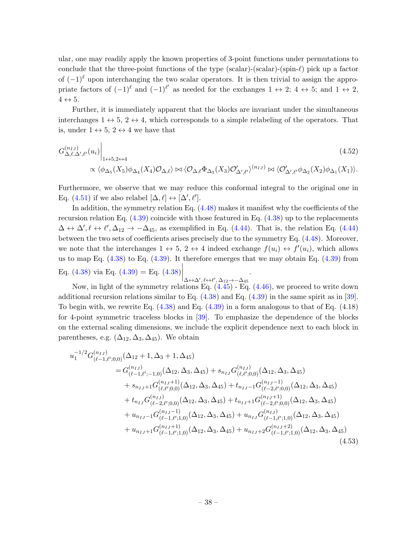ular, one may readily apply the known properties of 3-point functions under permutations to conclude that the three-point functions of the type (scalar)-(scalar)-(spin- $\ell$ ) pick up a factor of  $(-1)^{\ell}$  upon interchanging the two scalar operators. It is then trivial to assign the appropriate factors of  $(-1)^{\ell}$  and  $(-1)^{\ell'}$  as needed for the exchanges  $1 \leftrightarrow 2$ ;  $4 \leftrightarrow 5$ ; and  $1 \leftrightarrow 2$ ,  $4 \leftrightarrow 5$ .

Further, it is immediately apparent that the blocks are invariant under the simultaneous interchanges  $1 \leftrightarrow 5$ ,  $2 \leftrightarrow 4$ , which corresponds to a simple relabeling of the operators. That is, under  $1 \leftrightarrow 5$ ,  $2 \leftrightarrow 4$  we have that

$$
G_{\Delta,\ell,\Delta',\ell'}^{(n_{IJ})}(u_i) \Big|_{1 \leftrightarrow 5,2 \leftrightarrow 4} \tag{4.52}
$$
  

$$
\propto \langle \phi_{\Delta_5}(X_5)\phi_{\Delta_4}(X_4)\mathcal{O}_{\Delta,\ell} \rangle \bowtie \langle \mathcal{O}_{\Delta,\ell}\Phi_{\Delta_3}(X_3)\mathcal{O}_{\Delta',\ell'} \rangle^{(n_{IJ})} \bowtie \langle \mathcal{O}_{\Delta',\ell'}\phi_{\Delta_2}(X_2)\phi_{\Delta_1}(X_1) \rangle.
$$

Furthermore, we observe that we may reduce this conformal integral to the original one in Eq. [\(4.51\)](#page-37-0) if we also relabel  $[\Delta, \ell] \leftrightarrow [\Delta', \ell']$ .

In addition, the symmetry relation Eq. [\(4.48\)](#page-37-1) makes it manifest why the coefficients of the recursion relation Eq.  $(4.39)$  coincide with those featured in Eq.  $(4.38)$  up to the replacements  $\Delta \leftrightarrow \Delta', \ell \leftrightarrow \ell', \Delta_{12} \to -\Delta_{45}$ , as exemplified in Eq. [\(4.44\)](#page-35-0). That is, the relation Eq. (4.44) between the two sets of coefficients arises precisely due to the symmetry Eq. [\(4.48\)](#page-37-1). Moreover, we note that the interchanges  $1 \leftrightarrow 5$ ,  $2 \leftrightarrow 4$  indeed exchange  $f(u_i) \leftrightarrow f'(u_i)$ , which allows us to map Eq.  $(4.38)$  to Eq.  $(4.39)$ . It therefore emerges that we may obtain Eq.  $(4.39)$  from Eq. [\(4.38\)](#page-33-0) via Eq. [\(4.39\)](#page-34-0) = Eq. (4.38)  $\Big|_{\Delta \leftrightarrow \Delta', \ell \leftrightarrow \ell', \Delta_{12} \to -\Delta_{45}}$ .

Now, in light of the symmetry relations Eq. [\(4.45\)](#page-37-2) - Eq. [\(4.46\)](#page-37-3), we proceed to write down additional recursion relations similar to Eq. [\(4.38\)](#page-33-0) and Eq. [\(4.39\)](#page-34-0) in the same spirit as in [\[39\]](#page-103-0). To begin with, we rewrite Eq.  $(4.38)$  and Eq.  $(4.39)$  in a form analogous to that of Eq.  $(4.18)$ for 4-point symmetric traceless blocks in [\[39\]](#page-103-0). To emphasize the dependence of the blocks on the external scaling dimensions, we include the explicit dependence next to each block in parentheses, e.g.  $(\Delta_{12}, \Delta_3, \Delta_{45})$ . We obtain

<span id="page-38-0"></span>
$$
u_1^{-1/2}G_{(\ell-1,\ell';0,0)}^{(n_{IJ})}(\Delta_{12}+1,\Delta_3+1,\Delta_{45})
$$
  
\n
$$
=G_{(\ell-1,\ell';-1,0)}^{(n_{IJ})}(\Delta_{12},\Delta_3,\Delta_{45})+s_{n_{IJ}}G_{(\ell,\ell';0,0)}^{(n_{IJ})}(\Delta_{12},\Delta_3,\Delta_{45})
$$
  
\n
$$
+s_{n_{IJ}+1}G_{(\ell,\ell';0,0)}^{(n_{IJ}+1)}(\Delta_{12},\Delta_3,\Delta_{45})+t_{n_{IJ}-1}G_{(\ell-2,\ell';0,0)}^{(n_{IJ}-1)}(\Delta_{12},\Delta_3,\Delta_{45})
$$
  
\n
$$
+t_{n_{IJ}}G_{(\ell-2,\ell';0,0)}^{(n_{IJ})}(\Delta_{12},\Delta_3,\Delta_{45})+t_{n_{IJ}+1}G_{(\ell-2,\ell';0,0)}^{(n_{IJ}+1)}(\Delta_{12},\Delta_3,\Delta_{45})
$$
  
\n
$$
+u_{n_{IJ}-1}G_{(\ell-1,\ell';1,0)}^{(n_{IJ}-1)}(\Delta_{12},\Delta_3,\Delta_{45})+u_{n_{IJ}}G_{(\ell-1,\ell';1,0)}^{(n_{IJ})}(\Delta_{12},\Delta_3,\Delta_{45})
$$
  
\n
$$
+u_{n_{IJ}+1}G_{(\ell-1,\ell';1,0)}^{(n_{IJ}+1)}(\Delta_{12},\Delta_3,\Delta_{45})+u_{n_{IJ}+2}G_{(\ell-1,\ell';1,0)}^{(n_{IJ}+2)}(\Delta_{12},\Delta_3,\Delta_{45})
$$
  
\n
$$
(4.53)
$$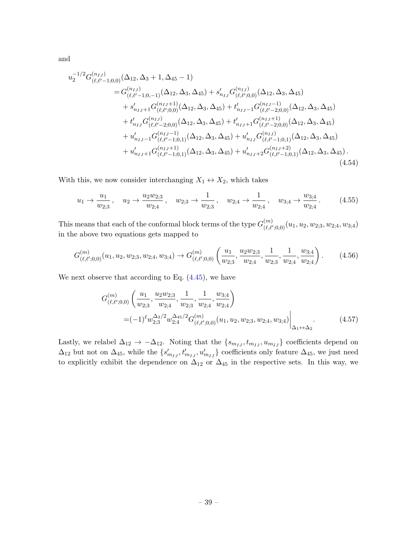and

$$
u_2^{-1/2} G_{(\ell,\ell'-1;0,0)}^{(n_{IJ})}(\Delta_{12}, \Delta_3 + 1, \Delta_{45} - 1)
$$
  
\n
$$
= G_{(\ell,\ell'-1;0,-1)}^{(n_{IJ})}(\Delta_{12}, \Delta_3, \Delta_{45}) + s'_{n_{IJ}} G_{(\ell,\ell';0,0)}^{(n_{IJ})}(\Delta_{12}, \Delta_3, \Delta_{45})
$$
  
\n
$$
+ s'_{n_{IJ}+1} G_{(\ell,\ell';0,0)}^{(n_{IJ}+1)}(\Delta_{12}, \Delta_3, \Delta_{45}) + t'_{n_{IJ}-1} G_{(\ell,\ell'-2;0,0)}^{(n_{IJ}-1)}(\Delta_{12}, \Delta_3, \Delta_{45})
$$
  
\n
$$
+ t'_{n_{IJ}} G_{(\ell,\ell'-2;0,0)}^{(n_{IJ})}(\Delta_{12}, \Delta_3, \Delta_{45}) + t'_{n_{IJ}+1} G_{(\ell,\ell'-2;0,0)}^{(n_{IJ}+1)}(\Delta_{12}, \Delta_3, \Delta_{45})
$$
  
\n
$$
+ u'_{n_{IJ}-1} G_{(\ell,\ell'-1;0,1)}^{(n_{IJ}-1)}(\Delta_{12}, \Delta_3, \Delta_{45}) + u'_{n_{IJ}} G_{(\ell,\ell'-1;0,1)}^{(n_{IJ})}(\Delta_{12}, \Delta_3, \Delta_{45})
$$
  
\n
$$
+ u'_{n_{IJ}+1} G_{(\ell,\ell'-1;0,1)}^{(n_{IJ}+1)}(\Delta_{12}, \Delta_3, \Delta_{45}) + u'_{n_{IJ}+2} G_{(\ell,\ell'-1;0,1)}^{(n_{IJ}+2)}(\Delta_{12}, \Delta_3, \Delta_{45}).
$$
  
\n(4.54)

With this, we now consider interchanging  $X_1 \leftrightarrow X_2$ , which takes

<span id="page-39-0"></span>
$$
u_1 \to \frac{u_1}{w_{2;3}}, \quad u_2 \to \frac{u_2 w_{2;3}}{w_{2;4}}, \quad w_{2;3} \to \frac{1}{w_{2;3}}, \quad w_{2;4} \to \frac{1}{w_{2;4}}, \quad w_{3;4} \to \frac{w_{3;4}}{w_{2;4}}.\tag{4.55}
$$

This means that each of the conformal block terms of the type  $G_{(\ell,\ell)}^{(m)}$  $\chi^{(m)}_{(\ell,\ell';0,0)}(u_1,u_2,w_{2;3},w_{2;4},w_{3;4})$ in the above two equations gets mapped to

$$
G_{(\ell,\ell';0,0)}^{(m)}(u_1, u_2, w_{2;3}, w_{2;4}, w_{3;4}) \to G_{(\ell,\ell';0,0)}^{(m)}\left(\frac{u_1}{w_{2;3}}, \frac{u_2w_{2;3}}{w_{2;4}}, \frac{1}{w_{2;3}}, \frac{1}{w_{2;4}}, \frac{w_{3;4}}{w_{2;4}}\right). \tag{4.56}
$$

We next observe that according to Eq.  $(4.45)$ , we have

$$
G_{(\ell,\ell',0,0)}^{(m)}\left(\frac{u_1}{w_{2;3}},\frac{u_2w_{2;3}}{w_{2;4}},\frac{1}{w_{2;3}},\frac{1}{w_{2;4}},\frac{w_{3;4}}{w_{2;4}}\right) = (-1)^{\ell}w_{2;3}^{2s/2}w_{2;4}^{245/2}G_{(\ell,\ell',0,0)}^{(m)}(u_1,u_2,w_{2;3},w_{2;4},w_{3;4})\Big|_{\Delta_1\leftrightarrow\Delta_2}.
$$
 (4.57)

Lastly, we relabel  $\Delta_{12} \rightarrow -\Delta_{12}$ . Noting that the  $\{s_{m_{IJ}}, t_{m_{IJ}}, u_{m_{IJ}}\}$  coefficients depend on  $\Delta_{12}$  but not on  $\Delta_{45}$ , while the  $\{s'_{m_{IJ}}, t'_{m_{IJ}}, u'_{m_{IJ}}\}$  coefficients only feature  $\Delta_{45}$ , we just need to explicitly exhibit the dependence on  $\Delta_{12}$  or  $\Delta_{45}$  in the respective sets. In this way, we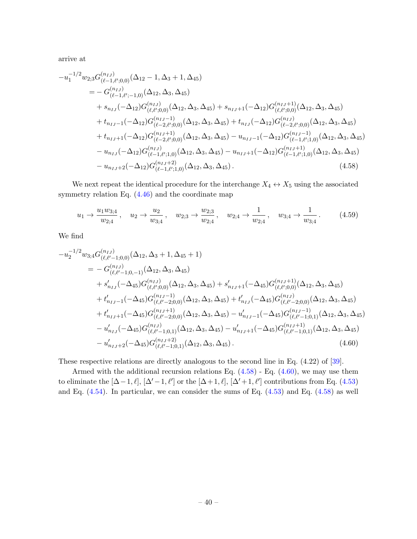arrive at

$$
-u_1^{-1/2}w_{2;3}G_{(\ell-1,\ell';0,0)}^{(n_{IJ})}(\Delta_{12}-1,\Delta_3+1,\Delta_{45})
$$
\n
$$
= -G_{(\ell-1,\ell';-1,0)}^{(n_{IJ})}(\Delta_{12},\Delta_3,\Delta_{45})
$$
\n
$$
+ s_{n_{IJ}}(-\Delta_{12})G_{(\ell,\ell';0,0)}^{(n_{IJ})}(\Delta_{12},\Delta_3,\Delta_{45}) + s_{n_{IJ}+1}(-\Delta_{12})G_{(\ell,\ell';0,0)}^{(n_{IJ}+1)}(\Delta_{12},\Delta_3,\Delta_{45})
$$
\n
$$
+ t_{n_{IJ}-1}(-\Delta_{12})G_{(\ell-2,\ell';0,0)}^{(n_{IJ}-1)}(\Delta_{12},\Delta_3,\Delta_{45}) + t_{n_{IJ}}(-\Delta_{12})G_{(\ell-2,\ell';0,0)}^{(n_{IJ})}(\Delta_{12},\Delta_3,\Delta_{45})
$$
\n
$$
+ t_{n_{IJ}+1}(-\Delta_{12})G_{(\ell-2,\ell';0,0)}^{(n_{IJ}+1)}(\Delta_{12})G_{(\ell-2,\ell';0,0)}^{(n_{IJ}-1)}(\Delta_{12})G_{(\ell-1,\ell';1,0)}^{(n_{IJ}-1)}(\Delta_{12},\Delta_3,\Delta_{45})
$$
\n
$$
- u_{n_{IJ}}(-\Delta_{12})G_{(\ell-1,\ell';1,0)}^{(n_{IJ})}(\Delta_{12},\Delta_3,\Delta_{45}) - u_{n_{IJ}+1}(-\Delta_{12})G_{(\ell-1,\ell';1,0)}^{(n_{IJ}+1)}(\Delta_{12},\Delta_3,\Delta_{45})
$$
\n
$$
- u_{n_{IJ}+2}(-\Delta_{12})G_{(\ell-1,\ell';1,0)}^{(n_{IJ}+2)}(\Delta_{12},\Delta_3,\Delta_{45}). \qquad (4.58)
$$

We next repeat the identical procedure for the interchange  $X_4 \leftrightarrow X_5$  using the associated symmetry relation Eq. [\(4.46\)](#page-37-3) and the coordinate map

<span id="page-40-0"></span>
$$
u_1 \to \frac{u_1 w_{3;4}}{w_{2;4}}, \quad u_2 \to \frac{u_2}{w_{3;4}}, \quad w_{2;3} \to \frac{w_{2;3}}{w_{2;4}}, \quad w_{2;4} \to \frac{1}{w_{2;4}}, \quad w_{3;4} \to \frac{1}{w_{3;4}}.
$$
 (4.59)

We find

$$
-u_2^{-1/2}w_{3;4}G_{(\ell,\ell'-1;0,0)}^{(n_{IJ})}(\Delta_{12},\Delta_3+1,\Delta_{45}+1)
$$
\n
$$
= -G_{(\ell,\ell'-1;0,-1)}^{(n_{IJ})}(\Delta_{12},\Delta_3,\Delta_{45})
$$
\n
$$
+ s'_{n_{IJ}}(-\Delta_{45})G_{(\ell,\ell';0,0)}^{(n_{IJ})}(\Delta_{12},\Delta_3,\Delta_{45}) + s'_{n_{IJ}+1}(-\Delta_{45})G_{(\ell,\ell';0,0)}^{(n_{IJ}+1)}(\Delta_{12},\Delta_3,\Delta_{45})
$$
\n
$$
+ t'_{n_{IJ}-1}(-\Delta_{45})G_{(\ell,\ell'-2;0,0)}^{(n_{IJ}-1)}(\Delta_{12},\Delta_3,\Delta_{45}) + t'_{n_{IJ}}(-\Delta_{45})G_{(\ell,\ell'-2;0,0)}^{(n_{IJ})}(\Delta_{12},\Delta_3,\Delta_{45})
$$
\n
$$
+ t'_{n_{IJ}+1}(-\Delta_{45})G_{(\ell,\ell'-2;0,0)}^{(n_{IJ}+1)}(\Delta_{12},\Delta_3,\Delta_{45}) - u'_{n_{IJ}-1}(-\Delta_{45})G_{(\ell,\ell'-1;0,1)}^{(n_{IJ}-1)}(\Delta_{12},\Delta_3,\Delta_{45})
$$
\n
$$
- u'_{n_{IJ}}(-\Delta_{45})G_{(\ell,\ell'-1;0,1)}^{(n_{IJ})}(\Delta_{12},\Delta_3,\Delta_{45}) - u'_{n_{IJ}+1}(-\Delta_{45})G_{(\ell,\ell'-1;0,1)}^{(n_{IJ}+1)}(\Delta_{12},\Delta_3,\Delta_{45})
$$
\n
$$
- u'_{n_{IJ}+2}(-\Delta_{45})G_{(\ell,\ell'-1;0,1)}^{(n_{IJ}+2)}(\Delta_{12},\Delta_3,\Delta_{45}). \qquad (4.60)
$$

<span id="page-40-1"></span>These respective relations are directly analogous to the second line in Eq. (4.22) of [\[39\]](#page-103-0).

Armed with the additional recursion relations Eq. [\(4.58\)](#page-40-0) - Eq. [\(4.60\)](#page-40-1), we may use them to eliminate the  $[\Delta - 1, \ell], [\Delta' - 1, \ell']$  or the  $[\Delta + 1, \ell], [\Delta' + 1, \ell']$  contributions from Eq. [\(4.53\)](#page-38-0) and Eq. [\(4.54\)](#page-39-0). In particular, we can consider the sums of Eq. [\(4.53\)](#page-38-0) and Eq. [\(4.58\)](#page-40-0) as well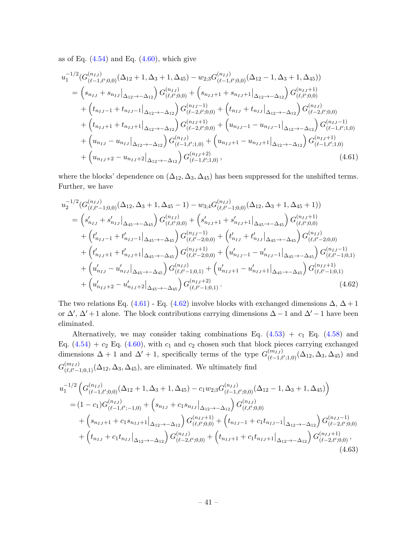as of Eq.  $(4.54)$  and Eq.  $(4.60)$ , which give

$$
u_1^{-1/2}(G_{(\ell-1,\ell';0,0)}^{(n_{IJ})}(\Delta_{12}+1,\Delta_3+1,\Delta_{45})-w_{2;3}G_{(\ell-1,\ell';0,0)}^{(n_{IJ})}(\Delta_{12}-1,\Delta_3+1,\Delta_{45}))
$$
\n
$$
=\left(s_{n_{IJ}}+s_{n_{IJ}}\big|_{\Delta_{12}\to-\Delta_{12}}\right)G_{(\ell,\ell';0,0)}^{(n_{IJ})}+\left(s_{n_{IJ}+1}+s_{n_{IJ}+1}\big|_{\Delta_{12}\to-\Delta_{12}}\right)G_{(\ell,\ell';0,0)}^{(n_{IJ}+1)} +\left(t_{n_{IJ}-1}+t_{n_{IJ}-1}\big|_{\Delta_{12}\to-\Delta_{12}}\right)G_{(\ell-2,\ell';0,0)}^{(n_{IJ}-1)} +\left(t_{n_{IJ}+1}+t_{n_{IJ}-1}\big|_{\Delta_{12}\to-\Delta_{12}}\right)G_{(\ell-2,\ell';0,0)}^{(n_{IJ}-1)} +\left(t_{n_{IJ}+1}+t_{n_{IJ}+1}\big|_{\Delta_{12}\to-\Delta_{12}}\right)G_{(\ell-2,\ell';0,0)}^{(n_{IJ}+1)} +\left(u_{n_{IJ}-1} - u_{n_{IJ}-1}\big|_{\Delta_{12}\to-\Delta_{12}}\right)G_{(\ell-1,\ell';1,0)}^{(n_{IJ}+1)} +\left(u_{n_{IJ}-1} - u_{n_{IJ}-1}\big|_{\Delta_{12}\to-\Delta_{12}}\right)G_{(\ell-1,\ell';1,0)}^{(n_{IJ}-1)} +\left(u_{n_{IJ}+2} - u_{n_{IJ}+2}\big|_{\Delta_{12}\to-\Delta_{12}}\right)G_{(\ell-1,\ell';1,0)}^{(n_{IJ}+1)},
$$
\n
$$
+ \left(u_{n_{IJ}+2} - u_{n_{IJ}+2}\big|_{\Delta_{12}\to-\Delta_{12}}\right)G_{(\ell-1,\ell';1,0)}^{(n_{IJ}+2)},
$$
\n(4.61)

where the blocks' dependence on  $(\Delta_{12}, \Delta_3, \Delta_{45})$  has been suppressed for the unshifted terms. Further, we have

<span id="page-41-0"></span>
$$
u_2^{-1/2} (G_{(\ell,\ell'-1;0,0)}^{(n_{IJ})}(\Delta_{12}, \Delta_3+1, \Delta_{45}-1) - w_{3;4} G_{(\ell,\ell'-1;0,0)}^{(n_{IJ})}(\Delta_{12}, \Delta_3+1, \Delta_{45}+1))
$$
\n
$$
= \left(s'_{n_{IJ}} + s'_{n_{IJ}}\right|_{\Delta_{45}\to-\Delta_{45}} G_{(\ell,\ell';0,0)}^{(n_{IJ})} + \left(s'_{n_{IJ}+1} + s'_{n_{IJ}+1}\right|_{\Delta_{45}\to-\Delta_{45}} G_{(\ell,\ell';0,0)}^{(n_{IJ}+1)} + \left(t'_{n_{IJ}-1} + t'_{n_{IJ}-1}\right|_{\Delta_{45}\to-\Delta_{45}} G_{(\ell,\ell'-2;0,0)}^{(n_{IJ}-1)} + \left(t'_{n_{IJ}+1} + t'_{n_{IJ}-1}\right|_{\Delta_{45}\to-\Delta_{45}} G_{(\ell,\ell'-2;0,0)}^{(n_{IJ}-1)} + \left(t'_{n_{IJ}+1} + t'_{n_{IJ}+1}\right|_{\Delta_{45}\to-\Delta_{45}} G_{(\ell,\ell'-2;0,0)}^{(n_{IJ}+1)} + \left(u'_{n_{IJ}-1} - u'_{n_{IJ}-1}\right|_{\Delta_{45}\to-\Delta_{45}} G_{(\ell,\ell'-1;0,1)}^{(n_{IJ}-1)} + \left(u'_{n_{IJ}-1} - u'_{n_{IJ}-1}\right|_{\Delta_{45}\to-\Delta_{45}} G_{(\ell,\ell'-1;0,1)}^{(n_{IJ}-1)} + \left(u'_{n_{IJ}-1} - u'_{n_{IJ}+1}\right|_{\Delta_{45}\to-\Delta_{45}} G_{(\ell,\ell'-1;0,1)}^{(n_{IJ}+1)} + \left(u'_{n_{IJ}+2} - u'_{n_{IJ}+2}\right|_{\Delta_{45}\to-\Delta_{45}} G_{(\ell,\ell'-1;0,1)}^{(n_{IJ}+2)}.
$$
\n(4.62)

<span id="page-41-1"></span>The two relations Eq. [\(4.61\)](#page-41-0) - Eq. [\(4.62\)](#page-41-1) involve blocks with exchanged dimensions  $\Delta, \Delta + 1$ or  $\Delta'$ ,  $\Delta'$  + 1 alone. The block contributions carrying dimensions  $\Delta - 1$  and  $\Delta' - 1$  have been eliminated.

Alternatively, we may consider taking combinations Eq.  $(4.53) + c_1$  Eq.  $(4.58)$  and Eq.  $(4.54) + c_2$  Eq.  $(4.60)$ , with  $c_1$  and  $c_2$  chosen such that block pieces carrying exchanged dimensions  $\Delta + 1$  and  $\Delta' + 1$ , specifically terms of the type  $G_{(\ell-1)}^{(m_{IJ})}$  $(\binom{(m_{IJ})}{(\ell-1,\ell';1,0)} (\Delta_{12}, \Delta_3, \Delta_{45})$  and  $G_{(\ell,\ell'-1;0,1)}^{(m_{IJ})}(\Delta_{12},\Delta_3,\Delta_{45}),$  are eliminated. We ultimately find

$$
u_1^{-1/2} \left( G^{(n_{IJ})}_{(\ell-1,\ell';0,0)}(\Delta_{12}+1,\Delta_3+1,\Delta_{45}) - c_1 w_{2;3} G^{(n_{IJ})}_{(\ell-1,\ell';0,0)}(\Delta_{12}-1,\Delta_3+1,\Delta_{45}) \right)
$$
  
=  $(1-c_1)G^{(n_{IJ})}_{(\ell-1,\ell';-1,0)} + \left( s_{n_{IJ}} + c_1 s_{n_{IJ}} \right)_{\Delta_{12} \to -\Delta_{12}} G^{(n_{IJ})}_{(\ell,\ell';0,0)} + \left( s_{n_{IJ}+1} + c_1 s_{n_{IJ}+1} \right)_{\Delta_{12} \to -\Delta_{12}} G^{(n_{IJ}+1)}_{(\ell,\ell';0,0)} + \left( t_{n_{IJ}-1} + c_1 t_{n_{IJ}-1} \right)_{\Delta_{12} \to -\Delta_{12}} G^{(n_{IJ}-1)}_{(\ell-2,\ell';0,0)} + \left( t_{n_{IJ}} + c_1 t_{n_{IJ}} \right)_{\Delta_{12} \to -\Delta_{12}} G^{(n_{IJ})}_{(\ell-2,\ell';0,0)} + \left( t_{n_{IJ}+1} + c_1 t_{n_{IJ}+1} \right)_{\Delta_{12} \to -\Delta_{12}} G^{(n_{IJ}+1)}_{(\ell-2,\ell';0,0)},$ (4.63)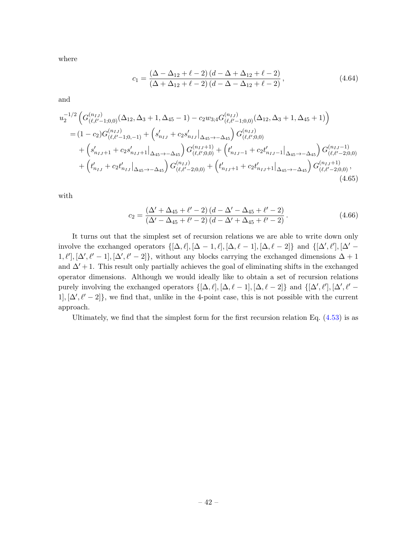where

$$
c_1 = \frac{(\Delta - \Delta_{12} + \ell - 2) (d - \Delta + \Delta_{12} + \ell - 2)}{(\Delta + \Delta_{12} + \ell - 2) (d - \Delta - \Delta_{12} + \ell - 2)},
$$
(4.64)

and

$$
u_2^{-1/2} \left( G^{(n_{IJ})}_{(\ell,\ell'-1;0,0)}(\Delta_{12},\Delta_3+1,\Delta_{45}-1) - c_2 w_{3;4} G^{(n_{IJ})}_{(\ell,\ell'-1;0,0)}(\Delta_{12},\Delta_3+1,\Delta_{45}+1) \right)
$$
  
=  $(1-c_2)G^{(n_{IJ})}_{(\ell,\ell'-1;0,-1)} + \left( s'_{n_{IJ}} + c_2 s'_{n_{IJ}} \right) \Delta_{45 \to -\Delta_{45}} G^{(n_{IJ})}_{(\ell,\ell';0,0)} + \left( s'_{n_{IJ}+1} + c_2 s'_{n_{IJ}+1} \right) \Delta_{45 \to -\Delta_{45}} G^{(n_{IJ}+1)}_{(\ell,\ell';0,0)} + \left( t'_{n_{IJ}-1} + c_2 t'_{n_{IJ}-1} \right) \Delta_{45 \to -\Delta_{45}} G^{(n_{IJ}-1)}_{(\ell,\ell'-2;0,0)} + \left( t'_{n_{IJ}} + c_2 t'_{n_{IJ}} \right) \Delta_{45 \to -\Delta_{45}} G^{(n_{IJ})}_{(\ell,\ell'-2;0,0)} + \left( t'_{n_{IJ}+1} + c_2 t'_{n_{IJ}+1} \right) \Delta_{45 \to -\Delta_{45}} G^{(n_{IJ}+1)}_{(\ell,\ell'-2;0,0)},$ (4.65)

with

$$
c_2 = \frac{(\Delta' + \Delta_{45} + \ell' - 2)(d - \Delta' - \Delta_{45} + \ell' - 2)}{(\Delta' - \Delta_{45} + \ell' - 2)(d - \Delta' + \Delta_{45} + \ell' - 2)}.
$$
\n(4.66)

It turns out that the simplest set of recursion relations we are able to write down only involve the exchanged operators  $\{[\Delta, \ell], [\Delta - 1, \ell], [\Delta, \ell - 1], [\Delta, \ell - 2]\}$  and  $\{[\Delta', \ell'], [\Delta' [1, \ell'], [\Delta', \ell' - 1], [\Delta', \ell' - 2] \},$  without any blocks carrying the exchanged dimensions  $\Delta + 1$ and  $\Delta'$  + 1. This result only partially achieves the goal of eliminating shifts in the exchanged operator dimensions. Although we would ideally like to obtain a set of recursion relations purely involving the exchanged operators  $\{[\Delta, \ell], [\Delta, \ell - 1], [\Delta, \ell - 2]\}$  and  $\{[\Delta', \ell'], [\Delta', \ell' 1, [\Delta', \ell' - 2]$ , we find that, unlike in the 4-point case, this is not possible with the current approach.

Ultimately, we find that the simplest form for the first recursion relation Eq.  $(4.53)$  is as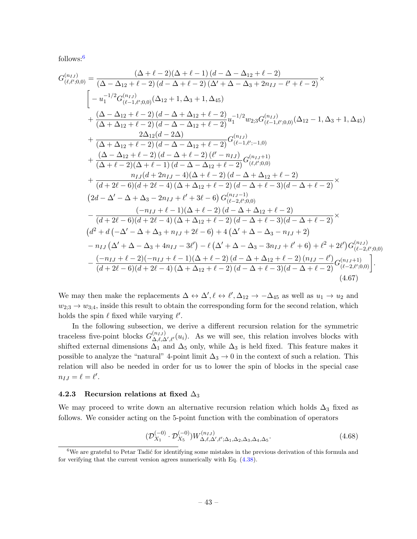follows:[6](#page-43-0)

$$
G_{(\ell,\ell';0,0)}^{(n_{IJ})} = \frac{(\Delta + \ell - 2)(\Delta + \ell - 1)(d - \Delta - \Delta_{12} + \ell - 2)}{(\Delta - \Delta_{12} + \ell - 2)(d - \Delta + \ell - 2)(\Delta' + \Delta - \Delta_{3} + 2n_{IJ} - \ell' + \ell - 2)} \times - u_1^{-1/2} G_{(\ell-1,\ell';0,0)}^{(n_{IJ})}(\Delta_{12} + 1, \Delta_3 + 1, \Delta_4 5) + \frac{(\Delta - \Delta_{12} + \ell - 2)(d - \Delta + \Delta_{12} + \ell - 2)}{(\Delta + \Delta_{12} + \ell - 2)(d - \Delta - \Delta_{12} + \ell - 2)} u_1^{-1/2} w_{2;3} G_{(\ell-1,\ell';0,0)}^{(n_{IJ})}(\Delta_{12} - 1, \Delta_3 + 1, \Delta_4 5) + \frac{2\Delta_{12}(d - 2\Delta)}{(\Delta + \Delta_{12} + \ell - 2)(d - \Delta - \Delta_{12} + \ell - 2)} G_{(\ell-1,\ell';-1,0)}^{(n_{IJ})} + \frac{(\Delta - \Delta_{12} + \ell - 2)(d - \Delta + \ell - 2)(\ell' - n_{IJ})}{(\Delta + \ell - 2)(\Delta + \ell - 1)(d - \Delta - \Delta_{12} + \ell - 2)} G_{(\ell,\ell';0,0)}^{(n_{IJ}+1)} + \frac{n_{IJ}(d + 2n_{IJ} - 4)(\Delta + \ell - 2)(d - \Delta + \Delta_{12} + \ell - 2)}{(d + 2\ell - 6)(d + 2\ell - 4)(\Delta + \Delta_{12} + \ell - 2)(d - \Delta + \ell - 3)(d - \Delta + \ell - 2)} \times (2d - \Delta' - \Delta + \Delta_3 - 2n_{IJ} + \ell' + 3\ell - 6) G_{(\ell-2;\ell';0,0)}^{(n_{IJ}-1)} - \frac{(-n_{IJ} + \ell - 1)(\Delta + \ell - 2)(d - \Delta + \ell - 3)(d - \Delta + \ell - 2)}{(d + 2\ell - 6)(d + 2\ell - 4)(\Delta + \Delta_{12} + \ell - 2)} \times (d^2 + d(-\Delta' - \Delta + \Delta_3 + n
$$

We may then make the replacements  $\Delta \leftrightarrow \Delta', \ell \leftrightarrow \ell', \Delta_{12} \to -\Delta_{45}$  as well as  $u_1 \to u_2$  and  $w_{2;3} \rightarrow w_{3;4}$ , inside this result to obtain the corresponding form for the second relation, which holds the spin  $\ell$  fixed while varying  $\ell'$ .

In the following subsection, we derive a different recursion relation for the symmetric traceless five-point blocks  $G_{\Lambda \ell \Lambda}^{(n_{IJ})}$  $\Delta_{\ell,\Delta',\ell'}^{(u_{IJ})}$ . As we will see, this relation involves blocks with shifted external dimensions  $\Delta_1$  and  $\Delta_5$  only, while  $\Delta_3$  is held fixed. This feature makes it possible to analyze the "natural" 4-point limit  $\Delta_3 \to 0$  in the context of such a relation. This relation will also be needed in order for us to lower the spin of blocks in the special case  $n_{IJ} = \ell = \ell'.$ 

### 4.2.3 Recursion relations at fixed  $\Delta_3$

We may proceed to write down an alternative recursion relation which holds  $\Delta_3$  fixed as follows. We consider acting on the 5-point function with the combination of operators

$$
(\mathcal{D}_{X_1}^{(-0)} \cdot \mathcal{D}_{X_5}^{(-0)}) W_{\Delta,\ell,\Delta',\ell';\Delta_1,\Delta_2,\Delta_3,\Delta_4,\Delta_5}^{(n_{IJ})}.
$$
 (4.68)

<span id="page-43-0"></span> $6$ We are grateful to Petar Tadić for identifying some mistakes in the previous derivation of this formula and for verifying that the current version agrees numerically with Eq. [\(4.38\)](#page-33-0).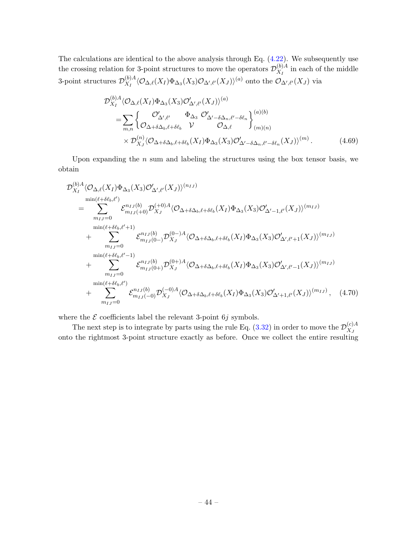The calculations are identical to the above analysis through Eq. [\(4.22\)](#page-29-0). We subsequently use the crossing relation for 3-point structures to move the operators  $\mathcal{D}_{X_{\tau}}^{(b)A}$  $\chi_I^{(0)A}$  in each of the middle 3-point structures  $\mathcal{D}_{X_r}^{(b)A}$  $\frac{\partial^{(b)}_A}{\partial X_I}(\mathcal{O}_{\Delta,\ell}(X_I)\Phi_{\Delta_3}(X_3)\mathcal{O}_{\Delta',\ell'}(X_J))^{(a)}$  onto the  $\mathcal{O}_{\Delta',\ell'}(X_J)$  via

$$
\mathcal{D}_{X_I}^{(b)A} \langle \mathcal{O}_{\Delta,\ell}(X_I) \Phi_{\Delta_3}(X_3) \mathcal{O}'_{\Delta',\ell'}(X_J) \rangle^{(a)} \n= \sum_{m,n} \left\{ \begin{matrix} \mathcal{O}'_{\Delta',\ell'} & \Phi_{\Delta_3} \ \mathcal{O}'_{\Delta'-\delta\Delta_n,\ell'-\delta\ell_n} & \mathcal{O}'_{(m)(n)} \end{matrix} \right\}^{(a)(b)}_{(m)(n)} \n\times \mathcal{D}_{X_J}^{(n)} \langle \mathcal{O}_{\Delta+\delta\Delta_b,\ell+\delta\ell_b}(X_I) \Phi_{\Delta_3}(X_3) \mathcal{O}'_{\Delta'-\delta\Delta_n,\ell'-\delta\ell_n}(X_J) \rangle^{(m)}.
$$
\n(4.69)

Upon expanding the  $n$  sum and labeling the structures using the box tensor basis, we obtain

$$
\mathcal{D}_{X_{I}}^{(b)A} \langle \mathcal{O}_{\Delta,\ell}(X_{I}) \Phi_{\Delta_{3}}(X_{3}) \mathcal{O}_{\Delta',\ell'}'(X_{J}) \rangle^{(n_{IJ})} \n= \sum_{m_{IJ}=0}^{\min(\ell+\delta\ell_{b},\ell')} \mathcal{E}_{m_{IJ}^{-1}(b)}^{n_{IJ}(b)} \mathcal{D}_{X_{J}}^{(+0)A} \langle \mathcal{O}_{\Delta+\delta\Delta_{b},\ell+\delta\ell_{b}}(X_{I}) \Phi_{\Delta_{3}}(X_{3}) \mathcal{O}_{\Delta'-1,\ell'}'(X_{J}) \rangle^{(m_{IJ})} \n+ \sum_{m_{IJ}=0}^{\min(\ell+\delta\ell_{b},\ell'+1)} \mathcal{E}_{m_{IJ}(0)}^{n_{IJ}(b)} \mathcal{D}_{X_{J}}^{(0)-)A} \langle \mathcal{O}_{\Delta+\delta\Delta_{b},\ell+\delta\ell_{b}}(X_{I}) \Phi_{\Delta_{3}}(X_{3}) \mathcal{O}_{\Delta',\ell'+1}^{'}(X_{J}) \rangle^{(m_{IJ})} \n+ \sum_{m_{IJ}=0}^{\min(\ell+\delta\ell_{b},\ell'-1)} \mathcal{E}_{m_{IJ}(0+)}^{n_{IJ}(b)} \mathcal{D}_{X_{J}}^{(0)+)A} \langle \mathcal{O}_{\Delta+\delta\Delta_{b},\ell+\delta\ell_{b}}(X_{I}) \Phi_{\Delta_{3}}(X_{3}) \mathcal{O}_{\Delta',\ell'-1}^{'}(X_{J}) \rangle^{(m_{IJ})} \n+ \sum_{m_{IJ}=0}^{\min(\ell+\delta\ell_{b},\ell')} \mathcal{E}_{m_{IJ}^{-1}(b)}^{n_{IJ}(b)} \mathcal{D}_{X_{J}}^{(-0)A} \langle \mathcal{O}_{\Delta+\delta\Delta_{b},\ell+\delta\ell_{b}}(X_{I}) \Phi_{\Delta_{3}}(X_{3}) \mathcal{O}_{\Delta'+1,\ell'}^{'}(X_{J}) \rangle^{(m_{IJ})}, \quad (4.70)
$$

where the  $\mathcal E$  coefficients label the relevant 3-point 6j symbols.

The next step is to integrate by parts using the rule Eq. [\(3.32\)](#page-23-0) in order to move the  $\mathcal{D}_{X}^{(c)A}$  $X_J$ onto the rightmost 3-point structure exactly as before. Once we collect the entire resulting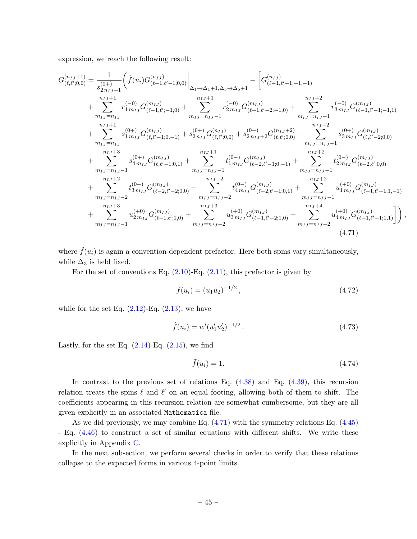expression, we reach the following result:

$$
\begin{split} G_{(\ell,\ell',0,0)}^{(n_{IJ}+1)} &= \frac{1}{s_{2n_{IJ}+1}^{(0+)}} \bigg( \tilde{f}(u_i) G_{(\ell-1,\ell'-1;0,0)}^{(n_{IJ})} \bigg|_{\Delta_1 \rightarrow \Delta_1 + 1, \Delta_5 \rightarrow \Delta_5 + 1} - \bigg[ G_{(\ell-1,\ell'-1;-1,-1)}^{(n_{IJ})} \\ & + \sum_{m_{IJ}=n_{IJ}}^{n_{IJ}+1} r_{1m_{IJ}}^{(-0)} G_{(\ell-1,\ell'-1;0,0)}^{(m_{IJ})} + \sum_{m_{IJ}=n_{IJ}-1}^{n_{IJ}+1} r_{2m_{IJ}}^{(-0)} G_{(\ell-1,\ell'-2;-1,0)}^{(m_{IJ})} + \sum_{m_{IJ}=n_{IJ}-1}^{n_{IJ}+2} r_{3m_{IJ}}^{(-0)} G_{(\ell-1,\ell'-1;-1,1)}^{(m_{IJ})} \\ & + \sum_{m_{IJ}=n_{IJ}}^{n_{IJ}+1} s_{1m_{IJ}}^{(0+)} G_{(\ell,\ell'-1;0,-1)}^{(m_{IJ})} + s_{2n_{IJ}}^{(0+)} G_{(\ell,\ell',0,0)}^{(n_{IJ})} + s_{2n_{IJ}+2}^{(0+)} G_{(\ell,\ell',0,0)}^{(n_{IJ})} + \sum_{m_{IJ}=n_{IJ}-1}^{n_{IJ}+2} s_{3m_{IJ}}^{(0+)} G_{(\ell,\ell'-2;0,0)}^{(m_{IJ})} \\ & + \sum_{m_{IJ}=n_{IJ}-1}^{n_{IJ}+3} s_{4m_{IJ}}^{(0+)} G_{(\ell,\ell'-1;0,1)}^{(m_{IJ})} + \sum_{m_{IJ}=n_{IJ}-1}^{n_{IJ}+1} t_{1m_{IJ}}^{(0-)} G_{(\ell-2,\ell'-1;0,-1)}^{(m_{IJ})} + \sum_{m_{IJ}=n_{IJ}-1}^{n_{IJ}+2} t_{2m_{IJ}}^{(0-)} G_{(\ell-2,\ell',0,0)}^{(m_{IJ})} \\ & + \sum_{m_{IJ}=n_{IJ}-2}^{n_{IJ}+3} t_{3m_{IJ}}^{(0-)} G_{(\ell-2,\ell'-2;0,0)}^{(m_{IJ})} + \sum_{m_{IJ}=n_{IJ}-2}^{n_{IJ}+3} t_{4m_{IJ}}^{(0-)} G_{(\ell-1,\ell'-2;1,0)}^{(m_{IJ})} +
$$

where  $\tilde{f}(u_i)$  is again a convention-dependent prefactor. Here both spins vary simultaneously, while  $\Delta_3$  is held fixed.

For the set of conventions Eq.  $(2.10)$ -Eq.  $(2.11)$ , this prefactor is given by

<span id="page-45-0"></span>
$$
\tilde{f}(u_i) = (u_1 u_2)^{-1/2},\tag{4.72}
$$

while for the set Eq.  $(2.12)$ -Eq.  $(2.13)$ , we have

$$
\tilde{f}(u_i) = w'(u'_1 u'_2)^{-1/2} \,. \tag{4.73}
$$

Lastly, for the set Eq.  $(2.14)$ -Eq.  $(2.15)$ , we find

$$
\tilde{f}(u_i) = 1.\tag{4.74}
$$

In contrast to the previous set of relations Eq. [\(4.38\)](#page-33-0) and Eq. [\(4.39\)](#page-34-0), this recursion relation treats the spins  $\ell$  and  $\ell'$  on an equal footing, allowing both of them to shift. The coefficients appearing in this recursion relation are somewhat cumbersome, but they are all given explicitly in an associated Mathematica file.

As we did previously, we may combine Eq. [\(4.71\)](#page-45-0) with the symmetry relations Eq. [\(4.45\)](#page-37-2) - Eq. [\(4.46\)](#page-37-3) to construct a set of similar equations with different shifts. We write these explicitly in Appendix [C.](#page-83-0)

In the next subsection, we perform several checks in order to verify that these relations collapse to the expected forms in various 4-point limits.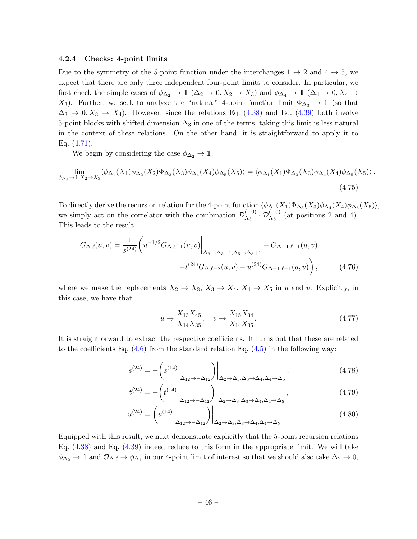## 4.2.4 Checks: 4-point limits

Due to the symmetry of the 5-point function under the interchanges  $1 \leftrightarrow 2$  and  $4 \leftrightarrow 5$ , we expect that there are only three independent four-point limits to consider. In particular, we first check the simple cases of  $\phi_{\Delta_2} \to 1 \ (\Delta_2 \to 0, X_2 \to X_3)$  and  $\phi_{\Delta_4} \to 1 \ (\Delta_4 \to 0, X_4 \to \mathbb{R})$ X<sub>3</sub>). Further, we seek to analyze the "natural" 4-point function limit  $\Phi_{\Delta_3} \to \mathbb{1}$  (so that  $\Delta_3 \rightarrow 0, X_3 \rightarrow X_4$ . However, since the relations Eq. [\(4.38\)](#page-33-0) and Eq. [\(4.39\)](#page-34-0) both involve 5-point blocks with shifted dimension  $\Delta_3$  in one of the terms, taking this limit is less natural in the context of these relations. On the other hand, it is straightforward to apply it to Eq.  $(4.71)$ .

We begin by considering the case  $\phi_{\Delta_2} \to \mathbb{1}$ :

$$
\lim_{\phi_{\Delta_2} \to 1, X_2 \to X_3} \langle \phi_{\Delta_1}(X_1) \phi_{\Delta_2}(X_2) \Phi_{\Delta_3}(X_3) \phi_{\Delta_4}(X_4) \phi_{\Delta_5}(X_5) \rangle = \langle \phi_{\Delta_1}(X_1) \Phi_{\Delta_3}(X_3) \phi_{\Delta_4}(X_4) \phi_{\Delta_5}(X_5) \rangle.
$$
\n(4.75)

To directly derive the recursion relation for the 4-point function  $\langle \phi_{\Delta_1}(X_1)\Phi_{\Delta_3}(X_3)\phi_{\Delta_4}(X_4)\phi_{\Delta_5}(X_5)\rangle$ , we simply act on the correlator with the combination  $\mathcal{D}_{X_2}^{(-0)}$  $\mathcal{D}_{X_3}^{(-0)}$  ·  $\mathcal{D}_{X_5}^{(-0)}$  (at positions 2 and 4). This leads to the result

$$
G_{\Delta,\ell}(u,v) = \frac{1}{s^{(24)}} \left( u^{-1/2} G_{\Delta,\ell-1}(u,v) \Big|_{\Delta_3 \to \Delta_3 + 1, \Delta_5 \to \Delta_5 + 1} - G_{\Delta-1,\ell-1}(u,v) - t^{(24)} G_{\Delta,\ell-2}(u,v) - u^{(24)} G_{\Delta+1,\ell-1}(u,v) \right),
$$
(4.76)

where we make the replacements  $X_2 \to X_3$ ,  $X_3 \to X_4$ ,  $X_4 \to X_5$  in u and v. Explicitly, in this case, we have that

<span id="page-46-0"></span>
$$
u \to \frac{X_{13}X_{45}}{X_{14}X_{35}}, \quad v \to \frac{X_{15}X_{34}}{X_{14}X_{35}}.\tag{4.77}
$$

It is straightforward to extract the respective coefficients. It turns out that these are related to the coefficients Eq.  $(4.6)$  from the standard relation Eq.  $(4.5)$  in the following way:

$$
s^{(24)} = -\left(s^{(14)}\bigg|_{\Delta_{12}\to-\Delta_{12}}\right)\bigg|_{\Delta_{2}\to\Delta_{3},\Delta_{3}\to\Delta_{4},\Delta_{4}\to\Delta_{5}},\tag{4.78}
$$

$$
t^{(24)} = -\left(t^{(14)}\bigg|_{\Delta_{12} \to -\Delta_{12}}\right)\bigg|_{\Delta_2 \to \Delta_3, \Delta_3 \to \Delta_4, \Delta_4 \to \Delta_5},\tag{4.79}
$$

$$
u^{(24)} = \left(u^{(14)}\Big|_{\Delta_{12} \to -\Delta_{12}}\right)\Big|_{\Delta_2 \to \Delta_3, \Delta_3 \to \Delta_4, \Delta_4 \to \Delta_5}.
$$
 (4.80)

Equipped with this result, we next demonstrate explicitly that the 5-point recursion relations Eq. [\(4.38\)](#page-33-0) and Eq. [\(4.39\)](#page-34-0) indeed reduce to this form in the appropriate limit. We will take  $\phi_{\Delta_2} \to \mathbb{1}$  and  $\mathcal{O}_{\Delta,\ell} \to \phi_{\Delta_1}$  in our 4-point limit of interest so that we should also take  $\Delta_2 \to 0$ ,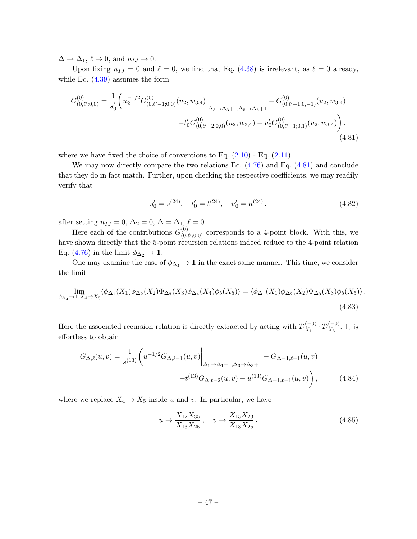$\Delta \to \Delta_1, \, \ell \to 0$ , and  $n_{IJ} \to 0$ .

Upon fixing  $n_{IJ} = 0$  and  $\ell = 0$ , we find that Eq. [\(4.38\)](#page-33-0) is irrelevant, as  $\ell = 0$  already, while Eq. [\(4.39\)](#page-34-0) assumes the form

$$
G_{(0,\ell',0,0)}^{(0)} = \frac{1}{s_0'} \left( u_2^{-1/2} G_{(0,\ell'-1;0,0)}^{(0)}(u_2, w_{3;4}) \Big|_{\Delta_3 \to \Delta_3 + 1, \Delta_5 \to \Delta_5 + 1} - G_{(0,\ell'-1;0,-1)}^{(0)}(u_2, w_{3;4}) - t_0' G_{(0,\ell'-2;0,0)}^{(0)}(u_2, w_{3;4}) - u_0' G_{(0,\ell'-1;0,1)}^{(0)}(u_2, w_{3;4}) \right),
$$
\n(4.81)

where we have fixed the choice of conventions to Eq.  $(2.10)$  - Eq.  $(2.11)$ .

We may now directly compare the two relations Eq. [\(4.76\)](#page-46-0) and Eq. [\(4.81\)](#page-47-0) and conclude that they do in fact match. Further, upon checking the respective coefficients, we may readily verify that

<span id="page-47-0"></span>
$$
s'_0 = s^{(24)}, \quad t'_0 = t^{(24)}, \quad u'_0 = u^{(24)}, \tag{4.82}
$$

after setting  $n_{IJ} = 0$ ,  $\Delta_2 = 0$ ,  $\Delta = \Delta_{1}$ ,  $\ell = 0$ .

Here each of the contributions  $G_{(0)}^{(0)}$  ${}_{(0,\ell',0,0)}^{(0)}$  corresponds to a 4-point block. With this, we have shown directly that the 5-point recursion relations indeed reduce to the 4-point relation Eq. [\(4.76\)](#page-46-0) in the limit  $\phi_{\Delta_2} \to \mathbb{1}$ .

One may examine the case of  $\phi_{\Delta_4} \to \mathbb{1}$  in the exact same manner. This time, we consider the limit

$$
\lim_{\phi_{\Delta_4} \to 1, X_4 \to X_3} \langle \phi_{\Delta_1}(X_1) \phi_{\Delta_2}(X_2) \Phi_{\Delta_3}(X_3) \phi_{\Delta_4}(X_4) \phi_5(X_5) \rangle = \langle \phi_{\Delta_1}(X_1) \phi_{\Delta_2}(X_2) \Phi_{\Delta_3}(X_3) \phi_5(X_5) \rangle.
$$
\n(4.83)

Here the associated recursion relation is directly extracted by acting with  $\mathcal{D}_{X_1}^{(-0)}$  $\chi_1^{(-0)} \cdot \mathcal{D}_{X_3}^{(-0)}$ . It is effortless to obtain

$$
G_{\Delta,\ell}(u,v) = \frac{1}{s^{(13)}} \left( u^{-1/2} G_{\Delta,\ell-1}(u,v) \Big|_{\Delta_1 \to \Delta_1 + 1, \Delta_3 \to \Delta_3 + 1} - G_{\Delta-1,\ell-1}(u,v) - t^{(13)} G_{\Delta,\ell-2}(u,v) - u^{(13)} G_{\Delta+1,\ell-1}(u,v) \right),
$$
(4.84)

where we replace  $X_4 \to X_5$  inside u and v. In particular, we have

<span id="page-47-1"></span>
$$
u \to \frac{X_{12}X_{35}}{X_{13}X_{25}}, \quad v \to \frac{X_{15}X_{23}}{X_{13}X_{25}}.
$$
\n(4.85)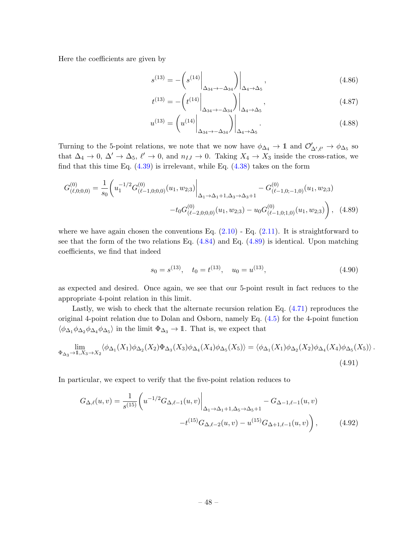Here the coefficients are given by

$$
s^{(13)} = -\left(s^{(14)}\bigg|_{\Delta_{34}\to -\Delta_{34}}\right)\bigg|_{\Delta_4\to\Delta_5},\tag{4.86}
$$

$$
t^{(13)} = -\left(t^{(14)}\bigg|_{\Delta_{34}\to -\Delta_{34}}\right)\bigg|_{\Delta_4\to\Delta_5},\tag{4.87}
$$

$$
u^{(13)} = \left(u^{(14)}\Big|_{\Delta_{34}\to -\Delta_{34}}\right)\Big|_{\Delta_4\to\Delta_5}.\tag{4.88}
$$

Turning to the 5-point relations, we note that we now have  $\phi_{\Delta_4} \to 1$  and  $\mathcal{O}'_{\Delta',\ell'} \to \phi_{\Delta_5}$  so that  $\Delta_4 \to 0$ ,  $\Delta' \to \Delta_5$ ,  $\ell' \to 0$ , and  $n_{IJ} \to 0$ . Taking  $X_4 \to X_3$  inside the cross-ratios, we find that this time Eq.  $(4.39)$  is irrelevant, while Eq.  $(4.38)$  takes on the form

$$
G_{(\ell,0;0,0)}^{(0)} = \frac{1}{s_0} \left( u_1^{-1/2} G_{(\ell-1,0;0,0)}^{(0)}(u_1, w_{2;3}) \Big|_{\Delta_1 \to \Delta_1 + 1, \Delta_3 \to \Delta_3 + 1} - G_{(\ell-1,0;-1,0)}^{(0)}(u_1, w_{2;3}) - t_0 G_{(\ell-2,0;0,0)}^{(0)}(u_1, w_{2;3}) - u_0 G_{(\ell-1,0;1,0)}^{(0)}(u_1, w_{2;3}) \right), \quad (4.89)
$$

where we have again chosen the conventions Eq.  $(2.10)$  - Eq.  $(2.11)$ . It is straightforward to see that the form of the two relations Eq.  $(4.84)$  and Eq.  $(4.89)$  is identical. Upon matching coefficients, we find that indeed

<span id="page-48-1"></span><span id="page-48-0"></span>
$$
s_0 = s^{(13)}, \quad t_0 = t^{(13)}, \quad u_0 = u^{(13)}, \tag{4.90}
$$

as expected and desired. Once again, we see that our 5-point result in fact reduces to the appropriate 4-point relation in this limit.

Lastly, we wish to check that the alternate recursion relation Eq. [\(4.71\)](#page-45-0) reproduces the original 4-point relation due to Dolan and Osborn, namely Eq. [\(4.5\)](#page-25-1) for the 4-point function  $\langle \phi_{\Delta_1} \phi_{\Delta_2} \phi_{\Delta_4} \phi_{\Delta_5} \rangle$  in the limit  $\Phi_{\Delta_3} \to \mathbb{1}$ . That is, we expect that

$$
\lim_{\Phi_{\Delta_3} \to 1, X_3 \to X_2} \langle \phi_{\Delta_1}(X_1) \phi_{\Delta_2}(X_2) \Phi_{\Delta_3}(X_3) \phi_{\Delta_4}(X_4) \phi_{\Delta_5}(X_5) \rangle = \langle \phi_{\Delta_1}(X_1) \phi_{\Delta_2}(X_2) \phi_{\Delta_4}(X_4) \phi_{\Delta_5}(X_5) \rangle.
$$
\n(4.91)

In particular, we expect to verify that the five-point relation reduces to

$$
G_{\Delta,\ell}(u,v) = \frac{1}{s^{(15)}} \left( u^{-1/2} G_{\Delta,\ell-1}(u,v) \Big|_{\Delta_1 \to \Delta_1 + 1, \Delta_5 \to \Delta_5 + 1} - G_{\Delta-1,\ell-1}(u,v) - t^{(15)} G_{\Delta,\ell-2}(u,v) - u^{(15)} G_{\Delta+1,\ell-1}(u,v) \right),
$$
(4.92)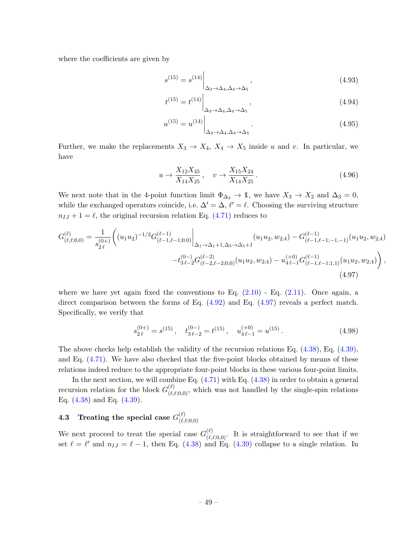where the coefficients are given by

$$
s^{(15)} = s^{(14)} \Big|_{\Delta_3 \to \Delta_4, \Delta_4 \to \Delta_5},
$$
\n(4.93)

$$
t^{(15)} = t^{(14)} \Big|_{\Delta_3 \to \Delta_4, \Delta_4 \to \Delta_5}, \tag{4.94}
$$

$$
u^{(15)} = u^{(14)} \Big|_{\Delta_3 \to \Delta_4, \Delta_4 \to \Delta_5}.
$$
 (4.95)

Further, we make the replacements  $X_3 \to X_4, X_4 \to X_5$  inside u and v. In particular, we have

<span id="page-49-0"></span>
$$
u \to \frac{X_{12}X_{45}}{X_{14}X_{25}}, \quad v \to \frac{X_{15}X_{24}}{X_{14}X_{25}}.
$$
\n(4.96)

We next note that in the 4-point function limit  $\Phi_{\Delta_3} \to \mathbb{1}$ , we have  $X_3 \to X_2$  and  $\Delta_3 = 0$ , while the exchanged operators coincide, i.e.  $\Delta' = \Delta$ ,  $\ell' = \ell$ . Choosing the surviving structure  $n_{IJ} + 1 = \ell$ , the original recursion relation Eq. [\(4.71\)](#page-45-0) reduces to

$$
G_{(\ell,\ell;0,0)}^{(\ell)} = \frac{1}{s_{2\ell}^{(0+)}} \bigg( (u_1 u_2)^{-1/2} G_{(\ell-1,\ell-1;0,0)}^{(\ell-1)} \bigg|_{\Delta_1 \to \Delta_1 + 1, \Delta_5 \to \Delta_5 + 1} (u_1 u_2, w_{2;4}) - G_{(\ell-1,\ell-1;-1,-1)}^{(\ell-1)} (u_1 u_2, w_{2;4}) - t_{3\ell-2}^{(0-)} G_{(\ell-2,\ell-2;0,0)}^{(\ell-2)} (u_1 u_2, w_{2;4}) - u_{4\ell-1}^{(+0)} G_{(\ell-1,\ell-1;1,1)}^{(\ell-1)} (u_1 u_2, w_{2;4}) \bigg), \tag{4.97}
$$

where we have yet again fixed the conventions to Eq.  $(2.10)$  - Eq.  $(2.11)$ . Once again, a direct comparison between the forms of Eq.  $(4.92)$  and Eq.  $(4.97)$  reveals a perfect match. Specifically, we verify that

$$
s_{2\ell}^{(0+)} = s^{(15)}, \quad t_{3\ell-2}^{(0-)} = t^{(15)}, \quad u_{4\ell-1}^{(+0)} = u^{(15)}.
$$
 (4.98)

The above checks help establish the validity of the recursion relations Eq. [\(4.38\)](#page-33-0), Eq. [\(4.39\)](#page-34-0), and Eq. [\(4.71\)](#page-45-0). We have also checked that the five-point blocks obtained by means of these relations indeed reduce to the appropriate four-point blocks in these various four-point limits.

In the next section, we will combine Eq.  $(4.71)$  with Eq.  $(4.38)$  in order to obtain a general recursion relation for the block  $G_{(\ell,\ell;0,0)}^{(\ell)}$ , which was not handled by the single-spin relations Eq. [\(4.38\)](#page-33-0) and Eq. [\(4.39\)](#page-34-0).

#### 4.3 Treating the special case  $G_{(\ell)}^{(\ell)}$  $(\ell,\ell;0,0)$

We next proceed to treat the special case  $G_{(\ell,\ell;0,0)}^{(\ell)}$ . It is straightforward to see that if we set  $\ell = \ell'$  and  $n_{IJ} = \ell - 1$ , then Eq. [\(4.38\)](#page-33-0) and Eq. [\(4.39\)](#page-34-0) collapse to a single relation. In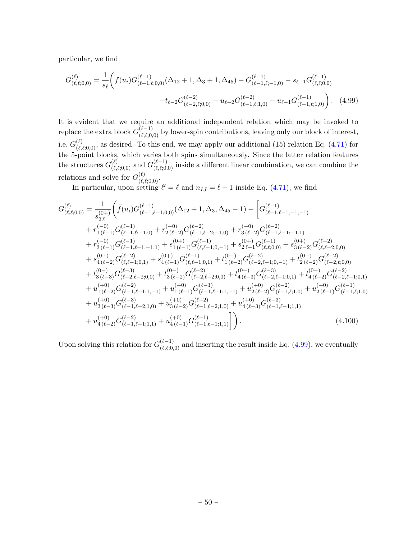particular, we find

<span id="page-50-0"></span>
$$
G_{(\ell,\ell,0,0)}^{(\ell)} = \frac{1}{s_{\ell}} \bigg( f(u_i) G_{(\ell-1,\ell,0,0)}^{(\ell-1)}(\Delta_{12} + 1, \Delta_3 + 1, \Delta_{45}) - G_{(\ell-1,\ell;-1,0)}^{(\ell-1)} - s_{\ell-1} G_{(\ell,\ell,0,0)}^{(\ell-1)} - t_{\ell-2} G_{(\ell-2,\ell,0,0)}^{(\ell-2)} - u_{\ell-2} G_{(\ell-1,\ell;1,0)}^{(\ell-2)} - u_{\ell-1} G_{(\ell-1,\ell;1,0)}^{(\ell-1)} \bigg). \tag{4.99}
$$

It is evident that we require an additional independent relation which may be invoked to replace the extra block  $G_{(\ell,\ell;0,0)}^{(\ell-1)}$  by lower-spin contributions, leaving only our block of interest, i.e.  $G_{(\ell,\ell;0,0)}^{(\ell)}$ , as desired. To this end, we may apply our additional (15) relation Eq. [\(4.71\)](#page-45-0) for the 5-point blocks, which varies both spins simultaneously. Since the latter relation features the structures  $G_{(\ell,\ell;0,0)}^{(\ell)}$  and  $G_{(\ell,\ell;0,0)}^{(\ell-1)}$  inside a different linear combination, we can combine the relations and solve for  $G_{(\ell,\ell;0,0)}^{(\ell)}$ .

In particular, upon setting  $\ell' = \ell$  and  $n_{IJ} = \ell - 1$  inside Eq. [\(4.71\)](#page-45-0), we find

$$
G_{(\ell,\ell;0,0)}^{(\ell)} = \frac{1}{s_{2\ell}^{(0+)}} \Big( \tilde{f}(u_i) G_{(\ell-1,\ell-1;0,0)}^{(\ell-1)}(\Delta_{12} + 1, \Delta_3, \Delta_{45} - 1) - \left[ G_{(\ell-1,\ell-1;-1,-1)}^{(\ell-1)} + r_{1(\ell-1)}^{(-0)} G_{(\ell-1,\ell-1;0,0)}^{(\ell-1)} + r_{2(\ell-1,0)}^{(-0)} G_{(\ell-1,\ell-2;-1,0)}^{(\ell-2)} + r_{3(\ell-2)}^{(-0)} G_{(\ell-1,\ell-1;-1,1)}^{(\ell-1)} + r_{3(\ell-1)}^{(-0)} G_{(\ell-1,\ell-1;-1,1)}^{(\ell-1)} + s_{1(\ell-1)}^{(0+)} G_{(\ell,\ell-1;0,-1)}^{(\ell-1)} + s_{2\ell-1}^{(0+)} G_{(\ell,\ell;0,0)}^{(\ell-1)} + s_{3(\ell-2)}^{(0+)} G_{(\ell,\ell-2;0,0)}^{(\ell-2)} + s_{4(\ell-2)}^{(0+)} G_{(\ell,\ell-1;0,1)}^{(\ell-1)} + s_{4(\ell-1)}^{(0+)} G_{(\ell,\ell-1;0,1)}^{(\ell-1)} + t_{1(\ell-2)}^{(0-)} G_{(\ell-2,\ell-1;0,-1)}^{(\ell-2)} + t_{2(\ell-2)}^{(0-)} G_{(\ell-2,\ell;0,0)}^{(\ell-3)} + t_{3(\ell-3)}^{(0-)} G_{(\ell-3,0)}^{(\ell-3)} + t_{3(\ell-3)}^{(0-)} G_{(\ell-2,\ell-2;0,0)}^{(\ell-3)} + t_{3(\ell-2)}^{(0-)} G_{(\ell-2,\ell-2;0,0)}^{(\ell-3)} + t_{3(\ell-2)}^{(0-)} G_{(\ell-1,\ell-1;1,-1)}^{(-1)} + u_{1(\ell-1)}^{(+0)} G_{(\ell-1,\ell-1;1,-1)}^{(-1)} + u_{1(\ell-2)}^{(+0)} G_{(\ell-1,\ell;1,0)}^{(-2)} + u_{3(\ell-3)}^{(+0)} G_{(\ell-1,\ell-1;1,-1)}^{(-1)} + u_{3(\ell-3)}^{(+0)} G_{(\ell-1,\ell-1;1,1)}^{(-1)} + u_{4(\ell-2)}^{(+0)} G_{(\ell
$$

Upon solving this relation for  $G_{(\ell,\ell;0,0)}^{(\ell-1)}$  and inserting the result inside Eq. [\(4.99\)](#page-50-0), we eventually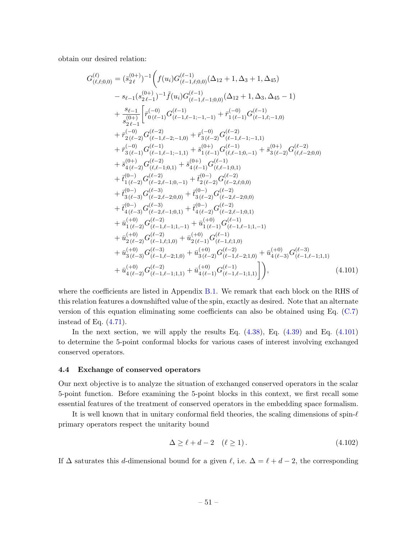obtain our desired relation:

$$
G_{(\ell,\ell;0,0)}^{(\ell)} = (\bar{s}_{2\ell}^{(0+)})^{-1} \Big( f(u_i) G_{(\ell-1,\ell;0,0)}^{(\ell-1)} (\Delta_{12} + 1, \Delta_3 + 1, \Delta_4 5) - s_{\ell-1} (s_{2\ell-1}^{(0+)})^{-1} \tilde{f}(u_i) G_{(\ell-1,\ell-1;0,0)}^{(\ell-1)} (\Delta_{12} + 1, \Delta_3, \Delta_4 5 - 1) + \frac{s_{\ell-1}}{s_{2\ell-1}} \Big[ \bar{r}_{0(\ell-1)}^{(-0)} G_{(\ell-1,\ell-1;-1,-1)}^{(\ell-1)} + \bar{r}_{1(\ell-1)}^{(-0)} G_{(\ell-1,\ell;-1,0)}^{(\ell-1)} + \bar{r}_{2(\ell-2)}^{(-0)} G_{(\ell-1,\ell-2;-1,0)}^{(\ell-2)} + \bar{r}_{3(\ell-2)}^{(-0)} G_{(\ell-1,\ell-1;-1,1)}^{(\ell-1)} + \bar{r}_{3(\ell-1)}^{(-0)} G_{(\ell-1,\ell-1;-1,1)}^{(\ell-1)} + \bar{s}_{1(\ell-1)}^{(0+)} G_{(\ell,\ell-1;0,-1)}^{(\ell-1)} + \bar{s}_{3(\ell-2)}^{(0+)} G_{(\ell,\ell-2;0,0)}^{(\ell-2)} + \bar{s}_{4(\ell-2)}^{(-0)} G_{(\ell,\ell-1;0,1)}^{(\ell-1)} + \bar{s}_{4(\ell-1)}^{(0+)} G_{(\ell,\ell-1;0,1)}^{(\ell-1)} + \bar{s}_{4(\ell-2)}^{(-0)} G_{(\ell-2,\ell-1;0,1)}^{(\ell-2)} + \bar{s}_{4(\ell-1)}^{(-0)} G_{(\ell-2;0,0)}^{(\ell-2)} + \bar{t}_{1(\ell-2)}^{(0-)} G_{(\ell-2,\ell-1;0,-1)}^{(-1)} + \bar{t}_{2(\ell-2)}^{(0-)} G_{(\ell-2,\ell-2;0,0)}^{(\ell-2)} + \bar{t}_{3(\ell-3)}^{(0-)} G_{(\ell-3,\ell-2;0,0)}^{(\ell-3)} + \bar{t}_{3(\ell-2)}^{(0-)} G_{(\ell-2,\ell-2;0,0)}^{(\ell-2)} + \bar{t}_{4(\ell-3)}^{(0-)}
$$

where the coefficients are listed in Appendix [B.1.](#page-82-0) We remark that each block on the RHS of this relation features a downshifted value of the spin, exactly as desired. Note that an alternate version of this equation eliminating some coefficients can also be obtained using Eq. [\(C.7\)](#page-87-0) instead of Eq.  $(4.71)$ .

In the next section, we will apply the results Eq.  $(4.38)$ , Eq.  $(4.39)$  and Eq.  $(4.101)$ to determine the 5-point conformal blocks for various cases of interest involving exchanged conserved operators.

## 4.4 Exchange of conserved operators

Our next objective is to analyze the situation of exchanged conserved operators in the scalar 5-point function. Before examining the 5-point blocks in this context, we first recall some essential features of the treatment of conserved operators in the embedding space formalism.

It is well known that in unitary conformal field theories, the scaling dimensions of spin- $\ell$ primary operators respect the unitarity bound

<span id="page-51-0"></span>
$$
\Delta \ge \ell + d - 2 \quad (\ell \ge 1). \tag{4.102}
$$

If  $\Delta$  saturates this d-dimensional bound for a given  $\ell$ , i.e.  $\Delta = \ell + d - 2$ , the corresponding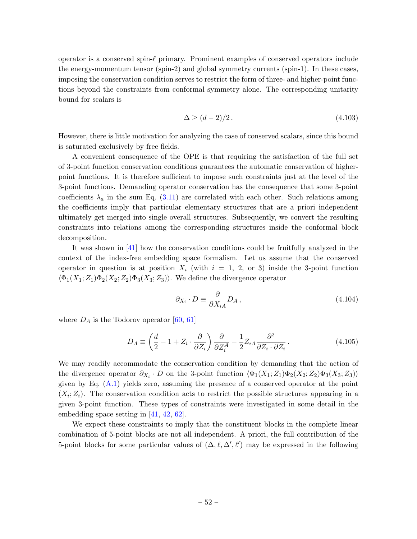operator is a conserved spin- $\ell$  primary. Prominent examples of conserved operators include the energy-momentum tensor (spin-2) and global symmetry currents (spin-1). In these cases, imposing the conservation condition serves to restrict the form of three- and higher-point functions beyond the constraints from conformal symmetry alone. The corresponding unitarity bound for scalars is

$$
\Delta \ge (d-2)/2. \tag{4.103}
$$

However, there is little motivation for analyzing the case of conserved scalars, since this bound is saturated exclusively by free fields.

A convenient consequence of the OPE is that requiring the satisfaction of the full set of 3-point function conservation conditions guarantees the automatic conservation of higherpoint functions. It is therefore sufficient to impose such constraints just at the level of the 3-point functions. Demanding operator conservation has the consequence that some 3-point coefficients  $\lambda_a$  in the sum Eq. [\(3.11\)](#page-17-0) are correlated with each other. Such relations among the coefficients imply that particular elementary structures that are a priori independent ultimately get merged into single overall structures. Subsequently, we convert the resulting constraints into relations among the corresponding structures inside the conformal block decomposition.

It was shown in [\[41\]](#page-103-1) how the conservation conditions could be fruitfully analyzed in the context of the index-free embedding space formalism. Let us assume that the conserved operator in question is at position  $X_i$  (with  $i = 1, 2, \text{ or } 3$ ) inside the 3-point function  $\langle \Phi_1(X_1; Z_1) \Phi_2(X_2; Z_2) \Phi_3(X_3; Z_3) \rangle$ . We define the divergence operator

<span id="page-52-0"></span>
$$
\partial_{X_i} \cdot D \equiv \frac{\partial}{\partial X_{iA}} D_A, \qquad (4.104)
$$

where  $D_A$  is the Todorov operator [\[60,](#page-104-0) [61\]](#page-104-1)

$$
D_A \equiv \left(\frac{d}{2} - 1 + Z_i \cdot \frac{\partial}{\partial Z_i}\right) \frac{\partial}{\partial Z_i^A} - \frac{1}{2} Z_{iA} \frac{\partial^2}{\partial Z_i \cdot \partial Z_i}.
$$
 (4.105)

We may readily accommodate the conservation condition by demanding that the action of the divergence operator  $\partial_{X_i} \cdot D$  on the 3-point function  $\langle \Phi_1(X_1; Z_1) \Phi_2(X_2; Z_2) \Phi_3(X_3; Z_3) \rangle$ given by Eq.  $(A.1)$  yields zero, assuming the presence of a conserved operator at the point  $(X_i; Z_i)$ . The conservation condition acts to restrict the possible structures appearing in a given 3-point function. These types of constraints were investigated in some detail in the embedding space setting in [\[41,](#page-103-1) [42,](#page-103-2) [62\]](#page-104-2).

We expect these constraints to imply that the constituent blocks in the complete linear combination of 5-point blocks are not all independent. A priori, the full contribution of the 5-point blocks for some particular values of  $(\Delta, \ell, \Delta', \ell')$  may be expressed in the following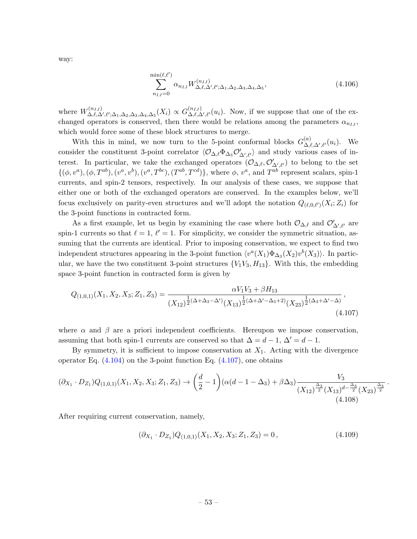$$
\sum_{n_{IJ}=0}^{\min(\ell,\ell')} \alpha_{n_{IJ}} W^{(n_{IJ})}_{\Delta,\ell,\Delta',\ell';\Delta_1,\Delta_2,\Delta_3,\Delta_4,\Delta_5},\tag{4.106}
$$

where  $W^{(n_{IJ})}_{\Lambda \ell \Lambda}$  $\Delta_{\beta,\beta,\Delta',\ell';\Delta_1,\Delta_2,\Delta_3,\Delta_4,\Delta_5}^{(n_{IJ})}(X_i)\propto G_{\Delta,\ell,\Delta'}^{(n_{IJ})}$  $\Delta,\ell,\Delta',\ell'(u_i)$ . Now, if we suppose that one of the exchanged operators is conserved, then there would be relations among the parameters  $\alpha_{n_1}$ , which would force some of these block structures to merge.

With this in mind, we now turn to the 5-point conformal blocks  $G_{\Lambda}^{(a)}$  $\mathcal{L}^{(a)}_{\Delta,\ell,\Delta',\ell'}(u_i)$ . We consider the constituent 3-point correlator  $\langle \mathcal{O}_{\Delta,\ell} \Phi_{\Delta_3} \mathcal{O}'_{\Delta',\ell'} \rangle$  and study various cases of interest. In particular, we take the exchanged operators  $(\mathcal{O}_{\Delta,\ell}, \mathcal{O}'_{\Delta',\ell'})$  to belong to the set  $\{(\phi, v^a), (\phi, T^{ab}), (v^a, v^b), (v^a, T^{bc}), (T^{ab}, T^{cd})\},$  where  $\phi, v^a$ , and  $T^{ab}$  represent scalars, spin-1 currents, and spin-2 tensors, respectively. In our analysis of these cases, we suppose that either one or both of the exchanged operators are conserved. In the examples below, we'll focus exclusively on parity-even structures and we'll adopt the notation  $Q_{(\ell,0,\ell')}(X_i;Z_i)$  for the 3-point functions in contracted form.

As a first example, let us begin by examining the case where both  $\mathcal{O}_{\Delta,\ell}$  and  $\mathcal{O}'_{\Delta',\ell'}$  are spin-1 currents so that  $\ell = 1$ ,  $\ell' = 1$ . For simplicity, we consider the symmetric situation, assuming that the currents are identical. Prior to imposing conservation, we expect to find two independent structures appearing in the 3-point function  $\langle v^a(X_1)\Phi_{\Delta_3}(X_2)v^b(X_3)\rangle$ . In particular, we have the two constituent 3-point structures  ${V_1V_3, H_{13}}$ . With this, the embedding space 3-point function in contracted form is given by

$$
Q_{(1,0,1)}(X_1, X_2, X_3; Z_1, Z_3) = \frac{\alpha V_1 V_3 + \beta H_{13}}{(X_{12})^{\frac{1}{2}(\Delta + \Delta_3 - \Delta')}(X_{13})^{\frac{1}{2}(\Delta + \Delta' - \Delta_3 + 2)}(X_{23})^{\frac{1}{2}(\Delta_3 + \Delta' - \Delta)}},
$$
\n(4.107)

where  $\alpha$  and  $\beta$  are a priori independent coefficients. Hereupon we impose conservation, assuming that both spin-1 currents are conserved so that  $\Delta = d - 1$ ,  $\Delta' = d - 1$ .

By symmetry, it is sufficient to impose conservation at  $X_1$ . Acting with the divergence operator Eq.  $(4.104)$  on the 3-point function Eq.  $(4.107)$ , one obtains

$$
(\partial_{X_1} \cdot D_{Z_1}) Q_{(1,0,1)}(X_1, X_2, X_3; Z_1, Z_3) \to \left(\frac{d}{2} - 1\right) \left(\alpha(d - 1 - \Delta_3) + \beta \Delta_3\right) \frac{V_3}{(X_{12})^{\frac{\Delta_3}{2}} (X_{13})^{d - \frac{\Delta_3}{2}} (X_{23})^{\frac{\Delta_3}{2}}}.
$$
\n(4.108)

After requiring current conservation, namely,

<span id="page-53-0"></span>
$$
(\partial_{X_1} \cdot D_{Z_1}) Q_{(1,0,1)}(X_1, X_2, X_3; Z_1, Z_3) = 0, \qquad (4.109)
$$

way: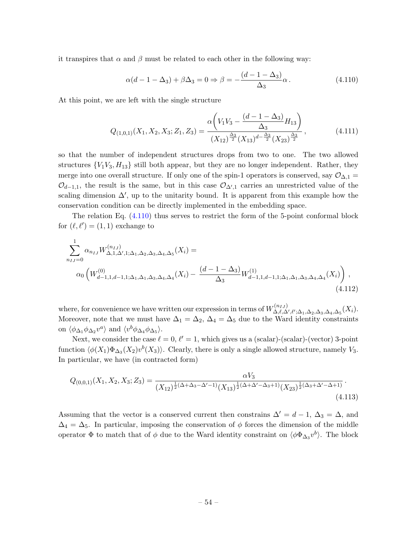it transpires that  $\alpha$  and  $\beta$  must be related to each other in the following way:

<span id="page-54-0"></span>
$$
\alpha(d - 1 - \Delta_3) + \beta \Delta_3 = 0 \Rightarrow \beta = -\frac{(d - 1 - \Delta_3)}{\Delta_3} \alpha.
$$
 (4.110)

At this point, we are left with the single structure

$$
Q_{(1,0,1)}(X_1, X_2, X_3; Z_1, Z_3) = \frac{\alpha \left( V_1 V_3 - \frac{(d-1-\Delta_3)}{\Delta_3} H_{13} \right)}{(X_{12})^{\frac{\Delta_3}{2}} (X_{13})^{d - \frac{\Delta_3}{2}} (X_{23})^{\frac{\Delta_3}{2}}},
$$
(4.111)

so that the number of independent structures drops from two to one. The two allowed structures  ${V_1V_3, H_{13}}$  still both appear, but they are no longer independent. Rather, they merge into one overall structure. If only one of the spin-1 operators is conserved, say  $\mathcal{O}_{\Delta,1}$  =  $\mathcal{O}_{d-1,1}$ , the result is the same, but in this case  $\mathcal{O}_{\Delta',1}$  carries an unrestricted value of the scaling dimension  $\Delta'$ , up to the unitarity bound. It is apparent from this example how the conservation condition can be directly implemented in the embedding space.

The relation Eq. [\(4.110\)](#page-54-0) thus serves to restrict the form of the 5-point conformal block for  $(\ell, \ell') = (1, 1)$  exchange to

$$
\sum_{n_{IJ}=0}^{1} \alpha_{n_{IJ}} W_{\Delta,1,\Delta',1;\Delta_1,\Delta_2,\Delta_3,\Delta_4,\Delta_5}^{(n_{IJ})}(X_i) =
$$
\n
$$
\alpha_0 \left( W_{d-1,1,d-1,1;\Delta_1,\Delta_1,\Delta_3,\Delta_4,\Delta_4}^{(0)}(X_i) - \frac{(d-1-\Delta_3)}{\Delta_3} W_{d-1,1,d-1,1;\Delta_1,\Delta_1,\Delta_3,\Delta_4,\Delta_4}^{(1)}(X_i) \right),
$$
\n(4.112)

where, for convenience we have written our expression in terms of  $W^{(n_{IJ})}_{\Lambda,\ell,\Lambda}$  $\Delta,\ell,\Delta',\ell';\Delta_1,\Delta_2,\Delta_3,\Delta_4,\Delta_5(X_i).$ Moreover, note that we must have  $\Delta_1 = \Delta_2$ ,  $\Delta_4 = \Delta_5$  due to the Ward identity constraints on  $\langle \phi_{\Delta_1} \phi_{\Delta_2} v^a \rangle$  and  $\langle v^b \phi_{\Delta_4} \phi_{\Delta_5} \rangle$ .

Next, we consider the case  $\ell = 0$ ,  $\ell' = 1$ , which gives us a (scalar)-(scalar)-(vector) 3-point function  $\langle \phi(X_1) \Phi_{\Delta_3}(X_2) v^b(X_3) \rangle$ . Clearly, there is only a single allowed structure, namely  $V_3$ . In particular, we have (in contracted form)

$$
Q_{(0,0,1)}(X_1, X_2, X_3; Z_3) = \frac{\alpha V_3}{(X_{12})^{\frac{1}{2}(\Delta + \Delta_3 - \Delta' - 1)} (X_{13})^{\frac{1}{2}(\Delta + \Delta' - \Delta_3 + 1)} (X_{23})^{\frac{1}{2}(\Delta_3 + \Delta' - \Delta + 1)}}.
$$
\n(4.113)

Assuming that the vector is a conserved current then constrains  $\Delta' = d - 1$ ,  $\Delta_3 = \Delta$ , and  $\Delta_4 = \Delta_5$ . In particular, imposing the conservation of  $\phi$  forces the dimension of the middle operator  $\Phi$  to match that of  $\phi$  due to the Ward identity constraint on  $\langle \phi \Phi_{\Delta_3} v^b \rangle$ . The block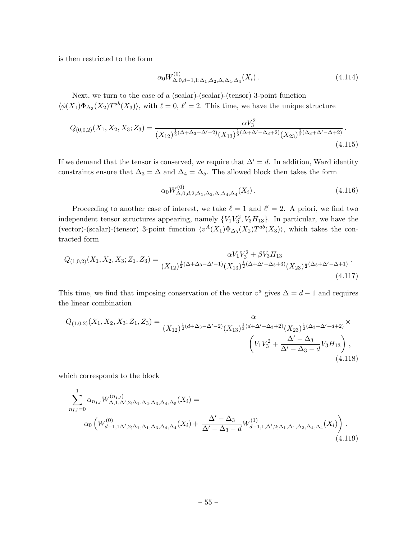is then restricted to the form

$$
\alpha_0 W_{\Delta,0,d-1,1;\Delta_1,\Delta_2,\Delta,\Delta_4,\Delta_4}^{(0)}(X_i). \tag{4.114}
$$

Next, we turn to the case of a (scalar)-(scalar)-(tensor) 3-point function  $\langle \phi(X_1) \Phi_{\Delta_3}(X_2) T^{ab}(X_3) \rangle$ , with  $\ell = 0, \ell' = 2$ . This time, we have the unique structure

$$
Q_{(0,0,2)}(X_1, X_2, X_3; Z_3) = \frac{\alpha V_3^2}{(X_{12})^{\frac{1}{2}(\Delta + \Delta_3 - \Delta' - 2)} (X_{13})^{\frac{1}{2}(\Delta + \Delta' - \Delta_3 + 2)} (X_{23})^{\frac{1}{2}(\Delta_3 + \Delta' - \Delta + 2)}}.
$$
\n(4.115)

If we demand that the tensor is conserved, we require that  $\Delta' = d$ . In addition, Ward identity constraints ensure that  $\Delta_3 = \Delta$  and  $\Delta_4 = \Delta_5$ . The allowed block then takes the form

$$
\alpha_0 W_{\Delta,0,d,2;\Delta_1,\Delta_2,\Delta,\Delta_4,\Delta_4}^{(0)}(X_i). \tag{4.116}
$$

Proceeding to another case of interest, we take  $\ell = 1$  and  $\ell' = 2$ . A priori, we find two independent tensor structures appearing, namely  ${V_1V_3^2, V_3H_{13}}$ . In particular, we have the (vector)-(scalar)-(tensor) 3-point function  $\langle v^A(X_1)\Phi_{\Delta_3}(X_2)T^{ab}(X_3)\rangle$ , which takes the contracted form

$$
Q_{(1,0,2)}(X_1, X_2, X_3; Z_1, Z_3) = \frac{\alpha V_1 V_3^2 + \beta V_3 H_{13}}{(X_{12})^{\frac{1}{2}(\Delta + \Delta_3 - \Delta' - 1)} (X_{13})^{\frac{1}{2}(\Delta + \Delta' - \Delta_3 + 3)} (X_{23})^{\frac{1}{2}(\Delta_3 + \Delta' - \Delta + 1)}}.
$$
\n(4.117)

This time, we find that imposing conservation of the vector  $v^a$  gives  $\Delta = d - 1$  and requires the linear combination

$$
Q_{(1,0,2)}(X_1, X_2, X_3; Z_1, Z_3) = \frac{\alpha}{(X_{12})^{\frac{1}{2}(d+\Delta_3-\Delta'-2)}(X_{13})^{\frac{1}{2}(d+\Delta'-\Delta_3+2)}(X_{23})^{\frac{1}{2}(\Delta_3+\Delta'-d+2)}} \times \left(V_1V_3^2 + \frac{\Delta'-\Delta_3}{\Delta'-\Delta_3-d}V_3H_{13}\right),
$$
\n(4.118)

which corresponds to the block

$$
\sum_{n_{IJ}=0}^{1} \alpha_{n_{IJ}} W_{\Delta,1,\Delta',2;\Delta_1,\Delta_2,\Delta_3,\Delta_4,\Delta_5}^{(n_{IJ})}(X_i) =
$$
\n
$$
\alpha_0 \left( W_{d-1,1\Delta',2;\Delta_1,\Delta_1,\Delta_3,\Delta_4,\Delta_4}^{(0)}(X_i) + \frac{\Delta' - \Delta_3}{\Delta' - \Delta_3 - d} W_{d-1,1,\Delta',2;\Delta_1,\Delta_1,\Delta_3,\Delta_4,\Delta_4}^{(1)}(X_i) \right).
$$
\n(4.119)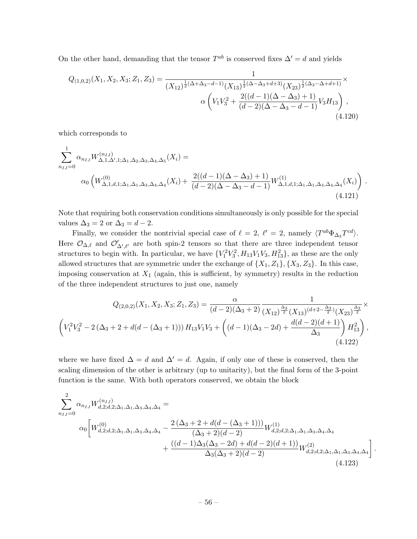On the other hand, demanding that the tensor  $T^{ab}$  is conserved fixes  $\Delta' = d$  and yields

$$
Q_{(1,0,2)}(X_1, X_2, X_3; Z_1, Z_3) = \frac{1}{(X_{12})^{\frac{1}{2}(\Delta + \Delta_3 - d - 1)} (X_{13})^{\frac{1}{2}(\Delta - \Delta_3 + d + 3)} (X_{23})^{\frac{1}{2}(\Delta_3 - \Delta + d + 1)}} \times \alpha \left( V_1 V_3^2 + \frac{2((d-1)(\Delta - \Delta_3) + 1)}{(d-2)(\Delta - \Delta_3 - d - 1)} V_3 H_{13} \right),
$$
\n(4.120)

which corresponds to

$$
\sum_{n_{IJ}=0}^{1} \alpha_{n_{IJ}} W_{\Delta,1,\Delta',1;\Delta_1,\Delta_2,\Delta_3,\Delta_4,\Delta_5}^{(n_{IJ})}(X_i) =
$$
\n
$$
\alpha_0 \left( W_{\Delta,1,d,1;\Delta_1,\Delta_1,\Delta_3,\Delta_4,\Delta_4}^{(0)}(X_i) + \frac{2((d-1)(\Delta-\Delta_3)+1)}{(d-2)(\Delta-\Delta_3-d-1)} W_{\Delta,1,d,1;\Delta_1,\Delta_1,\Delta_3,\Delta_4,\Delta_4}^{(1)}(X_i) \right).
$$
\n(4.121)

Note that requiring both conservation conditions simultaneously is only possible for the special values  $\Delta_3 = 2$  or  $\Delta_3 = d - 2$ .

Finally, we consider the nontrivial special case of  $\ell = 2, \ell' = 2$ , namely  $\langle T^{ab}\Phi_{\Delta_3}T^{cd}\rangle$ . Here  $\mathcal{O}_{\Delta,\ell}$  and  $\mathcal{O}'_{\Delta',\ell'}$  are both spin-2 tensors so that there are three independent tensor structures to begin with. In particular, we have  $\{V_1^2 V_3^2, H_{13} V_1 V_3, H_{13}^2\}$ , as these are the only allowed structures that are symmetric under the exchange of  $\{X_1, Z_1\}$ ,  $\{X_3, Z_3\}$ . In this case, imposing conservation at  $X_1$  (again, this is sufficient, by symmetry) results in the reduction of the three independent structures to just one, namely

$$
Q_{(2,0,2)}(X_1, X_2, X_3; Z_1, Z_3) = \frac{\alpha}{(d-2)(\Delta_3+2)} \frac{1}{(X_{12})^{\frac{\Delta_3}{2}} (X_{13})^{(d+2-\frac{\Delta_3}{2})} (X_{23})^{\frac{\Delta_3}{2}}} \times \left( V_1^2 V_3^2 - 2 (\Delta_3+2+d(d-(\Delta_3+1))) H_{13} V_1 V_3 + \left( (d-1)(\Delta_3-2d) + \frac{d(d-2)(d+1)}{\Delta_3} \right) H_{13}^2 \right), \tag{4.122}
$$

where we have fixed  $\Delta = d$  and  $\Delta' = d$ . Again, if only one of these is conserved, then the scaling dimension of the other is arbitrary (up to unitarity), but the final form of the 3-point function is the same. With both operators conserved, we obtain the block

$$
\sum_{n_{IJ}=0}^{2} \alpha_{n_{IJ}} W_{d,2;d,2;\Delta_1,\Delta_1,\Delta_3,\Delta_4,\Delta_4}^{(n_{IJ})} =
$$
\n
$$
\alpha_0 \left[ W_{d,2;d,2;\Delta_1,\Delta_1,\Delta_3,\Delta_4,\Delta_4}^{(0)} - \frac{2(\Delta_3 + 2 + d(d - (\Delta_3 + 1)))}{(\Delta_3 + 2)(d - 2)} W_{d,2;d,2;\Delta_1,\Delta_1,\Delta_3,\Delta_4,\Delta_4}^{(1)} + \frac{((d - 1)\Delta_3(\Delta_3 - 2d) + d(d - 2)(d + 1))}{\Delta_3(\Delta_3 + 2)(d - 2)} W_{d,2;d,2;\Delta_1,\Delta_1,\Delta_3,\Delta_4,\Delta_4}^{(2)} \right]
$$
\n(4.123)

.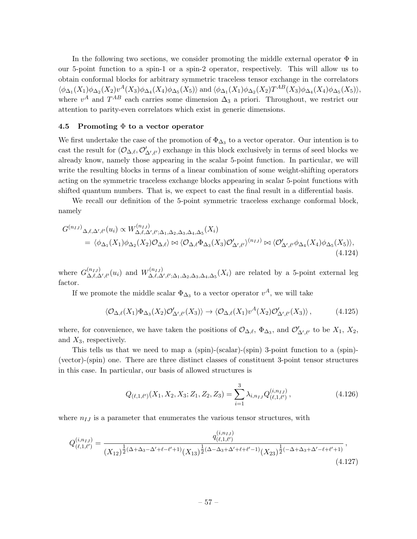In the following two sections, we consider promoting the middle external operator  $\Phi$  in our 5-point function to a spin-1 or a spin-2 operator, respectively. This will allow us to obtain conformal blocks for arbitrary symmetric traceless tensor exchange in the correlators  $\langle \phi_{\Delta_1}(X_1)\phi_{\Delta_2}(X_2)v^A(X_3)\phi_{\Delta_4}(X_4)\phi_{\Delta_5}(X_5)\rangle$  and  $\langle \phi_{\Delta_1}(X_1)\phi_{\Delta_2}(X_2)T^{AB}(X_3)\phi_{\Delta_4}(X_4)\phi_{\Delta_5}(X_5)\rangle$ , where  $v^A$  and  $T^{AB}$  each carries some dimension  $\Delta_3$  a priori. Throughout, we restrict our attention to parity-even correlators which exist in generic dimensions.

# 4.5 Promoting  $\Phi$  to a vector operator

We first undertake the case of the promotion of  $\Phi_{\Delta_3}$  to a vector operator. Our intention is to cast the result for  $(\mathcal{O}_{\Delta,\ell}, \mathcal{O}'_{\Delta',\ell'})$  exchange in this block exclusively in terms of seed blocks we already know, namely those appearing in the scalar 5-point function. In particular, we will write the resulting blocks in terms of a linear combination of some weight-shifting operators acting on the symmetric traceless exchange blocks appearing in scalar 5-point functions with shifted quantum numbers. That is, we expect to cast the final result in a differential basis.

We recall our definition of the 5-point symmetric traceless exchange conformal block, namely

$$
G^{(n_{IJ})}\Delta,\ell,\Delta',\ell'(u_i) \propto W^{(n_{IJ})}_{\Delta,\ell,\Delta',\ell';\Delta_1,\Delta_2,\Delta_3,\Delta_4,\Delta_5}(X_i)
$$
  
=  $\langle \phi_{\Delta_1}(X_1)\phi_{\Delta_2}(X_2)\mathcal{O}_{\Delta,\ell}\rangle \bowtie \langle \mathcal{O}_{\Delta,\ell}\Phi_{\Delta_3}(X_3)\mathcal{O}'_{\Delta',\ell'}\rangle^{(n_{IJ})} \bowtie \langle \mathcal{O}'_{\Delta',\ell'}\phi_{\Delta_4}(X_4)\phi_{\Delta_5}(X_5)\rangle,$   
(4.124)

where  $G_{\Lambda \ell}^{(n_{IJ})}$  $\Delta, \ell, \Delta', \ell'(u_i)$  and  $W^{(n_{IJ})}_{\Delta, \ell, \Delta'}$  $\Delta,\ell,\Delta',\ell';\Delta_1,\Delta_2,\Delta_3,\Delta_4,\Delta_5(X_i)$  are related by a 5-point external leg factor.

If we promote the middle scalar  $\Phi_{\Delta_3}$  to a vector operator  $v^A$ , we will take

$$
\langle \mathcal{O}_{\Delta,\ell}(X_1)\Phi_{\Delta_3}(X_2)\mathcal{O}'_{\Delta',\ell'}(X_3)\rangle \to \langle \mathcal{O}_{\Delta,\ell}(X_1)v^A(X_2)\mathcal{O}'_{\Delta',\ell'}(X_3)\rangle\,,\tag{4.125}
$$

where, for convenience, we have taken the positions of  $\mathcal{O}_{\Delta,\ell}$ ,  $\Phi_{\Delta_3}$ , and  $\mathcal{O}'_{\Delta',\ell'}$  to be  $X_1, X_2$ , and  $X_3$ , respectively.

This tells us that we need to map a (spin)-(scalar)-(spin) 3-point function to a (spin)- (vector)-(spin) one. There are three distinct classes of constituent 3-point tensor structures in this case. In particular, our basis of allowed structures is

$$
Q_{(\ell,1,\ell')}(X_1, X_2, X_3; Z_1, Z_2, Z_3) = \sum_{i=1}^3 \lambda_{i,n_{IJ}} Q_{(\ell,1,\ell')}^{(i,n_{IJ})},
$$
\n(4.126)

where  $n_{IJ}$  is a parameter that enumerates the various tensor structures, with

$$
Q_{(\ell,1,\ell')}^{(i,n_{IJ})} = \frac{q_{(\ell,1,\ell')}^{(i,n_{IJ})}}{(X_{12})^{\frac{1}{2}(\Delta+\Delta_3-\Delta'+\ell-\ell'+1)}(X_{13})^{\frac{1}{2}(\Delta-\Delta_3+\Delta'+\ell+\ell'-1)}(X_{23})^{\frac{1}{2}(-\Delta+\Delta_3+\Delta'-\ell+\ell'+1)}},\tag{4.127}
$$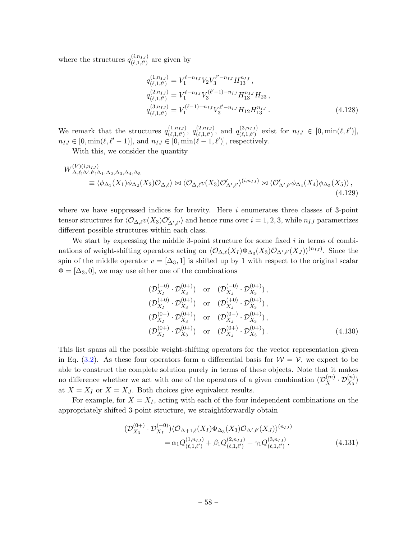where the structures  $q_{(\ell-1,\ell')}^{(i,n_{IJ})}$  $\binom{(i,n_{IJ})}{(\ell,1,\ell')}$  are given by

$$
q_{(\ell,1,\ell')}^{(1,n_{IJ})} = V_1^{\ell-n_{IJ}} V_2 V_3^{\ell'-n_{IJ}} H_{13}^{n_{IJ}},
$$
  
\n
$$
q_{(\ell,1,\ell')}^{(2,n_{IJ})} = V_1^{\ell-n_{IJ}} V_3^{(\ell'-1)-n_{IJ}} H_{13}^{n_{IJ}} H_{23},
$$
  
\n
$$
q_{(\ell,1,\ell')}^{(3,n_{IJ})} = V_1^{(\ell-1)-n_{IJ}} V_3^{\ell'-n_{IJ}} H_{12} H_{13}^{n_{IJ}}.
$$
\n(4.128)

We remark that the structures  $q_{(\ell_1,\ell_2)}^{(1,n_{IJ})}$  $(1,n_{IJ})$ ,  $q^{(2,n_{IJ})}_{(\ell,1,\ell')}$  $_{(\ell,1,\ell')}^{(2,n_{IJ})}$ , and  $q_{(\ell,1,\ell')}^{(3,n_{IJ})}$  $(\ell^{(3,n_{IJ})}_{(\ell,1,\ell')}$  exist for  $n_{IJ} \in [0, \min(\ell, \ell')]$ ,  $n_{IJ} \in [0, \min(\ell, \ell' - 1)],$  and  $n_{IJ} \in [0, \min(\ell - 1, \ell')]$ , respectively.

With this, we consider the quantity

$$
W^{(V)(i,n_{IJ})}_{\Delta,\ell;\Delta',\ell';\Delta_1,\Delta_2,\Delta_3,\Delta_4,\Delta_5} \equiv \langle \phi_{\Delta_1}(X_1)\phi_{\Delta_2}(X_2)\mathcal{O}_{\Delta,\ell} \rangle \bowtie \langle \mathcal{O}_{\Delta,\ell}v(X_3)\mathcal{O}_{\Delta',\ell'} \rangle^{(i,n_{IJ})} \bowtie \langle \mathcal{O}_{\Delta',\ell'}'\phi_{\Delta_4}(X_4)\phi_{\Delta_5}(X_5) \rangle ,
$$
\n(4.129)

where we have suppressed indices for brevity. Here  $i$  enumerates three classes of 3-point tensor structures for  $\langle \mathcal{O}_{\Delta,\ell} v(X_3) \mathcal{O}'_{\Delta',\ell'} \rangle$  and hence runs over  $i = 1, 2, 3$ , while  $n_{IJ}$  parametrizes different possible structures within each class.

We start by expressing the middle 3-point structure for some fixed  $i$  in terms of combinations of weight-shifting operators acting on  $\langle \mathcal{O}_{\Delta,\ell}(X_I) \Phi_{\Delta_3}(X_3) \mathcal{O}_{\Delta',\ell'}(X_J) \rangle^{(n_{IJ})}$ . Since the spin of the middle operator  $v = [\Delta_3, 1]$  is shifted up by 1 with respect to the original scalar  $\Phi = [\Delta_3, 0]$ , we may use either one of the combinations

$$
(\mathcal{D}_{X_I}^{(-0)} \cdot \mathcal{D}_{X_3}^{(0+)}) \text{ or } (\mathcal{D}_{X_J}^{(-0)} \cdot \mathcal{D}_{X_3}^{(0+)}),\n(\mathcal{D}_{X_I}^{(+0)} \cdot \mathcal{D}_{X_3}^{(0+)}) \text{ or } (\mathcal{D}_{X_J}^{(+0)} \cdot \mathcal{D}_{X_3}^{(0+)}),\n(\mathcal{D}_{X_I}^{(0-)} \cdot \mathcal{D}_{X_3}^{(0+)}) \text{ or } (\mathcal{D}_{X_J}^{(0-)} \cdot \mathcal{D}_{X_3}^{(0+)}),\n(\mathcal{D}_{X_I}^{(0+)} \cdot \mathcal{D}_{X_3}^{(0+)}) \text{ or } (\mathcal{D}_{X_J}^{(0+)} \cdot \mathcal{D}_{X_3}^{(0+)}).
$$
\n(4.130)

This list spans all the possible weight-shifting operators for the vector representation given in Eq. [\(3.2\)](#page-14-0). As these four operators form a differential basis for  $W = V$ , we expect to be able to construct the complete solution purely in terms of these objects. Note that it makes no difference whether we act with one of the operators of a given combination  $(\mathcal{D}_{X}^{(m)} \cdot \mathcal{D}_{X_3}^{(n)})$ at  $X = X_I$  or  $X = X_J$ . Both choices give equivalent results.

For example, for  $X = X_I$ , acting with each of the four independent combinations on the appropriately shifted 3-point structure, we straightforwardly obtain

<span id="page-58-0"></span>
$$
\begin{split} (\mathcal{D}_{X_3}^{(0+)} \cdot \mathcal{D}_{X_I}^{(-0)}) \langle \mathcal{O}_{\Delta+1,\ell}(X_I) \Phi_{\Delta_3}(X_3) \mathcal{O}_{\Delta',\ell'}(X_J) \rangle^{(n_{IJ})} \\ = \alpha_1 Q_{(\ell,1,\ell')}^{(1,n_{IJ})} + \beta_1 Q_{(\ell,1,\ell')}^{(2,n_{IJ})} + \gamma_1 Q_{(\ell,1,\ell')}^{(3,n_{IJ})}, \end{split} \tag{4.131}
$$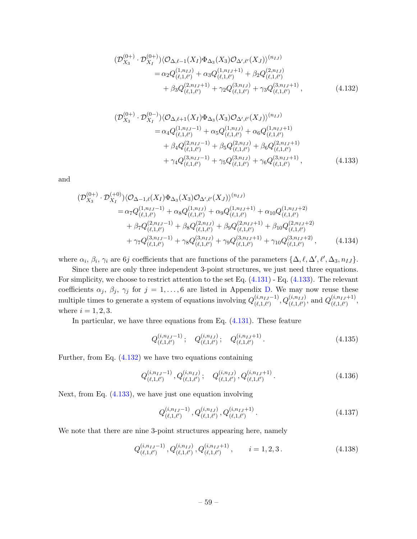<span id="page-59-1"></span>
$$
\begin{split} (\mathcal{D}_{X_3}^{(0+)} \cdot \mathcal{D}_{X_I}^{(0+)}) \langle \mathcal{O}_{\Delta,\ell-1}(X_I) \Phi_{\Delta_3}(X_3) \mathcal{O}_{\Delta',\ell'}(X_J) \rangle^{(n_{IJ})} \\ &= \alpha_2 Q_{(\ell,1,\ell')}^{(1,n_{IJ})} + \alpha_3 Q_{(\ell,1,\ell')}^{(1,n_{IJ}+1)} + \beta_2 Q_{(\ell,1,\ell')}^{(2,n_{IJ})} \\ &+ \beta_3 Q_{(\ell,1,\ell')}^{(2,n_{IJ}+1)} + \gamma_2 Q_{(\ell,1,\ell')}^{(3,n_{IJ})} + \gamma_3 Q_{(\ell,1,\ell')}^{(3,n_{IJ}+1)}, \end{split} \tag{4.132}
$$

<span id="page-59-0"></span>
$$
\begin{split} (\mathcal{D}_{X_3}^{(0+)} \cdot \mathcal{D}_{X_I}^{(0-)}) \langle \mathcal{O}_{\Delta,\ell+1}(X_I) \Phi_{\Delta_3}(X_3) \mathcal{O}_{\Delta',\ell'}(X_J) \rangle^{(n_{IJ})} \\ &= \alpha_4 Q_{(\ell,1,\ell')}^{(1,n_{IJ}-1)} + \alpha_5 Q_{(\ell,1,\ell')}^{(1,n_{IJ})} + \alpha_6 Q_{(\ell,1,\ell')}^{(1,n_{IJ}+1)} \\ &+ \beta_4 Q_{(\ell,1,\ell')}^{(2,n_{IJ}-1)} + \beta_5 Q_{(\ell,1,\ell')}^{(2,n_{IJ})} + \beta_6 Q_{(\ell,1,\ell')}^{(2,n_{IJ}+1)} \\ &+ \gamma_4 Q_{(\ell,1,\ell')}^{(3,n_{IJ}-1)} + \gamma_5 Q_{(\ell,1,\ell')}^{(3,n_{IJ})} + \gamma_6 Q_{(\ell,1,\ell')}^{(3,n_{IJ}+1)}, \end{split} \tag{4.133}
$$

and

$$
\begin{split} (\mathcal{D}_{X_3}^{(0+)} \cdot \mathcal{D}_{X_I}^{(+0)}) \langle \mathcal{O}_{\Delta-1,\ell}(X_I) \Phi_{\Delta_3}(X_3) \mathcal{O}_{\Delta',\ell'}(X_J) \rangle^{(n_{IJ})} \\ &= \alpha_7 Q_{(\ell,1,\ell')}^{(1,n_{IJ}-1)} + \alpha_8 Q_{(\ell,1,\ell')}^{(1,n_{IJ})} + \alpha_9 Q_{(\ell,1,\ell')}^{(1,n_{IJ}+1)} + \alpha_{10} Q_{(\ell,1,\ell')}^{(1,n_{IJ}+2)} \\ &+ \beta_7 Q_{(\ell,1,\ell')}^{(2,n_{IJ}-1)} + \beta_8 Q_{(\ell,1,\ell')}^{(2,n_{IJ})} + \beta_9 Q_{(\ell,1,\ell')}^{(2,n_{IJ}+1)} + \beta_{10} Q_{(\ell,1,\ell')}^{(2,n_{IJ}+2)} \\ &+ \gamma_7 Q_{(\ell,1,\ell')}^{(3,n_{IJ}-1)} + \gamma_8 Q_{(\ell,1,\ell')}^{(3,n_{IJ})} + \gamma_9 Q_{(\ell,1,\ell')}^{(3,n_{IJ}+1)} + \gamma_{10} Q_{(\ell,1,\ell')}^{(3,n_{IJ}+2)}, \end{split} \tag{4.134}
$$

where  $\alpha_i$ ,  $\beta_i$ ,  $\gamma_i$  are 6*j* coefficients that are functions of the parameters  $\{\Delta, \ell, \Delta', \ell', \Delta_3, n_{IJ}\}.$ 

Since there are only three independent 3-point structures, we just need three equations. For simplicity, we choose to restrict attention to the set Eq. [\(4.131\)](#page-58-0) - Eq. [\(4.133\)](#page-59-0). The relevant coefficients  $\alpha_j$ ,  $\beta_j$ ,  $\gamma_j$  for  $j = 1, \ldots, 6$  are listed in Appendix [D.](#page-88-0) We may now reuse these multiple times to generate a system of equations involving  $Q_{(\ell_1,\ell_1)}^{(i,n_{IJ}-1)}$  $(a_{i,n_I,J}-1), Q_{(\ell,1,\ell')}^{(i,n_{IJ})}$ , and  $Q_{(\ell,1,\ell')}^{(i,n_{IJ}+1)}$  $\frac{(i, n_{IJ}+1)}{(\ell,1,\ell')}$ where  $i = 1, 2, 3$ .

In particular, we have three equations from Eq. [\(4.131\)](#page-58-0). These feature

$$
Q_{(\ell,1,\ell')}^{(i,n_{IJ}-1)}; \quad Q_{(\ell,1,\ell')}^{(i,n_{IJ})}; \quad Q_{(\ell,1,\ell')}^{(i,n_{IJ}+1)}.
$$
\n(4.135)

Further, from Eq. [\(4.132\)](#page-59-1) we have two equations containing

$$
Q_{(\ell,1,\ell')}^{(i,n_{IJ}-1)}, Q_{(\ell,1,\ell')}^{(i,n_{IJ})}; \quad Q_{(\ell,1,\ell')}^{(i,n_{IJ})}, Q_{(\ell,1,\ell')}^{(i,n_{IJ}+1)}.
$$
\n(4.136)

Next, from Eq. [\(4.133\)](#page-59-0), we have just one equation involving

$$
Q_{(\ell,1,\ell')}^{(i,n_{IJ}-1)}, Q_{(\ell,1,\ell')}^{(i,n_{IJ})}, Q_{(\ell,1,\ell')}^{(i,n_{IJ}+1)}.
$$
\n(4.137)

We note that there are nine 3-point structures appearing here, namely

$$
Q_{(\ell,1,\ell')}^{(i,n_{IJ}-1)}, Q_{(\ell,1,\ell')}^{(i,n_{IJ})}, Q_{(\ell,1,\ell')}^{(i,n_{IJ}+1)}, \qquad i = 1,2,3.
$$
 (4.138)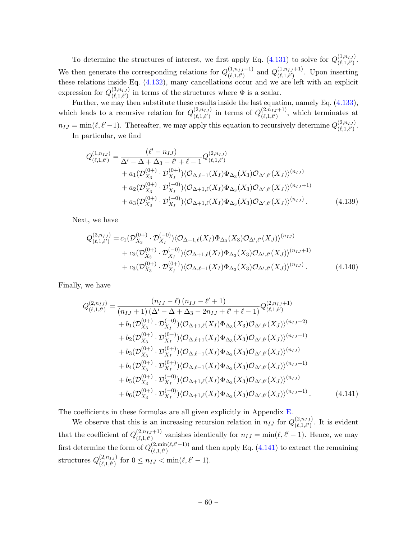To determine the structures of interest, we first apply Eq. [\(4.131\)](#page-58-0) to solve for  $Q_{(\ell_1,\ell_1)}^{(1,n_{IJ})}$  $\overset{(1, n_{IJ})}{(\ell, 1, \ell')}$ We then generate the corresponding relations for  $Q_{(\ell_1,\ell_1)}^{(1,n_{IJ}-1)}$  $\binom{(1,n_{IJ}-1)}{(\ell,1,\ell')}$  and  $Q^{(1,n_{IJ}+1)}_{(\ell,1,\ell')}$  $\begin{bmatrix} (1,n_I J+1) \\ (l,1,l') \end{bmatrix}$ . Upon inserting these relations inside Eq. [\(4.132\)](#page-59-1), many cancellations occur and we are left with an explicit expression for  $Q^{(3,n_{IJ})}_{(\ell+1,\ell')}$  $(\ell,1,\ell')$  in terms of the structures where  $\Phi$  is a scalar.

Further, we may then substitute these results inside the last equation, namely Eq.  $(4.133)$ , which leads to a recursive relation for  $Q^{(2,n_{IJ})}_{(\ell_1,\ell_1)}$  $(2,n_{IJ})$  in terms of  $Q^{(2,n_{IJ}+1)}_{(\ell,1,\ell')}$  $(\ell,1,\ell')^{(2,n_{IJ}+1)}$ , which terminates at  $n_{IJ} = \min(\ell, \ell'-1)$ . Thereafter, we may apply this equation to recursively determine  $Q_{(\ell,1,\ell')}^{(2,n_{IJ})}$  $\overset{(\mathcal{L},n_{IJ})}{(\ell,1,\ell')}$ In particular, we find

$$
Q_{(\ell,1,\ell')}^{(1,n_{IJ})} = \frac{(\ell'-n_{IJ})}{\Delta' - \Delta + \Delta_3 - \ell' + \ell - 1} Q_{(\ell,1,\ell')}^{(2,n_{IJ})} + a_1(\mathcal{D}_{X_3}^{(0+)}\cdot \mathcal{D}_{X_I}^{(0+)})\langle \mathcal{O}_{\Delta,\ell-1}(X_I)\Phi_{\Delta_3}(X_3)\mathcal{O}_{\Delta',\ell'}(X_J)\rangle^{(n_{IJ})} + a_2(\mathcal{D}_{X_3}^{(0+)}\cdot \mathcal{D}_{X_I}^{(-0)})\langle \mathcal{O}_{\Delta+1,\ell}(X_I)\Phi_{\Delta_3}(X_3)\mathcal{O}_{\Delta',\ell'}(X_J)\rangle^{(n_{IJ}+1)} + a_3(\mathcal{D}_{X_3}^{(0+)}\cdot \mathcal{D}_{X_I}^{(-0)})\langle \mathcal{O}_{\Delta+1,\ell}(X_I)\Phi_{\Delta_3}(X_3)\mathcal{O}_{\Delta',\ell'}(X_J)\rangle^{(n_{IJ})}.
$$
(4.139)

Next, we have

<span id="page-60-1"></span>
$$
Q_{(\ell,1,\ell')}^{(3,n_{IJ})} = c_1(\mathcal{D}_{X_3}^{(0+)} \cdot \mathcal{D}_{X_I}^{(-0)}) \langle \mathcal{O}_{\Delta+1,\ell}(X_I) \Phi_{\Delta_3}(X_3) \mathcal{O}_{\Delta',\ell'}(X_J) \rangle^{(n_{IJ})} + c_2(\mathcal{D}_{X_3}^{(0+)} \cdot \mathcal{D}_{X_I}^{(-0)}) \langle \mathcal{O}_{\Delta+1,\ell}(X_I) \Phi_{\Delta_3}(X_3) \mathcal{O}_{\Delta',\ell'}(X_J) \rangle^{(n_{IJ}+1)} + c_3(\mathcal{D}_{X_3}^{(0+)} \cdot \mathcal{D}_{X_I}^{(0+)}) \langle \mathcal{O}_{\Delta,\ell-1}(X_I) \Phi_{\Delta_3}(X_3) \mathcal{O}_{\Delta',\ell'}(X_J) \rangle^{(n_{IJ})}.
$$
(4.140)

Finally, we have

<span id="page-60-0"></span>
$$
Q_{(\ell,1,\ell')}^{(2,n_{IJ})} = \frac{(n_{IJ} - \ell) (n_{IJ} - \ell' + 1)}{(n_{IJ} + 1) (\Delta' - \Delta + \Delta_3 - 2n_{IJ} + \ell' + \ell - 1)} Q_{(\ell,1,\ell')}^{(2,n_{IJ}+1)} + b_1 (\mathcal{D}_{X_3}^{(0+)}\cdot \mathcal{D}_{X_I}^{(-0)}) \langle \mathcal{O}_{\Delta+1,\ell}(X_I)\Phi_{\Delta_3}(X_3)\mathcal{O}_{\Delta',\ell'}(X_J) \rangle^{(n_{IJ}+2)} + b_2 (\mathcal{D}_{X_3}^{(0+)}\cdot \mathcal{D}_{X_I}^{(0-)}) \langle \mathcal{O}_{\Delta,\ell+1}(X_I)\Phi_{\Delta_3}(X_3)\mathcal{O}_{\Delta',\ell'}(X_J) \rangle^{(n_{IJ}+1)} + b_3 (\mathcal{D}_{X_3}^{(0+)}\cdot \mathcal{D}_{X_I}^{(0+)}) \langle \mathcal{O}_{\Delta,\ell-1}(X_I)\Phi_{\Delta_3}(X_3)\mathcal{O}_{\Delta',\ell'}(X_J) \rangle^{(n_{IJ})} + b_4 (\mathcal{D}_{X_3}^{(0+)}\cdot \mathcal{D}_{X_I}^{(0+)}) \langle \mathcal{O}_{\Delta,\ell-1}(X_I)\Phi_{\Delta_3}(X_3)\mathcal{O}_{\Delta',\ell'}(X_J) \rangle^{(n_{IJ}+1)} + b_5 (\mathcal{D}_{X_3}^{(0+)}\cdot \mathcal{D}_{X_I}^{(-0)}) \langle \mathcal{O}_{\Delta+1,\ell}(X_I)\Phi_{\Delta_3}(X_3)\mathcal{O}_{\Delta',\ell'}(X_J) \rangle^{(n_{IJ})} + b_6 (\mathcal{D}_{X_3}^{(0+)}\cdot \mathcal{D}_{X_I}^{(-0)}) \langle \mathcal{O}_{\Delta+1,\ell}(X_I)\Phi_{\Delta_3}(X_3)\mathcal{O}_{\Delta',\ell'}(X_J) \rangle^{(n_{IJ}+1)}.
$$
(4.141)

The coefficients in these formulas are all given explicitly in Appendix [E.](#page-92-0)

We observe that this is an increasing recursion relation in  $n_{IJ}$  for  $Q_{(\ell,1,\ell')}^{(2,n_{IJ})}$  $\binom{(2,n_{IJ})}{(\ell,1,\ell')}$ . It is evident that the coefficient of  $Q_{(\ell_1,\ell_2)}^{(2,n_{IJ}+1)}$  $(\ell,1,\ell')$  vanishes identically for  $n_{IJ} = \min(\ell, \ell' - 1)$ . Hence, we may first determine the form of  $Q_{(\ell_1,\ell)}^{(2,\min(\ell,\ell'-1))}$  $(\ell,1,\ell')$  and then apply Eq. [\(4.141\)](#page-60-0) to extract the remaining structures  $Q^{(2,n_{IJ})}_{(\ell-1,\ell\ell')}$  $\sum_{(\ell,1,\ell')}^{(2,n_{IJ})}$  for  $0 \leq n_{IJ} < \min(\ell, \ell'-1)$ .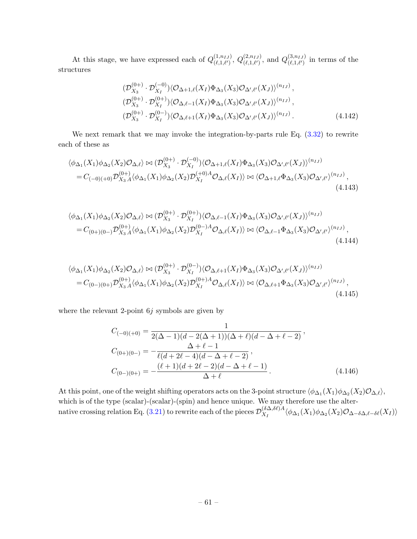At this stage, we have expressed each of  $Q_{(\ell_1,\ell_1)}^{(1,n_{IJ})}$  $_{(\ell,1,\ell')}^{(1,n_{IJ})},\ Q_{(\ell,1,\ell')}^{(2,n_{IJ})}$  $_{(\ell,1,\ell')}^{(2,n_{IJ})}$ , and  $Q_{(\ell,1,\ell')}^{(3,n_{IJ})}$  $\binom{(3,n_{IJ})}{(\ell,1,\ell')}$  in terms of the structures

$$
\begin{array}{ll}\n(\mathcal{D}_{X_3}^{(0+)} \cdot \mathcal{D}_{X_I}^{(-0)}) \langle \mathcal{O}_{\Delta+1,\ell}(X_I) \Phi_{\Delta_3}(X_3) \mathcal{O}_{\Delta',\ell'}(X_J) \rangle^{(n_{IJ})}, \\
(\mathcal{D}_{X_3}^{(0+)} \cdot \mathcal{D}_{X_I}^{(0+)}) \langle \mathcal{O}_{\Delta,\ell-1}(X_I) \Phi_{\Delta_3}(X_3) \mathcal{O}_{\Delta',\ell'}(X_J) \rangle^{(n_{IJ})}, \\
(\mathcal{D}_{X_3}^{(0+)} \cdot \mathcal{D}_{X_I}^{(0-)}) \langle \mathcal{O}_{\Delta,\ell+1}(X_I) \Phi_{\Delta_3}(X_3) \mathcal{O}_{\Delta',\ell'}(X_J) \rangle^{(n_{IJ})}.\n\end{array} \tag{4.142}
$$

We next remark that we may invoke the integration-by-parts rule Eq.  $(3.32)$  to rewrite each of these as

$$
\langle \phi_{\Delta_1}(X_1)\phi_{\Delta_2}(X_2)\mathcal{O}_{\Delta,\ell} \rangle \bowtie (\mathcal{D}_{X_3}^{(0+)} \cdot \mathcal{D}_{X_1}^{(-0)}) \langle \mathcal{O}_{\Delta+1,\ell}(X_I)\Phi_{\Delta_3}(X_3)\mathcal{O}_{\Delta',\ell'}(X_J) \rangle^{(n_{IJ})}
$$
  
=  $C_{(-0)(+0)}\mathcal{D}_{X_3}^{(0+)}\langle \phi_{\Delta_1}(X_1)\phi_{\Delta_2}(X_2)\mathcal{D}_{X_I}^{(+0)A}\mathcal{O}_{\Delta,\ell}(X_I) \rangle \bowtie \langle \mathcal{O}_{\Delta+1,\ell}\Phi_{\Delta_3}(X_3)\mathcal{O}_{\Delta',\ell'} \rangle^{(n_{IJ})},$   
(4.143)

$$
\langle \phi_{\Delta_1}(X_1)\phi_{\Delta_2}(X_2)\mathcal{O}_{\Delta,\ell} \rangle \bowtie (\mathcal{D}_{X_3}^{(0+)} \cdot \mathcal{D}_{X_1}^{(0+)}) \langle \mathcal{O}_{\Delta,\ell-1}(X_I)\Phi_{\Delta_3}(X_3)\mathcal{O}_{\Delta',\ell'}(X_J) \rangle^{(n_{IJ})}
$$
  
=  $C_{(0+)(0-)}\mathcal{D}_{X_3\Lambda}^{(0+)} \langle \phi_{\Delta_1}(X_1)\phi_{\Delta_2}(X_2)\mathcal{D}_{X_I}^{(0-)}\mathcal{O}_{\Delta,\ell}(X_I) \rangle \bowtie \langle \mathcal{O}_{\Delta,\ell-1}\Phi_{\Delta_3}(X_3)\mathcal{O}_{\Delta',\ell'} \rangle^{(n_{IJ})},$   
(4.144)

$$
\langle \phi_{\Delta_1}(X_1)\phi_{\Delta_2}(X_2)\mathcal{O}_{\Delta,\ell} \rangle \bowtie (\mathcal{D}_{X_3}^{(0+)} \cdot \mathcal{D}_{X_I}^{(0-)}) \langle \mathcal{O}_{\Delta,\ell+1}(X_I)\Phi_{\Delta_3}(X_3)\mathcal{O}_{\Delta',\ell'}(X_J) \rangle^{(n_{IJ})}
$$
  
=  $C_{(0-)(0+)}\mathcal{D}_{X_3A}^{(0+)} \langle \phi_{\Delta_1}(X_1)\phi_{\Delta_2}(X_2)\mathcal{D}_{X_I}^{(0+)}\mathcal{O}_{\Delta,\ell}(X_I) \rangle \bowtie \langle \mathcal{O}_{\Delta,\ell+1}\Phi_{\Delta_3}(X_3)\mathcal{O}_{\Delta',\ell'} \rangle^{(n_{IJ})},$   
(4.145)

where the relevant 2-point  $6j$  symbols are given by

$$
C_{(-0)(+0)} = \frac{1}{2(\Delta - 1)(d - 2(\Delta + 1))(\Delta + \ell)(d - \Delta + \ell - 2)},
$$
  
\n
$$
C_{(0+)(0-)} = -\frac{\Delta + \ell - 1}{\ell(d + 2\ell - 4)(d - \Delta + \ell - 2)},
$$
  
\n
$$
C_{(0-)(0+)} = -\frac{(\ell + 1)(d + 2\ell - 2)(d - \Delta + \ell - 1)}{\Delta + \ell}.
$$
\n(4.146)

At this point, one of the weight shifting operators acts on the 3-point structure  $\langle \phi_{\Delta_1}(X_1)\phi_{\Delta_2}(X_2)\mathcal{O}_{\Delta,\ell}\rangle$ , which is of the type (scalar)-(scalar)-(spin) and hence unique. We may therefore use the alter-native crossing relation Eq. [\(3.21\)](#page-20-0) to rewrite each of the pieces  $\mathcal{D}_{X}^{(\delta\Delta,\delta\ell)A}$  $\langle \chi_I^{\mathfrak{b} \Delta,\mathfrak{b} \ell} \rangle^{A} \langle \phi_{\Delta_1}(X_1) \phi_{\Delta_2}(X_2) \mathcal{O}_{\Delta - \delta \Delta, \ell - \delta \ell}(X_I) \rangle$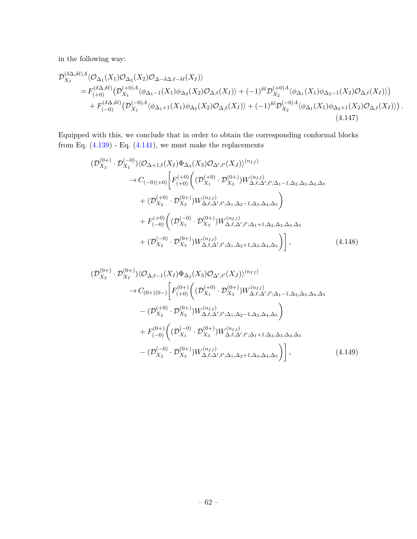in the following way:

$$
\mathcal{D}_{X_I}^{(\delta\Delta,\delta\ell)A}\langle\mathcal{O}_{\Delta_1}(X_1)\mathcal{O}_{\Delta_2}(X_2)\mathcal{O}_{\Delta-\delta\Delta,\ell-\delta\ell}(X_I)\rangle=F_{(+0)}^{(\delta\Delta,\delta\ell)}\big(\mathcal{D}_{X_1}^{(+0)A}\langle\phi_{\Delta_1-1}(X_1)\phi_{\Delta_2}(X_2)\mathcal{O}_{\Delta,\ell}(X_I)\rangle+(-1)^{\delta\ell}\mathcal{D}_{X_2}^{(+0)A}\langle\phi_{\Delta_1}(X_1)\phi_{\Delta_2-1}(X_2)\mathcal{O}_{\Delta,\ell}(X_I)\rangle\big)+F_{(-0)}^{(\delta\Delta,\delta\ell)}\big(\mathcal{D}_{X_1}^{(-0)A}\langle\phi_{\Delta_1+1}(X_1)\phi_{\Delta_2}(X_2)\mathcal{O}_{\Delta,\ell}(X_I)\rangle+(-1)^{\delta\ell}\mathcal{D}_{X_2}^{(-0)A}\langle\phi_{\Delta_1}(X_1)\phi_{\Delta_2+1}(X_2)\mathcal{O}_{\Delta,\ell}(X_I)\rangle\big).
$$
\n(4.147)

Equipped with this, we conclude that in order to obtain the corresponding conformal blocks from Eq.  $(4.139)$  - Eq.  $(4.141)$ , we must make the replacements

$$
\begin{split}\n(\mathcal{D}_{X_3}^{(0+)} \cdot \mathcal{D}_{X_I}^{(-0)}) \langle \mathcal{O}_{\Delta+1,\ell}(X_I) \Phi_{\Delta_3}(X_3) \mathcal{O}_{\Delta',\ell'}(X_J) \rangle^{(n_{IJ})} \\
&\to C_{(-0)(+0)} \bigg[ F_{(+0)}^{(+0)} \bigg( (\mathcal{D}_{X_1}^{(+0)} \cdot \mathcal{D}_{X_3}^{(0+)}) W_{\Delta,\ell,\Delta',\ell';\Delta_1-1,\Delta_2,\Delta_3,\Delta_4,\Delta_5}^{(n_{IJ})} \\
&+ (\mathcal{D}_{X_2}^{(+0)} \cdot \mathcal{D}_{X_3}^{(0+)}) W_{\Delta,\ell,\Delta',\ell';\Delta_1,\Delta_2-1,\Delta_3,\Delta_4,\Delta_5}^{(n_{IJ})} \bigg) \\
&+ F_{(-0)}^{(+0)} \bigg( (\mathcal{D}_{X_1}^{(-0)} \cdot \mathcal{D}_{X_3}^{(0+)}) W_{\Delta,\ell,\Delta',\ell';\Delta_1+1,\Delta_2,\Delta_3,\Delta_4,\Delta_5}^{(n_{IJ})} \\
&+ (\mathcal{D}_{X_2}^{(-0)} \cdot \mathcal{D}_{X_3}^{(0+)}) W_{\Delta,\ell,\Delta',\ell';\Delta_1,\Delta_2+1,\Delta_3,\Delta_4,\Delta_5}^{(n_{IJ})} \bigg) \bigg] \,, \n\end{split} \tag{4.148}
$$

<span id="page-62-0"></span>
$$
(\mathcal{D}_{X_3}^{(0+)} \cdot \mathcal{D}_{X_I}^{(0+)}) \langle \mathcal{O}_{\Delta,\ell-1}(X_I) \Phi_{\Delta_3}(X_3) \mathcal{O}_{\Delta',\ell'}(X_J) \rangle^{(n_{IJ})} \n\rightarrow C_{(0+)(0-)} \bigg[ F_{(+0)}^{(0+)} \bigg( (\mathcal{D}_{X_1}^{(+0)} \cdot \mathcal{D}_{X_3}^{(0+)}) W_{\Delta,\ell,\Delta',\ell';\Delta_1-1,\Delta_2,\Delta_3,\Delta_4,\Delta_5}^{(n_{IJ})} \n- (\mathcal{D}_{X_2}^{(+0)} \cdot \mathcal{D}_{X_3}^{(0+)}) W_{\Delta,\ell,\Delta',\ell';\Delta_1,\Delta_2-1,\Delta_3,\Delta_4,\Delta_5}^{(n_{IJ})} \bigg) \n+ F_{(-0)}^{(0+)} \bigg( (\mathcal{D}_{X_1}^{(-0)} \cdot \mathcal{D}_{X_3}^{(0+)}) W_{\Delta,\ell,\Delta',\ell';\Delta_1+1,\Delta_2,\Delta_3,\Delta_4,\Delta_5}^{(n_{IJ})} \n- (\mathcal{D}_{X_2}^{(-0)} \cdot \mathcal{D}_{X_3}^{(0+)}) W_{\Delta,\ell,\Delta',\ell';\Delta_1,\Delta_2+1,\Delta_3,\Delta_4,\Delta_5}^{(n_{IJ})} \bigg) \bigg],
$$
\n(4.149)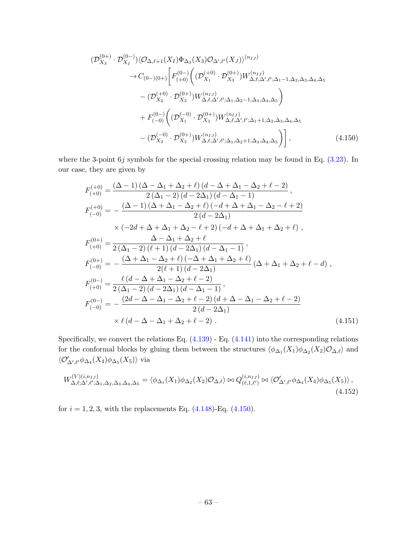<span id="page-63-0"></span>
$$
(\mathcal{D}_{X_3}^{(0+)} \cdot \mathcal{D}_{X_I}^{(0-)}) \langle \mathcal{O}_{\Delta,\ell+1}(X_I) \Phi_{\Delta_3}(X_3) \mathcal{O}_{\Delta',\ell'}(X_J) \rangle^{(n_{IJ})} \rightarrow C_{(0-)(0+)} \bigg[ F_{(+0)}^{(0-)} \bigg( (\mathcal{D}_{X_1}^{(+0)} \cdot \mathcal{D}_{X_3}^{(0+)}) W_{\Delta,\ell,\Delta',\ell';\Delta_1-1,\Delta_2,\Delta_3,\Delta_4,\Delta_5}^{(n_{IJ})} - (\mathcal{D}_{X_2}^{(+0)} \cdot \mathcal{D}_{X_3}^{(0+)}) W_{\Delta,\ell,\Delta',\ell';\Delta_1,\Delta_2-1,\Delta_3,\Delta_4,\Delta_5}^{(n_{IJ})} \bigg) + F_{(-0)}^{(0-)} \bigg( (\mathcal{D}_{X_1}^{(-0)} \cdot \mathcal{D}_{X_3}^{(0+)}) W_{\Delta,\ell,\Delta',\ell';\Delta_1+1,\Delta_2,\Delta_3,\Delta_4,\Delta_5}^{(n_{IJ})} - (\mathcal{D}_{X_2}^{(-0)} \cdot \mathcal{D}_{X_3}^{(0+)}) W_{\Delta,\ell,\Delta',\ell';\Delta_1,\Delta_2+1,\Delta_3,\Delta_4,\Delta_5}^{(n_{IJ})} \bigg) \bigg], \tag{4.150}
$$

where the 3-point  $6j$  symbols for the special crossing relation may be found in Eq.  $(3.23)$ . In our case, they are given by

$$
F_{(+0)}^{(+0)} = \frac{(\Delta - 1) (\Delta - \Delta_1 + \Delta_2 + \ell) (d - \Delta + \Delta_1 - \Delta_2 + \ell - 2)}{2 (\Delta_1 - 2) (d - 2\Delta_1) (d - \Delta_1 - 1)},
$$
  
\n
$$
F_{(-0)}^{(+0)} = -\frac{(\Delta - 1) (\Delta + \Delta_1 - \Delta_2 + \ell) (-d + \Delta + \Delta_1 - \Delta_2 - \ell + 2)}{2 (d - 2\Delta_1)} \times (-2d + \Delta + \Delta_1 + \Delta_2 - \ell + 2) (-d + \Delta + \Delta_1 + \Delta_2 + \ell) ,
$$
  
\n
$$
F_{(+0)}^{(0+)} = \frac{\Delta - \Delta_1 + \Delta_2 + \ell}{2 (\Delta_1 - 2) (\ell + 1) (d - 2\Delta_1) (d - \Delta_1 - 1)},
$$
  
\n
$$
F_{(-0)}^{(0+)} = -\frac{(\Delta + \Delta_1 - \Delta_2 + \ell) (-\Delta + \Delta_1 + \Delta_2 + \ell)}{2 (\ell + 1) (d - 2\Delta_1)} (\Delta + \Delta_1 + \Delta_2 + \ell - d),
$$
  
\n
$$
F_{(+0)}^{(0-)} = \frac{\ell (d - \Delta + \Delta_1 - \Delta_2 + \ell - 2)}{2 (\Delta_1 - 2) (d - 2\Delta_1) (d - \Delta_1 - 1)},
$$
  
\n
$$
F_{(-0)}^{(0-)} = -\frac{(2d - \Delta - \Delta_1 - \Delta_2 + \ell - 2) (d + \Delta - \Delta_1 - \Delta_2 + \ell - 2)}{2 (d - 2\Delta_1)} \times \ell (d - \Delta - \Delta_1 + \Delta_2 + \ell - 2).
$$
  
\n(4.151)

Specifically, we convert the relations Eq.  $(4.139)$  - Eq.  $(4.141)$  into the corresponding relations for the conformal blocks by gluing them between the structures  $\langle \phi_{\Delta_1}(X_1)\phi_{\Delta_2}(X_2)\mathcal{O}_{\Delta,\ell}\rangle$  and  $\langle \mathcal{O}'_{\Delta',\ell'} \phi_{\Delta_4}(X_4) \phi_{\Delta_5}(X_5) \rangle$  via

$$
W_{\Delta,\ell;\Delta',\ell';\Delta_1,\Delta_2,\Delta_3,\Delta_4,\Delta_5}^{(V)(i,n_{IJ})} = \langle \phi_{\Delta_1}(X_1)\phi_{\Delta_2}(X_2)\mathcal{O}_{\Delta,\ell} \rangle \bowtie Q_{(\ell,1,\ell')}^{(i,n_{IJ})} \bowtie \langle \mathcal{O}'_{\Delta',\ell'}\phi_{\Delta_4}(X_4)\phi_{\Delta_5}(X_5) \rangle,
$$
\n(4.152)

for  $i=1,2,3,$  with the replacements Eq. [\(4.148\)](#page-62-0)-Eq. [\(4.150\)](#page-63-0).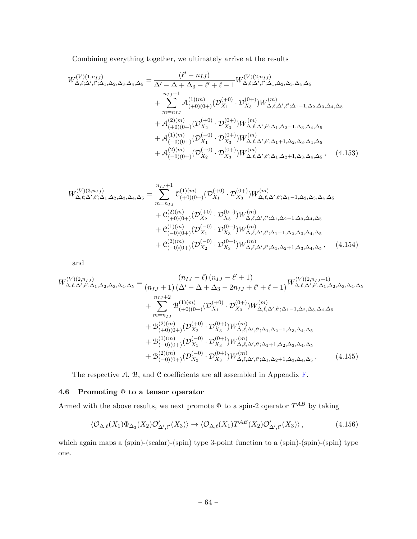Combining everything together, we ultimately arrive at the results

$$
W_{\Delta,\ell;\Delta',\ell';\Delta_{1},\Delta_{2},\Delta_{3},\Delta_{4},\Delta_{5}}^{(V)=(1,n_{IJ})} = \frac{(\ell'-n_{IJ})}{\Delta'-\Delta+\Delta_{3}-\ell'+\ell-1} W_{\Delta,\ell;\Delta',\ell';\Delta_{1},\Delta_{2},\Delta_{3},\Delta_{4},\Delta_{5}}^{(V)(2,n_{IJ})} + \sum_{m=n_{IJ}}^{n_{IJ}+1} A_{(+0)(0+)}^{(1)(m)} (\mathcal{D}_{X_1}^{(+0)} \cdot \mathcal{D}_{X_3}^{(0+)}) W_{\Delta,\ell,\Delta',\ell';\Delta_{1}-1,\Delta_{2},\Delta_{3},\Delta_{4},\Delta_{5}}^{(m)} + \mathcal{A}_{(+0)(0+)}^{(2)(m)} (\mathcal{D}_{X_2}^{(+0)} \cdot \mathcal{D}_{X_3}^{(0+)}) W_{\Delta,\ell,\Delta',\ell';\Delta_{1},\Delta_{2}-1,\Delta_{3},\Delta_{4},\Delta_{5}}^{(m)} + \mathcal{A}_{(-0)(0+)}^{(1)(m)} (\mathcal{D}_{X_1}^{(-0)} \cdot \mathcal{D}_{X_3}^{(0+)}) W_{\Delta,\ell,\Delta',\ell';\Delta_{1}+1,\Delta_{2},\Delta_{3},\Delta_{4},\Delta_{5}}^{(m)} + \mathcal{A}_{(-0)(0+)}^{(2)(m)} (\mathcal{D}_{X_2}^{(-0)} \cdot \mathcal{D}_{X_3}^{(0+)}) W_{\Delta,\ell,\Delta',\ell';\Delta_{1},\Delta_{2}+1,\Delta_{3},\Delta_{4},\Delta_{5}}^{(m)},
$$
(4.153)

$$
W_{\Delta,\ell;\Delta',\ell';\Delta_1,\Delta_2,\Delta_3,\Delta_4,\Delta_5}^{(V)(3,n_{IJ})} = \sum_{m=n_{IJ}}^{n_{IJ}+1} C_{(+0)(0+)}^{(1)(m)} (\mathcal{D}_{X_1}^{(+0)} \cdot \mathcal{D}_{X_3}^{(0+)}) W_{\Delta,\ell,\Delta',\ell';\Delta_1-1,\Delta_2,\Delta_3,\Delta_4,\Delta_5}^{(m)} + C_{(+0)(0+)}^{(2)(m)} (\mathcal{D}_{X_2}^{(+0)} \cdot \mathcal{D}_{X_3}^{(0+)}) W_{\Delta,\ell,\Delta',\ell';\Delta_1,\Delta_2-1,\Delta_3,\Delta_4,\Delta_5}^{(m)} + C_{(-0)(0+)}^{(1)(m)} (\mathcal{D}_{X_1}^{(-0)} \cdot \mathcal{D}_{X_3}^{(0+)}) W_{\Delta,\ell,\Delta',\ell';\Delta_1+1,\Delta_2,\Delta_3,\Delta_4,\Delta_5}^{(m)} + C_{(-0)(0+)}^{(2)(m)} (\mathcal{D}_{X_2}^{(-0)} \cdot \mathcal{D}_{X_3}^{(0+)}) W_{\Delta,\ell,\Delta',\ell';\Delta_1,\Delta_2+1,\Delta_3,\Delta_4,\Delta_5}^{(m)},
$$
(4.154)

and

$$
W_{\Delta,\ell;\Delta',\ell';\Delta_{1},\Delta_{2},\Delta_{3},\Delta_{4},\Delta_{5}}^{(V)(2,n_{IJ})} = \frac{(n_{IJ} - \ell) (n_{IJ} - \ell' + 1)}{(n_{IJ} + 1) (\Delta' - \Delta + \Delta_{3} - 2n_{IJ} + \ell' + \ell - 1)} W_{\Delta,\ell;\Delta',\ell';\Delta_{1},\Delta_{2},\Delta_{3},\Delta_{4},\Delta_{5}^{(V)} + \sum_{m= n_{IJ}}^{n_{IJ} + 2} \mathcal{B}_{(+0)(0+)}^{(1)(m)} (\mathcal{D}_{X_{1}}^{(+0)} \cdot \mathcal{D}_{X_{3}}^{(0+)}) W_{\Delta,\ell,\Delta',\ell';\Delta_{1}-1,\Delta_{2},\Delta_{3},\Delta_{4},\Delta_{5}^{(V)} + \mathcal{B}_{(+0)(0+)}^{(2)(m)} (\mathcal{D}_{X_{2}}^{(+0)} \cdot \mathcal{D}_{X_{3}}^{(0+)}) W_{\Delta,\ell,\Delta',\ell';\Delta_{1},\Delta_{2}-1,\Delta_{3},\Delta_{4},\Delta_{5}^{(V)} + \mathcal{B}_{(-0)(0+)}^{(1)(m)} (\mathcal{D}_{X_{1}}^{(-0)} \cdot \mathcal{D}_{X_{3}}^{(0+)}) W_{\Delta,\ell,\Delta',\ell';\Delta_{1}+1,\Delta_{2},\Delta_{3},\Delta_{4},\Delta_{5}^{(V)} + \mathcal{B}_{(-0)(0+)}^{(2)(m)} (\mathcal{D}_{X_{2}}^{(-0)} \cdot \mathcal{D}_{X_{3}}^{(0+)}) W_{\Delta,\ell,\Delta',\ell';\Delta_{1},\Delta_{2}+1,\Delta_{3},\Delta_{4},\Delta_{5}^{(V)}} \tag{4.155}
$$

The respective  $A$ ,  $B$ , and  $C$  coefficients are all assembled in Appendix  $F$ .

# 4.6 Promoting  $\Phi$  to a tensor operator

Armed with the above results, we next promote  $\Phi$  to a spin-2 operator  $T^{AB}$  by taking

$$
\langle \mathcal{O}_{\Delta,\ell}(X_1)\Phi_{\Delta_3}(X_2)\mathcal{O}'_{\Delta',\ell'}(X_3)\rangle \to \langle \mathcal{O}_{\Delta,\ell}(X_1)T^{AB}(X_2)\mathcal{O}'_{\Delta',\ell'}(X_3)\rangle\,,\tag{4.156}
$$

which again maps a (spin)-(scalar)-(spin) type 3-point function to a (spin)-(spin)-(spin) type one.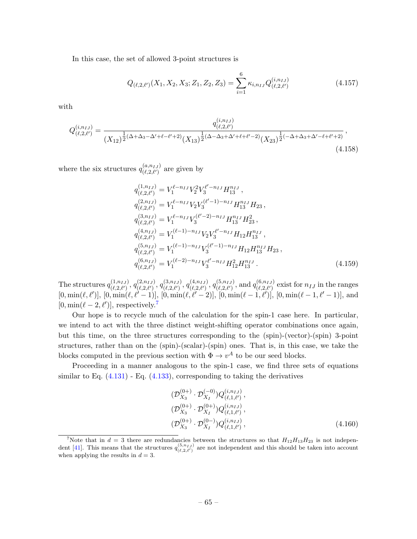In this case, the set of allowed 3-point structures is

$$
Q_{(\ell,2,\ell')}(X_1, X_2, X_3; Z_1, Z_2, Z_3) = \sum_{i=1}^{6} \kappa_{i,n_{IJ}} Q_{(\ell,2,\ell')}^{(i,n_{IJ})}
$$
(4.157)

with

$$
Q_{(\ell,2,\ell')}^{(i,n_{IJ})} = \frac{q_{(\ell,2,\ell')}^{(i,n_{IJ})}}{(X_{12})^{\frac{1}{2}(\Delta+\Delta_3-\Delta'+\ell-\ell'+2)}(X_{13})^{\frac{1}{2}(\Delta-\Delta_3+\Delta'+\ell+\ell'-2)}(X_{23})^{\frac{1}{2}(-\Delta+\Delta_3+\Delta'-\ell+\ell'+2)}},\tag{4.158}
$$

where the six structures  $q_{(\ell, 2\ell')}^{(a, n_{IJ})}$  $\binom{(a,n_I)}{(\ell,2,\ell')}$  are given by

$$
q_{(\ell,2,\ell')}^{(1,n_{IJ})} = V_1^{\ell-n_{IJ}} V_2^2 V_3^{\ell'-n_{IJ}} H_{13}^{n_{IJ}},
$$
  
\n
$$
q_{(\ell,2,\ell')}^{(2,n_{IJ})} = V_1^{\ell-n_{IJ}} V_2 V_3^{(\ell'-1)-n_{IJ}} H_{13}^{n_{IJ}} H_{23},
$$
  
\n
$$
q_{(\ell,2,\ell')}^{(3,n_{IJ})} = V_1^{\ell-n_{IJ}} V_3^{(\ell'-2)-n_{IJ}} H_{13}^{n_{IJ}} H_{23}^2,
$$
  
\n
$$
q_{(\ell,2,\ell')}^{(4,n_{IJ})} = V_1^{(\ell-1)-n_{IJ}} V_2 V_3^{\ell'-n_{IJ}} H_{12} H_{13}^{n_{IJ}},
$$
  
\n
$$
q_{(\ell,2,\ell')}^{(5,n_{IJ})} = V_1^{(\ell-1)-n_{IJ}} V_3^{(\ell'-1)-n_{IJ}} H_{12} H_{13}^{n_{IJ}} H_{23},
$$
  
\n
$$
q_{(\ell,2,\ell')}^{(6,n_{IJ})} = V_1^{(\ell-2)-n_{IJ}} V_3^{\ell'-n_{IJ}} H_{12}^2 H_{13}^{n_{IJ}}.
$$
  
\n(4.159)

The structures  $q_{(\ell_2, \ell')}^{(1, n_{IJ})}$  $\overline{q^{(1,n_{IJ})}_{(\ell,2,\ell')}}, q^{(2,n_{IJ})}_{(\ell,2,\ell')}$  $\binom{(2,n_{IJ})}{(\ell,2,\ell')}, q^{(3,n_{IJ})}_{(\ell,2,\ell')}$  $\left(\begin{smallmatrix} (3,n_{IJ})\ (\ell,2,\ell') \end{smallmatrix}\right), \, q^{(4,n_{IJ})}_{(\ell,2,\ell')}$  $\left(\begin{smallmatrix} (4,n_{IJ})\ (\ell,2,\ell') \end{smallmatrix}\right), \, q^{(5,n_{IJ})}_{(\ell,2,\ell')}$  $_{(\ell,2,\ell')}^{(5,n_{IJ})}$ , and  $q_{(\ell,2,\ell')}^{(6,n_{IJ})}$  $(\ell, 2, \ell')$  exist for  $n_{IJ}$  in the ranges  $[0, \min(\ell, \ell')], [0, \min(\ell, \ell'-1)], [0, \min(\ell, \ell'-2)], [0, \min(\ell-1, \ell')], [0, \min(\ell-1, \ell'-1)],$  and  $[0, \min(\ell - 2, \ell')]$ , respectively.<sup>[7](#page-65-0)</sup>

Our hope is to recycle much of the calculation for the spin-1 case here. In particular, we intend to act with the three distinct weight-shifting operator combinations once again, but this time, on the three structures corresponding to the (spin)-(vector)-(spin) 3-point structures, rather than on the (spin)-(scalar)-(spin) ones. That is, in this case, we take the blocks computed in the previous section with  $\Phi \to v^A$  to be our seed blocks.

Proceeding in a manner analogous to the spin-1 case, we find three sets of equations similar to Eq.  $(4.131)$  - Eq.  $(4.133)$ , corresponding to taking the derivatives

$$
(\mathcal{D}_{X_3}^{(0+)} \cdot \mathcal{D}_{X_I}^{(-0)}) Q_{(\ell,1,\ell')}^{(i,n_{IJ})},
$$
  
\n
$$
(\mathcal{D}_{X_3}^{(0+)} \cdot \mathcal{D}_{X_I}^{(0+)}) Q_{(\ell,1,\ell')}^{(i,n_{IJ})},
$$
  
\n
$$
(\mathcal{D}_{X_3}^{(0+)} \cdot \mathcal{D}_{X_I}^{(0-)}) Q_{(\ell,1,\ell')}^{(i,n_{IJ})},
$$
\n(4.160)

<span id="page-65-0"></span><sup>&</sup>lt;sup>7</sup>Note that in  $d = 3$  there are redundancies between the structures so that  $H_{12}H_{13}H_{23}$  is not indepen-dent [\[41\]](#page-103-1). This means that the structures  $q_{(\ell,2,\ell')}^{(5,n_{IJ})}$  are not independent and this should be taken into account when applying the results in  $d = 3$ .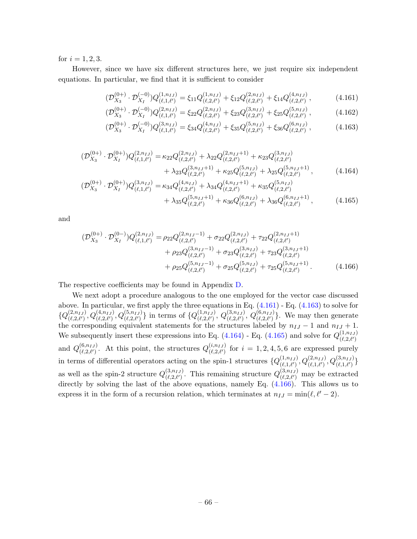for  $i = 1, 2, 3$ .

However, since we have six different structures here, we just require six independent equations. In particular, we find that it is sufficient to consider

<span id="page-66-0"></span>
$$
(\mathcal{D}_{X_3}^{(0+)} \cdot \mathcal{D}_{X_I}^{(-0)}) Q_{(\ell,1,\ell')}^{(1,n_{IJ})} = \xi_{11} Q_{(\ell,2,\ell')}^{(1,n_{IJ})} + \xi_{12} Q_{(\ell,2,\ell')}^{(2,n_{IJ})} + \xi_{14} Q_{(\ell,2,\ell')}^{(4,n_{IJ})}, \qquad (4.161)
$$

$$
(\mathcal{D}_{X_3}^{(0+)} \cdot \mathcal{D}_{X_I}^{(-0)}) Q_{(\ell,1,\ell')}^{(2,n_{IJ})} = \xi_{22} Q_{(\ell,2,\ell')}^{(2,n_{IJ})} + \xi_{23} Q_{(\ell,2,\ell')}^{(3,n_{IJ})} + \xi_{25} Q_{(\ell,2,\ell')}^{(5,n_{IJ})},
$$
(4.162)

<span id="page-66-3"></span><span id="page-66-2"></span><span id="page-66-1"></span>
$$
(\mathcal{D}_{X_3}^{(0+)} \cdot \mathcal{D}_{X_I}^{(-0)}) Q_{(\ell,1,\ell')}^{(3,n_{IJ})} = \xi_{34} Q_{(\ell,2,\ell')}^{(4,n_{IJ})} + \xi_{35} Q_{(\ell,2,\ell')}^{(5,n_{IJ})} + \xi_{36} Q_{(\ell,2,\ell')}^{(6,n_{IJ})},\tag{4.163}
$$

$$
\begin{split} (\mathcal{D}_{X_3}^{(0+)} \cdot \mathcal{D}_{X_I}^{(0+)}) Q_{(\ell,1,\ell')}^{(2,n_{IJ})} &= \kappa_{22} Q_{(\ell,2,\ell')}^{(2,n_{IJ})} + \lambda_{22} Q_{(\ell,2,\ell')}^{(2,n_{IJ}+1)} + \kappa_{23} Q_{(\ell,2,\ell')}^{(3,n_{IJ})} \\ &+ \lambda_{23} Q_{(\ell,2,\ell')}^{(3,n_{IJ}+1)} + \kappa_{25} Q_{(\ell,2,\ell')}^{(5,n_{IJ})} + \lambda_{25} Q_{(\ell,2,\ell')}^{(5,n_{IJ}+1)}, \end{split} \tag{4.164}
$$

$$
\begin{split} (\mathcal{D}_{X_3}^{(0+)} \cdot \mathcal{D}_{X_I}^{(0+)}) Q_{(\ell,1,\ell')}^{(3,n_{IJ})} &= \kappa_{34} Q_{(\ell,2,\ell')}^{(4,n_{IJ})} + \lambda_{34} Q_{(\ell,2,\ell')}^{(4,n_{IJ}+1)} + \kappa_{35} Q_{(\ell,2,\ell')}^{(5,n_{IJ})} \\ &+ \lambda_{35} Q_{(\ell,2,\ell')}^{(5,n_{IJ}+1)} + \kappa_{36} Q_{(\ell,2,\ell')}^{(6,n_{IJ})} + \lambda_{36} Q_{(\ell,2,\ell')}^{(6,n_{IJ}+1)}, \end{split} \tag{4.165}
$$

and

<span id="page-66-4"></span>
$$
\begin{split} (\mathcal{D}_{X_3}^{(0+)} \cdot \mathcal{D}_{X_I}^{(0-)}) Q_{(\ell,1,\ell')}^{(2,n_{IJ})} &= \rho_{22} Q_{(\ell,2,\ell')}^{(2,n_{IJ}-1)} + \sigma_{22} Q_{(\ell,2,\ell')}^{(2,n_{IJ})} + \tau_{22} Q_{(\ell,2,\ell')}^{(2,n_{IJ}+1)} \\ &+ \rho_{23} Q_{(\ell,2,\ell')}^{(3,n_{IJ}-1)} + \sigma_{23} Q_{(\ell,2,\ell')}^{(3,n_{IJ})} + \tau_{23} Q_{(\ell,2,\ell')}^{(3,n_{IJ}+1)} \\ &+ \rho_{25} Q_{(\ell,2,\ell')}^{(5,n_{IJ}-1)} + \sigma_{25} Q_{(\ell,2,\ell')}^{(5,n_{IJ})} + \tau_{25} Q_{(\ell,2,\ell')}^{(5,n_{IJ}+1)} . \end{split} \tag{4.166}
$$

The respective coefficients may be found in Appendix [D.](#page-88-0)

We next adopt a procedure analogous to the one employed for the vector case discussed above. In particular, we first apply the three equations in Eq.  $(4.161)$  - Eq.  $(4.163)$  to solve for  $\{Q^{(2,n_{IJ})}_{(\ell,2,\ell')}$  $(Q_{\ell,2,\ell'}^{(2,n_{IJ})}, Q_{(\ell,2,\ell')}^{(4,n_{IJ})}, Q_{(\ell,2,\ell')}^{(5,n_{IJ})} \}$  in terms of  $\{Q_{(\ell,2,\ell')}^{(1,n_{IJ})}\}$  $_{(\ell,2,\ell')}^{(1,n_{IJ})},\,Q_{(\ell,2,\ell')}^{(3,n_{IJ})}$  $( \overset{(3,n_{IJ})}{_{(\ell,2,\ell')}} , \, Q_{(\ell,2,\ell')}^{(6,n_{IJ})}$  $(\ell, 2, \ell')$ . We may then generate the corresponding equivalent statements for the structures labeled by  $n_{IJ} - 1$  and  $n_{IJ} + 1$ . We subsequently insert these expressions into Eq. [\(4.164\)](#page-66-2) - Eq. [\(4.165\)](#page-66-3) and solve for  $Q_{(\ell, 2, \ell')}^{(1, n_{IJ})}$  $(\ell,2,\ell')$ and  $Q^{(6,n_{IJ})}_{(\ell_2,\ell_1)}$  $\binom{(6,n_{IJ})}{(\ell,2,\ell')}$ . At this point, the structures  $Q_{(\ell,2,\ell')}^{(i,n_{IJ})}$  $\binom{(i,n_{IJ})}{(\ell,2,\ell')}$  for  $i = 1, 2, 4, 5, 6$  are expressed purely in terms of differential operators acting on the spin-1 structures  ${Q_{(\ell_1,\ell_1)}^{(1,n_{IJ})}}$  $\{^{(1,n_{IJ})}_{(\ell,1,\ell')},Q^{(2,n_{IJ})}_{(\ell,1,\ell')},Q^{(3,n_{IJ})}_{(\ell,1,\ell')}\}$ as well as the spin-2 structure  $Q^{(3,n_{IJ})}_{(\ell, 2, \ell')}$  $\binom{(3,n_{IJ})}{(\ell,2,\ell')}$ . This remaining structure  $Q^{(3,n_{IJ})}_{(\ell,2,\ell')}$  may be extracted directly by solving the last of the above equations, namely Eq.  $(4.166)$ . This allows us to express it in the form of a recursion relation, which terminates at  $n_{IJ} = \min(\ell, \ell' - 2)$ .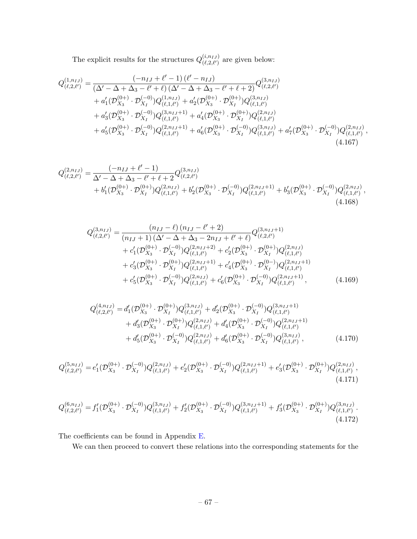The explicit results for the structures  $Q_{(\ell, 2, \ell')}^{(i, n_{IJ})}$  $\begin{bmatrix} (l,n_I) \\ (l,2,l') \end{bmatrix}$  are given below:

$$
Q_{(\ell,2,\ell')}^{(1,n_{IJ})} = \frac{(-n_{IJ} + \ell' - 1)(\ell' - n_{IJ})}{(\Delta' - \Delta + \Delta_3 - \ell' + \ell)(\Delta' - \Delta + \Delta_3 - \ell' + \ell + 2)} Q_{(\ell,2,\ell')}^{(3,n_{IJ})}
$$
  
+  $a'_1(\mathcal{D}_{X_3}^{(0+)}\cdot \mathcal{D}_{X_I}^{(-0)})Q_{(\ell,1,\ell')}^{(1,n_{IJ})} + a'_2(\mathcal{D}_{X_3}^{(0+)}\cdot \mathcal{D}_{X_I}^{(0+)})Q_{(\ell,1,\ell')}^{(3,n_{IJ})}$   
+  $a'_3(\mathcal{D}_{X_3}^{(0+)}\cdot \mathcal{D}_{X_I}^{(-0)})Q_{(\ell,1,\ell')}^{(3,n_{IJ}+1)} + a'_4(\mathcal{D}_{X_3}^{(0+)}\cdot \mathcal{D}_{X_I}^{(0+)})Q_{(\ell,1,\ell')}^{(2,n_{IJ})}$   
+  $a'_5(\mathcal{D}_{X_3}^{(0+)}\cdot \mathcal{D}_{X_I}^{(-0)})Q_{(\ell,1,\ell')}^{(2,n_{IJ}+1)} + a'_6(\mathcal{D}_{X_3}^{(0+)}\cdot \mathcal{D}_{X_I}^{(-0)})Q_{(\ell,1,\ell')}^{(3,n_{IJ})} + a'_7(\mathcal{D}_{X_3}^{(0+)}\cdot \mathcal{D}_{X_I}^{(-0)})Q_{(\ell,1,\ell')}^{(2,n_{IJ})},$   
(4.167)

$$
Q_{(\ell,2,\ell')}^{(2,n_{IJ})} = \frac{(-n_{IJ} + \ell' - 1)}{\Delta' - \Delta + \Delta_3 - \ell' + \ell + 2} Q_{(\ell,2,\ell')}^{(3,n_{IJ})} + b'_1 (\mathcal{D}_{X_3}^{(0+)}\cdot \mathcal{D}_{X_I}^{(0+)}) Q_{(\ell,1,\ell')}^{(2,n_{IJ})} + b'_2 (\mathcal{D}_{X_3}^{(0+)}\cdot \mathcal{D}_{X_I}^{(-0)}) Q_{(\ell,1,\ell')}^{(2,n_{IJ}+1)} + b'_3 (\mathcal{D}_{X_3}^{(0+)}\cdot \mathcal{D}_{X_I}^{(-0)}) Q_{(\ell,1,\ell')}^{(2,n_{IJ})},
$$
\n(4.168)

$$
Q_{(\ell,2,\ell')}^{(3,n_{IJ})} = \frac{(n_{IJ} - \ell) (n_{IJ} - \ell' + 2)}{(n_{IJ} + 1) (\Delta' - \Delta + \Delta_3 - 2n_{IJ} + \ell' + \ell)} Q_{(\ell,2,\ell')}^{(3,n_{IJ}+1)} + c'_1 (\mathcal{D}_{X_3}^{(0+)}\cdot \mathcal{D}_{X_I}^{(-0)}) Q_{(\ell,1,\ell')}^{(2,n_{IJ}+2)} + c'_2 (\mathcal{D}_{X_3}^{(0+)}\cdot \mathcal{D}_{X_I}^{(0+)}) Q_{(\ell,1,\ell')}^{(2,n_{IJ})} + c'_3 (\mathcal{D}_{X_3}^{(0+)}\cdot \mathcal{D}_{X_I}^{(0+)}) Q_{(\ell,1,\ell')}^{(2,n_{IJ}+1)} + c'_4 (\mathcal{D}_{X_3}^{(0+)}\cdot \mathcal{D}_{X_I}^{(0-)}) Q_{(\ell,1,\ell')}^{(2,n_{IJ}+1)} + c'_5 (\mathcal{D}_{X_3}^{(0+)}\cdot \mathcal{D}_{X_I}^{(-0)}) Q_{(\ell,1,\ell')}^{(2,n_{IJ})} + c'_6 (\mathcal{D}_{X_3}^{(0+)}\cdot \mathcal{D}_{X_I}^{(-0)}) Q_{(\ell,1,\ell')}^{(2,n_{IJ}+1)},
$$
(4.169)

$$
Q_{(\ell,2,\ell')}^{(4,n_{IJ})} = d'_1(\mathcal{D}_{X_3}^{(0+)} \cdot \mathcal{D}_{X_I}^{(0+)}) Q_{(\ell,1,\ell')}^{(3,n_{IJ})} + d'_2(\mathcal{D}_{X_3}^{(0+)} \cdot \mathcal{D}_{X_I}^{(-0)}) Q_{(\ell,1,\ell')}^{(3,n_{IJ}+1)} + d'_3(\mathcal{D}_{X_3}^{(0+)} \cdot \mathcal{D}_{X_I}^{(0+)}) Q_{(\ell,1,\ell')}^{(2,n_{IJ})} + d'_4(\mathcal{D}_{X_3}^{(0+)} \cdot \mathcal{D}_{X_I}^{(-0)}) Q_{(\ell,1,\ell')}^{(2,n_{IJ}+1)} + d'_5(\mathcal{D}_{X_3}^{(0+)} \cdot \mathcal{D}_{X_I}^{(-0)}) Q_{(\ell,1,\ell')}^{(2,n_{IJ})} + d'_6(\mathcal{D}_{X_3}^{(0+)} \cdot \mathcal{D}_{X_I}^{(-0)}) Q_{(\ell,1,\ell')}^{(3,n_{IJ})},
$$
\n(4.170)

$$
Q_{(\ell,2,\ell')}^{(5,n_{IJ})} = e'_1(\mathcal{D}_{X_3}^{(0+)} \cdot \mathcal{D}_{X_I}^{(-0)})Q_{(\ell,1,\ell')}^{(2,n_{IJ})} + e'_2(\mathcal{D}_{X_3}^{(0+)} \cdot \mathcal{D}_{X_I}^{(-0)})Q_{(\ell,1,\ell')}^{(2,n_{IJ}+1)} + e'_3(\mathcal{D}_{X_3}^{(0+)} \cdot \mathcal{D}_{X_I}^{(0+)})Q_{(\ell,1,\ell')}^{(2,n_{IJ})},
$$
\n(4.171)

$$
Q_{(\ell,2,\ell')}^{(6,n_{IJ})} = f_1'(\mathcal{D}_{X_3}^{(0+)} \cdot \mathcal{D}_{X_I}^{(-0)}) Q_{(\ell,1,\ell')}^{(3,n_{IJ})} + f_2'(\mathcal{D}_{X_3}^{(0+)} \cdot \mathcal{D}_{X_I}^{(-0)}) Q_{(\ell,1,\ell')}^{(3,n_{IJ}+1)} + f_3'(\mathcal{D}_{X_3}^{(0+)} \cdot \mathcal{D}_{X_I}^{(0+)}) Q_{(\ell,1,\ell')}^{(3,n_{IJ})}.
$$
\n(4.172)

The coefficients can be found in Appendix [E.](#page-92-0)

We can then proceed to convert these relations into the corresponding statements for the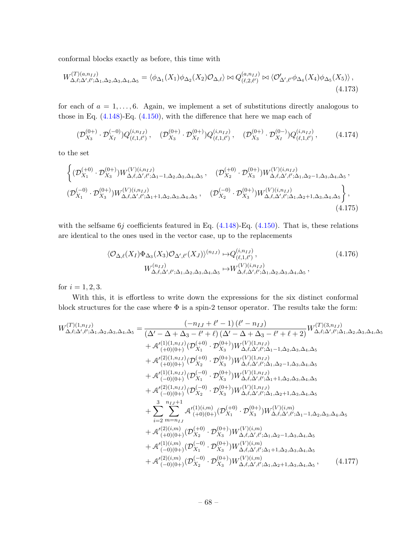conformal blocks exactly as before, this time with

$$
W_{\Delta,\ell;\Delta',\ell';\Delta_1,\Delta_2,\Delta_3,\Delta_4,\Delta_5}^{(T)(a,n_{IJ})} = \langle \phi_{\Delta_1}(X_1)\phi_{\Delta_2}(X_2)\mathcal{O}_{\Delta,\ell} \rangle \bowtie Q_{(\ell,2,\ell')}^{(a,n_{IJ})} \bowtie \langle \mathcal{O}'_{\Delta',\ell'}\phi_{\Delta_4}(X_4)\phi_{\Delta_5}(X_5) \rangle,
$$
\n(4.173)

for each of  $a = 1, \ldots, 6$ . Again, we implement a set of substitutions directly analogous to those in Eq.  $(4.148)$ -Eq.  $(4.150)$ , with the difference that here we map each of

$$
(\mathcal{D}_{X_3}^{(0+)} \cdot \mathcal{D}_{X_I}^{(-0)}) Q_{(\ell,1,\ell')}^{(i,n_{IJ})}, \quad (\mathcal{D}_{X_3}^{(0+)} \cdot \mathcal{D}_{X_I}^{(0+)}) Q_{(\ell,1,\ell')}^{(i,n_{IJ})}, \quad (\mathcal{D}_{X_3}^{(0+)} \cdot \mathcal{D}_{X_I}^{(0-)}) Q_{(\ell,1,\ell')}^{(i,n_{IJ})}, \qquad (4.174)
$$

to the set

$$
\left\{ (\mathcal{D}_{X_1}^{(-4)} \cdot \mathcal{D}_{X_3}^{(0+)}) W_{\Delta,\ell,\Delta',\ell';\Delta_1-1,\Delta_2,\Delta_3,\Delta_4,\Delta_5}^{(V)(i,n_{IJ})}, \quad (\mathcal{D}_{X_2}^{(+0)} \cdot \mathcal{D}_{X_3}^{(0+)}) W_{\Delta,\ell,\Delta',\ell';\Delta_1,\Delta_2-1,\Delta_3,\Delta_4,\Delta_5}^{(V)(i,n_{IJ})},\right.\\ \left. (\mathcal{D}_{X_1}^{(-0)} \cdot \mathcal{D}_{X_3}^{(0+)}) W_{\Delta,\ell,\Delta',\ell';\Delta_1+1,\Delta_2,\Delta_3,\Delta_4,\Delta_5}^{(V)(i,n_{IJ})}, \quad (\mathcal{D}_{X_2}^{(-0)} \cdot \mathcal{D}_{X_3}^{(0+)}) W_{\Delta,\ell,\Delta',\ell';\Delta_1,\Delta_2+1,\Delta_3,\Delta_4,\Delta_5}^{(V)(i,n_{IJ})} \right\},
$$
\n(4.175)

with the selfsame  $6j$  coefficients featured in Eq.  $(4.148)$ -Eq.  $(4.150)$ . That is, these relations are identical to the ones used in the vector case, up to the replacements

$$
\langle \mathcal{O}_{\Delta,\ell}(X_I) \Phi_{\Delta_3}(X_3) \mathcal{O}_{\Delta',\ell'}(X_J) \rangle^{(n_{IJ})} \mapsto Q_{(\ell,1,\ell')}^{(i,n_{IJ})},
$$
\n
$$
W_{\Delta,\ell,\Delta',\ell';\Delta_1,\Delta_2,\Delta_3,\Delta_4,\Delta_5}^{(n_{IJ})} \mapsto W_{\Delta,\ell,\Delta',\ell';\Delta_1,\Delta_2,\Delta_3,\Delta_4,\Delta_5}^{(V)(i,n_{IJ})},
$$
\n
$$
(4.176)
$$

for  $i = 1, 2, 3$ .

With this, it is effortless to write down the expressions for the six distinct conformal block structures for the case where  $\Phi$  is a spin-2 tensor operator. The results take the form:

$$
W_{\Delta,\ell;\Delta',\ell';\Delta_{1},\Delta_{2},\Delta_{3},\Delta_{4},\Delta_{5}} = \frac{(-n_{IJ} + \ell' - 1) (\ell' - n_{IJ})}{(\Delta' - \Delta + \Delta_{3} - \ell' + \ell) (\Delta' - \Delta + \Delta_{3} - \ell' + \ell + 2)} W_{\Delta,\ell;\Delta',\ell';\Delta_{1},\Delta_{2},\Delta_{3},\Delta_{4},\Delta_{5} + \mathcal{A}'_{(+)0)(0+)}(D_{X_{1}}^{(1)} \cdot \mathcal{D}_{X_{3}}^{(0)}) W_{\Delta,\ell,\Delta',\ell';\Delta_{1}-1,\Delta_{2},\Delta_{3},\Delta_{4},\Delta_{5} + \mathcal{A}'_{(+)0)(0+)}(D_{X_{2}}^{(0)} \cdot \mathcal{D}_{X_{3}}^{(0)}) W_{\Delta,\ell,\Delta',\ell';\Delta_{1}-1,\Delta_{2},\Delta_{3},\Delta_{4},\Delta_{5} + \mathcal{A}'_{(+)0)(0+)}(D_{X_{2}}^{(0)} \cdot \mathcal{D}_{X_{3}}^{(0)}) W_{\Delta,\ell,\Delta',\ell';\Delta_{1},\Delta_{2}-1,\Delta_{3},\Delta_{4},\Delta_{5} + \mathcal{A}'_{(0)(0+)}(D_{X_{1}}^{(1)} \cdot \mathcal{D}_{X_{3}}^{(0)}) W_{\Delta,\ell,\Delta',\ell';\Delta_{1}+1,\Delta_{2},\Delta_{3},\Delta_{4},\Delta_{5} + \mathcal{A}'_{(2)(1,n_{IJ})}(D_{X_{1}}^{(0)} \cdot \mathcal{D}_{X_{2}}^{(0)}) W_{\Delta,\ell,\Delta',\ell';\Delta_{1}+1,\Delta_{2},\Delta_{3},\Delta_{4},\Delta_{5} + \mathcal{A}'_{(2)(1,n_{IJ})}(D_{X_{2}}^{(0)} \cdot \mathcal{D}_{X_{3}}^{(0)}) W_{\Delta,\ell,\Delta',\ell';\Delta_{1}+1,\Delta_{2},\Delta_{3},\Delta_{4},\Delta_{5} + \sum_{i=2}^{3} \sum_{m=n_{IJ}}^{\infty} \mathcal{A}'_{(+0)(0+)}(\mathcal{D}_{X_{1}}^{(+)} \cdot \mathcal{D}_{X_{3}}^{(0+)}) W_{\Delta,\ell,\Delta',\ell';\Delta_{1},\Delta_{2}-1,\Delta_{3},\Delta_{4},\Delta_{5} + \mathcal{A}'_{(2)(i,m)}(1)(i,m) + \mathcal{A}'_{(
$$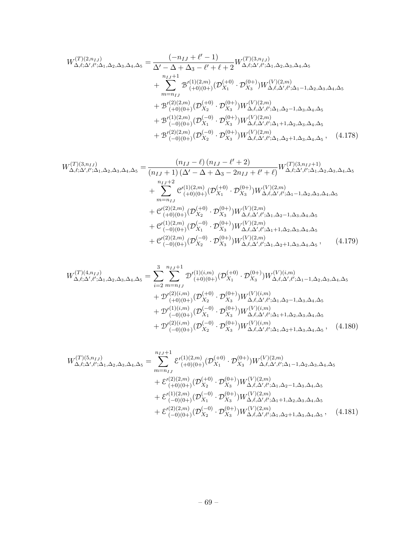$$
W_{\Delta,\ell;\Delta',\ell';\Delta_{1},\Delta_{2},\Delta_{3},\Delta_{4},\Delta_{5}}^{(T)(2,n_{IJ})} = \frac{(-n_{IJ} + \ell' - 1)}{\Delta' - \Delta + \Delta_{3} - \ell' + \ell + 2} W_{\Delta,\ell;\Delta',\ell';\Delta_{1},\Delta_{2},\Delta_{3},\Delta_{4},\Delta_{5}}^{(T)(3,n_{IJ})} + \sum_{m= n_{IJ}}^{n_{IJ}+1} \mathcal{B}'_{(+0)(0+)}^{(1)(2,m)}(\mathcal{D}_{X_{1}}^{(+0)} \cdot \mathcal{D}_{X_{3}}^{(0+)}) W_{\Delta,\ell,\Delta',\ell';\Delta_{1}-1,\Delta_{2},\Delta_{3},\Delta_{4},\Delta_{5}}^{(V)(2,m)} + \mathcal{B}'_{(+0)(0+)}^{(2)(2,m)}(\mathcal{D}_{X_{2}}^{(+0)} \cdot \mathcal{D}_{X_{3}}^{(0+)}) W_{\Delta,\ell,\Delta',\ell';\Delta_{1},\Delta_{2}-1,\Delta_{3},\Delta_{4},\Delta_{5}}^{(V)(2,m)} + \mathcal{B}'_{(-0)(0+)}^{(1)(2,m)}(\mathcal{D}_{X_{1}}^{(-0)} \cdot \mathcal{D}_{X_{3}}^{(0+)}) W_{\Delta,\ell,\Delta',\ell';\Delta_{1}+1,\Delta_{2},\Delta_{3},\Delta_{4},\Delta_{5}}^{(V)(2,m)} + \mathcal{B}'_{(-0)(0+)}^{(2)(2,m)}(\mathcal{D}_{X_{2}}^{(-0)} \cdot \mathcal{D}_{X_{3}}^{(0+)}) W_{\Delta,\ell,\Delta',\ell';\Delta_{1}+1,\Delta_{2},\Delta_{3},\Delta_{4},\Delta_{5}}^{(V)(2,m)},
$$
(4.178)

$$
W_{\Delta,\ell;\Delta',\ell';\Delta_{1},\Delta_{2},\Delta_{3},\Delta_{4},\Delta_{5}}^{(T)(3,n_{IJ})} = \frac{(n_{IJ} - \ell) (n_{IJ} - \ell' + 2)}{(n_{IJ} + 1) (\Delta' - \Delta + \Delta_{3} - 2n_{IJ} + \ell' + \ell)} W_{\Delta,\ell;\Delta',\ell';\Delta_{1},\Delta_{2},\Delta_{3},\Delta_{4},\Delta_{5}^{(N)} + \sum_{m= n_{IJ}}^{n_{IJ}+2} \mathcal{C}'_{(+0)(0+)}^{(1)(2,m)} (\mathcal{D}_{X1}^{(+0)} \cdot \mathcal{D}_{X3}^{(0+)}) W_{\Delta,\ell,\Delta',\ell';\Delta_{1}-1,\Delta_{2},\Delta_{3},\Delta_{4},\Delta_{5}^{(N)} + \mathcal{C}'_{(+0)(0+)}^{(2)(2,m)} (\mathcal{D}_{X2}^{(+0)} \cdot \mathcal{D}_{X3}^{(0+)}) W_{\Delta,\ell,\Delta',\ell';\Delta_{1},\Delta_{2}-1,\Delta_{3},\Delta_{4},\Delta_{5}^{(N)} + \mathcal{C}'_{(-0)(0+)}^{(1)(2,m)} (\mathcal{D}_{X1}^{(-0)} \cdot \mathcal{D}_{X3}^{(0+)}) W_{\Delta,\ell,\Delta',\ell';\Delta_{1}+1,\Delta_{2},\Delta_{3},\Delta_{4},\Delta_{5}^{(N)} + \mathcal{C}'_{(-0)(0+)}^{(2)(2,m)} (\mathcal{D}_{X2}^{(-0)} \cdot \mathcal{D}_{X3}^{(0+)}) W_{\Delta,\ell,\Delta',\ell';\Delta_{1}+1,\Delta_{2},\Delta_{3},\Delta_{4},\Delta_{5}^{(N)},}
$$
\n(4.179)

$$
W_{\Delta,\ell;\Delta',\ell';\Delta_1,\Delta_2,\Delta_3,\Delta_4,\Delta_5}^{(T)(4,n_{IJ})} = \sum_{i=2}^{3} \sum_{m=n_{IJ}}^{n_{IJ}+1} \mathcal{D}'^{(1)(i,m)}_{(+0)(0+)} (\mathcal{D}_{X_1}^{(+0)} \cdot \mathcal{D}_{X_3}^{(0+)}) W_{\Delta,\ell,\Delta',\ell';\Delta_1-1,\Delta_2,\Delta_3,\Delta_4,\Delta_5}^{(V)(i,m)} + \mathcal{D}'^{(2)(i,m)}_{(+0)(0+)} (\mathcal{D}_{X_2}^{(+0)} \cdot \mathcal{D}_{X_3}^{(0+)}) W_{\Delta,\ell,\Delta',\ell';\Delta_1,\Delta_2-1,\Delta_3,\Delta_4,\Delta_5}^{(V)(i,m)} + \mathcal{D}'^{(1)(i,m)}_{(-0)(0+)} (\mathcal{D}_{X_1}^{(-0)} \cdot \mathcal{D}_{X_3}^{(0+)}) W_{\Delta,\ell,\Delta',\ell';\Delta_1+1,\Delta_2,\Delta_3,\Delta_4,\Delta_5}^{(V)(i,m)} + \mathcal{D}'^{(2)(i,m)}_{(-0)(0+)} (\mathcal{D}_{X_2}^{(-0)} \cdot \mathcal{D}_{X_3}^{(0+)}) W_{\Delta,\ell,\Delta',\ell';\Delta_1+1,\Delta_2,\Delta_3,\Delta_4,\Delta_5}^{(V)(i,m)},
$$
(4.180)

$$
W_{\Delta,\ell;\Delta',\ell';\Delta_{1},\Delta_{2},\Delta_{3},\Delta_{4},\Delta_{5}}^{(T)(5,n_{IJ})} = \sum_{m=n_{IJ}}^{n_{IJ}+1} \mathcal{E}'_{(+0)(0+)}^{(1)(2,m)}(\mathcal{D}_{X_{1}}^{(+0)} \cdot \mathcal{D}_{X_{3}}^{(0+)}) W_{\Delta,\ell,\Delta',\ell';\Delta_{1}-1,\Delta_{2},\Delta_{3},\Delta_{4},\Delta_{5}}^{(V)(2,m)} + \mathcal{E}'_{(+0)(0+)}^{(2)(2,m)}(\mathcal{D}_{X_{2}}^{(+0)} \cdot \mathcal{D}_{X_{3}}^{(0+)}) W_{\Delta,\ell,\Delta',\ell';\Delta_{1},\Delta_{2}-1,\Delta_{3},\Delta_{4},\Delta_{5}}^{(V)(2,m)} + \mathcal{E}'_{(-0)(0+)}^{(1)(2,m)}(\mathcal{D}_{X_{1}}^{(-0)} \cdot \mathcal{D}_{X_{3}}^{(0+)}) W_{\Delta,\ell,\Delta',\ell';\Delta_{1}+1,\Delta_{2},\Delta_{3},\Delta_{4},\Delta_{5}}^{(V)(2,m)} + \mathcal{E}'_{(-0)(0+)}^{(2)(2,m)}(\mathcal{D}_{X_{2}}^{(-0)} \cdot \mathcal{D}_{X_{3}}^{(0+)}) W_{\Delta,\ell,\Delta',\ell';\Delta_{1},\Delta_{2}+1,\Delta_{3},\Delta_{4},\Delta_{5}}^{(V)(2,m)},
$$
(4.181)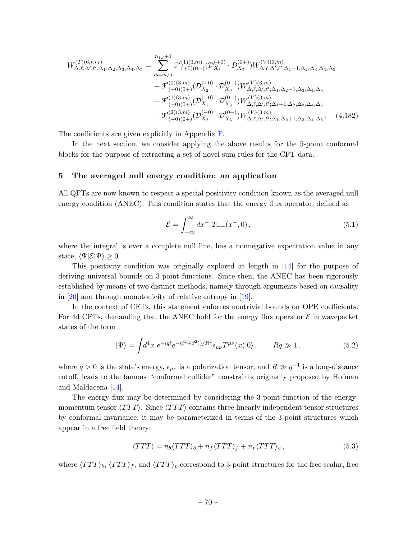$$
W_{\Delta,\ell;\Delta',\ell';\Delta_1,\Delta_2,\Delta_3,\Delta_4,\Delta_5}^{(T)(6,n_{IJ})} = \sum_{m=n_{IJ}}^{n_{IJ}+1} \mathcal{F}_{(+0)(0+)}^{(1)(3,m)}(\mathcal{D}_{X_1}^{(+0)} \cdot \mathcal{D}_{X_3}^{(0+)}) W_{\Delta,\ell,\Delta',\ell';\Delta_1-1,\Delta_2,\Delta_3,\Delta_4,\Delta_5}^{(V)(3,m)} + \mathcal{F}_{(+0)(0+)}^{(2)(3,m)}(\mathcal{D}_{X_2}^{(+0)} \cdot \mathcal{D}_{X_3}^{(0+)}) W_{\Delta,\ell,\Delta',\ell';\Delta_1,\Delta_2-1,\Delta_3,\Delta_4,\Delta_5}^{(V)(3,m)} + \mathcal{F}_{(-0)(0+)}^{(1)(3,m)}(\mathcal{D}_{X_1}^{(-0)} \cdot \mathcal{D}_{X_3}^{(0+)}) W_{\Delta,\ell,\Delta',\ell';\Delta_1+1,\Delta_2,\Delta_3,\Delta_4,\Delta_5}^{(V)(3,m)} + \mathcal{F}_{(-0)(0+)}^{(2)(3,m)}(\mathcal{D}_{X_2}^{(-0)} \cdot \mathcal{D}_{X_3}^{(0+)}) W_{\Delta,\ell,\Delta',\ell';\Delta_1+1,\Delta_2,\Delta_3,\Delta_4,\Delta_5}^{(V)(3,m)}.
$$
(4.182)

The coefficients are given explicitly in Appendix [F.](#page-96-0)

In the next section, we consider applying the above results for the 5-point conformal blocks for the purpose of extracting a set of novel sum rules for the CFT data.

## 5 The averaged null energy condition: an application

All QFTs are now known to respect a special positivity condition known as the averaged null energy condition (ANEC). This condition states that the energy flux operator, defined as

$$
\mathcal{E} = \int_{-\infty}^{\infty} dx^{-} T_{--}(x^-, 0), \qquad (5.1)
$$

where the integral is over a complete null line, has a nonnegative expectation value in any state,  $\langle \Psi | \mathcal{E} | \Psi \rangle \geq 0$ .

This positivity condition was originally explored at length in [\[14\]](#page-102-0) for the purpose of deriving universal bounds on 3-point functions. Since then, the ANEC has been rigorously established by means of two distinct methods, namely through arguments based on causality in [\[20\]](#page-102-1) and through monotonicity of relative entropy in [\[19\]](#page-102-2).

In the context of CFTs, this statement enforces nontrivial bounds on OPE coefficients. For 4d CFTs, demanding that the ANEC hold for the energy flux operator  $\mathcal E$  in wavepacket states of the form

$$
|\Psi\rangle = \int d^4x \ e^{-iqt} e^{-(t^2 + \vec{x}^2)/R^2} \epsilon_{\mu\nu} T^{\mu\nu}(x) |0\rangle \,, \qquad Rq \gg 1 \,, \tag{5.2}
$$

where  $q > 0$  is the state's energy,  $\epsilon_{\mu\nu}$  is a polarization tensor, and  $R \gg q^{-1}$  is a long-distance cutoff, leads to the famous "conformal collider" constraints originally proposed by Hofman and Maldacena [\[14\]](#page-102-0).

The energy flux may be determined by considering the 3-point function of the energymomentum tensor  $\langle TTT \rangle$ . Since  $\langle TTT \rangle$  contains three linearly independent tensor structures by conformal invariance, it may be parameterized in terms of the 3-point structures which appear in a free field theory:

$$
\langle TTT \rangle = n_b \langle TTT \rangle_b + n_f \langle TTT \rangle_f + n_v \langle TTT \rangle_v, \qquad (5.3)
$$

where  $\langle TTT \rangle_b$ ,  $\langle TTT \rangle_f$ , and  $\langle TTT \rangle_v$  correspond to 3-point structures for the free scalar, free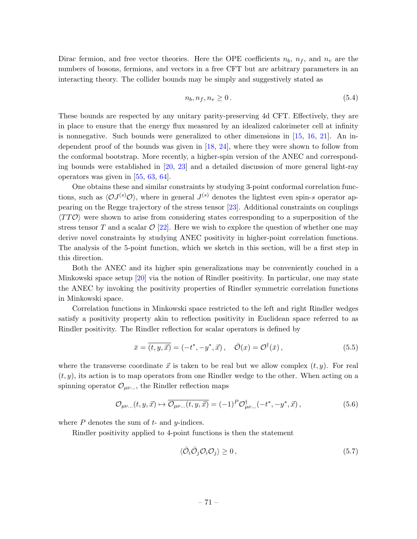Dirac fermion, and free vector theories. Here the OPE coefficients  $n_b$ ,  $n_f$ , and  $n_v$  are the numbers of bosons, fermions, and vectors in a free CFT but are arbitrary parameters in an interacting theory. The collider bounds may be simply and suggestively stated as

$$
n_b, n_f, n_v \ge 0. \tag{5.4}
$$

These bounds are respected by any unitary parity-preserving 4d CFT. Effectively, they are in place to ensure that the energy flux measured by an idealized calorimeter cell at infinity is nonnegative. Such bounds were generalized to other dimensions in [\[15,](#page-102-3) [16,](#page-102-4) [21\]](#page-102-5). An independent proof of the bounds was given in [\[18,](#page-102-6) [24\]](#page-102-7), where they were shown to follow from the conformal bootstrap. More recently, a higher-spin version of the ANEC and corresponding bounds were established in [\[20,](#page-102-1) [23\]](#page-102-8) and a detailed discussion of more general light-ray operators was given in [\[55,](#page-104-3) [63,](#page-104-4) [64\]](#page-104-5).

One obtains these and similar constraints by studying 3-point conformal correlation functions, such as  $\langle \mathcal{O}J^{(s)}\mathcal{O}\rangle$ , where in general  $J^{(s)}$  denotes the lightest even spin-s operator appearing on the Regge trajectory of the stress tensor [\[23\]](#page-102-8). Additional constraints on couplings  $\langle TT\mathcal{O} \rangle$  were shown to arise from considering states corresponding to a superposition of the stress tensor T and a scalar  $\mathcal{O}$  [\[22\]](#page-102-9). Here we wish to explore the question of whether one may derive novel constraints by studying ANEC positivity in higher-point correlation functions. The analysis of the 5-point function, which we sketch in this section, will be a first step in this direction.

Both the ANEC and its higher spin generalizations may be conveniently couched in a Minkowski space setup [\[20\]](#page-102-1) via the notion of Rindler positivity. In particular, one may state the ANEC by invoking the positivity properties of Rindler symmetric correlation functions in Minkowski space.

Correlation functions in Minkowski space restricted to the left and right Rindler wedges satisfy a positivity property akin to reflection positivity in Euclidean space referred to as Rindler positivity. The Rindler reflection for scalar operators is defined by

$$
\bar{x} = \overline{(t, y, \vec{x})} = (-t^*, -y^*, \vec{x}), \quad \bar{\mathcal{O}}(x) = \mathcal{O}^\dagger(\bar{x}), \tag{5.5}
$$

where the transverse coordinate  $\vec{x}$  is taken to be real but we allow complex  $(t, y)$ . For real  $(t, y)$ , its action is to map operators from one Rindler wedge to the other. When acting on a spinning operator  $\mathcal{O}_{\mu\nu...}$ , the Rindler reflection maps

$$
\mathcal{O}_{\mu\nu...}(t, y, \vec{x}) \mapsto \overline{\mathcal{O}_{\mu\nu...}(t, y, \vec{x})} = (-1)^P \mathcal{O}_{\mu\nu...}^{\dagger}(-t^*, -y^*, \vec{x}), \qquad (5.6)
$$

where  $P$  denotes the sum of  $t$ - and  $y$ -indices.

Rindler positivity applied to 4-point functions is then the statement

$$
\langle \bar{\mathcal{O}}_i \bar{\mathcal{O}}_j \mathcal{O}_i \mathcal{O}_j \rangle \ge 0, \qquad (5.7)
$$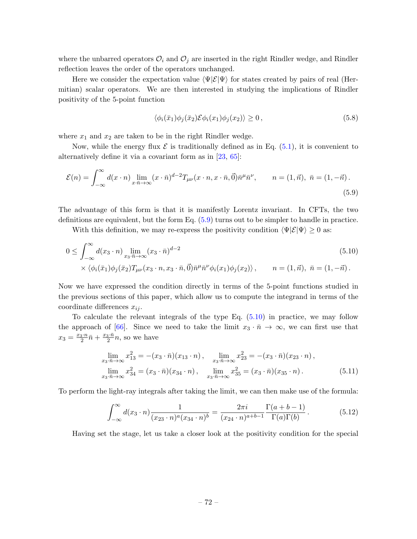where the unbarred operators  $\mathcal{O}_i$  and  $\mathcal{O}_j$  are inserted in the right Rindler wedge, and Rindler reflection leaves the order of the operators unchanged.

Here we consider the expectation value  $\langle \Psi | \mathcal{E} | \Psi \rangle$  for states created by pairs of real (Hermitian) scalar operators. We are then interested in studying the implications of Rindler positivity of the 5-point function

<span id="page-72-1"></span><span id="page-72-0"></span>
$$
\langle \phi_i(\bar{x}_1)\phi_j(\bar{x}_2)\mathcal{E}\phi_i(x_1)\phi_j(x_2)\rangle \ge 0\,,\tag{5.8}
$$

where  $x_1$  and  $x_2$  are taken to be in the right Rindler wedge.

Now, while the energy flux  $\mathcal E$  is traditionally defined as in Eq. [\(5.1\)](#page-70-0), it is convenient to alternatively define it via a covariant form as in [\[23,](#page-102-0) [65\]](#page-104-0):

$$
\mathcal{E}(n) = \int_{-\infty}^{\infty} d(x \cdot n) \lim_{x \cdot \bar{n} \to \infty} (x \cdot \bar{n})^{d-2} T_{\mu\nu}(x \cdot n, x \cdot \bar{n}, \vec{0}) \bar{n}^{\mu} \bar{n}^{\nu}, \qquad n = (1, \vec{n}), \ \bar{n} = (1, -\vec{n}).
$$
\n(5.9)

The advantage of this form is that it is manifestly Lorentz invariant. In CFTs, the two definitions are equivalent, but the form Eq. [\(5.9\)](#page-72-0) turns out to be simpler to handle in practice.

With this definition, we may re-express the positivity condition  $\langle \Psi | \mathcal{E} | \Psi \rangle \geq 0$  as:

$$
0 \leq \int_{-\infty}^{\infty} d(x_3 \cdot n) \lim_{x_3, \bar{n} \to \infty} (x_3 \cdot \bar{n})^{d-2}
$$
  
\$\times \langle \phi\_i(\bar{x}\_1) \phi\_j(\bar{x}\_2) T\_{\mu\nu}(x\_3 \cdot n, x\_3 \cdot \bar{n}, \vec{0}) \bar{n}^{\mu} \bar{n}^{\nu} \phi\_i(x\_1) \phi\_j(x\_2) \rangle\$, \$n = (1, \vec{n}), \ \bar{n} = (1, -\vec{n})\$.

Now we have expressed the condition directly in terms of the 5-point functions studied in the previous sections of this paper, which allow us to compute the integrand in terms of the coordinate differences  $x_{ij}$ .

To calculate the relevant integrals of the type Eq. [\(5.10\)](#page-72-1) in practice, we may follow the approach of [\[66\]](#page-104-1). Since we need to take the limit  $x_3 \cdot \bar{n} \to \infty$ , we can first use that  $x_3 = \frac{x_3 \cdot n}{2} \bar{n} + \frac{x_3 \cdot \bar{n}}{2} n$ , so we have

$$
\lim_{x_3 \cdot \bar{n} \to \infty} x_{13}^2 = -(x_3 \cdot \bar{n})(x_{13} \cdot n), \quad \lim_{x_3 \cdot \bar{n} \to \infty} x_{23}^2 = -(x_3 \cdot \bar{n})(x_{23} \cdot n),
$$
\n
$$
\lim_{x_3 \cdot \bar{n} \to \infty} x_{34}^2 = (x_3 \cdot \bar{n})(x_{34} \cdot n), \quad \lim_{x_3 \cdot \bar{n} \to \infty} x_{35}^2 = (x_3 \cdot \bar{n})(x_{35} \cdot n). \tag{5.11}
$$

To perform the light-ray integrals after taking the limit, we can then make use of the formula:

$$
\int_{-\infty}^{\infty} d(x_3 \cdot n) \frac{1}{(x_{23} \cdot n)^a (x_{34} \cdot n)^b} = \frac{2\pi i}{(x_{24} \cdot n)^{a+b-1}} \frac{\Gamma(a+b-1)}{\Gamma(a)\Gamma(b)}.
$$
(5.12)

Having set the stage, let us take a closer look at the positivity condition for the special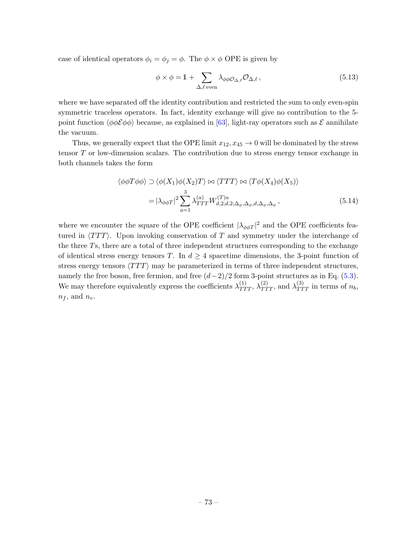case of identical operators  $\phi_i = \phi_j = \phi$ . The  $\phi \times \phi$  OPE is given by

$$
\phi \times \phi = 1 + \sum_{\Delta,\ell \text{ even}} \lambda_{\phi\phi\mathcal{O}_{\Delta,\ell}} \mathcal{O}_{\Delta,\ell}, \qquad (5.13)
$$

where we have separated off the identity contribution and restricted the sum to only even-spin symmetric traceless operators. In fact, identity exchange will give no contribution to the 5 point function  $\langle \phi \phi \mathcal{E} \phi \phi \rangle$  because, as explained in [\[63\]](#page-104-2), light-ray operators such as  $\mathcal{E}$  annihilate the vacuum.

Thus, we generally expect that the OPE limit  $x_{12}, x_{45} \rightarrow 0$  will be dominated by the stress tensor  $T$  or low-dimension scalars. The contribution due to stress energy tensor exchange in both channels takes the form

$$
\langle \phi \phi T \phi \phi \rangle \supset \langle \phi(X_1) \phi(X_2) T \rangle \bowtie \langle TTT \rangle \bowtie \langle T\phi(X_4) \phi(X_5) \rangle
$$
  
=  $|\lambda_{\phi\phi T}|^2 \sum_{a=1}^3 \lambda_{TTT}^{(a)} W_{d,2;d,2;\Delta_{\phi},\Delta_{\phi},d,\Delta_{\phi},\Delta_{\phi}}^{(T)a},$  (5.14)

where we encounter the square of the OPE coefficient  $|\lambda_{\phi\phi T}|^2$  and the OPE coefficients featured in  $\langle TTT \rangle$ . Upon invoking conservation of T and symmetry under the interchange of the three Ts, there are a total of three independent structures corresponding to the exchange of identical stress energy tensors T. In  $d \geq 4$  spacetime dimensions, the 3-point function of stress energy tensors  $\langle TTT \rangle$  may be parameterized in terms of three independent structures, namely the free boson, free fermion, and free  $(d-2)/2$  form 3-point structures as in Eq. [\(5.3\)](#page-70-1). We may therefore equivalently express the coefficients  $\lambda_{TTT}^{(1)}$ ,  $\lambda_{TTT}^{(2)}$ , and  $\lambda_{TTT}^{(3)}$  in terms of  $n_b$ ,  $n_f$ , and  $n_v$ .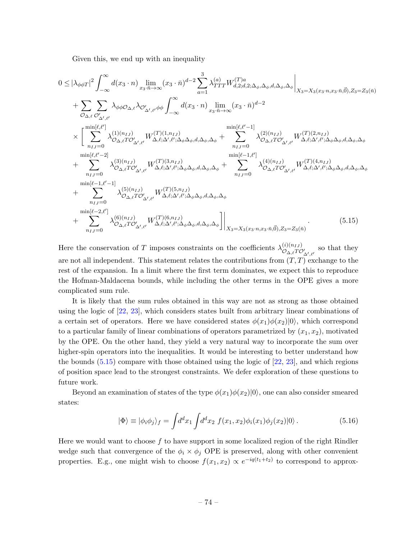Given this, we end up with an inequality

$$
0 \leq |\lambda_{\phi\phi T}|^{2} \int_{-\infty}^{\infty} d(x_{3} \cdot n) \lim_{x_{3} \cdot \overline{n} \to \infty} (x_{3} \cdot \overline{n})^{d-2} \sum_{a=1}^{3} \lambda_{TTT}^{(a)} W_{d,2; d,2; \Delta_{\phi}, \Delta_{\phi}, d, \Delta_{\phi}, \Delta_{\phi}} \Big|_{X_{3}=X_{3}(x_{3} \cdot n, x_{3} \cdot \overline{n}, \overline{0}), Z_{3}=Z_{3}(\overline{n})} + \sum_{\mathcal{O}_{\Delta,\ell}} \sum_{\mathcal{O}'_{\Delta',\ell'}} \lambda_{\phi\phi\mathcal{O}_{\Delta,\ell}} \lambda_{\mathcal{O}'_{\Delta',\ell'}} \phi_{\phi} \int_{-\infty}^{\infty} d(x_{3} \cdot n) \lim_{x_{3} \cdot \overline{n} \to \infty} (x_{3} \cdot \overline{n})^{d-2} \times \left[ \sum_{n_{IJ}=0}^{\min[\ell,\ell']} \lambda_{\mathcal{O}_{\Delta,\ell}T\mathcal{O}'_{\Delta',\ell'}}^{(1)(n_{IJ})} W_{\Delta,\ell;\Delta',\ell';\Delta_{\phi}\Delta_{\phi}, d, \Delta_{\phi}, \Delta_{\phi}}^{(T)(1,n_{IJ})} + \sum_{n_{IJ}=0}^{\min[\ell,\ell'-1]} \lambda_{\mathcal{O}_{\Delta,\ell}T\mathcal{O}'_{\Delta',\ell'}}^{(2)(n_{IJ})} W_{\Delta,\ell;\Delta',\ell';\Delta_{\phi}\Delta_{\phi}, d, \Delta_{\phi}, \Delta_{\phi}}^{(T)(2,n_{IJ})} + \sum_{n_{IJ}=0}^{\min[\ell,-1,\ell']} \lambda_{\mathcal{O}_{\Delta,\ell}T\mathcal{O}'_{\Delta',\ell'}}^{(3)(n_{IJ})} W_{\Delta,\ell;\Delta',\ell';\Delta_{\phi}\Delta_{\phi}, d, \Delta_{\phi}, \Delta_{\phi}}^{(T)(3,n_{IJ})} + \sum_{n_{IJ}=0}^{\min[\ell-1,\ell'-1]} \lambda_{\mathcal{O}_{\Delta,\ell}T\mathcal{O}'_{\Delta',\ell'}}^{(5)(n_{IJ})} W_{\Delta,\ell;\Delta',\ell';\Delta_{\phi}\Delta_{\phi}, d, \Delta_{\phi}, \Delta_{\phi}}^{(T)(5,n_{IJ})} + \sum_{n_{IJ}=0}^{\min[\ell-2,\ell']} \lambda_{\math
$$

<span id="page-74-0"></span>Here the conservation of T imposes constraints on the coefficients  $\lambda_{\mathcal{O}}^{(i)(n_{IJ})}$  $\mathcal{O}_{\Delta,\ell}T\mathcal{O}'_{\Delta',\ell'}$  so that they are not all independent. This statement relates the contributions from  $(T, T)$  exchange to the rest of the expansion. In a limit where the first term dominates, we expect this to reproduce the Hofman-Maldacena bounds, while including the other terms in the OPE gives a more complicated sum rule.

It is likely that the sum rules obtained in this way are not as strong as those obtained using the logic of [\[22,](#page-102-1) [23\]](#page-102-0), which considers states built from arbitrary linear combinations of a certain set of operators. Here we have considered states  $\phi(x_1)\phi(x_2)|0\rangle$ , which correspond to a particular family of linear combinations of operators parametrized by  $(x_1, x_2)$ , motivated by the OPE. On the other hand, they yield a very natural way to incorporate the sum over higher-spin operators into the inequalities. It would be interesting to better understand how the bounds  $(5.15)$  compare with those obtained using the logic of  $[22, 23]$  $[22, 23]$ , and which regions of position space lead to the strongest constraints. We defer exploration of these questions to future work.

Beyond an examination of states of the type  $\phi(x_1)\phi(x_2)|0\rangle$ , one can also consider smeared states:

<span id="page-74-1"></span>
$$
|\Phi\rangle \equiv |\phi_i \phi_j\rangle_f = \int d^d x_1 \int d^d x_2 f(x_1, x_2) \phi_i(x_1) \phi_j(x_2) |0\rangle.
$$
 (5.16)

Here we would want to choose  $f$  to have support in some localized region of the right Rindler wedge such that convergence of the  $\phi_i \times \phi_j$  OPE is preserved, along with other convenient properties. E.g., one might wish to choose  $f(x_1, x_2) \propto e^{-iq(t_1+t_2)}$  to correspond to approx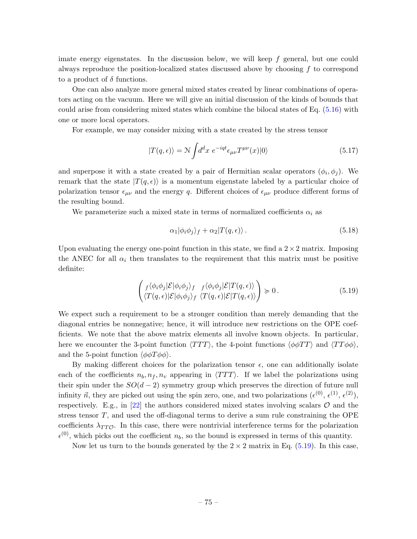imate energy eigenstates. In the discussion below, we will keep  $f$  general, but one could always reproduce the position-localized states discussed above by choosing f to correspond to a product of  $\delta$  functions.

One can also analyze more general mixed states created by linear combinations of operators acting on the vacuum. Here we will give an initial discussion of the kinds of bounds that could arise from considering mixed states which combine the bilocal states of Eq. [\(5.16\)](#page-74-1) with one or more local operators.

For example, we may consider mixing with a state created by the stress tensor

$$
|T(q,\epsilon)\rangle = \mathcal{N} \int d^d x \ e^{-iqt} \epsilon_{\mu\nu} T^{\mu\nu}(x) |0\rangle \tag{5.17}
$$

and superpose it with a state created by a pair of Hermitian scalar operators  $(\phi_i, \phi_j)$ . We remark that the state  $|T(q, \epsilon)\rangle$  is a momentum eigenstate labeled by a particular choice of polarization tensor  $\epsilon_{\mu\nu}$  and the energy q. Different choices of  $\epsilon_{\mu\nu}$  produce different forms of the resulting bound.

We parameterize such a mixed state in terms of normalized coefficients  $\alpha_i$  as

<span id="page-75-0"></span>
$$
\alpha_1 |\phi_i \phi_j \rangle_f + \alpha_2 |T(q, \epsilon) \rangle. \tag{5.18}
$$

Upon evaluating the energy one-point function in this state, we find a  $2 \times 2$  matrix. Imposing the ANEC for all  $\alpha_i$  then translates to the requirement that this matrix must be positive definite:

$$
\begin{pmatrix} f \langle \phi_i \phi_j | \mathcal{E} | \phi_i \phi_j \rangle_f & f \langle \phi_i \phi_j | \mathcal{E} | T(q, \epsilon) \rangle \\ \langle T(q, \epsilon) | \mathcal{E} | \phi_i \phi_j \rangle_f & \langle T(q, \epsilon) | \mathcal{E} | T(q, \epsilon) \rangle \end{pmatrix} \succcurlyeq 0.
$$
\n(5.19)

We expect such a requirement to be a stronger condition than merely demanding that the diagonal entries be nonnegative; hence, it will introduce new restrictions on the OPE coefficients. We note that the above matrix elements all involve known objects. In particular, here we encounter the 3-point function  $\langle TTT \rangle$ , the 4-point functions  $\langle \phi \phi TT \rangle$  and  $\langle TT \phi \phi \rangle$ , and the 5-point function  $\langle \phi \phi T \phi \phi \rangle$ .

By making different choices for the polarization tensor  $\epsilon$ , one can additionally isolate each of the coefficients  $n_b, n_f, n_v$  appearing in  $\langle TTT \rangle$ . If we label the polarizations using their spin under the  $SO(d-2)$  symmetry group which preserves the direction of future null infinity  $\vec{n}$ , they are picked out using the spin zero, one, and two polarizations  $(\epsilon^{(0)}, \epsilon^{(1)}, \epsilon^{(2)}),$ respectively. E.g., in  $[22]$  the authors considered mixed states involving scalars  $\mathcal O$  and the stress tensor T, and used the off-diagonal terms to derive a sum rule constraining the OPE coefficients  $\lambda_{TT\mathcal{O}}$ . In this case, there were nontrivial interference terms for the polarization  $\epsilon^{(0)}$ , which picks out the coefficient  $n_b$ , so the bound is expressed in terms of this quantity.

Now let us turn to the bounds generated by the  $2 \times 2$  matrix in Eq. [\(5.19\)](#page-75-0). In this case,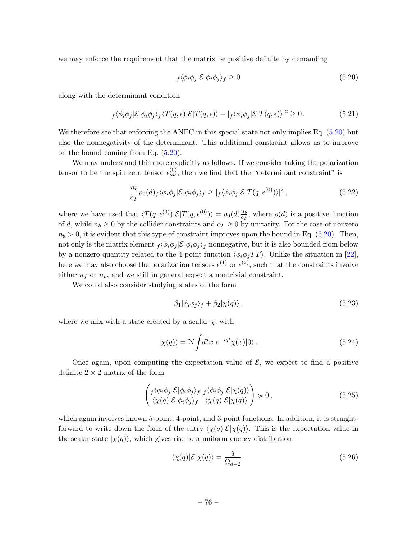we may enforce the requirement that the matrix be positive definite by demanding

<span id="page-76-0"></span>
$$
f \langle \phi_i \phi_j | \mathcal{E} | \phi_i \phi_j \rangle_f \ge 0 \tag{5.20}
$$

along with the determinant condition

$$
f \langle \phi_i \phi_j | \mathcal{E} | \phi_i \phi_j \rangle_f \langle T(q, \epsilon) | \mathcal{E} | T(q, \epsilon) \rangle - | f \langle \phi_i \phi_j | \mathcal{E} | T(q, \epsilon) \rangle |^2 \ge 0. \tag{5.21}
$$

We therefore see that enforcing the ANEC in this special state not only implies Eq. [\(5.20\)](#page-76-0) but also the nonnegativity of the determinant. This additional constraint allows us to improve on the bound coming from Eq. [\(5.20\)](#page-76-0).

We may understand this more explicitly as follows. If we consider taking the polarization tensor to be the spin zero tensor  $\epsilon_{\mu\nu}^{(0)}$ , then we find that the "determinant constraint" is

$$
\frac{n_b}{c_T} \rho_0(d)_f \langle \phi_i \phi_j | \mathcal{E} | \phi_i \phi_j \rangle_f \ge |f \langle \phi_i \phi_j | \mathcal{E} | T(q, \epsilon^{(0)}) \rangle |^2 , \qquad (5.22)
$$

where we have used that  $\langle T(q, \epsilon^{(0)})|\mathcal{E}|T(q, \epsilon^{(0)})\rangle = \rho_0(d)\frac{n_b}{c_T}$  $\frac{n_b}{c_T}$ , where  $\rho(d)$  is a positive function of d, while  $n_b \geq 0$  by the collider constraints and  $c_T \geq 0$  by unitarity. For the case of nonzero  $n_b > 0$ , it is evident that this type of constraint improves upon the bound in Eq. [\(5.20\)](#page-76-0). Then, not only is the matrix element  $\frac{f}{\phi_i \phi_j} \mathcal{E} |\phi_i \phi_j \rangle_f$  nonnegative, but it is also bounded from below by a nonzero quantity related to the 4-point function  $\langle \phi_i \phi_j TT \rangle$ . Unlike the situation in [\[22\]](#page-102-1), here we may also choose the polarization tensors  $\epsilon^{(1)}$  or  $\epsilon^{(2)}$ , such that the constraints involve either  $n_f$  or  $n_v$ , and we still in general expect a nontrivial constraint.

We could also consider studying states of the form

$$
\beta_1 |\phi_i \phi_j \rangle_f + \beta_2 |\chi(q) \rangle , \qquad (5.23)
$$

where we mix with a state created by a scalar  $\chi$ , with

$$
|\chi(q)\rangle = \mathcal{N} \int d^d x \ e^{-iqt} \chi(x) |0\rangle. \tag{5.24}
$$

Once again, upon computing the expectation value of  $\mathcal{E}$ , we expect to find a positive definite  $2 \times 2$  matrix of the form

$$
\begin{pmatrix}\nf\langle\phi_i\phi_j|\mathcal{E}|\phi_i\phi_j\rangle_f & f\langle\phi_i\phi_j|\mathcal{E}|\chi(q)\rangle \\
\langle\chi(q)|\mathcal{E}|\phi_i\phi_j\rangle_f & \langle\chi(q)|\mathcal{E}|\chi(q)\rangle\n\end{pmatrix} \succcurlyeq 0, \qquad (5.25)
$$

which again involves known 5-point, 4-point, and 3-point functions. In addition, it is straightforward to write down the form of the entry  $\langle \chi(q)|E|\chi(q)\rangle$ . This is the expectation value in the scalar state  $|\chi(q)\rangle$ , which gives rise to a uniform energy distribution:

$$
\langle \chi(q)|\mathcal{E}|\chi(q)\rangle = \frac{q}{\Omega_{d-2}}.\tag{5.26}
$$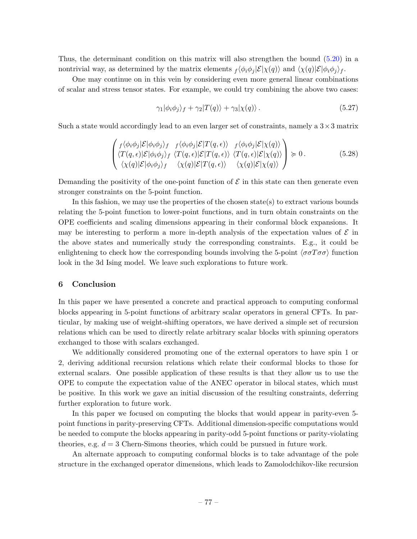Thus, the determinant condition on this matrix will also strengthen the bound [\(5.20\)](#page-76-0) in a nontrivial way, as determined by the matrix elements  $\partial_t \langle \phi_i \phi_j | \mathcal{E} | \chi(q) \rangle$  and  $\langle \chi(q) | \mathcal{E} | \phi_i \phi_j \rangle_f$ .

One may continue on in this vein by considering even more general linear combinations of scalar and stress tensor states. For example, we could try combining the above two cases:

$$
\gamma_1 |\phi_i \phi_j \rangle_f + \gamma_2 |T(q)\rangle + \gamma_3 |\chi(q)\rangle. \tag{5.27}
$$

Such a state would accordingly lead to an even larger set of constraints, namely a  $3 \times 3$  matrix

$$
\begin{pmatrix}\nf\langle\phi_i\phi_j|\mathcal{E}|\phi_i\phi_j\rangle_f & f\langle\phi_i\phi_j|\mathcal{E}|T(q,\epsilon)\rangle & f\langle\phi_i\phi_j|\mathcal{E}|\chi(q)\rangle \\
\langle T(q,\epsilon)|\mathcal{E}|\phi_i\phi_j\rangle_f & \langle T(q,\epsilon)|\mathcal{E}|T(q,\epsilon)\rangle & \langle T(q,\epsilon)|\mathcal{E}|\chi(q)\rangle \\
\langle\chi(q)|\mathcal{E}|\phi_i\phi_j\rangle_f & \langle\chi(q)|\mathcal{E}|T(q,\epsilon)\rangle & \langle\chi(q)|\mathcal{E}|\chi(q)\rangle\n\end{pmatrix} \succcurlyeq 0.
$$
\n(5.28)

Demanding the positivity of the one-point function of  $\mathcal E$  in this state can then generate even stronger constraints on the 5-point function.

In this fashion, we may use the properties of the chosen state(s) to extract various bounds relating the 5-point function to lower-point functions, and in turn obtain constraints on the OPE coefficients and scaling dimensions appearing in their conformal block expansions. It may be interesting to perform a more in-depth analysis of the expectation values of  $\mathcal E$  in the above states and numerically study the corresponding constraints. E.g., it could be enlightening to check how the corresponding bounds involving the 5-point  $\langle \sigma \sigma T \sigma \sigma \rangle$  function look in the 3d Ising model. We leave such explorations to future work.

#### 6 Conclusion

In this paper we have presented a concrete and practical approach to computing conformal blocks appearing in 5-point functions of arbitrary scalar operators in general CFTs. In particular, by making use of weight-shifting operators, we have derived a simple set of recursion relations which can be used to directly relate arbitrary scalar blocks with spinning operators exchanged to those with scalars exchanged.

We additionally considered promoting one of the external operators to have spin 1 or 2, deriving additional recursion relations which relate their conformal blocks to those for external scalars. One possible application of these results is that they allow us to use the OPE to compute the expectation value of the ANEC operator in bilocal states, which must be positive. In this work we gave an initial discussion of the resulting constraints, deferring further exploration to future work.

In this paper we focused on computing the blocks that would appear in parity-even 5 point functions in parity-preserving CFTs. Additional dimension-specific computations would be needed to compute the blocks appearing in parity-odd 5-point functions or parity-violating theories, e.g.  $d = 3$  Chern-Simons theories, which could be pursued in future work.

An alternate approach to computing conformal blocks is to take advantage of the pole structure in the exchanged operator dimensions, which leads to Zamolodchikov-like recursion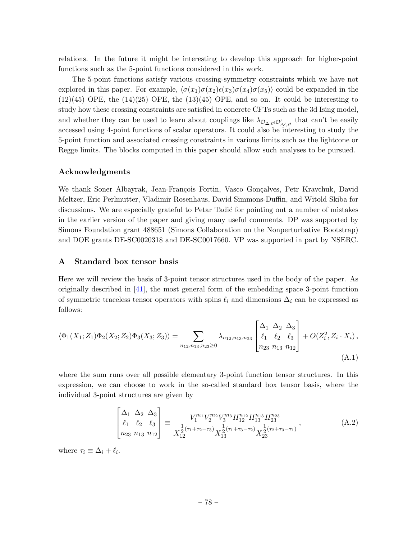relations. In the future it might be interesting to develop this approach for higher-point functions such as the 5-point functions considered in this work.

The 5-point functions satisfy various crossing-symmetry constraints which we have not explored in this paper. For example,  $\langle \sigma(x_1) \sigma(x_2) \epsilon(x_3) \sigma(x_4) \sigma(x_5) \rangle$  could be expanded in the  $(12)(45)$  OPE, the  $(14)(25)$  OPE, the  $(13)(45)$  OPE, and so on. It could be interesting to study how these crossing constraints are satisfied in concrete CFTs such as the 3d Ising model, and whether they can be used to learn about couplings like  $\lambda_{\mathcal{O}_{\Delta,\ell}\in\mathcal{O}'_{\Delta',\ell'}}$  that can't be easily accessed using 4-point functions of scalar operators. It could also be interesting to study the 5-point function and associated crossing constraints in various limits such as the lightcone or Regge limits. The blocks computed in this paper should allow such analyses to be pursued.

### Acknowledgments

We thank Soner Albayrak, Jean-François Fortin, Vasco Gonçalves, Petr Kravchuk, David Meltzer, Eric Perlmutter, Vladimir Rosenhaus, David Simmons-Duffin, and Witold Skiba for discussions. We are especially grateful to Petar Tadić for pointing out a number of mistakes in the earlier version of the paper and giving many useful comments. DP was supported by Simons Foundation grant 488651 (Simons Collaboration on the Nonperturbative Bootstrap) and DOE grants DE-SC0020318 and DE-SC0017660. VP was supported in part by NSERC.

### A Standard box tensor basis

Here we will review the basis of 3-point tensor structures used in the body of the paper. As originally described in [\[41\]](#page-103-0), the most general form of the embedding space 3-point function of symmetric traceless tensor operators with spins  $\ell_i$  and dimensions  $\Delta_i$  can be expressed as follows:

$$
\langle \Phi_1(X_1; Z_1) \Phi_2(X_2; Z_2) \Phi_3(X_3; Z_3) \rangle = \sum_{n_{12}, n_{13}, n_{23} \ge 0} \lambda_{n_{12}, n_{13}, n_{23}} \begin{bmatrix} \Delta_1 & \Delta_2 & \Delta_3 \\ \ell_1 & \ell_2 & \ell_3 \\ n_{23} & n_{13} & n_{12} \end{bmatrix} + O(Z_i^2, Z_i \cdot X_i),
$$
\n(A.1)

where the sum runs over all possible elementary 3-point function tensor structures. In this expression, we can choose to work in the so-called standard box tensor basis, where the individual 3-point structures are given by

<span id="page-78-0"></span>
$$
\begin{bmatrix}\n\Delta_1 & \Delta_2 & \Delta_3 \\
\ell_1 & \ell_2 & \ell_3 \\
n_{23} & n_{13} & n_{12}\n\end{bmatrix} \equiv \frac{V_1^{m_1} V_2^{m_2} V_3^{m_3} H_{12}^{n_{12}} H_{13}^{n_{13}} H_{23}^{n_{23}}}{X_{12}^{\frac{1}{2} (\tau_1 + \tau_2 - \tau_3)} X_{13}^{\frac{1}{2} (\tau_1 + \tau_3 - \tau_2)} X_{23}^{\frac{1}{2} (\tau_2 + \tau_3 - \tau_1)}},
$$
\n(A.2)

where  $\tau_i \equiv \Delta_i + \ell_i$ .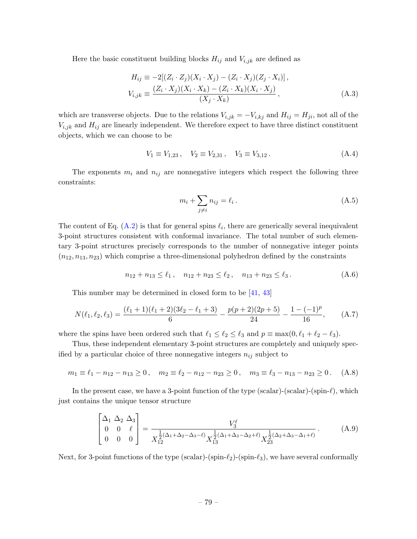Here the basic constituent building blocks  $H_{ij}$  and  $V_{i,jk}$  are defined as

$$
H_{ij} \equiv -2[(Z_i \cdot Z_j)(X_i \cdot X_j) - (Z_i \cdot X_j)(Z_j \cdot X_i)],
$$
  
\n
$$
V_{i,jk} \equiv \frac{(Z_i \cdot X_j)(X_i \cdot X_k) - (Z_i \cdot X_k)(X_i \cdot X_j)}{(X_j \cdot X_k)},
$$
\n(A.3)

which are transverse objects. Due to the relations  $V_{i,jk} = -V_{i,kj}$  and  $H_{ij} = H_{ji}$ , not all of the  $V_{i,jk}$  and  $H_{ij}$  are linearly independent. We therefore expect to have three distinct constituent objects, which we can choose to be

$$
V_1 \equiv V_{1,23}, \quad V_2 \equiv V_{2,31}, \quad V_3 \equiv V_{3,12}. \tag{A.4}
$$

The exponents  $m_i$  and  $n_{ij}$  are nonnegative integers which respect the following three constraints:

$$
m_i + \sum_{j \neq i} n_{ij} = \ell_i. \tag{A.5}
$$

The content of Eq.  $(A.2)$  is that for general spins  $\ell_i$ , there are generically several inequivalent 3-point structures consistent with conformal invariance. The total number of such elementary 3-point structures precisely corresponds to the number of nonnegative integer points  $(n_{12}, n_{13}, n_{23})$  which comprise a three-dimensional polyhedron defined by the constraints

$$
n_{12} + n_{13} \le \ell_1, \quad n_{12} + n_{23} \le \ell_2, \quad n_{13} + n_{23} \le \ell_3. \tag{A.6}
$$

This number may be determined in closed form to be [\[41,](#page-103-0) [43\]](#page-103-1)

$$
N(\ell_1, \ell_2, \ell_3) = \frac{(\ell_1 + 1)(\ell_1 + 2)(3\ell_2 - \ell_1 + 3)}{6} - \frac{p(p+2)(2p+5)}{24} - \frac{1 - (-1)^p}{16}, \quad (A.7)
$$

where the spins have been ordered such that  $\ell_1 \leq \ell_2 \leq \ell_3$  and  $p \equiv \max(0, \ell_1 + \ell_2 - \ell_3)$ .

Thus, these independent elementary 3-point structures are completely and uniquely specified by a particular choice of three nonnegative integers  $n_{ij}$  subject to

$$
m_1 \equiv \ell_1 - n_{12} - n_{13} \ge 0, \quad m_2 \equiv \ell_2 - n_{12} - n_{23} \ge 0, \quad m_3 \equiv \ell_3 - n_{13} - n_{23} \ge 0. \tag{A.8}
$$

In the present case, we have a 3-point function of the type (scalar)-(scalar)-(spin- $\ell$ ), which just contains the unique tensor structure

$$
\begin{bmatrix}\n\Delta_1 & \Delta_2 & \Delta_3 \\
0 & 0 & \ell \\
0 & 0 & 0\n\end{bmatrix} = \frac{V_3^{\ell}}{X_{12}^{\frac{1}{2}(\Delta_1 + \Delta_2 - \Delta_3 - \ell)} X_{13}^{\frac{1}{2}(\Delta_1 + \Delta_3 - \Delta_2 + \ell)} X_{23}^{\frac{1}{2}(\Delta_2 + \Delta_3 - \Delta_1 + \ell)}}.
$$
\n(A.9)

Next, for 3-point functions of the type (scalar)-(spin- $\ell_2$ )-(spin- $\ell_3$ ), we have several conformally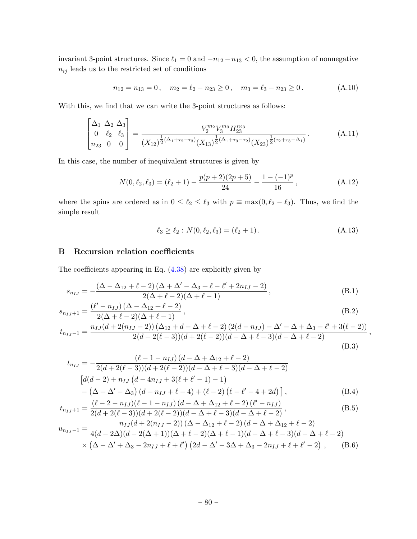invariant 3-point structures. Since  $\ell_1 = 0$  and  $-n_{12} - n_{13} < 0$ , the assumption of nonnegative  $n_{ij}$  leads us to the restricted set of conditions

$$
n_{12} = n_{13} = 0, \quad m_2 = \ell_2 - n_{23} \ge 0, \quad m_3 = \ell_3 - n_{23} \ge 0.
$$
 (A.10)

With this, we find that we can write the 3-point structures as follows:

$$
\begin{bmatrix}\n\Delta_1 & \Delta_2 & \Delta_3 \\
0 & \ell_2 & \ell_3 \\
n_{23} & 0 & 0\n\end{bmatrix} = \frac{V_2^{m_2} V_3^{m_3} H_{23}^{n_{23}}}{(X_{12})^{\frac{1}{2}(\Delta_1 + \tau_2 - \tau_3)} (X_{13})^{\frac{1}{2}(\Delta_1 + \tau_3 - \tau_2)} (X_{23})^{\frac{1}{2}(\tau_2 + \tau_3 - \Delta_1)}.
$$
\n(A.11)

In this case, the number of inequivalent structures is given by

$$
N(0, \ell_2, \ell_3) = (\ell_2 + 1) - \frac{p(p+2)(2p+5)}{24} - \frac{1 - (-1)^p}{16}, \tag{A.12}
$$

where the spins are ordered as in  $0 \leq \ell_2 \leq \ell_3$  with  $p \equiv \max(0, \ell_2 - \ell_3)$ . Thus, we find the simple result

$$
\ell_3 \ge \ell_2 : N(0, \ell_2, \ell_3) = (\ell_2 + 1). \tag{A.13}
$$

### B Recursion relation coefficients

 $\overline{a}$ 

The coefficients appearing in Eq. [\(4.38\)](#page-33-0) are explicitly given by

$$
s_{n_{IJ}} = -\frac{(\Delta - \Delta_{12} + \ell - 2)(\Delta + \Delta' - \Delta_3 + \ell - \ell' + 2n_{IJ} - 2)}{2(\Delta + \ell - 2)(\Delta + \ell - 1)},
$$
(B.1)

$$
s_{n_{IJ}+1} = \frac{(\ell' - n_{IJ})(\Delta - \Delta_{12} + \ell - 2)}{2(\Delta + \ell - 2)(\Delta + \ell - 1)},
$$
(B.2)

$$
t_{n_{IJ}-1} = \frac{n_{IJ}(d+2(n_{IJ}-2))(\Delta_{12}+d-\Delta+\ell-2)(2(d-n_{IJ})-\Delta'-\Delta+\Delta_3+\ell'+3(\ell-2))}{2(d+2(\ell-3))(d+2(\ell-2))(d-\Delta+\ell-3)(d-\Delta+\ell-2)},
$$
(B.3)

$$
t_{n_{IJ}} = -\frac{(\ell - 1 - n_{IJ}) (d - \Delta + \Delta_{12} + \ell - 2)}{2(d + 2(\ell - 3))(d + 2(\ell - 2))(d - \Delta + \ell - 3)(d - \Delta + \ell - 2)}
$$
  
\n
$$
\left[ d(d - 2) + n_{IJ} (d - 4n_{IJ} + 3(\ell + \ell' - 1) - 1) - (\Delta + \Delta' - \Delta_3) (d + n_{IJ} + \ell - 4) + (\ell - 2) (\ell - \ell' - 4 + 2d) \right],
$$
\n(B.4)

$$
t_{n_{IJ}+1} = \frac{(\ell - 2 - n_{IJ})(\ell - 1 - n_{IJ})(d - \Delta + \Delta_{12} + \ell - 2)(\ell' - n_{IJ})}{2(d + 2(\ell - 3))(d + 2(\ell - 2))(d - \Delta + \ell - 3)(d - \Delta + \ell - 2)},
$$
(B.5)

$$
u_{n_{IJ}-1} = \frac{n_{IJ}(d+2(n_{IJ}-2))(\Delta - \Delta_{12} + \ell - 2)(d - \Delta + \Delta_{12} + \ell - 2)}{4(d-2\Delta)(d-2(\Delta+1))(\Delta + \ell - 2)(\Delta + \ell - 1)(d - \Delta + \ell - 3)(d - \Delta + \ell - 2)}
$$
  
 
$$
\times (\Delta - \Delta' + \Delta_3 - 2n_{IJ} + \ell + \ell') (2d - \Delta' - 3\Delta + \Delta_3 - 2n_{IJ} + \ell + \ell' - 2),
$$
 (B.6)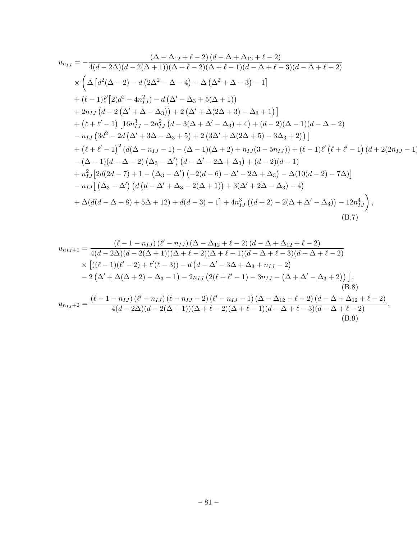$$
u_{n_{IJ}} = -\frac{(\Delta - \Delta_{12} + \ell - 2)(d - \Delta + \Delta_{12} + \ell - 2)}{4(d - 2\Delta)(d - 2(\Delta + 1))(\Delta + \ell - 2)(\Delta + \ell - 1)(d - \Delta + \ell - 3)(d - \Delta + \ell - 2)}
$$
  
\n
$$
\times \left(\Delta \left[d^{2}(\Delta - 2) - d(2\Delta^{2} - \Delta - 4) + \Delta(\Delta^{2} + \Delta - 3) - 1\right]\right.\n+ (\ell - 1)\ell'\left[2(d^{2} - 4n_{IJ}^{2}) - d(\Delta' - \Delta_{3} + 5(\Delta + 1))\right.\n+ 2n_{IJ}(d - 2(\Delta' + \Delta - \Delta_{3})) + 2(\Delta' + \Delta(2\Delta + 3) - \Delta_{3} + 1)\right]\n+ (\ell + \ell' - 1)\left[16n_{IJ}^{3} - 2n_{IJ}^{2}(d - 3(\Delta + \Delta' - \Delta_{3}) + 4) + (d - 2)(\Delta - 1)(d - \Delta - 2)\right.\n- n_{IJ}(3d^{2} - 2d(\Delta' + 3\Delta - \Delta_{3} + 5) + 2(3\Delta' + \Delta(2\Delta + 5) - 3\Delta_{3} + 2)\right)]\n+ (\ell + \ell' - 1)^{2}(d(\Delta - n_{IJ} - 1) - (\Delta - 1)(\Delta + 2) + n_{IJ}(3 - 5n_{IJ})) + (\ell - 1)\ell'(\ell + \ell' - 1)(d + 2(2n_{IJ} - 1))\n- (\Delta - 1)(d - \Delta - 2)(\Delta_{3} - \Delta') (d - \Delta' - 2\Delta + \Delta_{3}) + (d - 2)(d - 1)\n+ n_{IJ}^{2}[2d(2d - 7) + 1 - (\Delta_{3} - \Delta')'(-2(d - 6) - \Delta' - 2\Delta + \Delta_{3}) - \Delta(10(d - 2) - 7\Delta)]\n- n_{IJ}[(\Delta_{3} - \Delta') (d(d - \Delta' + \Delta_{3} - 2(\Delta + 1)) + 3(\Delta' + 2\Delta - \Delta_{3}) - 4)\n+ \Delta(d(d - \Delta - 8) + 5\Delta + 12) + d(d - 3) - 1] + 4n_{IJ}^{3}(d + 2) - 2
$$

$$
u_{n_{IJ}+1} = \frac{(\ell - 1 - n_{IJ}) (\ell' - n_{IJ}) (\Delta - \Delta_{12} + \ell - 2) (d - \Delta + \Delta_{12} + \ell - 2)}{4(d - 2\Delta)(d - 2(\Delta + 1))(\Delta + \ell - 2)(\Delta + \ell - 1)(d - \Delta + \ell - 3)(d - \Delta + \ell - 2)} \times [((\ell - 1)(\ell' - 2) + \ell'(\ell - 3)) - d(d - \Delta' - 3\Delta + \Delta_3 + n_{IJ} - 2) - 2(\Delta' + \Delta(\Delta + 2) - \Delta_3 - 1) - 2n_{IJ} (2(\ell + \ell' - 1) - 3n_{IJ} - (\Delta + \Delta' - \Delta_3 + 2))] ,
$$
\n(B.8)  
\n
$$
u_{n_{IJ}+2} = \frac{(\ell - 1 - n_{IJ}) (\ell' - n_{IJ}) (\ell - n_{IJ} - 2) (\ell' - n_{IJ} - 1) (\Delta - \Delta_{12} + \ell - 2) (d - \Delta + \Delta_{12} + \ell - 2)}{4(d - 2\Delta)(d - 2(\Delta + 1))(\Delta + \ell - 2)(\Delta + \ell - 1)(d - \Delta + \ell - 3)(d - \Delta + \ell - 2)}.
$$
\n(B.9)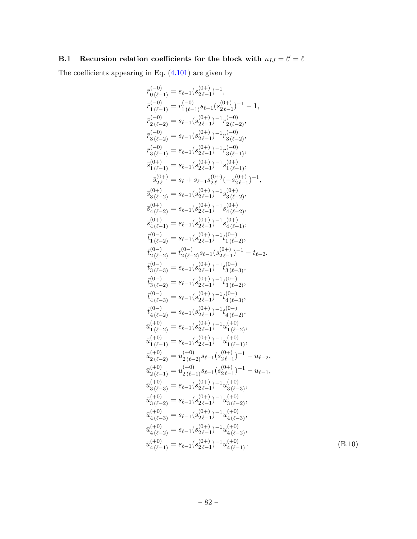## B.1 Recursion relation coefficients for the block with  $n_{IJ} = \ell' = \ell$

The coefficients appearing in Eq. [\(4.101\)](#page-51-0) are given by

$$
\begin{array}{l} \bar{r}_{0}^{(-1)} = s_{\ell-1}(s_{2\ell-1}^{(0)+})^{-1},\\ \bar{r}_{1\,(\ell-1)}^{(-1)} = r_{1\,(\ell-1)}^{(-1)} s_{\ell-1}(s_{2\ell-1}^{(0)+})^{-1}-1,\\ \bar{r}_{2\,(\ell-2)}^{(-2)} = s_{\ell-1}(s_{2\ell-1}^{(0)+})^{-1}r_{2\,(\ell-2)}^{-1},\\ \bar{r}_{3\,(\ell-2)}^{(-2)} = s_{\ell-1}(s_{2\ell-1}^{(0)+})^{-1}r_{3\,(\ell-2)}^{-1},\\ \bar{r}_{3\,(\ell-1)}^{(-1)} = s_{\ell-1}(s_{2\ell-1}^{(0)+})^{-1}r_{3\,(\ell-1)}^{-1},\\ \bar{s}_{1\,(\ell-1)}^{(0)+} = s_{\ell-1}(s_{2\ell-1}^{(0)+})^{-1}s_{1\,(\ell-1)}^{(0+1)},\\ \bar{s}_{1\,(\ell-1)}^{(0)+} = s_{\ell-1}(s_{2\ell-1}^{(0)+})^{-1}s_{1\,(\ell-1)}^{(0+1)},\\ \bar{s}_{2\ell}^{(0)+} = s_{\ell}+s_{\ell-1}s_{2\ell}^{(0)}(-s_{2\ell-1}^{(0)+})^{-1},\\ \bar{s}_{3\,(\ell-2)}^{(0+)} = s_{\ell-1}(s_{2\ell-1}^{(0)+})^{-1}s_{3\,(\ell-2)}^{(0+1)},\\ \bar{s}_{4\,(\ell-2)}^{(0+)} = s_{\ell-1}(s_{2\ell-1}^{(0)+})^{-1}s_{4\,(\ell-1)}^{(0+1)},\\ \bar{s}_{4\,(\ell-1)}^{(0+)} = s_{\ell-1}(s_{2\ell-1}^{(0)+})^{-1}s_{4\,(\ell-1)}^{(0+1)},\\ \bar{s}_{4\,(\ell-1)}^{(0+)} = s_{\ell-1}(s_{2\ell-1}^{(0)+})^{-1}s_{4\,(\ell-1)}^{(0-1)},\\ \bar{t}_{1\,(\ell-2)}^{(0+)} = s_{\ell-1}(s_{2\ell-1}^{(0)+})^{-1}t_{1\,(\ell-2)}^{(0-1)},\\ \bar{t}_{2\,(\ell-2)}^{(0-)} = s_{\ell-1}(s_{2\ell-1}^{(0)+})
$$

 $(B.10)$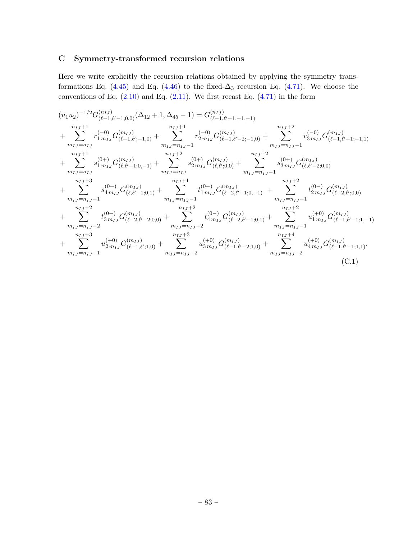# C Symmetry-transformed recursion relations

Here we write explicitly the recursion relations obtained by applying the symmetry trans-formations Eq. [\(4.45\)](#page-37-0) and Eq. [\(4.46\)](#page-37-1) to the fixed- $\Delta_3$  recursion Eq. [\(4.71\)](#page-45-0). We choose the conventions of Eq.  $(2.10)$  and Eq.  $(2.11)$ . We first recast Eq.  $(4.71)$  in the form

<span id="page-83-0"></span>
$$
(u_1u_2)^{-1/2}G_{(\ell-1,\ell'-1;0,0)}^{(n_{IJ})}(\Delta_{12}+1,\Delta_{45}-1) = G_{(\ell-1,\ell'-1;-1,-1)}^{(n_{IJ})} \\
+ \sum_{m_{IJ}=n_{IJ}}^{n_{IJ}+1}r_{1m_{IJ}}^{(-0)}G_{(\ell-1,\ell'-1;0,0)}^{(m_{IJ})} + \sum_{m_{IJ}=n_{IJ}-1}^{n_{IJ}+1}r_{2m_{IJ}}^{(-0)}G_{(\ell-1,\ell'-2;-1,0)}^{(m_{IJ})} + \sum_{m_{IJ}=n_{IJ}-1}^{n_{IJ}+2}r_{3m_{IJ}}^{(-0)}G_{(\ell-1,\ell'-1;-1,1)}^{(m_{IJ})} \\
+ \sum_{m_{IJ}=n_{IJ}}^{n_{IJ}+1}s_{1m_{IJ}}^{(0+)}G_{(\ell,\ell'-1;0,-1)}^{(m_{IJ})} + \sum_{m_{IJ}=n_{IJ}}^{n_{IJ}+2}s_{2m_{IJ}}^{(0+)}G_{(\ell,\ell',0,0)}^{(m_{IJ})} + \sum_{m_{IJ}=n_{IJ}-1}^{n_{IJ}+2}s_{3m_{IJ}}^{(0+)}G_{(\ell,\ell'-2;0,0)}^{(m_{IJ})} \\
+ \sum_{m_{IJ}=n_{IJ}-1}^{n_{IJ}+3}s_{4m_{IJ}}^{(0+)}G_{(\ell,\ell'-1;0,1)}^{(m_{IJ})} + \sum_{m_{IJ}=n_{IJ}-1}^{n_{IJ}+1}t_{1m_{IJ}}^{(0-)}G_{(\ell-2,\ell'-1;0,-1)}^{(m_{IJ})} + \sum_{m_{IJ}=n_{IJ}-1}^{n_{IJ}+2}t_{2m_{IJ}}^{(0-)}G_{(\ell-2,\ell',0,0)}^{(m_{IJ})} \\
+ \sum_{m_{IJ}=n_{IJ}-2}^{n_{IJ}+2}t_{3m_{IJ}}^{(0-)}G_{(\ell-2,\ell'-2;0,0)}^{(m_{IJ})} + \sum_{m_{IJ}=n_{IJ}-2}^{n_{IJ}+2}t_{4m_{IJ}}^{(0-)}G_{(\ell-2,\ell'-1;0,1)}^{(m_{IJ})} + \sum_{m_{IJ}=n_{IJ}-1}^{n_{IJ}+3}u_{1m_{IJ}}^{(+0)}G_{(\ell-1,\ell'-1;1,-1)}^{(m_{IJ})} \\
+ \sum_{m_{IJ}=n_{IJ}-1}^{n_{IJ}+3}u_{2m_{IJ}}^{(+0)}
$$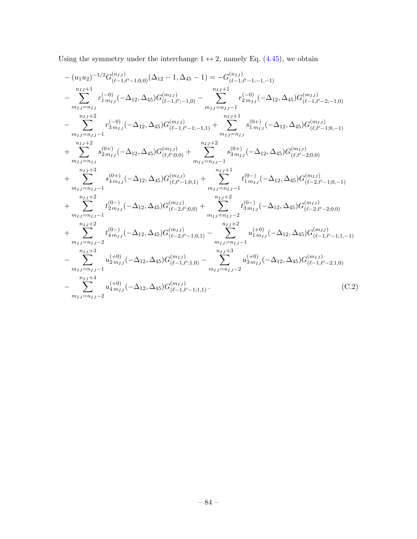Using the symmetry under the interchange  $1 \leftrightarrow 2$ , namely Eq. [\(4.45\)](#page-37-0), we obtain

<span id="page-84-0"></span>
$$
-(u_1u_2)^{-1/2}G_{(\ell-1,\ell'-1;0,0)}^{(n_{IJ})}(\Delta_{12}-1,\Delta_{45}-1) = -G_{(\ell-1,\ell'-1;-1,-1)}^{(n_{IJ})}
$$
  
\n
$$
-\sum_{m_{IJ}=n_{IJ}}^{n_{IJ}+1}r_{1m_{IJ}}^{(-0)}(-\Delta_{12},\Delta_{45})G_{(\ell-1,\ell'-1;0,0)}^{(m_{IJ})} - \sum_{m_{IJ}=n_{IJ}-1}^{n_{IJ}+1}r_{2m_{IJ}}^{(-0)}(-\Delta_{12},\Delta_{45})G_{(\ell-1,\ell'-2;-1,0)}^{(m_{IJ})}
$$
  
\n
$$
-\sum_{m_{IJ}=n_{IJ}-1}^{n_{IJ}+2}r_{3m_{IJ}}^{(-0)}(-\Delta_{12},\Delta_{45})G_{(\ell-1,\ell'-1;-1,1)}^{(m_{IJ})} + \sum_{m_{IJ}=n_{IJ}-1}^{n_{IJ}+1}s_{1m_{IJ}}^{(0+)}(-\Delta_{12},\Delta_{45})G_{(\ell,\ell'-1;0,-1)}^{(m_{IJ})}
$$
  
\n
$$
+\sum_{m_{IJ}=n_{IJ}-1}^{n_{IJ}+2}s_{2m_{IJ}}^{(0+)}(-\Delta_{12},\Delta_{45})G_{(\ell,\ell';0,0)}^{(m_{IJ})} + \sum_{m_{IJ}=n_{IJ}-1}^{n_{IJ}+2}s_{3m_{IJ}}^{(0+)}(-\Delta_{12},\Delta_{45})G_{(\ell,\ell'-2;0,0)}^{(m_{IJ})}
$$
  
\n
$$
+\sum_{m_{IJ}=n_{IJ}-1}^{n_{IJ}+3}s_{4m_{IJ}}^{(0+)}(-\Delta_{12},\Delta_{45})G_{(\ell,\ell'-1;0,1)}^{(m_{IJ})} + \sum_{m_{IJ}=n_{IJ}-1}^{n_{IJ}+1}t_{1m_{IJ}}^{(0-)}(-\Delta_{12},\Delta_{45})G_{(\ell-2,\ell'-1;0,-1)}^{(m_{IJ})}
$$
  
\n
$$
+\sum_{m_{IJ}=n_{IJ}-1}^{n_{IJ}+2}t_{2m_{IJ}}^{(0-)}(-\Delta_{12},\Delta_{45})G_{(\ell,\ell'-1;0,1)}^{(m_{IJ})} + \sum_{m_{IJ}=n_{IJ}-2}^{n_{IJ}+2}t_{3m_{IJ}}^{(0-)}(-
$$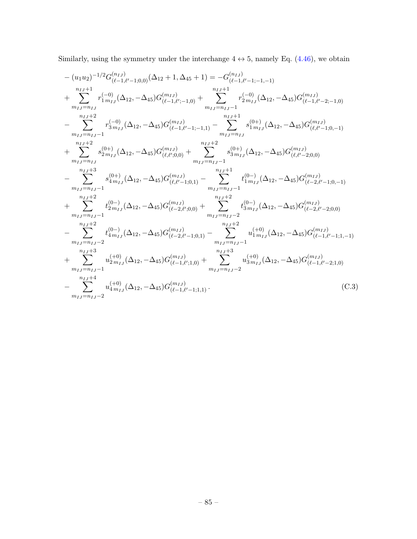Similarly, using the symmetry under the interchange  $4 \leftrightarrow 5$ , namely Eq. [\(4.46\)](#page-37-1), we obtain

<span id="page-85-0"></span>
$$
-(u_1u_2)^{-1/2}G_{(\ell-1,\ell'-1;0,0)}^{(n_{IJ})}(\Delta_{12}+1,\Delta_{45}+1) = -G_{(\ell-1,\ell'-1;-1,-1)}^{(n_{IJ})}
$$
  
+ 
$$
\sum_{m_{IJ}=n_{IJ}}^{n_{IJ}+1}r_{1m_{IJ}}^{(-0)}(\Delta_{12},-\Delta_{45})G_{(\ell-1,\ell'-1;0,0)}^{(m_{IJ})} + \sum_{m_{IJ}=n_{IJ}-1}^{n_{IJ}+1}r_{2m_{IJ}}^{(-0)}(\Delta_{12},-\Delta_{45})G_{(\ell-1,\ell'-2;-1,0)}^{(m_{IJ})}
$$
  
- 
$$
\sum_{m_{IJ}=n_{IJ}-1}^{n_{IJ}+2}r_{3m_{IJ}}^{(-0)}(\Delta_{12},-\Delta_{45})G_{(\ell-1,\ell'-1;-1,1)}^{(m_{IJ})} - \sum_{m_{IJ}=n_{IJ}-1}^{n_{IJ}+1}s_{1m_{IJ}}^{(0+)}(\Delta_{12},-\Delta_{45})G_{(\ell,\ell'-1;0,-1)}^{(m_{IJ})}
$$
  
+ 
$$
\sum_{m_{IJ}=n_{IJ}-1}^{n_{IJ}+2}s_{2m_{IJ}}^{(0+)}(\Delta_{12},-\Delta_{45})G_{(\ell,\ell';0,0)}^{(m_{IJ})} + \sum_{m_{IJ}=n_{IJ}-1}^{n_{IJ}+2}s_{3m_{IJ}}^{(0+)}(\Delta_{12},-\Delta_{45})G_{(\ell,\ell'-2;0,0)}^{(m_{IJ})}
$$
  
- 
$$
\sum_{m_{IJ}=n_{IJ}-1}^{n_{IJ}+3}s_{4m_{IJ}}^{(0+)}(\Delta_{12},-\Delta_{45})G_{(\ell,\ell'-1;0,1)}^{(m_{IJ})} - \sum_{m_{IJ}=n_{IJ}-1}^{n_{IJ}+1}t_{1m_{IJ}}^{(0-)}(\Delta_{12},-\Delta_{45})G_{(\ell-2,\ell'-1;0,-1)}^{(m_{IJ})}
$$
  
+ 
$$
\sum_{m_{IJ}=n_{IJ}-1}^{n_{IJ}+2}t_{2m_{IJ}}^{(0-)}(\Delta_{12},-\Delta_{45})G_{(\ell-\2,\ell'-1;0,1)}^{(m_{IJ})} - \sum_{m_{IJ}=n_{IJ}-1}^{n_{IJ}+2}t_{3m_{IJ}}^{(0-)}(\Delta_{12},-\Delta_{45})G_{(\ell
$$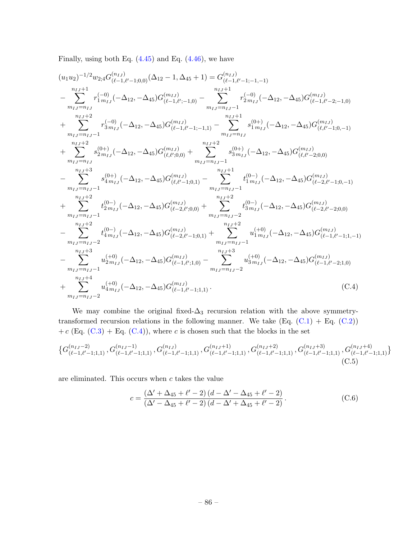Finally, using both Eq.  $(4.45)$  and Eq.  $(4.46)$ , we have

$$
(u_1u_2)^{-1/2}w_{2;4}G_{(\ell-1,\ell'-1;0,0)}^{(n_{IJ})}(\Delta_{12}-1,\Delta_{45}+1)=G_{(\ell-1,\ell'-1;-1,-1)}^{(n_{IJ})} \\ -\sum_{m_{IJ}=n_{IJ}}^{n_{IJ}+1}r_{1m_{IJ}}^{(-0)}(-\Delta_{12},-\Delta_{45})G_{(\ell-1,\ell'-1;0,0)}^{(m_{IJ})}-\sum_{m_{IJ}=n_{IJ}-1}^{n_{IJ}+1}r_{2m_{IJ}}^{(-0)}(-\Delta_{12},-\Delta_{45})G_{(\ell-1,\ell'-2;-1,0)}^{(m_{IJ})} \\ +\sum_{m_{IJ}=n_{IJ}-1}^{n_{IJ}+2}r_{3m_{IJ}}^{(-0)}(-\Delta_{12},-\Delta_{45})G_{(\ell-1,\ell'-1;-1,1)}^{(n_{IJ}-1)}-\sum_{m_{IJ}=n_{IJ}-1}^{n_{IJ}+1}s_{1m_{IJ}}^{(0+)}(-\Delta_{12},-\Delta_{45})G_{(\ell,\ell'-1;0,-1)}^{(m_{IJ})} \\ +\sum_{m_{IJ}=n_{IJ}-1}^{n_{IJ}+2}s_{2m_{IJ}}^{(0+)}(-\Delta_{12},-\Delta_{45})G_{(\ell,\ell',0,0)}^{(m_{IJ})}+\sum_{m_{IJ}=n_{IJ}-1}^{n_{IJ}+2}s_{3m_{IJ}}^{(0+)}(-\Delta_{12},-\Delta_{45})G_{(\ell,\ell'-2;0,0)}^{(m_{IJ})} \\ -\sum_{m_{IJ}=n_{IJ}-1}^{n_{IJ}+3}s_{4m_{IJ}}^{(0+)}(-\Delta_{12},-\Delta_{45})G_{(\ell,\ell'-1;0,1)}^{(m_{IJ})}-\sum_{m_{IJ}=n_{IJ}-1}^{n_{IJ}+1}t_{1m_{IJ}}^{(0-)}(-\Delta_{12},-\Delta_{45})G_{(\ell-2,\ell'-1;0,-1)}^{(m_{IJ})} \\ +\sum_{m_{IJ}=n_{IJ}-1}^{n_{IJ}+2}s_{4m_{IJ}}^{(0+)}(-\Delta_{12},-\Delta_{45})G_{(\ell,\ell'-2;0,0)}^{(m_{IJ})}+\sum_{m_{IJ}=n_{IJ}-1}^{n_{IJ}+2}t_{2m_{IJ}}^{(0-)}(-\Delta_{12},-\Delta_{45})G_{(\ell-2,\ell'-2;0,0)}^{(m_{IJ})} \\ -\sum_{m_{IJ}=n_{IJ
$$

We may combine the original fixed- $\Delta_3$  recursion relation with the above symmetrytransformed recursion relations in the following manner. We take  $(Eq. (C.1) + Eq. (C.2))$  $(Eq. (C.1) + Eq. (C.2))$  $(Eq. (C.1) + Eq. (C.2))$  $(Eq. (C.1) + Eq. (C.2))$  $(Eq. (C.1) + Eq. (C.2))$ + c (Eq.  $(C.3)$  + Eq.  $(C.4)$ ), where c is chosen such that the blocks in the set

$$
\{G_{(\ell-1,\ell'-1;1,1)}^{(n_{IJ}-2)}, G_{(\ell-1,\ell'-1;1,1)}^{(n_{IJ}-1)}, G_{(\ell-1,\ell'-1;1,1)}^{(n_{IJ})}, G_{(\ell-1,\ell'-1;1,1)}^{(n_{IJ}+1)}, G_{(\ell-1,\ell'-1;1,1)}^{(n_{IJ}+2)}, G_{(\ell-1,\ell'-1;1,1)}^{(n_{IJ}+3)}, G_{(\ell-1,\ell'-1;1,1)}^{(n_{IJ}+4)}\}
$$
(C.5)

are eliminated. This occurs when  $c$  takes the value

<span id="page-86-0"></span>
$$
c = \frac{(\Delta' + \Delta_{45} + \ell' - 2)(d - \Delta' - \Delta_{45} + \ell' - 2)}{(\Delta' - \Delta_{45} + \ell' - 2)(d - \Delta' + \Delta_{45} + \ell' - 2)}.
$$
 (C.6)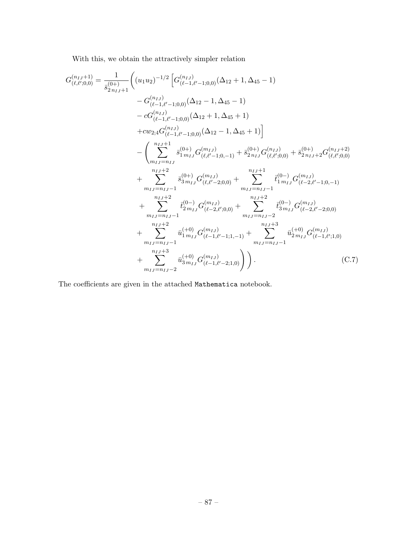With this, we obtain the attractively simpler relation

$$
G_{(\ell,\ell';0,0)}^{(n_{IJ}+1)} = \frac{1}{\bar{s}_{2n_{IJ}+1}^{(0+)}} \Big( (u_1u_2)^{-1/2} \Big[ G_{(\ell-1,\ell'-1;0,0)}^{(n_{IJ})} (\Delta_{12} + 1, \Delta_{45} - 1) - G_{(\ell-1,\ell'-1;0,0)}^{(n_{IJ})} (\Delta_{12} - 1, \Delta_{45} - 1) - c G_{(\ell-1,\ell'-1;0,0)}^{(n_{IJ})} (\Delta_{12} + 1, \Delta_{45} + 1) - c G_{(\ell-1,\ell'-1;0,0)}^{(n_{IJ})} (\Delta_{12} + 1, \Delta_{45} + 1) - c G_{(\ell-1,\ell'-1;0,0)}^{(n_{IJ})} (\Delta_{12} - 1, \Delta_{45} + 1) - c G_{(\ell-1,\ell'-1;0,0)}^{(n_{IJ})} (\Delta_{12} - 1, \Delta_{45} + 1) - c G_{(\ell-1,\ell'-1;0,0)}^{(n_{IJ})} (\Delta_{12} - 1, \Delta_{45} + 1) - c G_{(\ell,\ell',0,0)}^{(n_{IJ})} (\Delta_{12} - 1, \Delta_{45} + 1) - c G_{(\ell,\ell'-1;0,-1)}^{(n_{IJ}+1)} \Big\{ \sum_{m_{IJ}=n_{IJ}-1}^{\bar{s}_{IJ}+1} \bar{s}_{1m_{IJ}}^{(0+)} G_{(\ell,\ell'-2;0,0)}^{(n_{IJ})} + \sum_{m_{IJ}=n_{IJ}-1}^{\bar{s}_{IJ}+1} \bar{t}_{1m_{IJ}}^{(0-)} G_{(\ell-2,\ell'-1;0,-1)}^{(n_{IJ})} + \sum_{m_{IJ}=n_{IJ}-1}^{\bar{s}_{IJ}+2} \bar{t}_{2m_{IJ}}^{(0-)} G_{(\ell-2,\ell'-2;0,0)}^{(n_{IJ})} + \sum_{m_{IJ}=n_{IJ}-1}^{\bar{s}_{IJ}+2} \bar{t}_{3m_{IJ}}^{(0-)} G_{(\ell-2,\ell'-2;0,0)}^{(n_{IJ})} + \sum_{m_{IJ}=n_{IJ}-1}^{\bar{s}_{IJ}+3} \bar{u}_{2m_{IJ}}^{(+0)} G_{(\ell-1,\ell',1,0)}^{(n_{IJ})} + \sum_{m_{IJ}=n_{IJ}-2}^{\bar{s}_{IJ}+3} \bar
$$

The coefficients are given in the attached Mathematica notebook.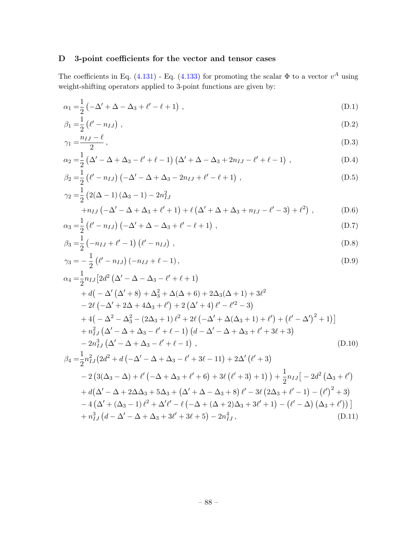# D 3-point coefficients for the vector and tensor cases

The coefficients in Eq. [\(4.131\)](#page-58-0) - Eq. [\(4.133\)](#page-59-0) for promoting the scalar  $\Phi$  to a vector  $v^A$  using weight-shifting operators applied to 3-point functions are given by:

$$
\alpha_1 = \frac{1}{2} \left( -\Delta' + \Delta - \Delta_3 + \ell' - \ell + 1 \right) , \qquad (D.1)
$$

$$
\beta_1 = \frac{1}{2} \left( \ell' - n_{IJ} \right) , \tag{D.2}
$$

$$
\gamma_1 = \frac{n_{IJ} - \ell}{2},\tag{D.3}
$$

$$
\alpha_2 = \frac{1}{2} \left( \Delta' - \Delta + \Delta_3 - \ell' + \ell - 1 \right) \left( \Delta' + \Delta - \Delta_3 + 2n_{IJ} - \ell' + \ell - 1 \right) , \tag{D.4}
$$

$$
\beta_2 = \frac{1}{2} \left( \ell' - n_{IJ} \right) \left( -\Delta' - \Delta + \Delta_3 - 2n_{IJ} + \ell' - \ell + 1 \right) , \tag{D.5}
$$

$$
\gamma_2 = \frac{1}{2} (2(\Delta - 1) (\Delta_3 - 1) - 2n_{IJ}^2 + n_{IJ} (-\Delta' - \Delta + \Delta_3 + \ell' + 1) + \ell (\Delta' + \Delta + \Delta_3 + n_{IJ} - \ell' - 3) + \ell^2),
$$
(D.6)

$$
\alpha_3 = \frac{1}{2} \left( \ell' - n_{IJ} \right) \left( -\Delta' + \Delta - \Delta_3 + \ell' - \ell + 1 \right) , \tag{D.7}
$$

$$
\beta_3 = \frac{1}{2} (-n_{IJ} + \ell' - 1) (\ell' - n_{IJ}), \qquad (D.8)
$$

$$
\gamma_3 = -\frac{1}{2} \left( \ell' - n_{IJ} \right) \left( -n_{IJ} + \ell - 1 \right),\tag{D.9}
$$

$$
\alpha_4 = \frac{1}{2} n_{IJ} \left[ 2d^2 \left( \Delta' - \Delta - \Delta_3 - \ell' + \ell + 1 \right) \right.\n+ d \left( -\Delta' \left( \Delta' + 8 \right) + \Delta_3^2 + \Delta(\Delta + 6) + 2\Delta_3(\Delta + 1) + 3\ell^2 \right.\n- 2\ell \left( -\Delta' + 2\Delta + 4\Delta_3 + \ell' \right) + 2 \left( \Delta' + 4 \right) \ell' - \ell'^2 - 3 \right.\n+ 4 \left( -\Delta^2 - \Delta_3^2 - (2\Delta_3 + 1) \ell^2 + 2\ell \left( -\Delta' + \Delta(\Delta_3 + 1) + \ell' \right) + \left( \ell' - \Delta' \right)^2 + 1 \right) \n+ n_{IJ}^2 \left( \Delta' - \Delta + \Delta_3 - \ell' + \ell - 1 \right) \left( d - \Delta' - \Delta + \Delta_3 + \ell' + 3\ell + 3 \right)\n- 2n_{IJ}^3 \left( \Delta' - \Delta + \Delta_3 - \ell' + \ell - 1 \right), \tag{D.10}
$$

$$
\beta_4 = \frac{1}{2}n_{IJ}^2(2d^2 + d(-\Delta' - \Delta + \Delta_3 - \ell' + 3\ell - 11) + 2\Delta'(\ell' + 3)
$$
  
\n
$$
- 2(3(\Delta_3 - \Delta) + \ell'(-\Delta + \Delta_3 + \ell' + 6) + 3\ell(\ell' + 3) + 1)) + \frac{1}{2}n_{IJ}[-2d^2(\Delta_3 + \ell') + d(\Delta' - \Delta + 2\Delta\Delta_3 + 5\Delta_3 + (\Delta' + \Delta - \Delta_3 + 8)\ell' - 3\ell(2\Delta_3 + \ell' - 1) - (\ell')^2 + 3)
$$
  
\n
$$
- 4(\Delta' + (\Delta_3 - 1)\ell^2 + \Delta'\ell' - \ell(-\Delta + (\Delta + 2)\Delta_3 + 3\ell' + 1) - (\ell' - \Delta)(\Delta_3 + \ell'))
$$
  
\n
$$
+ n_{IJ}^3(d - \Delta' - \Delta + \Delta_3 + 3\ell' + 3\ell + 5) - 2n_{IJ}^4,
$$
\n(D.11)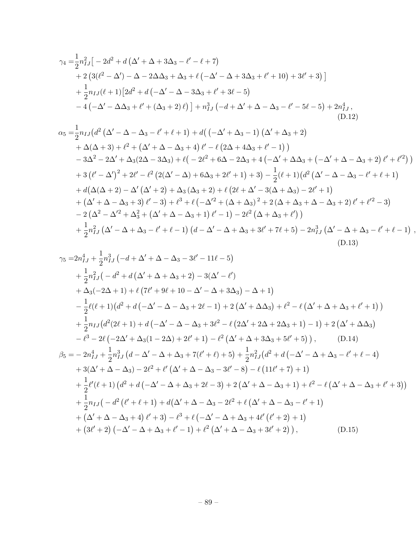$$
\gamma_{4} = \frac{1}{2}n_{IJ}^{2}\left[-2d^{2} + d\left(\Delta' + \Delta + 3\Delta_{3} - \ell' - \ell + 7\right)\right.\n+ 2\left(3(\ell^{2} - \Delta') - \Delta - 2\Delta\Delta_{3} + \Delta_{3} + \ell\left(-\Delta' - \Delta + 3\Delta_{3} + \ell' + 10\right) + 3\ell' + 3\right)\right]\n+ \frac{1}{2}n_{IJ}(\ell + 1)\left[2d^{2} + d\left(-\Delta' - \Delta - 3\Delta_{3} + \ell' + 3\ell - 5\right)\n- 4\left(-\Delta' - \Delta\Delta_{3} + \ell' + (\Delta_{3} + 2)\ell\right)\right] + n_{IJ}^{3}\left(-d + \Delta' + \Delta - \Delta_{3} - \ell' - 5\ell - 5\right) + 2n_{IJ}^{4},\n\tag{D.12}
$$
\n
$$
\alpha_{5} = \frac{1}{2}n_{IJ}(d^{2}\left(\Delta' - \Delta - \Delta_{3} - \ell' + \ell + 1\right) + d\left(-\Delta' + \Delta_{3} - 1\right)\left(\Delta' + \Delta_{3} + 2\right)\n+ \Delta(\Delta + 3) + \ell^{2} + \left(\Delta' + \Delta - \Delta_{3} + 4\right)\ell' - \ell\left(2\Delta + 4\Delta_{3} + \ell' - 1\right)\n- 3\Delta^{2} - 2\Delta' + \Delta_{3}(2\Delta - 3\Delta_{3}) + \ell\left(-2\ell^{2} + 6\Delta - 2\Delta_{3} + 4\left(-\Delta' + \Delta\Delta_{3} + \left(-\Delta' + \Delta - \Delta_{3} + 2\right)\ell' + \ell'^{2}\right)\right)\n+ 3\left(\ell' - \Delta'\right)^{2} + 2\ell' - \ell^{2}\left(2(\Delta' - \Delta) + 6\Delta_{3} + 2\ell' + 1\right) + 3\right) - \frac{1}{2}(\ell + 1)\left(d^{2}\left(\Delta' - \Delta - \Delta_{3} - \ell' + \ell + 1\right)\n+ d\left(\Delta(\Delta + 2) - \Delta'\left(\Delta' + 2\right) + \Delta_{3}\left(\Delta_{3} + 2\right) + \ell\left(2\ell + \Delta' - 3(\Delta + \Delta_{3}) - 2\ell' + 1\right)\right)\n+
$$

$$
\gamma_{5} = 2n_{IJ}^{4} + \frac{1}{2}n_{IJ}^{3}(-d + \Delta' + \Delta - \Delta_{3} - 3\ell' - 11\ell - 5) \n+ \frac{1}{2}n_{IJ}^{2}(-d^{2} + d(\Delta' + \Delta + \Delta_{3} + 2) - 3(\Delta' - \ell') \n+ \Delta_{3}(-2\Delta + 1) + \ell (7\ell' + 9\ell + 10 - \Delta' - \Delta + 3\Delta_{3}) - \Delta + 1) \n- \frac{1}{2}\ell(\ell + 1)(d^{2} + d(-\Delta' - \Delta - \Delta_{3} + 2\ell - 1) + 2(\Delta' + \Delta\Delta_{3}) + \ell^{2} - \ell (\Delta' + \Delta + \Delta_{3} + \ell' + 1)) \n+ \frac{1}{2}n_{IJ}(d^{2}(2\ell + 1) + d(-\Delta' - \Delta - \Delta_{3} + 3\ell^{2} - \ell (2\Delta' + 2\Delta + 2\Delta_{3} + 1) - 1) + 2(\Delta' + \Delta\Delta_{3}) \n- \ell^{3} - 2\ell (-2\Delta' + \Delta_{3}(1 - 2\Delta) + 2\ell' + 1) - \ell^{2} (\Delta' + \Delta + 3\Delta_{3} + 5\ell' + 5)), \qquad (D.14) \n\beta_{5} = - 2n_{IJ}^{4} + \frac{1}{2}n_{IJ}^{3}(d - \Delta' - \Delta + \Delta_{3} + 7(\ell' + \ell) + 5) + \frac{1}{2}n_{IJ}^{2}(d^{2} + d(-\Delta' - \Delta + \Delta_{3} - \ell' + \ell - 4) \n+ 3(\Delta' + \Delta - \Delta_{3}) - 2\ell^{2} + \ell' (\Delta' + \Delta - \Delta_{3} - 3\ell' - 8) - \ell (11\ell' + 7) + 1) \n+ \frac{1}{2}\ell'(\ell + 1)(d^{2} + d(-\Delta' - \Delta + \Delta_{3} + 2\ell - 3) + 2(\Delta' + \Delta - \Delta_{3} + 1) + \ell^{2} - \ell (\Delta' + \Delta - \Delta_{3} + \ell' + 3)) \n+ \frac{1}{2}n_{IJ}(-d^{2}(\ell' + \ell + 1) + d(\Delta' + \Delta - \Delta_{3} - 2\ell^{
$$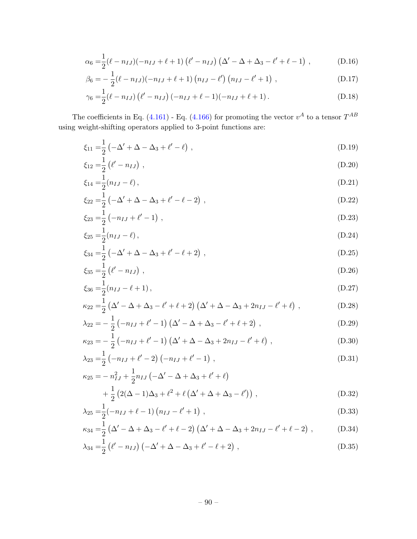$$
\alpha_6 = \frac{1}{2} (\ell - n_{IJ})(-n_{IJ} + \ell + 1) (\ell' - n_{IJ}) (\Delta' - \Delta + \Delta_3 - \ell' + \ell - 1) , \qquad (D.16)
$$

$$
\beta_6 = -\frac{1}{2}(\ell - n_{IJ})(-n_{IJ} + \ell + 1) (n_{IJ} - \ell') (n_{IJ} - \ell' + 1) , \qquad (D.17)
$$

$$
\gamma_6 = \frac{1}{2} (\ell - n_{IJ}) (\ell' - n_{IJ}) (-n_{IJ} + \ell - 1)(-n_{IJ} + \ell + 1).
$$
 (D.18)

The coefficients in Eq. [\(4.161\)](#page-66-0) - Eq. [\(4.166\)](#page-66-1) for promoting the vector  $v^A$  to a tensor  $T^{AB}$ using weight-shifting operators applied to 3-point functions are:

$$
\xi_{11} = \frac{1}{2} \left( -\Delta' + \Delta - \Delta_3 + \ell' - \ell \right) , \qquad (D.19)
$$

$$
\xi_{12} = \frac{1}{2} \left( \ell' - n_{IJ} \right) , \tag{D.20}
$$

$$
\xi_{14} = \frac{1}{2}(n_{IJ} - \ell),\tag{D.21}
$$

$$
\xi_{22} = \frac{1}{2} \left( -\Delta' + \Delta - \Delta_3 + \ell' - \ell - 2 \right) , \tag{D.22}
$$

$$
\xi_{23} = \frac{1}{2} \left( -n_{IJ} + \ell' - 1 \right) , \tag{D.23}
$$

$$
\xi_{25} = \frac{1}{2}(n_{IJ} - \ell),\tag{D.24}
$$

$$
\xi_{34} = \frac{1}{2} \left( -\Delta' + \Delta - \Delta_3 + \ell' - \ell + 2 \right) , \tag{D.25}
$$

$$
\xi_{35} = \frac{1}{2} \left( \ell' - n_{IJ} \right) , \tag{D.26}
$$

$$
\xi_{36} = \frac{1}{2}(n_{IJ} - \ell + 1),\tag{D.27}
$$

$$
\kappa_{22} = \frac{1}{2} \left( \Delta' - \Delta + \Delta_3 - \ell' + \ell + 2 \right) \left( \Delta' + \Delta - \Delta_3 + 2n_{IJ} - \ell' + \ell \right) , \tag{D.28}
$$

$$
\lambda_{22} = -\frac{1}{2} \left( -n_{IJ} + \ell' - 1 \right) \left( \Delta' - \Delta + \Delta_3 - \ell' + \ell + 2 \right) , \tag{D.29}
$$

$$
\kappa_{23} = -\frac{1}{2} \left( -n_{IJ} + \ell' - 1 \right) \left( \Delta' + \Delta - \Delta_3 + 2n_{IJ} - \ell' + \ell \right) , \tag{D.30}
$$

$$
\lambda_{23} = \frac{1}{2} \left( -n_{IJ} + \ell' - 2 \right) \left( -n_{IJ} + \ell' - 1 \right),\tag{D.31}
$$

$$
\kappa_{25} = -n_{IJ}^2 + \frac{1}{2}n_{IJ} \left( -\Delta' - \Delta + \Delta_3 + \ell' + \ell \right) + \frac{1}{2} \left( 2(\Delta - 1)\Delta_3 + \ell^2 + \ell \left( \Delta' + \Delta + \Delta_3 - \ell' \right) \right),
$$
(D.32)

$$
\lambda_{25} = \frac{1}{2}(-n_{IJ} + \ell - 1)(n_{IJ} - \ell' + 1), \qquad (D.33)
$$

$$
\kappa_{34} = \frac{1}{2} \left( \Delta' - \Delta + \Delta_3 - \ell' + \ell - 2 \right) \left( \Delta' + \Delta - \Delta_3 + 2n_{IJ} - \ell' + \ell - 2 \right) , \tag{D.34}
$$

$$
\lambda_{34} = \frac{1}{2} \left( \ell' - n_{IJ} \right) \left( -\Delta' + \Delta - \Delta_3 + \ell' - \ell + 2 \right) , \tag{D.35}
$$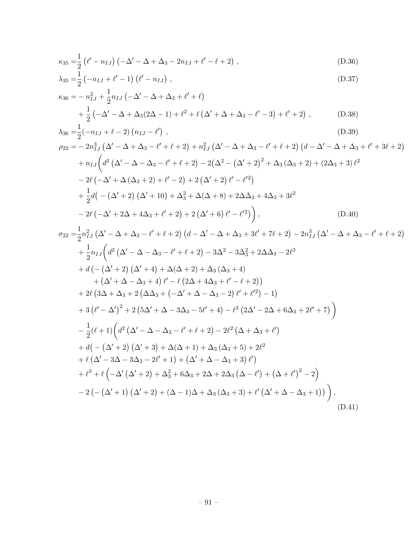$$
\kappa_{35} = \frac{1}{2} \left( \ell' - n_{IJ} \right) \left( -\Delta' - \Delta + \Delta_3 - 2n_{IJ} + \ell' - \ell + 2 \right) ,\tag{D.36}
$$

$$
\lambda_{35} = \frac{1}{2} \left( -n_{IJ} + \ell' - 1 \right) \left( \ell' - n_{IJ} \right) , \tag{D.37}
$$

$$
\kappa_{36} = -n_{IJ}^2 + \frac{1}{2}n_{IJ} \left( -\Delta' - \Delta + \Delta_3 + \ell' + \ell \right) \n+ \frac{1}{2} \left( -\Delta' - \Delta + \Delta_3 (2\Delta - 1) + \ell^2 + \ell \left( \Delta' + \Delta + \Delta_3 - \ell' - 3 \right) + \ell' + 2 \right),
$$
\n(D.38)  
\n
$$
\lambda_{36} = \frac{1}{2} (-n_{IJ} + \ell - 2) \left( n_{IJ} - \ell' \right),
$$
\n(D.39)

$$
\rho_{22} = -2n_{IJ}^3 (\Delta' - \Delta + \Delta_3 - \ell' + \ell + 2) + n_{IJ}^2 (\Delta' - \Delta + \Delta_3 - \ell' + \ell + 2) (d - \Delta' - \Delta + \Delta_3 + \ell' + 3\ell + 2) \n+ n_{IJ} (d^2 (\Delta' - \Delta - \Delta_3 - \ell' + \ell + 2) - 2(\Delta^2 - (\Delta' + 2)^2 + \Delta_3 (\Delta_3 + 2) + (2\Delta_3 + 3) \ell^2 \n- 2\ell (-\Delta' + \Delta (\Delta_3 + 2) + \ell' - 2) + 2 (\Delta' + 2) \ell' - \ell'^2) \n+ \frac{1}{2} d(- (\Delta' + 2) (\Delta' + 10) + \Delta_3^2 + \Delta(\Delta + 8) + 2\Delta\Delta_3 + 4\Delta_3 + 3\ell^2 \n- 2\ell (-\Delta' + 2\Delta + 4\Delta_3 + \ell' + 2) + 2 (\Delta' + 6) \ell' - \ell'^2),
$$
\n(D.40)

$$
\sigma_{22} = \frac{1}{2}n_{IJ}^2 (\Delta' - \Delta + \Delta_3 - \ell' + \ell + 2) (d - \Delta' - \Delta + \Delta_3 + 3\ell' + 7\ell + 2) - 2n_{IJ}^3 (\Delta' - \Delta + \Delta_3 - \ell' + \ell + 2) \n+ \frac{1}{2}n_{IJ} (d^2 (\Delta' - \Delta - \Delta_3 - \ell' + \ell + 2) - 3\Delta^2 - 3\Delta_3^2 + 2\Delta\Delta_3 - 2\ell^3 \n+ d (-(\Delta' + 2) (\Delta' + 4) + \Delta(\Delta + 2) + \Delta_3 (\Delta_3 + 4) \n+ (\Delta' + \Delta - \Delta_3 + 4) \ell' - \ell (2\Delta + 4\Delta_3 + \ell' - \ell + 2) \n+ 2\ell (3\Delta + \Delta_3 + 2 (\Delta\Delta_3 + (-\Delta' + \Delta - \Delta_3 - 2) \ell' + \ell'^2) - 1) \n+ 3 (\ell' - \Delta')^2 + 2 (5\Delta' + \Delta - 3\Delta_3 - 5\ell' + 4) - \ell^2 (2\Delta' - 2\Delta + 6\Delta_3 + 2\ell' + 7) \n- \frac{1}{2} (\ell + 1) (d^2 (\Delta' - \Delta - \Delta_3 - \ell' + \ell + 2) - 2\ell^2 (\Delta + \Delta_3 + \ell') \n+ d (-(\Delta' + 2) (\Delta' + 3) + \Delta(\Delta + 1) + \Delta_3 (\Delta_3 + 5) + 2\ell^2 \n+ \ell (\Delta' - 3\Delta - 3\Delta_3 - 2\ell' + 1) + (\Delta' + \Delta - \Delta_3 + 3) \ell' \n+ \ell^3 + \ell (-\Delta' (\Delta' + 2) + \Delta_3^2 + 6\Delta_3 + 2\Delta + 2\Delta_3 (\Delta - \ell') + (\Delta + \ell')^2 - 2) \n- 2 (- (\Delta' + 1) (\Delta' + 2) + (\Delta - 1)\Delta + \Delta_3 (\Delta_3 + 3) + \ell' (\Delta' + \Delta - \Delta_3 + 1))
$$
\n(D.41)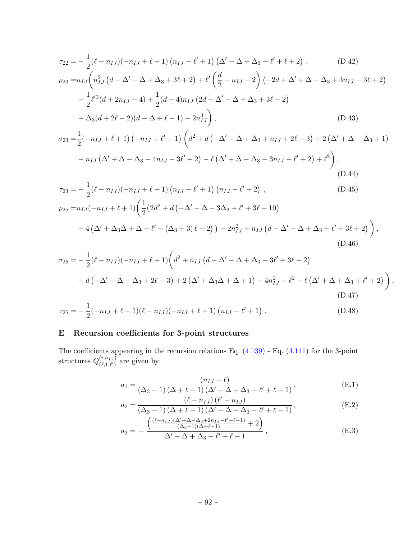$$
\tau_{22} = -\frac{1}{2}(\ell - n_{IJ})(-n_{IJ} + \ell + 1)(n_{IJ} - \ell' + 1)(\Delta' - \Delta + \Delta_3 - \ell' + \ell + 2), \qquad (D.42)
$$

$$
\rho_{23} = n_{IJ} \left( n_{IJ}^2 \left( d - \Delta' - \Delta + \Delta_3 + 3\ell + 2 \right) + \ell' \left( \frac{d}{2} + n_{IJ} - 2 \right) \left( -2d + \Delta' + \Delta - \Delta_3 + 3n_{IJ} - 3\ell + 2 \right) \right.\n- \frac{1}{2} \ell'^2 (d + 2n_{IJ} - 4) + \frac{1}{2} (d - 4) n_{IJ} \left( 2d - \Delta' - \Delta + \Delta_3 + 3\ell - 2 \right)\n- \Delta_3 (d + 2\ell - 2)(d - \Delta + \ell - 1) - 2n_{IJ}^3 \right),
$$
\n(D.43)

$$
\sigma_{23} = \frac{1}{2}(-n_{IJ} + \ell + 1)(-n_{IJ} + \ell' - 1)\left(d^2 + d(-\Delta' - \Delta + \Delta_3 + n_{IJ} + 2\ell - 3) + 2(\Delta' + \Delta - \Delta_3 + 1) - n_{IJ}(\Delta' + \Delta - \Delta_3 + 4n_{IJ} - 3\ell' + 2) - \ell(\Delta' + \Delta - \Delta_3 - 3n_{IJ} + \ell' + 2) + \ell^2\right),
$$
\n(D.44)

$$
\tau_{23} = -\frac{1}{2}(\ell - n_{IJ})(-n_{IJ} + \ell + 1)(n_{IJ} - \ell' + 1)(n_{IJ} - \ell' + 2),
$$
\n(D.45)  
\n
$$
\rho_{25} = n_{IJ}(-n_{IJ} + \ell + 1)(\frac{1}{2}(2d^2 + d(-\Delta' - \Delta - 3\Delta_3 + \ell' + 3\ell - 10))
$$
\n
$$
+ 4(\Delta' + \Delta_3\Delta + \Delta - \ell' - (\Delta_3 + 3)\ell + 2)) - 2n_{IJ}^2 + n_{IJ}(d - \Delta' - \Delta + \Delta_3 + \ell' + 3\ell + 2)),
$$
\n(D.46)

$$
\sigma_{25} = -\frac{1}{2}(\ell - n_{IJ})(-n_{IJ} + \ell + 1)\left(d^2 + n_{IJ}(d - \Delta' - \Delta + \Delta_3 + 3\ell' + 3\ell - 2) + d(-\Delta' - \Delta - \Delta_3 + 2\ell - 3) + 2(\Delta' + \Delta_3\Delta + \Delta + 1) - 4n_{IJ}^2 + \ell^2 - \ell(\Delta' + \Delta + \Delta_3 + \ell' + 2)\right),
$$
\n(D.47)

$$
\tau_{25} = -\frac{1}{2}(-n_{IJ} + \ell - 1)(\ell - n_{IJ})(-n_{IJ} + \ell + 1)(n_{IJ} - \ell' + 1).
$$
 (D.48)

## E Recursion coefficients for 3-point structures

The coefficients appearing in the recursion relations Eq.  $(4.139)$  - Eq.  $(4.141)$  for the 3-point structures  $Q^{(i,n_{IJ})}_{(\ell-1,\ell')}$  $\binom{(l,n_{IJ})}{(\ell,1,\ell')}$  are given by:

$$
a_1 = \frac{(n_{IJ} - \ell)}{(\Delta_3 - 1)(\Delta + \ell - 1)(\Delta' - \Delta + \Delta_3 - \ell' + \ell - 1)},
$$
(E.1)

$$
a_2 = \frac{(\ell - n_{IJ}) (\ell' - n_{IJ})}{(\Delta_3 - 1) (\Delta + \ell - 1) (\Delta' - \Delta + \Delta_3 - \ell' + \ell - 1)},
$$
(E.2)

$$
a_3 = -\frac{\left(\frac{(\ell - n_{IJ})(\Delta' + \Delta - \Delta_3 + 2n_{IJ} - \ell' + \ell - 1)}{(\Delta_3 - 1)(\Delta + \ell - 1)} + 2\right)}{\Delta' - \Delta + \Delta_3 - \ell' + \ell - 1},
$$
(E.3)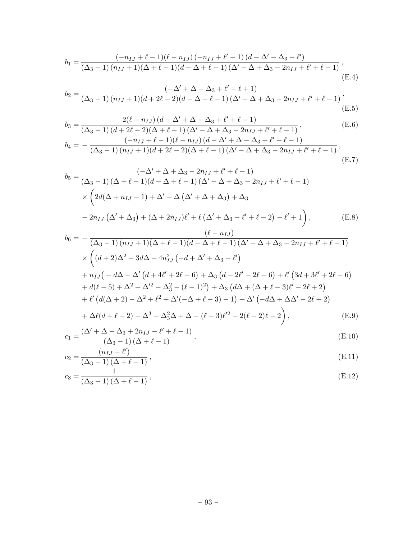$$
b_1 = \frac{(-n_{IJ} + \ell - 1)(\ell - n_{IJ}) (-n_{IJ} + \ell' - 1) (d - \Delta' - \Delta_3 + \ell')}{(\Delta_3 - 1) (n_{IJ} + 1)(\Delta + \ell - 1)(d - \Delta + \ell - 1) (\Delta' - \Delta + \Delta_3 - 2n_{IJ} + \ell' + \ell - 1)},
$$
(E.4)

$$
b_2 = \frac{(-\Delta' + \Delta - \Delta_3 + \ell' - \ell + 1)}{(\Delta_3 - 1)(n_{IJ} + 1)(d + 2\ell - 2)(d - \Delta + \ell - 1)(\Delta' - \Delta + \Delta_3 - 2n_{IJ} + \ell' + \ell - 1)},
$$
(E.5)

$$
b_3 = \frac{2(\ell - n_{IJ}) (d - \Delta' + \Delta - \Delta_3 + \ell' + \ell - 1)}{(\Delta_3 - 1) (d + 2\ell - 2)(\Delta + \ell - 1) (\Delta' - \Delta + \Delta_3 - 2n_{IJ} + \ell' + \ell - 1)},
$$
(E.6)  

$$
b_4 = -\frac{(-n_{IJ} + \ell - 1)(\ell - n_{IJ}) (d - \Delta' + \Delta - \Delta_3 + \ell' + \ell - 1)}{(\Delta_3 - 1) (n_{IJ} + 1)(d + 2\ell - 2)(\Delta + \ell - 1) (\Delta' - \Delta + \Delta_3 - 2n_{IJ} + \ell' + \ell - 1)},
$$
(E.7)

$$
b_5 = \frac{(-\Delta' + \Delta + \Delta_3 - 2n_{IJ} + \ell' + \ell - 1)}{(\Delta_3 - 1)(\Delta + \ell - 1)(d - \Delta + \ell - 1)(\Delta' - \Delta + \Delta_3 - 2n_{IJ} + \ell' + \ell - 1)} \times \left(2d(\Delta + n_{IJ} - 1) + \Delta' - \Delta(\Delta' + \Delta + \Delta_3) + \Delta_3 - 2n_{IJ}(\Delta' + \Delta_3) + (\Delta + 2n_{IJ})\ell' + \ell(\Delta' + \Delta_3 - \ell' + \ell - 2) - \ell' + 1\right),
$$
(E.8)

$$
b_6 = -\frac{(\ell - h_1 f)}{(\Delta_3 - 1)(n_{IJ} + 1)(\Delta + \ell - 1)(d - \Delta + \ell - 1)(\Delta' - \Delta + \Delta_3 - 2n_{IJ} + \ell' + \ell - 1)} \times \left( (d + 2)\Delta^2 - 3d\Delta + 4n_{IJ}^2 \left( -d + \Delta' + \Delta_3 - \ell' \right) \right. \\
\left. + n_{IJ} \left( -d\Delta - \Delta' \left( d + 4\ell' + 2\ell - 6 \right) + \Delta_3 \left( d - 2\ell' - 2\ell + 6 \right) + \ell' \left( 3d + 3\ell' + 2\ell - 6 \right) \right. \\
\left. + d(\ell - 5) + \Delta^2 + \Delta'^2 - \Delta_3^2 - (\ell - 1)^2 \right) + \Delta_3 \left( d\Delta + (\Delta + \ell - 3)\ell' - 2\ell + 2 \right) \right. \\
\left. + \ell' \left( d(\Delta + 2) - \Delta^2 + \ell^2 + \Delta'(-\Delta + \ell - 3) - 1 \right) + \Delta' \left( -d\Delta + \Delta\Delta' - 2\ell + 2 \right) \right. \\
\left. + \Delta\ell(d + \ell - 2) - \Delta^3 - \Delta_3^2\Delta + \Delta - (\ell - 3)\ell'^2 - 2(\ell - 2)\ell - 2 \right),
$$
\n(E.9)

$$
c_1 = \frac{(\Delta' + \Delta - \Delta_3 + 2n_{IJ} - \ell' + \ell - 1)}{(\Delta_3 - 1)(\Delta + \ell - 1)},
$$
\n(E.10)

$$
c_2 = \frac{(n_{IJ} - \ell')}{(\Delta_3 - 1)(\Delta + \ell - 1)},
$$
\n(E.11)

$$
c_3 = \frac{1}{(\Delta_3 - 1)(\Delta + \ell - 1)},
$$
\n(E.12)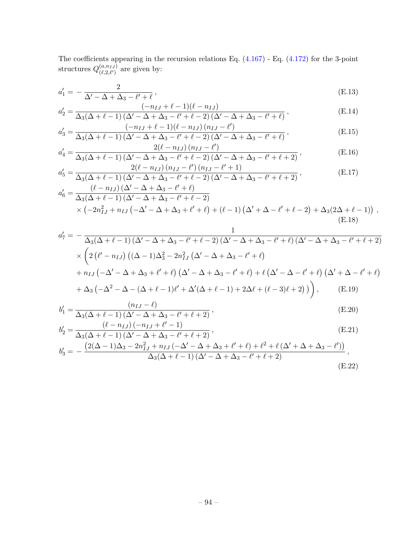The coefficients appearing in the recursion relations Eq. [\(4.167\)](#page-67-0) - Eq. [\(4.172\)](#page-67-1) for the 3-point structures  $Q^{(a,n_{IJ})}_{(\ell, \, 2\, \ell')}$  $\binom{(a,n_I)_J}{(\ell,2,\ell')}$  are given by:

$$
a'_1 = -\frac{2}{\Delta' - \Delta + \Delta_3 - \ell' + \ell},\tag{E.13}
$$

$$
a'_{2} = \frac{(-n_{IJ} + \ell - 1)(\ell - n_{IJ})}{\Delta_{3}(\Delta + \ell - 1)(\Delta' - \Delta + \Delta_{3} - \ell' + \ell - 2)(\Delta' - \Delta + \Delta_{3} - \ell' + \ell)},
$$
(E.14)

$$
a'_3 = \frac{(-n_{IJ} + \ell - 1)(\ell - n_{IJ}) (n_{IJ} - \ell')}{\Delta_3(\Delta + \ell - 1)(\Delta' - \Delta + \Delta_3 - \ell' + \ell - 2)(\Delta' - \Delta + \Delta_3 - \ell' + \ell)},
$$
(E.15)

$$
a'_{4} = \frac{2(\ell - n_{IJ}) (n_{IJ} - \ell')}{\Delta_{3}(\Delta + \ell - 1) (\Delta' - \Delta + \Delta_{3} - \ell' + \ell - 2) (\Delta' - \Delta + \Delta_{3} - \ell' + \ell + 2)},
$$
(E.16)  

$$
2(\ell - n_{IJ}) (n_{IJ} - \ell') (n_{IJ} - \ell' + 1)
$$

$$
a'_{5} = \frac{2(\ell - n_{IJ}) (n_{IJ} - \ell') (n_{IJ} - \ell' + 1)}{\Delta_{3}(\Delta + \ell - 1) (\Delta' - \Delta + \Delta_{3} - \ell' + \ell - 2) (\Delta' - \Delta + \Delta_{3} - \ell' + \ell + 2)},
$$
(E.17)

$$
a'_6 = \frac{(\ell - n_{IJ})(\Delta - \Delta + \Delta_3 - \ell + \ell)}{\Delta_3(\Delta + \ell - 1)(\Delta' - \Delta + \Delta_3 - \ell' + \ell - 2)} \times (-2n_{IJ}^2 + n_{IJ}(-\Delta' - \Delta + \Delta_3 + \ell' + \ell) + (\ell - 1)(\Delta' + \Delta - \ell' + \ell - 2) + \Delta_3(2\Delta + \ell - 1)),
$$
\n(E.18)

$$
a'_{7} = -\frac{1}{\Delta_{3}(\Delta+\ell-1)(\Delta'-\Delta+\Delta_{3}-\ell'+\ell-2)(\Delta'-\Delta+\Delta_{3}-\ell'+\ell)(\Delta'-\Delta+\Delta_{3}-\ell'+\ell+2)}
$$
  
 
$$
\times \left(2(\ell'-n_{IJ})((\Delta-1)\Delta_{3}^{2}-2n_{IJ}^{2}(\Delta'-\Delta+\Delta_{3}-\ell'+\ell)
$$
  
+ 
$$
n_{IJ}(-\Delta'-\Delta+\Delta_{3}+\ell'+\ell)(\Delta'-\Delta+\Delta_{3}-\ell'+\ell)+\ell(\Delta'-\Delta-\ell'+\ell)(\Delta'+\Delta-\ell'+\ell)
$$
  
+ 
$$
\Delta_{3}(-\Delta^{2}-\Delta-(\Delta+\ell-1)\ell'+\Delta'(\Delta+\ell-1)+2\Delta\ell+(\ell-3)\ell+2)\right), \qquad (E.19)
$$

$$
b'_{1} = \frac{(n_{IJ} - \ell)}{\Delta_3(\Delta + \ell - 1)(\Delta' - \Delta + \Delta_3 - \ell' + \ell + 2)},
$$
\n(E.20)

$$
b'_{2} = \frac{(\ell - n_{IJ}) (-n_{IJ} + \ell' - 1)}{\Delta_{3}(\Delta + \ell - 1) (\Delta' - \Delta + \Delta_{3} - \ell' + \ell + 2)},
$$
(E.21)  

$$
b'_{3} = -\frac{(2(\Delta - 1)\Delta_{3} - 2n_{IJ}^{2} + n_{IJ}(-\Delta' - \Delta + \Delta_{3} + \ell' + \ell) + \ell^{2} + \ell(\Delta' + \Delta + \Delta_{3} - \ell'))}{\Delta_{3}(\Delta + \ell - 1) (\Delta' - \Delta + \Delta_{3} - \ell' + \ell + 2)},
$$

$$
\left( \mathrm{E.22}\right)
$$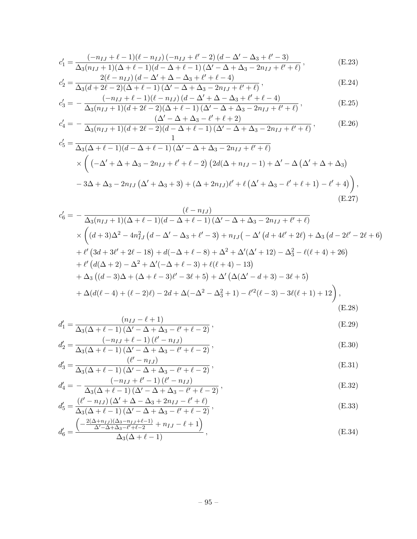$$
c'_{1} = \frac{(-n_{IJ} + \ell - 1)(\ell - n_{IJ}) (-n_{IJ} + \ell' - 2) (d - \Delta' - \Delta_3 + \ell' - 3)}{\Delta_3 (n_{IJ} + 1)(\Delta + \ell - 1)(d - \Delta + \ell - 1) (\Delta' - \Delta + \Delta_3 - 2n_{IJ} + \ell' + \ell)},
$$
(E.23)

$$
c'_{2} = \frac{2(\ell - n_{IJ}) (d - \Delta' + \Delta - \Delta_{3} + \ell' + \ell - 4)}{\Delta_{3}(d + 2\ell - 2)(\Delta + \ell - 1)(\Delta' - \Delta + \Delta_{3} - 2n_{IJ} + \ell' + \ell)},
$$
(E.24)

$$
c'_{3} = -\frac{(-n_{IJ} + \ell - 1)(\ell - n_{IJ}) (d - \Delta' + \Delta - \Delta_{3} + \ell' + \ell - 4)}{\Delta_{3}(n_{IJ} + 1)(d + 2\ell - 2)(\Delta + \ell - 1)(\Delta' - \Delta + \Delta_{3} - 2n_{IJ} + \ell' + \ell)},
$$
(E.25)

$$
c_4' = -\frac{(\Delta' - \Delta + \Delta_3 - \ell' + \ell + 2)}{\Delta_3 (n_{IJ} + 1)(d + 2\ell - 2)(d - \Delta + \ell - 1)(\Delta' - \Delta + \Delta_3 - 2n_{IJ} + \ell' + \ell)},
$$
(E.26)

$$
c'_{5} = \frac{1}{\Delta_{3}(\Delta + \ell - 1)(d - \Delta + \ell - 1)(\Delta' - \Delta + \Delta_{3} - 2n_{IJ} + \ell' + \ell)} \times \left( (-\Delta' + \Delta + \Delta_{3} - 2n_{IJ} + \ell' + \ell - 2) \left( 2d(\Delta + n_{IJ} - 1) + \Delta' - \Delta \left( \Delta' + \Delta + \Delta_{3} \right) \right) \right)
$$

$$
- 3\Delta + \Delta_{3} - 2n_{IJ} (\Delta' + \Delta_{3} + 3) + (\Delta + 2n_{IJ})\ell' + \ell (\Delta' + \Delta_{3} - \ell' + \ell + 1) - \ell' + 4) \right),
$$
(E.27)

$$
c'_{6} = -\frac{(\ell - n_{IJ})}{\Delta_{3}(n_{IJ} + 1)(\Delta + \ell - 1)(d - \Delta + \ell - 1)(\Delta' - \Delta + \Delta_{3} - 2n_{IJ} + \ell' + \ell)} \times \left( (d + 3)\Delta^{2} - 4n_{IJ}^{2} (d - \Delta' - \Delta_{3} + \ell' - 3) + n_{IJ} (-\Delta' (d + 4\ell' + 2\ell) + \Delta_{3} (d - 2\ell' - 2\ell + 6) \right) + \ell' (3d + 3\ell' + 2\ell - 18) + d(-\Delta + \ell - 8) + \Delta^{2} + \Delta'(\Delta' + 12) - \Delta_{3}^{2} - \ell(\ell + 4) + 26) + \ell' (d(\Delta + 2) - \Delta^{2} + \Delta'(-\Delta + \ell - 3) + \ell(\ell + 4) - 13) + \Delta_{3} ((d - 3)\Delta + (\Delta + \ell - 3)\ell' - 3\ell + 5) + \Delta' (\Delta(\Delta' - d + 3) - 3\ell + 5) + \Delta(d(\ell - 4) + (\ell - 2)\ell) - 2d + \Delta(-\Delta^{2} - \Delta_{3}^{2} + 1) - \ell'^{2}(\ell - 3) - 3\ell(\ell + 1) + 12),
$$
\n(E.28)

$$
d_1' = \frac{(n_{IJ} - \ell + 1)}{\Delta_3(\Delta + \ell - 1)(\Delta' - \Delta + \Delta_3 - \ell' + \ell - 2)},
$$
(E.29)

$$
d'_{2} = \frac{(-n_{IJ} + \ell - 1)(\ell' - n_{IJ})}{\Delta_{3}(\Delta + \ell - 1)(\Delta' - \Delta + \Delta_{3} - \ell' + \ell - 2)},
$$
(E.30)

$$
d'_3 = \frac{(\ell' - n_{IJ})}{\Delta_3(\Delta + \ell - 1)(\Delta' - \Delta + \Delta_3 - \ell' + \ell - 2)},
$$
(E.31)

$$
d_4' = -\frac{(-n_{IJ} + \ell' - 1)(\ell' - n_{IJ})}{\Delta_3(\Delta + \ell - 1)(\Delta' - \Delta + \Delta_3 - \ell' + \ell - 2)},
$$
(E.32)

$$
d'_{5} = \frac{(\ell' - n_{IJ}) (\Delta' + \Delta - \Delta_3 + 2n_{IJ} - \ell' + \ell)}{\Delta_3 (\Delta + \ell - 1) (\Delta' - \Delta + \Delta_3 - \ell' + \ell - 2)},
$$
(E.33)

$$
d'_{6} = \frac{\left(-\frac{2(\Delta + n_{IJ})(\Delta_3 - n_{IJ} + \ell - 1)}{\Delta' - \Delta + \Delta_3 - \ell' + \ell - 2} + n_{IJ} - \ell + 1\right)}{\Delta_3(\Delta + \ell - 1)},
$$
(E.34)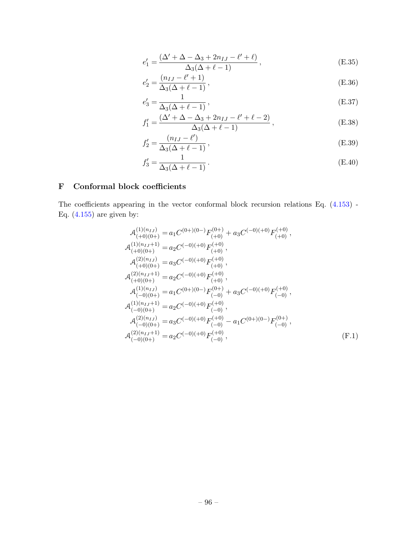$$
e'_1 = \frac{(\Delta' + \Delta - \Delta_3 + 2n_{IJ} - \ell' + \ell)}{\Delta_3(\Delta + \ell - 1)},
$$
\n(E.35)

$$
e_2' = \frac{(n_{IJ} - \ell' + 1)}{\Delta_3(\Delta + \ell - 1)},
$$
\n(E.36)

$$
e'_3 = \frac{1}{\Delta_3(\Delta + \ell - 1)},
$$
(E.37)

$$
f_1' = \frac{(\Delta' + \Delta - \Delta_3 + 2n_{IJ} - \ell' + \ell - 2)}{\Delta_3(\Delta + \ell - 1)},
$$
\n(E.38)

$$
f_2' = \frac{(n_{IJ} - \ell')}{\Delta_3(\Delta + \ell - 1)},
$$
\n(E.39)

$$
f_3' = \frac{1}{\Delta_3(\Delta + \ell - 1)}.
$$
\n(E.40)

## F Conformal block coefficients

The coefficients appearing in the vector conformal block recursion relations Eq. [\(4.153\)](#page-64-0) - Eq.  $(4.155)$  are given by:

$$
\mathcal{A}_{(+0)(0+)}^{(1)(n_{IJ})} = a_1 C^{(0+)(0-)} F_{(+0)}^{(0+)} + a_3 C^{(-0)(+0)} F_{(+0)}^{(0)},
$$
\n
$$
\mathcal{A}_{(+0)(0+)}^{(1)(n_{IJ}+1)} = a_2 C^{(-0)(+0)} F_{(+0)}^{(0)},
$$
\n
$$
\mathcal{A}_{(+0)(0+)}^{(2)(n_{IJ})} = a_3 C^{(-0)(+0)} F_{(+0)}^{(0)},
$$
\n
$$
\mathcal{A}_{(+0)(0+)}^{(2)(n_{IJ}+1)} = a_2 C^{(-0)(+0)} F_{(+0)}^{(0)},
$$
\n
$$
\mathcal{A}_{(-0)(0+)}^{(1)(n_{IJ})} = a_1 C^{(0+)(0-)} F_{(-0)}^{(0+)} + a_3 C^{(-0)(+0)} F_{(-0)}^{(0)},
$$
\n
$$
\mathcal{A}_{(-0)(0+)}^{(1)(n_{IJ}+1)} = a_2 C^{(-0)(+0)} F_{(-0)}^{(0)},
$$
\n
$$
\mathcal{A}_{(-0)(0+)}^{(2)(n_{IJ})} = a_3 C^{(-0)(+0)} F_{(-0)}^{(+0)} - a_1 C^{(0+)(0-)} F_{(-0)}^{(0+)},
$$
\n
$$
\mathcal{A}_{(-0)(0+)}^{(2)(n_{IJ}+1)} = a_2 C^{(-0)(+0)} F_{(-0)}^{(+0)},
$$
\n(F.1)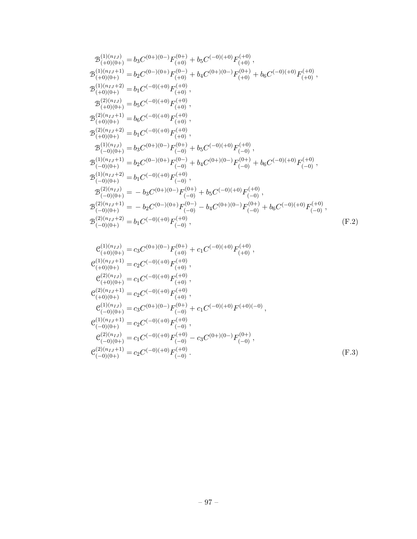$$
\begin{split} &\mathcal{B}^{(1)(n_{IJ})}_{(+0)(0+)}=b_{3}C^{(0+)(0-)}F^{(0+)}_{(+0)}+b_{5}C^{(-0)(+0)}F^{(+0)}_{(+0)},\\ &\mathcal{B}^{(1)(n_{IJ}+1)}_{(+0)(0+)}=b_{2}C^{(0-)(0+)}F^{(0-)}_{(+0)}+b_{4}C^{(0+)(0-)}F^{(0+)}_{(+0)}+b_{6}C^{(-0)(+0)}F^{(+0)},\\ &\mathcal{B}^{(1)(n_{IJ}+2)}_{(+0)(0+)}=b_{1}C^{(-0)(+0)}F^{(+0)},\\ &\mathcal{B}^{(2)(n_{IJ})}_{(+0)(0+)}=b_{5}C^{(-0)(+0)}F^{(+0)},\\ &\mathcal{B}^{(2)(n_{IJ}+1)}_{(+0)(0+)}=b_{6}C^{(-0)(+0)}F^{(+0)},\\ &\mathcal{B}^{(2)(n_{IJ}+2)}_{(+0)(0+)}=b_{1}C^{(-0)(+0)}F^{(+0)},\\ &\mathcal{B}^{(1)(n_{IJ})}_{(-0)(0+)}=b_{3}C^{(0+)(0-)}F^{(0+)}_{(-0)}+b_{5}C^{(-0)(+0)}F^{(+0)}_{(-0)},\\ &\mathcal{B}^{(1)(n_{IJ}+1)}_{(-0)(0+)}=b_{2}C^{(0-)(0+)}F^{(0-)}_{(-0)}+b_{4}C^{(0+)(0-)}F^{(0+)}_{(-0)}+b_{6}C^{(-0)(+0)}F^{(+0)}_{(-0)},\\ &\mathcal{B}^{(1)(n_{IJ}+2)}_{(-0)(0+)}=b_{1}C^{(-0)(+0)}F^{(+0)}_{(-0)},\\ &\mathcal{B}^{(2)(n_{IJ})}_{(-0)(0+)}=-b_{3}C^{(0+)(0-)}F^{(0+)}_{(-0)}+b_{5}C^{(-0)(+0)}F^{(+0)}_{(-0)},\\ &\mathcal{B}^{(2)(n_{IJ}+1)}_{(-0)(0+)}=-b_{2}C^{(0-)(0+)}F^{(0-)}_{(-0)}-b_{4}C^{(0+)(0-)}F^{(0+)}_{(-0)}+b_{6}C^{(-0)(+0)}F^{(+0)}_{(-0)},\\ &\mathcal{B}^{(2)(n_{IJ}+2)}_{(-0)(0+)}=b_{1}C^{
$$

$$
c_{(+0)(0+)}^{(1)(n_{IJ})} = c_3 C^{(0+)(0-)} F_{(+0)}^{(0+)} + c_1 C^{(-0)(+0)} F_{(+0)}^{(0)},
$$
  
\n
$$
c_{(+0)(0+)}^{(1)(n_{IJ}+1)} = c_2 C^{(-0)(+0)} F_{(+0)}^{(0)},
$$
  
\n
$$
c_{(+0)(0+)}^{(2)(n_{IJ})} = c_1 C^{(-0)(+0)} F_{(+0)}^{(0)},
$$
  
\n
$$
c_{(+0)(0+)}^{(2)(n_{IJ}+1)} = c_2 C^{(-0)(+0)} F_{(+0)}^{(0)},
$$
  
\n
$$
c_{(-0)(0+)}^{(1)(n_{IJ})} = c_3 C^{(0+)(0-)} F_{(-0)}^{(0+)} + c_1 C^{(-0)(+0)} F_{(+0)(-0)},
$$
  
\n
$$
c_{(-0)(0+)}^{(1)(n_{IJ}+1)} = c_2 C^{(-0)(+0)} F_{(-0)}^{(0)},
$$
  
\n
$$
c_{(-0)(0+)}^{(2)(n_{IJ})} = c_1 C^{(-0)(+0)} F_{(-0)}^{(+0)} - c_3 C^{(0+)(0-)} F_{(-0)}^{(0+)},
$$
  
\n
$$
c_{(-0)(0+)}^{(2)(n_{IJ}+1)} = c_2 C^{(-0)(+0)} F_{(-0)}^{(+0)}.
$$
  
\n(F.3)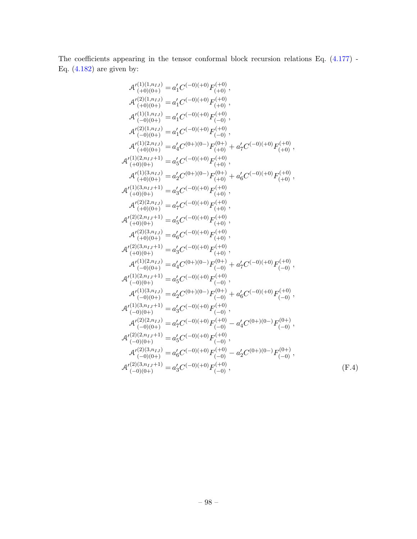The coefficients appearing in the tensor conformal block recursion relations Eq. [\(4.177\)](#page-68-0) - Eq.  $(4.182)$  are given by:

$$
\begin{array}{l} \mathcal{A}'^{(1)(1,n_{II})}_{(+0)(0+)} = a'_{1}C^{(-0)(+0)}F^{(+0)}_{(+0)},\\ \mathcal{A}'^{(2)(1,n_{II})}_{(-0)(0+)} = a'_{1}C^{(-0)(+0)}F^{(+0)}_{(-0)},\\ \mathcal{A}'^{(1)(1,n_{II})}_{(-0)(0+)} = a'_{1}C^{(-0)(+0)}F^{(+0)}_{(-0)},\\ \mathcal{A}'^{(2)(1,n_{II})}_{(-0)(0+)} = a'_{1}C^{(-0)(+0)}F^{(+0)}_{(-0)},\\ \mathcal{A}'^{(1)(2,n_{II})+1}_{(+0)(0+)} = a'_{1}C^{(-0)(+0)}F^{(+0)}_{(+0)} + a'_{1}C^{(-0)(+0)}F^{(+0)}_{(+0)},\\ \mathcal{A}'^{(1)(2,n_{II})+1}_{(+0)(0+)} = a'_{2}C^{(-0)(+0)}F^{(+0)}_{(+0)},\\ \mathcal{A}'^{(1)(3,n_{II})}_{(+0)(0+)} = a'_{2}C^{(-0)(+0)}F^{(+0)}_{(+0)},\\ \mathcal{A}'^{(2)(2,n_{II})+1}_{(+0)(0+)} = a'_{3}C^{(-0)(+0)}F^{(+0)}_{(+0)},\\ \mathcal{A}'^{(2)(2,n_{II})+1}_{(+0)(0+)} = a'_{3}C^{(-0)(+0)}F^{(+0)}_{(+0)},\\ \mathcal{A}'^{(2)(2,n_{II})+1}_{(+0)(0+)} = a'_{3}C^{(-0)(+0)}F^{(+0)}_{(+0)},\\ \mathcal{A}'^{(2)(3,n_{II})+1}_{(+0)(0+)} = a'_{3}C^{(-0)(+0)}F^{(+0)}_{(+0)},\\ \mathcal{A}'^{(2)(3,n_{II})+1}_{(+0)(0+)} = a'_{3}C^{(-0)(+0)}F^{(+0)}_{(+0)},\\ \mathcal{A}'^{(2)(3,n_{II})+1}_{(-0)(0+)} = a'_{3}C^{(-0)(+0)}F^{(+0)}_{(-0)},\\ \mathcal{A}'^{(2)(3,n_{II})+1}_{(-0)(0+)} = a'_{3}C^{(-0)(+0)}F^{(+0)}_{(-0)},\\ \mathcal{A}'^{(1)(2,n_{II})+1}_{(-0)(0+)} = a'_{2}C^{(-0)(+0)}F^{(+0)}_{(-0)},\\ \mathcal{A}'^{(1)(3,n_{II})+1}_{(-0
$$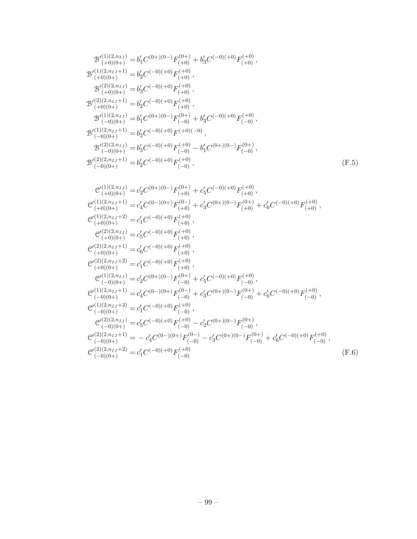$$
\begin{array}{l} \mathcal{B}^{(2)(2,n_{IJ}+1)}_{(+0)(0+)}=b'_{2}C^{(-0)(+0)}F^{(+0)}_{(-0)}\,,\\ \mathcal{B}^{(1)(2,n_{IJ})}_{(-0)(0+)}=b'_{1}C^{(0+)(0-)}F^{(+0)}_{(-0)}+b'_{3}C^{(-0)(+0)}F^{(+0)}_{(-0)}\,,\\ \mathcal{B}^{(1)(2,n_{IJ}+1)}_{(-0)(0+)}=b'_{3}C^{(-0)(+0)}F^{(+0)}_{(-0)}-b'_{1}C^{(0+)(0-)}F^{(+0)}_{(-0)}\,,\\ \mathcal{B}^{(2)(2,n_{IJ}+1)}_{(-0)(0+)}=b'_{3}C^{(-0)(+0)}F^{(+0)}_{(-0)}-b'_{1}C^{(0+)(0-)}F^{(+0)}_{(-0)}\,,\\ \mathcal{B}^{(2)(2,n_{IJ}+1)}_{(-0)(0+)}=c'_{2}C^{(0+)(0-)}F^{(+0)}_{(+0)}+c'_{5}C^{(-0)(+0)}F^{(+0)}_{(+0)}\,,\\ \mathcal{C}^{(1)(2,n_{IJ}+1)}_{(+0)(0+)}=c'_{4}C^{(-0)(+0)}F^{(+0)}_{(+0)}+c'_{3}C^{(0+)(0-)}F^{(+0)}_{(+0)}+c'_{6}C^{(-0)(+0)}F^{(+0)}_{(+0)}\,,\\ \mathcal{C}^{(1)(2,n_{IJ}+2)}_{(+0)(0+)}=c'_{1}C^{(-0)(+0)}F^{(+0)}_{(+0)}\,,\\ \mathcal{C}^{(2)(2,n_{IJ}+1)}_{(+0)(0+)}=c'_{5}C^{(-0)(+0)}F^{(+0)}_{(+0)}\,,\\ \mathcal{C}^{(2)(2,n_{IJ}+1)}_{(+0)(0+)}=c'_{5}C^{(-0)(+0)}F^{(+0)}_{(+0)}\,,\\ \mathcal{C}^{(2)(2,n_{IJ}+2)}_{(-0)(0+)}=c'_{2}C^{(-0)(+0)}F^{(+0)}_{(+0)}\,,\\ \mathcal{C}^{(1)(2,n_{IJ})}_{(-0)(0+)}=c'_{2}C^{(-0)(+0)}F^{(+0)}_{(-0)}+c'_{5}C^{(-0)(+0)}F^{(+0)}_{(-0)}\,,\\ \mathcal{C}^{(1)(2,n_{IJ}+2)}_{(-0)(0+)}=c'_{4}C
$$

 $\mathcal{B}'^{(1)(2,n_{IJ})}_{(+0)(0+)} = b'_1 C^{(0+)(0-)} F^{(0+)}_{(+0)} + b'_3 C^{(-0)(+0)} F^{(+0)}_{(+0)},$ 

 $\mathcal{B}'^{(1)(2,n_{IJ}+1)}_{(+0)(0+)} = b'_2 C^{(-0)(+0)} F^{(+0)}_{(+0)},$ 

 $\mathcal{B}'^{(2)(2,n_{IJ})}_{(+0)(0+)} = b'_3 C^{(-0)(+0)} F^{(+0)}_{(+0)},$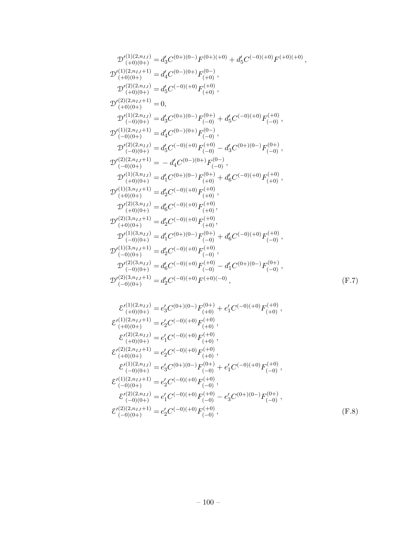$$
D_{(-0)(0+)} = a_2 C^{(-0)(+)} F_{(-0)},
$$
  
\n
$$
D'_{(-0)(0+)}^{(2)(3,n_{IJ})} = d'_6 C^{(-0)(+0)} F_{(-0)}^{(+0)} - d'_1 C^{(0+)(0-)} F_{(-0)}^{(0+)},
$$
  
\n
$$
D'_{(-0)(0+)}^{(2)(3,n_{IJ}+1)} = d'_2 C^{(-0)(+0)} F^{(+0)(-0)},
$$
  
\n
$$
\mathcal{E'}_{(+0)(0+)}^{(1)(2,n_{IJ})} = e'_3 C^{(0+)(0-)} F_{(+0)}^{(0+)} + e'_1 C^{(-0)(+0)} F_{(+0)}^{(0)},
$$
  
\n
$$
\mathcal{E'}_{(+0)(0+)}^{(1)(2,n_{IJ}+1)} = e'_2 C^{(-0)(+0)} F_{(+0)}^{(-0)},
$$
  
\n
$$
\mathcal{E'}_{(+0)(0+)}^{(2)(2,n_{IJ}+1)} = e'_1 C^{(-0)(+0)} F_{(+0)}^{(0)},
$$
  
\n
$$
\mathcal{E'}_{(+0)(0+)}^{(2)(2,n_{IJ}+1)} = e'_2 C^{(-0)(+0)} F_{(+0)}^{(0)},
$$
  
\n
$$
\mathcal{E'}_{(-0)(0+)}^{(1)(2,n_{IJ}+1)} = e'_3 C^{(0+)(0-)} F_{(-0)}^{(0+)} + e'_1 C^{(-0)(+0)} F_{(-0)}^{(0)},
$$
  
\n
$$
\mathcal{E'}_{(-0)(0+)}^{(1)(2,n_{IJ}+1)} = e'_2 C^{(-0)(+0)} F_{(-0)}^{(+0)},
$$
  
\n
$$
\mathcal{E'}_{(-0)(0+)}^{(2)(2,n_{IJ}+1)} = e'_1 C^{(-0)(+0)} F_{(-0)}^{(+0)} - e'_3 C^{(0+)(0-)} F_{(-0)}^{(0+)},
$$
  
\n
$$
\mathcal{E'}_{(-0)(0+)}^{(2)(2,n_{IJ}+1)} = e'_2 C^{(-0)(+0)} F_{(-0)}^{(+0)},
$$
  
\n
$$
\mathcal{E'}_{(-0)(0+)}^{(2)(2,n_{IJ}+1)} = e'_2 C^{(-0)(+0)} F_{(-0)}^{(+0)},
$$
  
\n
$$
\mathcal{E'}_{(-0)(0+)}^{(2
$$

$$
\begin{array}{l} \mathcal{D}'^{(1)(2,n_{IJ})}_{(+0)(0+)}=d'_{3}C^{(0+)(0-)}F^{(0+)(+0)}+d'_{5}C^{(-0)(+0)}F^{(+0)(+0)}\,,\\ \mathcal{D}'^{(1)(2,n_{IJ}+1)}_{(+0)(0+)}=d'_{4}C^{(-)(0+)}F^{(0-)}_{(+0)}\,,\\ \mathcal{D}'^{(2)(2,n_{IJ})}_{(+0)(0+)}=d'_{5}C^{(-0)(+0)}F^{(+0)}_{(+0)}\,,\\ \mathcal{D}'^{(2)(2,n_{IJ}+1)}_{(-0)(0+)}=0,\\ \mathcal{D}'^{(1)(2,n_{IJ}+1)}_{(-0)(0+)}=d'_{3}C^{(0+)(0-)}F^{(0-)}_{(-0)}+d'_{5}C^{(-0)(+0)}F^{(+0)}_{(-0)}\,,\\ \mathcal{D}'^{(1)(2,n_{IJ}+1)}_{(-0)(0+)}=d'_{4}C^{(0-)(0+)}F^{(+0)}_{(-0)}-d'_{3}C^{(0+)(0-)}F^{(0+)}_{(-0)}\,,\\ \mathcal{D}'^{(2)(2,n_{IJ})}_{(-0)(0+)}=d'_{5}C^{(-0)(+0)}F^{(+0)}_{(-0)}-d'_{3}C^{(0+)(0-)}F^{(0+)}_{(-0)}\,,\\ \mathcal{D}'^{(1)(3,n_{IJ})}_{(+0)(0+)}=d'_{1}C^{(0+)(0-)}F^{(0+)}_{(+0)}+d'_{6}C^{(-0)(+0)}F^{(+0)}_{(+0)}\,,\\ \mathcal{D}'^{(1)(3,n_{IJ}+1)}_{(+0)(0+)}=d'_{2}C^{(-0)(+0)}F^{(+0)}_{(+0)}\,,\\ \mathcal{D}'^{(2)(3,n_{IJ}+1)}_{(+0)(0+)}=d'_{5}C^{(-0)(+0)}F^{(+0)}_{(+0)}\,,\\ \mathcal{D}'^{(2)(3,n_{IJ}+1)}_{(-0)(0+)}=d'_{2}C^{(-0)(+0)}F^{(+0)}_{(-0)}\,,\\ \mathcal{D}'^{(2)(3,n_{IJ}+1)}_{(-0)(0+)}=d'_{2}C^{(-0)(+0)}F^{(+0)}_{(-0)}\,,\\ \mathcal{D}'^{(1)(3,n_{IJ}+1)}_{(-0)(0+)}=d'_{2}C^{(-0)(+0)}F^{(+0)}_{(-0)}\,,\\
$$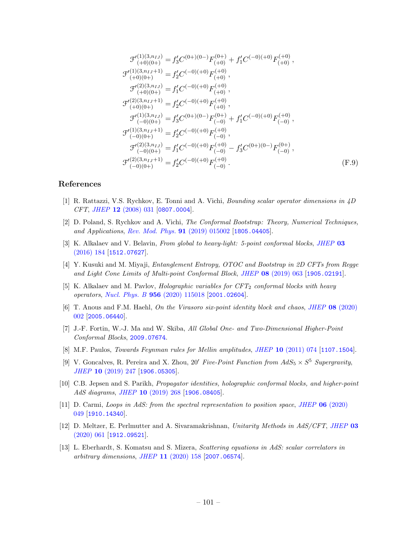$$
\mathcal{F}'^{(1)(3,n_{IJ})}_{(+0)(0+)} = f'_{3}C^{(0+)(0-)}F^{(0+)}_{(+0)} + f'_{1}C^{(-0)(+0)}F^{(+0)}_{(+0)},
$$
  
\n
$$
\mathcal{F}'^{(1)(3,n_{IJ}+1)}_{(+0)(0+)} = f'_{2}C^{(-0)(+0)}F^{(+0)}_{(+0)},
$$
  
\n
$$
\mathcal{F}'^{(2)(3,n_{IJ})}_{(+0)(0+)} = f'_{1}C^{(-0)(+0)}F^{(+0)}_{(+0)},
$$
  
\n
$$
\mathcal{F}'^{(2)(3,n_{IJ}+1)}_{(+0)(0+)} = f'_{2}C^{(-0)(+0)}F^{(+0)}_{(+0)},
$$
  
\n
$$
\mathcal{F}'^{(1)(3,n_{IJ})}_{(-0)(0+)} = f'_{3}C^{(0+)(0-)}F^{(0+)}_{(-0)} + f'_{1}C^{(-0)(+0)}F^{(+0)}_{(-0)},
$$
  
\n
$$
\mathcal{F}'^{(1)(3,n_{IJ}+1)}_{(-0)(0+)} = f'_{2}C^{(-0)(+0)}F^{(+0)}_{(-0)},
$$
  
\n
$$
\mathcal{F}'^{(2)(3,n_{IJ})}_{(-0)(0+)} = f'_{1}C^{(-0)(+0)}F^{(+0)}_{(-0)} - f'_{3}C^{(0+)(0-)}F^{(0+)}_{(-0)},
$$
  
\n
$$
\mathcal{F}'^{(2)(3,n_{IJ}+1)}_{(-0)(0+)} = f'_{2}C^{(-0)(+0)}F^{(+0)}_{(-0)}.
$$
  
\n(F.9)

### References

- [1] R. Rattazzi, V.S. Rychkov, E. Tonni and A. Vichi, Bounding scalar operator dimensions in 4D CFT, JHEP 12 [\(2008\) 031](https://doi.org/10.1088/1126-6708/2008/12/031) [[0807.0004](https://arxiv.org/abs/0807.0004)].
- [2] D. Poland, S. Rychkov and A. Vichi, The Conformal Bootstrap: Theory, Numerical Techniques, and Applications, [Rev. Mod. Phys.](https://doi.org/10.1103/RevModPhys.91.015002) 91 (2019) 015002 [[1805.04405](https://arxiv.org/abs/1805.04405)].
- [3] K. Alkalaev and V. Belavin, From global to heavy-light: 5-point conformal blocks, [JHEP](https://doi.org/10.1007/JHEP03(2016)184) 03 [\(2016\) 184](https://doi.org/10.1007/JHEP03(2016)184) [[1512.07627](https://arxiv.org/abs/1512.07627)].
- [4] Y. Kusuki and M. Miyaji, Entanglement Entropy, OTOC and Bootstrap in 2D CFTs from Regge and Light Cone Limits of Multi-point Conformal Block, JHEP 08 [\(2019\) 063](https://doi.org/10.1007/JHEP08(2019)063) [[1905.02191](https://arxiv.org/abs/1905.02191)].
- [5] K. Alkalaev and M. Pavlov, *Holographic variables for*  $CFT_2$  *conformal blocks with heavy* operators, Nucl. Phys. B 956 [\(2020\) 115018](https://doi.org/10.1016/j.nuclphysb.2020.115018) [[2001.02604](https://arxiv.org/abs/2001.02604)].
- [6] T. Anous and F.M. Haehl, On the Virasoro six-point identity block and chaos, JHEP 08 [\(2020\)](https://doi.org/10.1007/JHEP08(2020)002) [002](https://doi.org/10.1007/JHEP08(2020)002) [[2005.06440](https://arxiv.org/abs/2005.06440)].
- [7] J.-F. Fortin, W.-J. Ma and W. Skiba, All Global One- and Two-Dimensional Higher-Point Conformal Blocks, [2009.07674](https://arxiv.org/abs/2009.07674).
- [8] M.F. Paulos, Towards Feynman rules for Mellin amplitudes, JHEP 10 [\(2011\) 074](https://doi.org/10.1007/JHEP10(2011)074) [[1107.1504](https://arxiv.org/abs/1107.1504)].
- [9] V. Goncalves, R. Pereira and X. Zhou, 20' Five-Point Function from  $AdS_5 \times S^5$  Supergravity, JHEP 10 [\(2019\) 247](https://doi.org/10.1007/JHEP10(2019)247) [[1906.05305](https://arxiv.org/abs/1906.05305)].
- [10] C.B. Jepsen and S. Parikh, Propagator identities, holographic conformal blocks, and higher-point AdS diagrams, JHEP 10 [\(2019\) 268](https://doi.org/10.1007/JHEP10(2019)268) [[1906.08405](https://arxiv.org/abs/1906.08405)].
- [11] D. Carmi, Loops in AdS: from the spectral representation to position space, JHEP 06 [\(2020\)](https://doi.org/10.1007/JHEP06(2020)049) [049](https://doi.org/10.1007/JHEP06(2020)049) [[1910.14340](https://arxiv.org/abs/1910.14340)].
- [12] D. Meltzer, E. Perlmutter and A. Sivaramakrishnan, Unitarity Methods in AdS/CFT, [JHEP](https://doi.org/10.1007/JHEP03(2020)061) 03 [\(2020\) 061](https://doi.org/10.1007/JHEP03(2020)061) [[1912.09521](https://arxiv.org/abs/1912.09521)].
- [13] L. Eberhardt, S. Komatsu and S. Mizera, Scattering equations in AdS: scalar correlators in arbitrary dimensions, JHEP 11 [\(2020\) 158](https://doi.org/10.1007/JHEP11(2020)158) [[2007.06574](https://arxiv.org/abs/2007.06574)].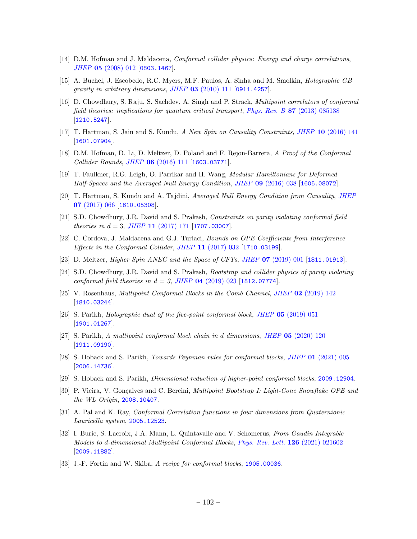- [14] D.M. Hofman and J. Maldacena, *Conformal collider physics: Energy and charge correlations*, JHEP 05 [\(2008\) 012](https://doi.org/10.1088/1126-6708/2008/05/012) [[0803.1467](https://arxiv.org/abs/0803.1467)].
- [15] A. Buchel, J. Escobedo, R.C. Myers, M.F. Paulos, A. Sinha and M. Smolkin, Holographic GB  $gravity in arbitrary dimensions, JHEP 03 (2010) 111 [0911.4257].$  $gravity in arbitrary dimensions, JHEP 03 (2010) 111 [0911.4257].$  $gravity in arbitrary dimensions, JHEP 03 (2010) 111 [0911.4257].$  $gravity in arbitrary dimensions, JHEP 03 (2010) 111 [0911.4257].$  $gravity in arbitrary dimensions, JHEP 03 (2010) 111 [0911.4257].$
- [16] D. Chowdhury, S. Raju, S. Sachdev, A. Singh and P. Strack, Multipoint correlators of conformal field theories: implications for quantum critical transport, Phys. Rev. B 87 [\(2013\) 085138](https://doi.org/10.1103/PhysRevB.87.085138)  $[1210.5247]$  $[1210.5247]$  $[1210.5247]$ .
- [17] T. Hartman, S. Jain and S. Kundu, A New Spin on Causality Constraints, JHEP 10 [\(2016\) 141](https://doi.org/10.1007/JHEP10(2016)141) [[1601.07904](https://arxiv.org/abs/1601.07904)].
- [18] D.M. Hofman, D. Li, D. Meltzer, D. Poland and F. Rejon-Barrera, A Proof of the Conformal Collider Bounds, JHEP 06 [\(2016\) 111](https://doi.org/10.1007/JHEP06(2016)111) [[1603.03771](https://arxiv.org/abs/1603.03771)].
- [19] T. Faulkner, R.G. Leigh, O. Parrikar and H. Wang, Modular Hamiltonians for Deformed Half-Spaces and the Averaged Null Energy Condition, JHEP 09 [\(2016\) 038](https://doi.org/10.1007/JHEP09(2016)038) [[1605.08072](https://arxiv.org/abs/1605.08072)].
- [20] T. Hartman, S. Kundu and A. Tajdini, Averaged Null Energy Condition from Causality, [JHEP](https://doi.org/10.1007/JHEP07(2017)066) 07 [\(2017\) 066](https://doi.org/10.1007/JHEP07(2017)066) [[1610.05308](https://arxiv.org/abs/1610.05308)].
- [21] S.D. Chowdhury, J.R. David and S. Prakash, Constraints on parity violating conformal field theories in  $d = 3$ , JHEP 11 [\(2017\) 171](https://doi.org/10.1007/JHEP11(2017)171) [[1707.03007](https://arxiv.org/abs/1707.03007)].
- <span id="page-102-1"></span>[22] C. Cordova, J. Maldacena and G.J. Turiaci, Bounds on OPE Coefficients from Interference Effects in the Conformal Collider, JHEP 11 [\(2017\) 032](https://doi.org/10.1007/JHEP11(2017)032) [[1710.03199](https://arxiv.org/abs/1710.03199)].
- <span id="page-102-0"></span>[23] D. Meltzer, *Higher Spin ANEC and the Space of CFTs, JHEP* **07** [\(2019\) 001](https://doi.org/10.1007/JHEP07(2019)001) [[1811.01913](https://arxiv.org/abs/1811.01913)].
- [24] S.D. Chowdhury, J.R. David and S. Prakash, Bootstrap and collider physics of parity violating conformal field theories in  $d = 3$ , JHEP 04 [\(2019\) 023](https://doi.org/10.1007/JHEP04(2019)023) [[1812.07774](https://arxiv.org/abs/1812.07774)].
- [25] V. Rosenhaus, Multipoint Conformal Blocks in the Comb Channel, JHEP 02 [\(2019\) 142](https://doi.org/10.1007/JHEP02(2019)142) [[1810.03244](https://arxiv.org/abs/1810.03244)].
- [26] S. Parikh, Holographic dual of the five-point conformal block, JHEP 05 [\(2019\) 051](https://doi.org/10.1007/JHEP05(2019)051) [[1901.01267](https://arxiv.org/abs/1901.01267)].
- [27] S. Parikh, A multipoint conformal block chain in d dimensions, JHEP 05 [\(2020\) 120](https://doi.org/10.1007/JHEP05(2020)120) [[1911.09190](https://arxiv.org/abs/1911.09190)].
- [28] S. Hoback and S. Parikh, Towards Feynman rules for conformal blocks, JHEP 01 [\(2021\) 005](https://doi.org/10.1007/JHEP01(2021)005) [[2006.14736](https://arxiv.org/abs/2006.14736)].
- [29] S. Hoback and S. Parikh, Dimensional reduction of higher-point conformal blocks, [2009.12904](https://arxiv.org/abs/2009.12904).
- [30] P. Vieira, V. Gonçalves and C. Bercini, Multipoint Bootstrap I: Light-Cone Snowflake OPE and the WL Origin, [2008.10407](https://arxiv.org/abs/2008.10407).
- [31] A. Pal and K. Ray, Conformal Correlation functions in four dimensions from Quaternionic Lauricella system, [2005.12523](https://arxiv.org/abs/2005.12523).
- [32] I. Buric, S. Lacroix, J.A. Mann, L. Quintavalle and V. Schomerus, From Gaudin Integrable Models to d-dimensional Multipoint Conformal Blocks, [Phys. Rev. Lett.](https://doi.org/10.1103/PhysRevLett.126.021602) 126 (2021) 021602 [[2009.11882](https://arxiv.org/abs/2009.11882)].
- [33] J.-F. Fortin and W. Skiba, A recipe for conformal blocks, [1905.00036](https://arxiv.org/abs/1905.00036).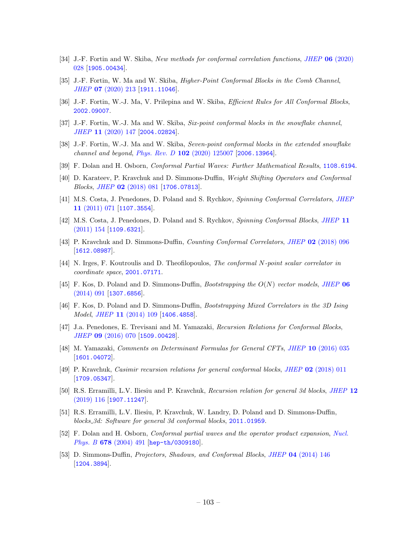- [34] J.-F. Fortin and W. Skiba, New methods for conformal correlation functions, JHEP 06 [\(2020\)](https://doi.org/10.1007/JHEP06(2020)028) [028](https://doi.org/10.1007/JHEP06(2020)028) [[1905.00434](https://arxiv.org/abs/1905.00434)].
- [35] J.-F. Fortin, W. Ma and W. Skiba, Higher-Point Conformal Blocks in the Comb Channel, JHEP 07 [\(2020\) 213](https://doi.org/10.1007/JHEP07(2020)213) [[1911.11046](https://arxiv.org/abs/1911.11046)].
- [36] J.-F. Fortin, W.-J. Ma, V. Prilepina and W. Skiba, Efficient Rules for All Conformal Blocks, [2002.09007](https://arxiv.org/abs/2002.09007).
- [37] J.-F. Fortin, W.-J. Ma and W. Skiba, Six-point conformal blocks in the snowflake channel, JHEP 11 [\(2020\) 147](https://doi.org/10.1007/JHEP11(2020)147) [[2004.02824](https://arxiv.org/abs/2004.02824)].
- [38] J.-F. Fortin, W.-J. Ma and W. Skiba, Seven-point conformal blocks in the extended snowflake channel and beyond, Phys. Rev. D 102 [\(2020\) 125007](https://doi.org/10.1103/PhysRevD.102.125007) [[2006.13964](https://arxiv.org/abs/2006.13964)].
- [39] F. Dolan and H. Osborn, Conformal Partial Waves: Further Mathematical Results, [1108.6194](https://arxiv.org/abs/1108.6194).
- [40] D. Karateev, P. Kravchuk and D. Simmons-Duffin, Weight Shifting Operators and Conformal Blocks, JHEP 02 [\(2018\) 081](https://doi.org/10.1007/JHEP02(2018)081) [[1706.07813](https://arxiv.org/abs/1706.07813)].
- <span id="page-103-0"></span>[41] M.S. Costa, J. Penedones, D. Poland and S. Rychkov, Spinning Conformal Correlators, [JHEP](https://doi.org/10.1007/JHEP11(2011)071) 11 [\(2011\) 071](https://doi.org/10.1007/JHEP11(2011)071) [[1107.3554](https://arxiv.org/abs/1107.3554)].
- [42] M.S. Costa, J. Penedones, D. Poland and S. Rychkov, Spinning Conformal Blocks, [JHEP](https://doi.org/10.1007/JHEP11(2011)154) 11  $(2011)$  154 [[1109.6321](https://arxiv.org/abs/1109.6321)].
- <span id="page-103-1"></span>[43] P. Kravchuk and D. Simmons-Duffin, Counting Conformal Correlators, JHEP 02 [\(2018\) 096](https://doi.org/10.1007/JHEP02(2018)096) [[1612.08987](https://arxiv.org/abs/1612.08987)].
- [44] N. Irges, F. Koutroulis and D. Theofilopoulos, The conformal N-point scalar correlator in coordinate space, [2001.07171](https://arxiv.org/abs/2001.07171).
- [45] F. Kos, D. Poland and D. Simmons-Duffin, *Bootstrapping the*  $O(N)$  *vector models, [JHEP](https://doi.org/10.1007/JHEP06(2014)091)* 06  $(2014)$  091 [[1307.6856](https://arxiv.org/abs/1307.6856)].
- [46] F. Kos, D. Poland and D. Simmons-Duffin, Bootstrapping Mixed Correlators in the 3D Ising Model, JHEP 11 [\(2014\) 109](https://doi.org/10.1007/JHEP11(2014)109) [[1406.4858](https://arxiv.org/abs/1406.4858)].
- [47] J.a. Penedones, E. Trevisani and M. Yamazaki, Recursion Relations for Conformal Blocks, JHEP 09 [\(2016\) 070](https://doi.org/10.1007/JHEP09(2016)070) [[1509.00428](https://arxiv.org/abs/1509.00428)].
- [48] M. Yamazaki, Comments on Determinant Formulas for General CFTs, JHEP 10 [\(2016\) 035](https://doi.org/10.1007/JHEP10(2016)035) [[1601.04072](https://arxiv.org/abs/1601.04072)].
- [49] P. Kravchuk, Casimir recursion relations for general conformal blocks, JHEP 02 [\(2018\) 011](https://doi.org/10.1007/JHEP02(2018)011) [[1709.05347](https://arxiv.org/abs/1709.05347)].
- [50] R.S. Erramilli, L.V. Iliesiu and P. Kravchuk, Recursion relation for general 3d blocks, [JHEP](https://doi.org/10.1007/JHEP12(2019)116) 12 [\(2019\) 116](https://doi.org/10.1007/JHEP12(2019)116) [[1907.11247](https://arxiv.org/abs/1907.11247)].
- [51] R.S. Erramilli, L.V. Iliesiu, P. Kravchuk, W. Landry, D. Poland and D. Simmons-Duffin, blocks 3d: Software for general 3d conformal blocks, [2011.01959](https://arxiv.org/abs/2011.01959).
- [52] F. Dolan and H. Osborn, Conformal partial waves and the operator product expansion, [Nucl.](https://doi.org/10.1016/j.nuclphysb.2003.11.016) Phys. B 678 [\(2004\) 491](https://doi.org/10.1016/j.nuclphysb.2003.11.016) [[hep-th/0309180](https://arxiv.org/abs/hep-th/0309180)].
- [53] D. Simmons-Duffin, Projectors, Shadows, and Conformal Blocks, JHEP 04 [\(2014\) 146](https://doi.org/10.1007/JHEP04(2014)146) [[1204.3894](https://arxiv.org/abs/1204.3894)].